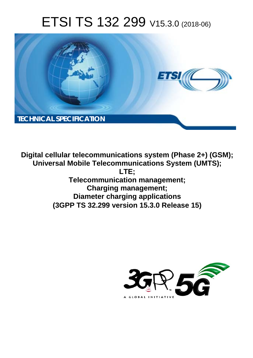# ETSI TS 132 299 V15.3.0 (2018-06)



**Digital cellular telecommunications system (Phase 2+) (GSM); Universal Mobile Telecommunications System (UMTS); LTE; Telecommunication management; Charging management; Diameter charging applications (3GPP TS 32.299 version 15.3.0 Release 15)** 

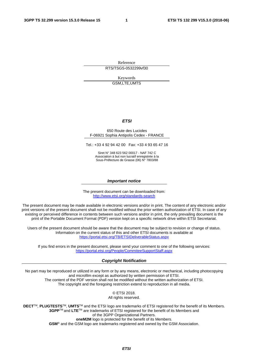Reference RTS/TSGS-0532299vf30

> Keywords GSM,LTE,UMTS

#### *ETSI*

#### 650 Route des Lucioles F-06921 Sophia Antipolis Cedex - FRANCE

Tel.: +33 4 92 94 42 00 Fax: +33 4 93 65 47 16

Siret N° 348 623 562 00017 - NAF 742 C Association à but non lucratif enregistrée à la Sous-Préfecture de Grasse (06) N° 7803/88

#### *Important notice*

The present document can be downloaded from: <http://www.etsi.org/standards-search>

The present document may be made available in electronic versions and/or in print. The content of any electronic and/or print versions of the present document shall not be modified without the prior written authorization of ETSI. In case of any existing or perceived difference in contents between such versions and/or in print, the only prevailing document is the print of the Portable Document Format (PDF) version kept on a specific network drive within ETSI Secretariat.

Users of the present document should be aware that the document may be subject to revision or change of status. Information on the current status of this and other ETSI documents is available at <https://portal.etsi.org/TB/ETSIDeliverableStatus.aspx>

If you find errors in the present document, please send your comment to one of the following services: <https://portal.etsi.org/People/CommiteeSupportStaff.aspx>

#### *Copyright Notification*

No part may be reproduced or utilized in any form or by any means, electronic or mechanical, including photocopying and microfilm except as authorized by written permission of ETSI. The content of the PDF version shall not be modified without the written authorization of ETSI. The copyright and the foregoing restriction extend to reproduction in all media.

> © ETSI 2018. All rights reserved.

**DECT**TM, **PLUGTESTS**TM, **UMTS**TM and the ETSI logo are trademarks of ETSI registered for the benefit of its Members. **3GPP**TM and **LTE**TM are trademarks of ETSI registered for the benefit of its Members and of the 3GPP Organizational Partners. **oneM2M** logo is protected for the benefit of its Members.

**GSM**® and the GSM logo are trademarks registered and owned by the GSM Association.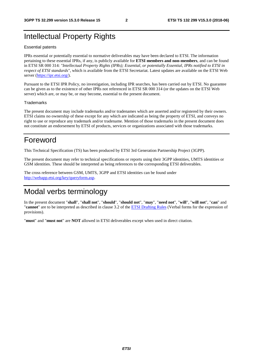# Intellectual Property Rights

#### Essential patents

IPRs essential or potentially essential to normative deliverables may have been declared to ETSI. The information pertaining to these essential IPRs, if any, is publicly available for **ETSI members and non-members**, and can be found in ETSI SR 000 314: *"Intellectual Property Rights (IPRs); Essential, or potentially Essential, IPRs notified to ETSI in respect of ETSI standards"*, which is available from the ETSI Secretariat. Latest updates are available on the ETSI Web server ([https://ipr.etsi.org/\)](https://ipr.etsi.org/).

Pursuant to the ETSI IPR Policy, no investigation, including IPR searches, has been carried out by ETSI. No guarantee can be given as to the existence of other IPRs not referenced in ETSI SR 000 314 (or the updates on the ETSI Web server) which are, or may be, or may become, essential to the present document.

#### **Trademarks**

The present document may include trademarks and/or tradenames which are asserted and/or registered by their owners. ETSI claims no ownership of these except for any which are indicated as being the property of ETSI, and conveys no right to use or reproduce any trademark and/or tradename. Mention of those trademarks in the present document does not constitute an endorsement by ETSI of products, services or organizations associated with those trademarks.

# Foreword

This Technical Specification (TS) has been produced by ETSI 3rd Generation Partnership Project (3GPP).

The present document may refer to technical specifications or reports using their 3GPP identities, UMTS identities or GSM identities. These should be interpreted as being references to the corresponding ETSI deliverables.

The cross reference between GSM, UMTS, 3GPP and ETSI identities can be found under [http://webapp.etsi.org/key/queryform.asp.](http://webapp.etsi.org/key/queryform.asp)

# Modal verbs terminology

In the present document "**shall**", "**shall not**", "**should**", "**should not**", "**may**", "**need not**", "**will**", "**will not**", "**can**" and "**cannot**" are to be interpreted as described in clause 3.2 of the [ETSI Drafting Rules](https://portal.etsi.org/Services/editHelp!/Howtostart/ETSIDraftingRules.aspx) (Verbal forms for the expression of provisions).

"**must**" and "**must not**" are **NOT** allowed in ETSI deliverables except when used in direct citation.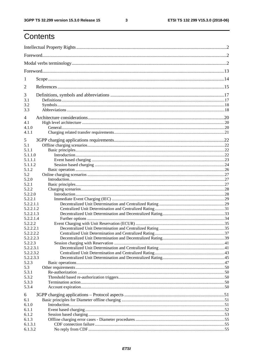$\mathbf{3}$ 

# Contents

| 1         |  |  |  |
|-----------|--|--|--|
| 2         |  |  |  |
| 3         |  |  |  |
| 3.1       |  |  |  |
| 3.2       |  |  |  |
| 3.3       |  |  |  |
| 4         |  |  |  |
| 4.1       |  |  |  |
| 4.1.0     |  |  |  |
| 4.1.1     |  |  |  |
| 5         |  |  |  |
| 5.1       |  |  |  |
| 5.1.1     |  |  |  |
| 5.1.1.0   |  |  |  |
| 5.1.1.1   |  |  |  |
| 5.1.1.2   |  |  |  |
| 5.1.2     |  |  |  |
| 5.2       |  |  |  |
| 5.2.0     |  |  |  |
| 5.2.1     |  |  |  |
| 5.2.2     |  |  |  |
| 5.2.2.0   |  |  |  |
| 5.2.2.1   |  |  |  |
| 5.2.2.1.1 |  |  |  |
|           |  |  |  |
| 5.2.2.1.2 |  |  |  |
| 5.2.2.1.3 |  |  |  |
| 5.2.2.1.4 |  |  |  |
| 5.2.2.2   |  |  |  |
| 5.2.2.2.1 |  |  |  |
| 5.2.2.2.2 |  |  |  |
| 5.2.2.2.3 |  |  |  |
| 5.2.2.3   |  |  |  |
| 5.2.2.3.1 |  |  |  |
| 5.2.2.3.2 |  |  |  |
| 5.2.2.3.3 |  |  |  |
| 5.2.3     |  |  |  |
| 5.3       |  |  |  |
| 5.3.1     |  |  |  |
| 5.3.2     |  |  |  |
| 5.3.3     |  |  |  |
| 5.3.4     |  |  |  |
| 6         |  |  |  |
| 6.1       |  |  |  |
| 6.1.0     |  |  |  |
| 6.1.1     |  |  |  |
| 6.1.2     |  |  |  |
| 6.1.3     |  |  |  |
| 6.1.3.1   |  |  |  |
| 6.1.3.2   |  |  |  |
|           |  |  |  |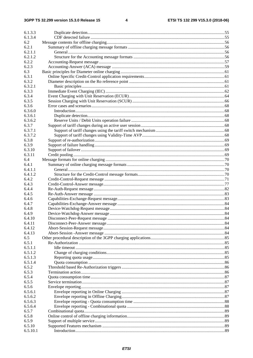| 6.1.3.3  |  |
|----------|--|
| 6.1.3.4  |  |
| 6.2      |  |
| 6.2.1    |  |
| 6.2.1.1  |  |
| 6.2.1.2  |  |
| 6.2.2    |  |
| 6.2.3    |  |
| 6.3      |  |
| 6.3.1    |  |
| 6.3.2    |  |
| 6.3.2.1  |  |
| 6.3.3    |  |
| 6.3.4    |  |
| 6.3.5    |  |
| 6.3.6    |  |
| 6.3.6.0  |  |
| 6.3.6.1  |  |
|          |  |
| 6.3.6.2  |  |
| 6.3.7    |  |
| 6.3.7.1  |  |
| 6.3.7.2  |  |
| 6.3.8    |  |
| 6.3.9    |  |
| 6.3.10   |  |
| 6.3.11   |  |
| 6.4      |  |
| 6.4.1    |  |
| 6.4.1.1  |  |
| 6.4.1.2  |  |
| 6.4.2    |  |
| 6.4.3    |  |
| 6.4.4    |  |
| 6.4.5    |  |
| 6.4.6    |  |
| 6.4.7    |  |
| 6.4.8    |  |
| 6.4.9    |  |
| 6.4.10   |  |
| 6.4.11   |  |
| 6.4.12   |  |
| 6.4.13   |  |
| 6.5      |  |
| 6.5.1    |  |
| 6.5.1.1  |  |
| 6.5.1.2  |  |
| 6.5.1.3  |  |
| 6.5.1.4  |  |
| 6.5.2    |  |
| 6.5.3    |  |
| 6.5.4    |  |
| 6.5.5    |  |
| 6.5.6    |  |
| 6.5.6.1  |  |
| 6.5.6.2  |  |
| 6.5.6.3  |  |
| 6.5.6.4  |  |
| 6.5.7    |  |
| 6.5.8    |  |
| 6.5.9    |  |
|          |  |
| 6.5.10   |  |
| 6.5.10.1 |  |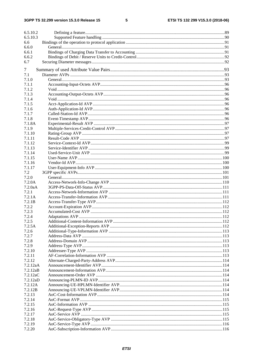#### $5\phantom{a}$

| 6.5.10.2         |  |
|------------------|--|
| 6.5.10.3         |  |
| 6.6              |  |
| 6.6.0            |  |
| 6.6.1            |  |
| 6.6.2            |  |
| 6.7              |  |
| 7                |  |
| 7.1              |  |
| 7.1.0            |  |
| 7.1.1            |  |
| 7.1.2            |  |
| 7.1.3            |  |
| 7.1.4            |  |
| 7.1.5            |  |
| 7.1.6            |  |
| 7.1.7            |  |
| 7.1.8            |  |
| 7.1.8A           |  |
| 7.1.9            |  |
| 7.1.10           |  |
| 7.1.11           |  |
| 7.1.12           |  |
| 7.1.13<br>7.1.14 |  |
| 7.1.15           |  |
| 7.1.16           |  |
| 7.1.17           |  |
| 7.2              |  |
| 7.2.0            |  |
| 7.2.0A           |  |
| 7.2.0aA          |  |
| 7.2.1            |  |
| 7.2.1A           |  |
| 7.2.1B           |  |
| 7.2.2            |  |
| 7.2.3            |  |
| 7.2.4            |  |
| 7.2.5            |  |
| 7.2.5A           |  |
| 7.2.6<br>7.2.7   |  |
| 7.2.8            |  |
| 7.2.9            |  |
| 7.2.10           |  |
| 7.2.11           |  |
| 7.2.12           |  |
| 7.2.12aA         |  |
| 7.2.12aB         |  |
| 7.2.12aC         |  |
| 7.2.12aD         |  |
| 7.2.12A          |  |
| 7.2.12B          |  |
| 7.2.13           |  |
| 7.2.14           |  |
| 7.2.15           |  |
| 7.2.16           |  |
| 7.2.17           |  |
| 7.2.18<br>7.2.19 |  |
| 7.2.20           |  |
|                  |  |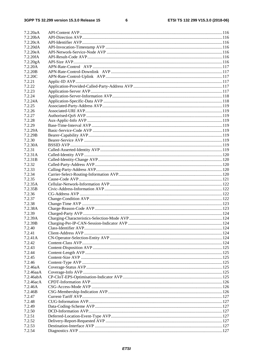$\bf 6$ 

| 7.2.20aA              |  |
|-----------------------|--|
| 7.2.20 <sub>b</sub> A |  |
| 7.2.20cA              |  |
| 7.2.20dA              |  |
| 7.2.20eA              |  |
| 7.2.20fA              |  |
| 7.2.20gA              |  |
| 7.2.20A               |  |
| 7.2.20B               |  |
| 7.2.20C               |  |
| 7.2.21                |  |
|                       |  |
| 7.2.22                |  |
| 7.2.23                |  |
| 7.2.24                |  |
| 7.2.24A               |  |
| 7.2.25                |  |
| 7.2.26                |  |
| 7.2.27                |  |
| 7.2.28                |  |
| 7.2.29                |  |
| 7.2.29A               |  |
| 7.2.29B               |  |
| 7.2.30                |  |
| 7.2.30A               |  |
| 7.2.31                |  |
| 7.2.31A               |  |
| 7.2.31B               |  |
| 7.2.32                |  |
| 7.2.33                |  |
| 7.2.34                |  |
| 7.2.35                |  |
| 7.2.35A               |  |
| 7.2.35B               |  |
| 7.2.36                |  |
| 7.2.37                |  |
| 7.2.38                |  |
| 7.2.38A               |  |
| 7.2.39                |  |
| 7.2.39A               |  |
| 7.2.39B               |  |
| 7.2.40                |  |
| 7.2.41                |  |
| 7.2.41A               |  |
| 7.2.42                |  |
| 7.2.43                |  |
| 7.2.44                |  |
|                       |  |
| 7.2.45                |  |
| 7.2.46                |  |
| 7.2.46aA              |  |
| $7.2.46$ aaA          |  |
| 7.2.46abA             |  |
| 7.2.46acA             |  |
| 7.2.46A               |  |
| 7.2.46B               |  |
| 7.2.47                |  |
| 7.2.48                |  |
| 7.2.49                |  |
| 7.2.50                |  |
| 7.2.51                |  |
| 7.2.52                |  |
| 7.2.53                |  |
| 7.2.54                |  |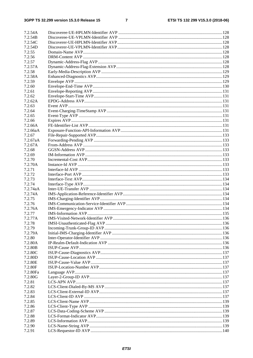$\overline{7}$ 

| 7.2.54A            |  |
|--------------------|--|
| 7.2.54B            |  |
| 7.2.54C            |  |
| 7.2.54D            |  |
| 7.2.55             |  |
| 7.2.56             |  |
| 7.2.57             |  |
| 7.2.57A            |  |
| 7.2.58             |  |
| 7.2.58A            |  |
| 7.2.59             |  |
| 7.2.60             |  |
| 7.2.61             |  |
| 7.2.62             |  |
| 7.2.62A            |  |
| 7.2.63             |  |
| 7.2.64             |  |
| 7.2.65             |  |
| 7.2.66             |  |
| 7.2.66A            |  |
| 7.2.66aA           |  |
| 7.2.67             |  |
| 7.2.67aA           |  |
| 7.2.67A            |  |
| 7.2.68             |  |
| 7.2.69             |  |
| 7.2.70             |  |
| 7.2.70A            |  |
| 7.2.71             |  |
| 7.2.72             |  |
| 7.2.73             |  |
|                    |  |
| 7.2.74<br>7.2.74aA |  |
| 7.2.74A            |  |
|                    |  |
| 7.2.75             |  |
| 7.2.76             |  |
| 7.2.76A            |  |
| 7.2.77             |  |
| 7.2.77A            |  |
| 7.2.78             |  |
| 7.2.79             |  |
| 7.2.79A            |  |
| 7.2.80             |  |
| 7.2.80A            |  |
| 7.2.80B            |  |
| 7.2.80C            |  |
| 7.2.80D            |  |
| 7.2.80E            |  |
| 7.2.80F            |  |
| 7.2.80Fa           |  |
| 7.2.80G            |  |
| 7.2.81             |  |
| 7.2.82             |  |
| 7.2.83             |  |
| 7.2.84             |  |
| 7.2.85             |  |
| 7.2.86             |  |
| 7.2.87             |  |
| 7.2.88             |  |
| 7.2.89             |  |
| 7.2.90             |  |
| 7.2.91             |  |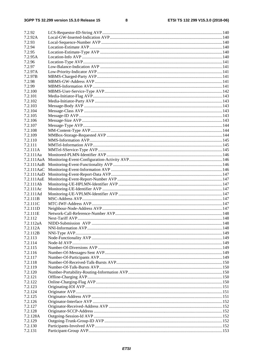$\bf8$ 

| 7.2.92     |  |
|------------|--|
| 7.2.92A    |  |
| 7.2.93     |  |
| 7.2.94     |  |
| 7.2.95     |  |
| 7.2.95A    |  |
| 7.2.96     |  |
| 7.2.97     |  |
| 7.2.97A    |  |
| 7.2.97B    |  |
| 7.2.98     |  |
| 7.2.99     |  |
| 7.2.100    |  |
| 7.2.101    |  |
|            |  |
| 7.2.102    |  |
| 7.2.103    |  |
| 7.2.104    |  |
| 7.2.105    |  |
| 7.2.106    |  |
| 7.2.107    |  |
| 7.2.108    |  |
| 7.2.109    |  |
| 7.2.110    |  |
| 7.2.111    |  |
| 7.2.111A   |  |
| 7.2.111Aa  |  |
| 7.2.111AaA |  |
| 7.2.111AaB |  |
| 7.2.111AaC |  |
| 7.2.111AaD |  |
| 7.2.111AaE |  |
| 7.2.111Ab  |  |
| 7.2.111Ac  |  |
| 7.2.111Ad  |  |
| 7.2.111B   |  |
| 7.2.111C   |  |
| 7.2.111D   |  |
| 7.2.111E   |  |
| 7.2.112    |  |
| 7.2.112aA  |  |
| 7.2.112A   |  |
| 7.2.112B   |  |
| 7.2.113    |  |
| 7.2.114    |  |
| 7.2.115    |  |
| 7.2.116    |  |
| 7.2.117    |  |
| 7.2.118    |  |
| 7.2.119    |  |
| 7.2.120    |  |
| 7.2.121    |  |
| 7.2.122    |  |
| 7.2.123    |  |
| 7.2.124    |  |
| 7.2.125    |  |
| 7.2.126    |  |
| 7.2.127    |  |
| 7.2.128    |  |
| 7.2.128A   |  |
| 7.2.129    |  |
| 7.2.130    |  |
| 7.2.131    |  |
|            |  |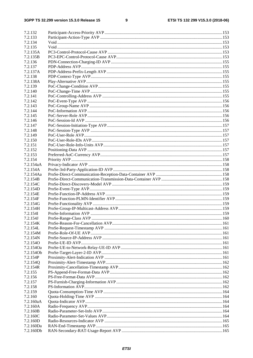#### $\boldsymbol{9}$

| 7.2.132   |  |
|-----------|--|
| 7.2.133   |  |
| 7.2.134   |  |
| 7.2.135   |  |
| 7.2.135A  |  |
| 7.2.135B  |  |
| 7.2.136   |  |
| 7.2.137   |  |
| 7.2.137A  |  |
| 7.2.138   |  |
| 7.2.138A  |  |
| 7.2.139   |  |
| 7.2.140   |  |
| 7.2.141   |  |
| 7.2.142   |  |
| 7.2.143   |  |
| 7.2.144   |  |
| 7.2.145   |  |
| 7.2.146   |  |
| 7.2.147   |  |
| 7.2.148   |  |
| 7.2.149   |  |
| 7.2.150   |  |
| 7.2.151   |  |
| 7.2.152   |  |
| 7.2.153   |  |
| 7.2.154   |  |
| 7.2.154aA |  |
| 7.2.154A  |  |
| 7.2.154Aa |  |
| 7.2.154B  |  |
| 7.2.154C  |  |
| 7.2.154D  |  |
| 7.2.154E  |  |
| 7.2.154F  |  |
| 7.2.154G  |  |
| 7.2.154H  |  |
| 7.2.154I  |  |
| 7.2.154J  |  |
| 7.2.154K  |  |
| 7.2.154L  |  |
| 7.2.154M  |  |
| 7.2.154N  |  |
| 7.2.154O  |  |
| 7.2.154Oa |  |
| 7.2.1540b |  |
| 7.2.154P  |  |
| 7.2.154Q  |  |
| 7.2.154R  |  |
| 7.2.155   |  |
| 7.2.156   |  |
| 7.2.157   |  |
| 7.2.158   |  |
| 7.2.159   |  |
| 7.2.160   |  |
| 7.2.160aA |  |
| 7.2.160A  |  |
| 7.2.160B  |  |
| 7.2.160C  |  |
| 7.2.160D  |  |
| 7.2.160Da |  |
| 7.2.160Db |  |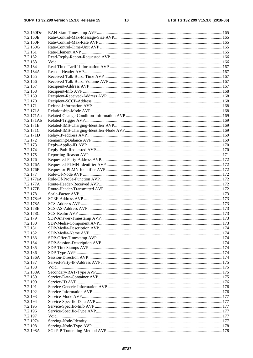| 7.2.160Dc |  |
|-----------|--|
| 7.2.160E  |  |
| 7.2.160F  |  |
| 7.2.160G  |  |
| 7.2.161   |  |
| 7.2.162   |  |
| 7.2.163   |  |
| 7.2.164   |  |
| 7.2.164A  |  |
| 7.2.165   |  |
| 7.2.166   |  |
| 7.2.167   |  |
| 7.2.168   |  |
| 7.2.169   |  |
| 7.2.170   |  |
| 7.2.171   |  |
| 7.2.171A  |  |
| 7.2.171Aa |  |
| 7.2.171Ab |  |
| 7.2.171B  |  |
| 7.2.171C  |  |
| 7.2.171D  |  |
| 7.2.172   |  |
| 7.2.173   |  |
| 7.2.174   |  |
| 7.2.175   |  |
| 7.2.176   |  |
| 7.2.176A  |  |
| 7.2.176B  |  |
| 7.2.177   |  |
| 7.2.177aA |  |
| 7.2.177A  |  |
| 7.2.177B  |  |
| 7.2.178   |  |
| 7.2.178aA |  |
| 7.2.178A  |  |
| 7.2.178B  |  |
| 7.2.178C  |  |
| 7.2.179   |  |
| 7.2.180   |  |
| 7.2.181   |  |
| 7.2.182   |  |
| 7.2.183   |  |
| 7.2.184   |  |
| 7.2.185   |  |
| 7.2.186   |  |
| 7.2.186A  |  |
| 7.2.187   |  |
| 7.2.188   |  |
| 7.2.188A  |  |
| 7.2.189   |  |
| 7.2.190   |  |
| 7.2.191   |  |
| 7.2.192   |  |
| 7.2.193   |  |
| 7.2.194   |  |
| 7.2.195   |  |
| 7.2.196   |  |
| 7.2.197   |  |
| 7.2.197a  |  |
| 7.2.198   |  |
| 7.2.198A  |  |
|           |  |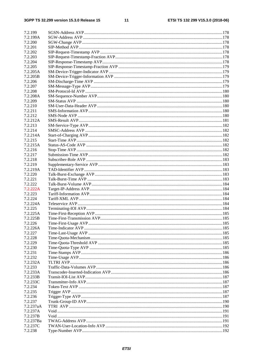#### $11$

| 7.2.199             |  |
|---------------------|--|
| 7.2.199A            |  |
| 7.2.200             |  |
| 7.2.201             |  |
| 7.2.202             |  |
| 7.2.203             |  |
| 7.2.204             |  |
| 7.2.205             |  |
| 7.2.205A            |  |
| 7.2.205B            |  |
| 7.2.206             |  |
| 7.2.207             |  |
| 7.2.208             |  |
| 7.2.208A            |  |
| 7.2.209             |  |
| 7.2.210             |  |
| 7.2.211             |  |
| 7.2.212             |  |
| 7.2.212A            |  |
| 7.2.213             |  |
| 7.2.214             |  |
| 7.2.214A            |  |
| 7.2.215<br>7.2.215A |  |
| 7.2.216             |  |
| 7.2.217             |  |
| 7.2.218             |  |
| 7.2.219             |  |
| 7.2.219A            |  |
| 7.2.220             |  |
| 7.2.221             |  |
| 7.2.222             |  |
| 7.2.222A            |  |
| 7.2.223             |  |
| 7.2.224             |  |
| 7.2.224A            |  |
| 7.2.225             |  |
| 7.2.225A            |  |
| 7.2.225B            |  |
| 7.2.226             |  |
| 7.2.226A            |  |
| 7.2.227             |  |
| 7.2.228             |  |
| 7.2.229             |  |
| 7.2.230             |  |
| 7.2.231             |  |
| 7.2.232             |  |
| 7.2.232A            |  |
| 7.2.233             |  |
| 7.2.233A            |  |
| 7.2.233B            |  |
| 7.2.233C            |  |
| 7.2.234             |  |
| 7.2.235             |  |
| 7.2.236             |  |
| 7.2.237             |  |
| 7.2.237aA           |  |
| 7.2.237A            |  |
| 7.2.237B            |  |
| 7.2.237Ba           |  |
| 7.2.237C            |  |
| 7.2.238             |  |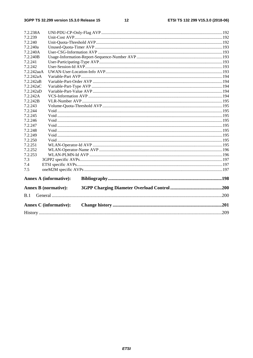#### $12$

| 7.2.238A                    |                               |  |  |
|-----------------------------|-------------------------------|--|--|
| 7.2.239                     |                               |  |  |
| 7.2.240                     |                               |  |  |
| 7.2.240a                    |                               |  |  |
| 7.2.240A                    |                               |  |  |
| 7.2.240B                    |                               |  |  |
| 7.2.241                     |                               |  |  |
| 7.2.242                     |                               |  |  |
| 7.2.242aaA                  |                               |  |  |
| 7.2.242aA                   |                               |  |  |
| 7.2.242aB                   |                               |  |  |
| 7.2.242aC                   |                               |  |  |
| 7.2.242aD                   |                               |  |  |
| 7.2.242A                    |                               |  |  |
| 7.2.242B                    |                               |  |  |
| 7.2.243                     |                               |  |  |
| 7.2.244                     |                               |  |  |
| 7.2.245                     |                               |  |  |
| 7.2.246                     |                               |  |  |
| 7.2.247                     |                               |  |  |
| 7.2.248                     |                               |  |  |
| 7.2.249                     |                               |  |  |
| 7.2.250                     |                               |  |  |
| 7.2.251                     |                               |  |  |
| 7.2.252                     |                               |  |  |
| 7.2.253                     |                               |  |  |
| 7.3                         |                               |  |  |
| 7.4                         |                               |  |  |
| 7.5                         |                               |  |  |
|                             | <b>Annex A (informative):</b> |  |  |
| <b>Annex B</b> (normative): |                               |  |  |
| B.1                         |                               |  |  |
|                             | <b>Annex C</b> (informative): |  |  |
|                             |                               |  |  |
|                             |                               |  |  |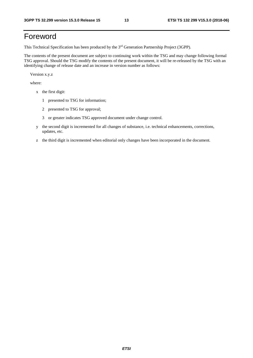# Foreword

This Technical Specification has been produced by the 3rd Generation Partnership Project (3GPP).

The contents of the present document are subject to continuing work within the TSG and may change following formal TSG approval. Should the TSG modify the contents of the present document, it will be re-released by the TSG with an identifying change of release date and an increase in version number as follows:

Version x.y.z

where:

- x the first digit:
	- 1 presented to TSG for information;
	- 2 presented to TSG for approval;
	- 3 or greater indicates TSG approved document under change control.
- y the second digit is incremented for all changes of substance, i.e. technical enhancements, corrections, updates, etc.
- z the third digit is incremented when editorial only changes have been incorporated in the document.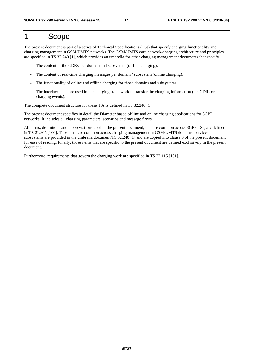# 1 Scope

The present document is part of a series of Technical Specifications (TSs) that specify charging functionality and charging management in GSM/UMTS networks. The GSM/UMTS core network-charging architecture and principles are specified in TS 32.240 [1], which provides an umbrella for other charging management documents that specify.

- The content of the CDRs' per domain and subsystem (offline charging);
- The content of real-time charging messages per domain / subsystem (online charging);
- The functionality of online and offline charging for those domains and subsystems;
- The interfaces that are used in the charging framework to transfer the charging information (i.e. CDRs or charging events).

The complete document structure for these TSs is defined in TS 32.240 [1].

The present document specifies in detail the Diameter based offline and online charging applications for 3GPP networks. It includes all charging parameters, scenarios and message flows..

All terms, definitions and, abbreviations used in the present document, that are common across 3GPP TSs, are defined in TR 21.905 [100]. Those that are common across charging management in GSM/UMTS domains, services or subsystems are provided in the umbrella document TS 32.240 [1] and are copied into clause 3 of the present document for ease of reading. Finally, those items that are specific to the present document are defined exclusively in the present document.

Furthermore, requirements that govern the charging work are specified in TS 22.115 [101].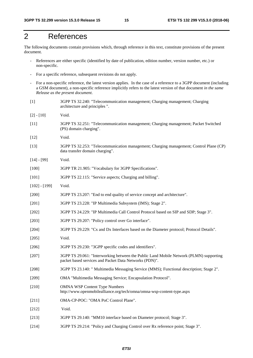# 2 References

The following documents contain provisions which, through reference in this text, constitute provisions of the present document.

- References are either specific (identified by date of publication, edition number, version number, etc.) or non-specific.
- For a specific reference, subsequent revisions do not apply.
- For a non-specific reference, the latest version applies. In the case of a reference to a 3GPP document (including a GSM document), a non-specific reference implicitly refers to the latest version of that document *in the same Release as the present document*.
- [1] 3GPP TS 32.240: "Telecommunication management; Charging management; Charging architecture and principles ".
- [2] [10] Void.
- [11] 3GPP TS 32.251: "Telecommunication management; Charging management; Packet Switched (PS) domain charging".
- [12] **Void.**
- [13] 3GPP TS 32.253: "Telecommunication management; Charging management; Control Plane (CP) data transfer domain charging".
- [14] [99] Void.
- [100] 3GPP TR 21.905: "Vocabulary for 3GPP Specifications".
- [101] 3GPP TS 22.115: "Service aspects; Charging and billing".
- [102] [199] Void.
- [200] 3GPP TS 23.207: "End to end quality of service concept and architecture".
- [201] 3GPP TS 23.228: "IP Multimedia Subsystem (IMS); Stage 2".
- [202] 3GPP TS 24.229: "IP Multimedia Call Control Protocol based on SIP and SDP; Stage 3".
- [203] 3GPP TS 29.207: "Policy control over Go interface".
- [204] 3GPP TS 29.229: "Cx and Dx Interfaces based on the Diameter protocol; Protocol Details".
- [205] Void.
- [206] 3GPP TS 29.230: "3GPP specific codes and identifiers".
- [207] 3GPP TS 29.061: "Interworking between the Public Land Mobile Network (PLMN) supporting packet based services and Packet Data Networks (PDN)".
- [208] 3GPP TS 23.140: " Multimedia Messaging Service (MMS); Functional description; Stage 2".
- [209] OMA "Multimedia Messaging Service; Encapsulation Protocol".
- [210] OMNA WSP Content Type Numbers http://www.openmobilealliance.org/tech/omna/omna-wsp-content-type.aspx
- [211] OMA-CP-POC: "OMA PoC Control Plane".
- [212] **Void.**
- [213] 3GPP TS 29.140: "MM10 interface based on Diameter protocol; Stage 3".
- [214] 3GPP TS 29.214: "Policy and Charging Control over Rx reference point; Stage 3".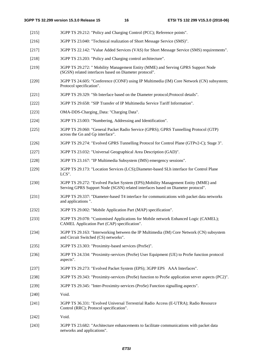[215] 3GPP TS 29.212: "Policy and Charging Control (PCC); Reference points". [216] 3GPP TS 23.040: "Technical realization of Short Message Service (SMS)". [217] 3GPP TS 22.142: "Value Added Services (VAS) for Short Message Service (SMS) requirements". [218] 3GPP TS 23.203: "Policy and Charging control architecture". [219] 3GPP TS 29.272: " Mobility Management Entity (MME) and Serving GPRS Support Node (SGSN) related interfaces based on Diameter protocol". [220] 3GPP TS 24.605: "Conference (CONF) using IP Multimedia (IM) Core Network (CN) subsystem; Protocol specification". [221] 3GPP TS 29.329: "Sh Interface based on the Diameter protocol;Protocol details". [222] 3GPP TS 29.658: "SIP Transfer of IP Multimedia Service Tariff Information". [223] OMA-DDS-Charging\_Data: "Charging Data". [224] 3GPP TS 23.003: "Numbering, Addressing and Identification". [225] 3GPP TS 29.060: "General Packet Radio Service (GPRS); GPRS Tunnelling Protocol (GTP) across the Gn and Gp interface". [226] 3GPP TS 29.274: "Evolved GPRS Tunnelling Protocol for Control Plane (GTPv2-C); Stage 3". [227] 3GPP TS 23.032: "Universal Geographical Area Description (GAD)". [228] 3GPP TS 23.167: "IP Multimedia Subsystem (IMS) emergency sessions". [229] 3GPP TS 29.173: "Location Services (LCS);Diameter-based SLh interface for Control Plane LCS". [230] 3GPP TS 29.272: "Evolved Packet System (EPS);Mobility Management Entity (MME) and Serving GPRS Support Node (SGSN) related interfaces based on Diameter protocol". [231] 3GPP TS 29.337: "Diameter-based T4 interface for communications with packet data networks and applications ". [232] 3GPP TS 29.002: "Mobile Application Part (MAP) specification". [233] 3GPP TS 29.078: "Customised Applications for Mobile network Enhanced Logic (CAMEL); CAMEL Application Part (CAP) specification". [234] 3GPP TS 29.163: "Interworking between the IP Multimedia (IM) Core Network (CN) subsystem and Circuit Switched (CS) networks". [235] 3GPP TS 23.303: "Proximity-based services (ProSe)". [236] 3GPP TS 24.334: "Proximity-services (ProSe) User Equipment (UE) to ProSe function protocol aspects". [237] 3GPP TS 29.273: "Evolved Packet System (EPS); 3GPP EPS AAA Interfaces". [238] 3GPP TS 29.343: "Proximity-services (ProSe) function to ProSe application server aspects (PC2)". [239] 3GPP TS 29.345: "Inter-Proximity-services (ProSe) Function signalling aspects". [240] Void. [241] 3GPP TS 36.331: "Evolved Universal Terrestrial Radio Access (E-UTRA); Radio Resource Control (RRC); Protocol specification". [242] Void. [243] 3GPP TS 23.682: "Architecture enhancements to facilitate communications with packet data

networks and applications".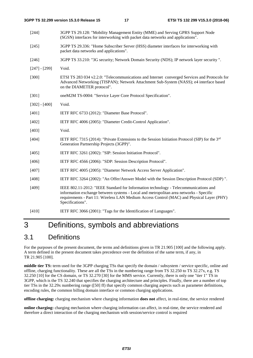|                 | 3GPP TS 32.299 version 15.3.0 Release 15                                        | 17 | ETSI TS 132 299 V15.3.0 (2018-06)                                                                                                                                                                                                                                           |
|-----------------|---------------------------------------------------------------------------------|----|-----------------------------------------------------------------------------------------------------------------------------------------------------------------------------------------------------------------------------------------------------------------------------|
| $[244]$         | (SGSN) interfaces for interworking with packet data networks and applications". |    | 3GPP TS 29.128: "Mobility Management Entity (MME) and Serving GPRS Support Node                                                                                                                                                                                             |
| $[245]$         | packet data networks and applications".                                         |    | 3GPP TS 29.336: "Home Subscriber Server (HSS) diameter interfaces for interworking with                                                                                                                                                                                     |
| $[246]$         |                                                                                 |    | 3GPP TS 33.210: "3G security; Network Domain Security (NDS); IP network layer security ".                                                                                                                                                                                   |
| $[247] - [299]$ | Void.                                                                           |    |                                                                                                                                                                                                                                                                             |
| $[300]$         | on the DIAMETER protocol".                                                      |    | ETSI TS 283 034 v2.2.0: "Telecommunications and Internet converged Services and Protocols for<br>Advanced Networking (TISPAN); Network Attachment Sub-System (NASS); e4 interface based                                                                                     |
| $[301]$         | oneM2M TS-0004: "Service Layer Core Protocol Specification".                    |    |                                                                                                                                                                                                                                                                             |
| $[302] - [400]$ | Void.                                                                           |    |                                                                                                                                                                                                                                                                             |
| [401]           | IETF RFC 6733 (2012): "Diameter Base Protocol".                                 |    |                                                                                                                                                                                                                                                                             |
| [402]           | IETF RFC 4006 (2005): "Diameter Credit-Control Application".                    |    |                                                                                                                                                                                                                                                                             |
| [403]           | Void.                                                                           |    |                                                                                                                                                                                                                                                                             |
| [404]           | Generation Partnership Projects (3GPP)".                                        |    | IETF RFC 7315 (2014): "Private Extensions to the Session Initiation Protocol (SIP) for the $3rd$                                                                                                                                                                            |
| [405]           | IETF RFC 3261 (2002): "SIP: Session Initiation Protocol".                       |    |                                                                                                                                                                                                                                                                             |
| [406]           | IETF RFC 4566 (2006): "SDP: Session Description Protocol".                      |    |                                                                                                                                                                                                                                                                             |
| [407]           | IETF RFC 4005 (2005): "Diameter Network Access Server Application".             |    |                                                                                                                                                                                                                                                                             |
| [408]           |                                                                                 |    | IETF RFC 3264 (2002): "An Offer/Answer Model with the Session Description Protocol (SDP)".                                                                                                                                                                                  |
| [409]           | Specifications".                                                                |    | IEEE 802.11-2012: "IEEE Standard for Information technology - Telecommunications and<br>information exchange between systems - Local and metropolitan area networks - Specific<br>requirements - Part 11: Wireless LAN Medium Access Control (MAC) and Physical Layer (PHY) |
| [410]           | IETF RFC 3066 (2001): "Tags for the Identification of Languages".               |    |                                                                                                                                                                                                                                                                             |

# 3 Definitions, symbols and abbreviations

# 3.1 Definitions

For the purposes of the present document, the terms and definitions given in TR 21.905 [100] and the following apply. A term defined in the present document takes precedence over the definition of the same term, if any, in TR 21.905 [100].

**middle tier TS:** term used for the 3GPP charging TSs that specify the domain / subsystem / service specific, online and offline, charging functionality. These are all the TSs in the numbering range from TS 32.250 to TS 32.27x, e.g. TS 32.250 [10] for the CS domain, or TS 32.270 [30] for the MMS service. Currently, there is only one "tier 1" TS in 3GPP, which is the TS 32.240 that specifies the charging architecture and principles. Finally, there are a number of top tier TSs in the 32.29x numbering range ([50] ff) that specify common charging aspects such as parameter definitions, encoding rules, the common billing domain interface or common charging applications.

**offline charging:** charging mechanism where charging information **does not** affect, in real-time, the service rendered

**online charging:** charging mechanism where charging information can affect, in real-time, the service rendered and therefore a direct interaction of the charging mechanism with session/service control is required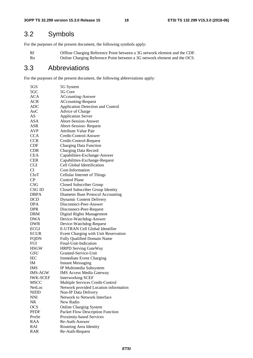# 3.2 Symbols

For the purposes of the present document, the following symbols apply:

Rf Offline Charging Reference Point between a 3G network element and the CDF.<br>
Ro Online Charging Reference Point between a 3G network element and the OCS. Online Charging Reference Point between a 3G network element and the OCS.

## 3.3 Abbreviations

For the purposes of the present document, the following abbreviations apply:

| 5GS              | 5G System                             |
|------------------|---------------------------------------|
| 5GC              | 5G Core                               |
| <b>ACA</b>       | <b>ACcounting-Answer</b>              |
| <b>ACR</b>       | <b>ACcounting-Request</b>             |
| <b>ADC</b>       | Application Detection and Control     |
| A <sub>0</sub> C | Advice of Charge                      |
| AS               | <b>Application Server</b>             |
| ASA              | <b>Abort-Session-Answer</b>           |
| ASR              | <b>Abort-Session-Request</b>          |
| <b>AVP</b>       | <b>Attribute Value Pair</b>           |
| <b>CCA</b>       | Credit-Control-Answer                 |
| <b>CCR</b>       | Credit-Control-Request                |
| CDF              | <b>Charging Data Function</b>         |
| <b>CDR</b>       | Charging Data Record                  |
| <b>CEA</b>       | Capabilities-Exchange-Answer          |
| <b>CER</b>       | Capabilities-Exchange-Request         |
| CGI              | Cell Global Identification            |
| CI               | Cost-Information                      |
| <b>CIoT</b>      |                                       |
|                  | Cellular Internet of Things           |
| CP               | Control Plane                         |
| <b>CSG</b>       | Closed Subscriber Group               |
| CSG ID           | Closed Subscriber Group Identity      |
| <b>DBPA</b>      | Diameter Base Protocol Accounting     |
| <b>DCD</b>       | <b>Dynamic Content Delivery</b>       |
| <b>DPA</b>       | Disconnect-Peer-Answer                |
| DPR              | Disconnect-Peer-Request               |
| DRM              | Digital Rights Management             |
| <b>DWA</b>       | Device-Watchdog-Answer                |
| DWR              | Device-Watchdog-Request               |
| <b>ECGI</b>      | E-UTRAN Cell Global Identifier        |
| <b>ECUR</b>      | Event Charging with Unit Reservation  |
| <b>FQDN</b>      | Fully Qualified Domain Name           |
| <b>FUI</b>       | Final-Unit-Indication                 |
| <b>HSGW</b>      | <b>HRPD Serving GateWay</b>           |
| GSU              | Granted-Service-Unit                  |
| <b>IEC</b>       | <b>Immediate Event Charging</b>       |
| IM               | <b>Instant Messaging</b>              |
| IMS              | IP Multimedia Subsystem               |
| <b>IMS-AGW</b>   | <b>IMS Access Media Gateway</b>       |
| <b>IWK-SCEF</b>  | <b>Interworking SCEF</b>              |
| <b>MSCC</b>      | Multiple Services Credit-Control      |
| NetLoc           | Network provided Location information |
| <b>NIDD</b>      | Non-IP Data Delivery                  |
| <b>NNI</b>       | Network to Network Interface          |
| <b>NR</b>        | New Radio                             |
| <b>OCS</b>       | <b>Online Charging System</b>         |
| <b>PFDF</b>      | Packet Flow Description Function      |
| ProSe            | Proximity-based Services              |
| <b>RAA</b>       | Re-Auth-Answer                        |
| RAI              | Routeing Area Identity                |
|                  |                                       |
| <b>RAR</b>       | Re-Auth-Request                       |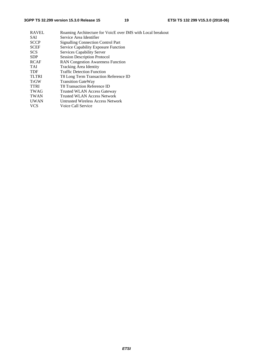| <b>RAVEL</b> | Roaming Architecture for VoicE over IMS with Local breakout |
|--------------|-------------------------------------------------------------|
| SAI          | Service Area Identifier                                     |
| <b>SCCP</b>  | <b>Signalling Connection Control Part</b>                   |
| <b>SCEF</b>  | Service Capability Exposure Function                        |
| <b>SCS</b>   | Services Capability Server                                  |
| <b>SDP</b>   | <b>Session Description Protocol</b>                         |
| <b>RCAF</b>  | <b>RAN Congestion Awareness Function</b>                    |
| <b>TAI</b>   | <b>Tracking Area Identity</b>                               |
| <b>TDF</b>   | <b>Traffic Detection Function</b>                           |
| <b>TLTRI</b> | T8 Long Term Transaction Reference ID                       |
| <b>TrGW</b>  | <b>Transition GateWay</b>                                   |
| <b>TTRI</b>  | T8 Transaction Reference ID                                 |
| <b>TWAG</b>  | <b>Trusted WLAN Access Gateway</b>                          |
| <b>TWAN</b>  | <b>Trusted WLAN Access Network</b>                          |
| <b>UWAN</b>  | Untrusted Wireless Access Network                           |
| <b>VCS</b>   | Voice Call Service                                          |
|              |                                                             |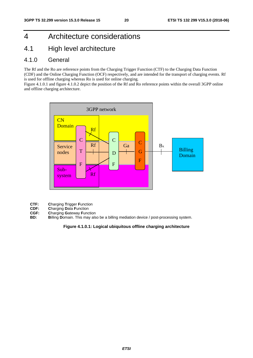# 4 Architecture considerations

### 4.1 High level architecture

### 4.1.0 General

The Rf and the Ro are reference points from the Charging Trigger Function (CTF) to the Charging Data Function (CDF) and the Online Charging Function (OCF) respectively, and are intended for the transport of charging events. Rf is used for offline charging whereas Ro is used for online charging.

Figure 4.1.0.1 and figure 4.1.0.2 depict the position of the Rf and Ro reference points within the overall 3GPP online and offline charging architecture.



- **CTF: C**harging **T**rigger **F**unction
- 
- **CDF: Charging Data Function**<br>**CGF: Charging Gateway Function CGF: Charging Gateway Function**<br>**BD: Billing Domain**, This may als
- **Billing Domain. This may also be a billing mediation device / post-processing system.**

#### **Figure 4.1.0.1: Logical ubiquitous offline charging architecture**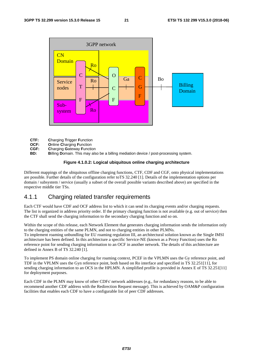

- **CTF: C**harging **T**rigger **F**unction
- **OCF: O**nline **C**harging **F**unction
- **CGF: Charging Gateway Function**<br>**BD: Billing Domain** This may als
- **Billing Domain. This may also be a billing mediation device / post-processing system.**

#### **Figure 4.1.0.2: Logical ubiquitous online charging architecture**

Different mappings of the ubiquitous offline charging functions, CTF, CDF and CGF, onto physical implementations are possible. Further details of the configuration refer toTS 32.240 [1]. Details of the implementation options per domain / subsystem / service (usually a subset of the overall possible variants described above) are specified in the respective middle tier TSs.

### 4.1.1 Charging related transfer requirements

Each CTF would have CDF and OCF address list to which it can send its charging events and/or charging requests. The list is organized in address priority order. If the primary charging function is not available (e.g. out of service) then the CTF shall send the charging information to the secondary charging function and so on.

Within the scope of this release, each Network Element that generates charging information sends the information only to the charging entities of the same PLMN, and not to charging entities in other PLMNs.

To implement roaming unbundling for EU roaming regulation III, an architectural solution known as the Single IMSI architecture has been defined. In this architecture a specific Service-NE (known as a Proxy Function) uses the Ro reference point for sending charging information to an OCF in another network. The details of this architecture are defined in Annex B of TS 32.240 [1].

To implement PS domain online charging for roaming context, PCEF in the VPLMN uses the Gy reference point, and TDF in the VPLMN uses the Gyn reference point, both based on Ro interface and specified in TS 32.251[11], for sending charging information to an OCS in the HPLMN. A simplified profile is provided in Annex E of TS 32.251[11] for deployment purposes.

Each CDF in the PLMN may know of other CDFs' network addresses (e.g., for redundancy reasons, to be able to recommend another CDF address with the Redirection Request message). This is achieved by OAM&P configuration facilities that enables each CDF to have a configurable list of peer CDF addresses.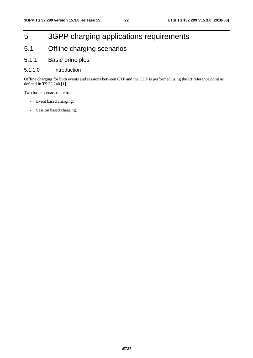# 5 3GPP charging applications requirements

- 5.1 Offline charging scenarios
- 5.1.1 Basic principles
- 5.1.1.0 Introduction

Offline charging for both events and sessions between CTF and the CDF is performed using the Rf reference point as defined in TS 32.240 [1].

Two basic scenarios are used:

- Event based charging;
- Session based charging.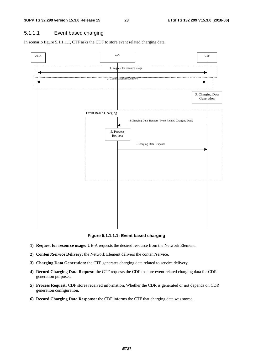### 5.1.1.1 Event based charging

In scenario figure 5.1.1.1.1, CTF asks the CDF to store event related charging data.



**Figure 5.1.1.1.1: Event based charging** 

- **1) Request for resource usage:** UE-A requests the desired resource from the Network Element.
- **2) Content/Service Delivery:** the Network Element delivers the content/service.
- **3) Charging Data Generation:** the CTF generates charging data related to service delivery.
- **4) Record Charging Data Request:** the CTF requests the CDF to store event related charging data for CDR generation purposes.
- **5) Process Request:** CDF stores received information. Whether the CDR is generated or not depends on CDR generation configuration.
- **6) Record Charging Data Response:** the CDF informs the CTF that charging data was stored.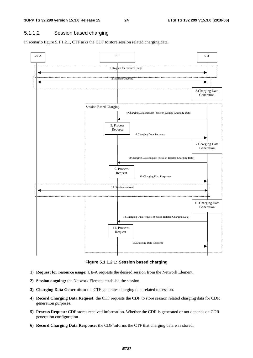#### 5.1.1.2 Session based charging

In scenario figure 5.1.1.2.1, CTF asks the CDF to store session related charging data.



**Figure 5.1.1.2.1: Session based charging** 

- **1) Request for resource usage:** UE-A requests the desired session from the Network Element.
- **2) Session ongoing:** the Network Element establish the session.
- **3) Charging Data Generation:** the CTF generates charging data related to session.
- **4) Record Charging Data Request:** the CTF requests the CDF to store session related charging data for CDR generation purposes.
- **5) Process Request:** CDF stores received information. Whether the CDR is generated or not depends on CDR generation configuration.
- **6) Record Charging Data Response:** the CDF informs the CTF that charging data was stored.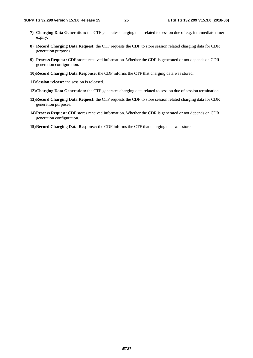- **7) Charging Data Generation:** the CTF generates charging data related to session due of e.g. intermediate timer expiry.
- **8) Record Charging Data Request:** the CTF requests the CDF to store session related charging data for CDR generation purposes.
- **9) Process Request:** CDF stores received information. Whether the CDR is generated or not depends on CDR generation configuration.
- **10) Record Charging Data Response:** the CDF informs the CTF that charging data was stored.
- **11) Session release:** the session is released.
- **12) Charging Data Generation:** the CTF generates charging data related to session due of session termination.
- **13) Record Charging Data Request:** the CTF requests the CDF to store session related charging data for CDR generation purposes.
- **14) Process Request:** CDF stores received information. Whether the CDR is generated or not depends on CDR generation configuration.
- **15) Record Charging Data Response:** the CDF informs the CTF that charging data was stored.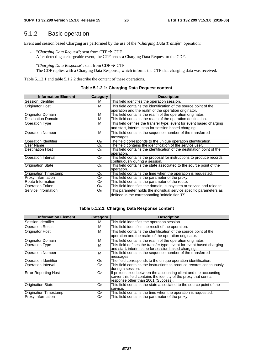### 5.1.2 Basic operation

Event and session based Charging are performed by the use of the "*Charging Data Transfer*" operation:

- "Charging Data Request"; sent from  $CTF \rightarrow CDF$ After detecting a chargeable event, the CTF sends a Charging Data Request to the CDF.
- "*Charging Data Response*"; sent from  $CDF \rightarrow CTF$ The CDF replies with a Charging Data Response, which informs the CTF that charging data was received.

Table 5.1.2.1 and table 5.1.2.2 describe the content of these operations.

| <b>Information Element</b>   | <b>Category</b> | <b>Description</b>                                                     |
|------------------------------|-----------------|------------------------------------------------------------------------|
| Session Identifier           | м               | This field identifies the operation session.                           |
| <b>Originator Host</b>       | M               | This field contains the identification of the source point of the      |
|                              |                 | operation and the realm of the operation originator.                   |
| Originator Domain            | м               | This field contains the realm of the operation originator.             |
| <b>Destination Domain</b>    | M               | This field contains the realm of the operation destination.            |
| <b>Operation Type</b>        | M               | This field defines the transfer type: event for event based charging   |
|                              |                 | and start, interim, stop for session based charging.                   |
| <b>Operation Number</b>      | M               | This field contains the sequence number of the transferred             |
|                              |                 | messages.                                                              |
| Operation Identifier         | Oм              | The field corresponds to the unique operation identification.          |
| User Name                    | O <sub>C</sub>  | The field contains the identification of the service user.             |
| <b>Destination Host</b>      | O <sub>C</sub>  | This field contains the identification of the destination point of the |
|                              |                 | operation.                                                             |
| Operation Interval           | O <sub>C</sub>  | This field contains the proposal for instructions to produce records   |
|                              |                 | continuously during a session.                                         |
| <b>Origination State</b>     | O <sub>C</sub>  | This field contains the state associated to the source point of the    |
|                              |                 | operation.                                                             |
| <b>Origination Timestamp</b> | O <sub>C</sub>  | This field contains the time when the operation is requested.          |
| <b>Proxy Information</b>     | O <sub>C</sub>  | This field contains the parameter of the proxy.                        |
| Route Information            | O <sub>C</sub>  | This field contains the parameter of the route.                        |
| <b>Operation Token</b>       | O <sub>M</sub>  | This field identifies the domain, subsystem or service and release.    |
| Service information          | $O_M$           | This parameter holds the individual service specific parameters as     |
|                              |                 | defined in the corresponding 'middle tier' TS.                         |

#### **Table 5.1.2.1: Charging Data Request content**

#### **Table 5.1.2.2: Charging Data Response content**

| <b>Information Element</b>   | Category | <b>Description</b>                                                   |
|------------------------------|----------|----------------------------------------------------------------------|
| Session Identifier           | м        | This field identifies the operation session.                         |
| <b>Operation Result</b>      | м        | This field identifies the result of the operation.                   |
| <b>Originator Host</b>       | м        | This field contains the identification of the source point of the    |
|                              |          | operation and the realm of the operation originator.                 |
| Originator Domain            | м        | This field contains the realm of the operation originator.           |
| <b>Operation Type</b>        | м        | This field defines the transfer type: event for event based charging |
|                              |          | and start, interim, stop for session based charging.                 |
| <b>Operation Number</b>      | M        | This field contains the sequence number of the transferred           |
|                              |          | messages.                                                            |
| <b>Operation Identifier</b>  | Oм       | The field corresponds to the unique operation identification.        |
| Operation Interval           | Oc.      | This field contains the instructions to produce records continuously |
|                              |          | during a session.                                                    |
| <b>Error Reporting Host</b>  | Oc.      | If proxies exist between the accounting client and the accounting    |
|                              |          | server this field contains the identity of the proxy that sent a     |
|                              |          | response other than 2001 (Success).                                  |
| <b>Origination State</b>     | Oc.      | This field contains the state associated to the source point of the  |
|                              |          | service.                                                             |
| <b>Origination Timestamp</b> | Oc.      | This field contains the time when the operation is requested.        |
| <b>Proxy Information</b>     | Oc.      | This field contains the parameter of the proxy.                      |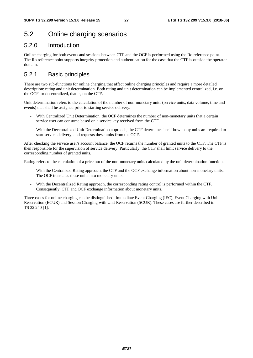### 5.2 Online charging scenarios

### 5.2.0 Introduction

Online charging for both events and sessions between CTF and the OCF is performed using the Ro reference point. The Ro reference point supports integrity protection and authentication for the case that the CTF is outside the operator domain.

### 5.2.1 Basic principles

There are two sub-functions for online charging that affect online charging principles and require a more detailed description: rating and unit determination. Both rating and unit determination can be implemented centralized, i.e. on the OCF, or decentralized, that is, on the CTF.

Unit determination refers to the calculation of the number of non-monetary units (service units, data volume, time and events) that shall be assigned prior to starting service delivery.

- With Centralized Unit Determination, the OCF determines the number of non-monetary units that a certain service user can consume based on a service key received from the CTF.
- With the Decentralized Unit Determination approach, the CTF determines itself how many units are required to start service delivery, and requests these units from the OCF.

After checking the service user's account balance, the OCF returns the number of granted units to the CTF. The CTF is then responsible for the supervision of service delivery. Particularly, the CTF shall limit service delivery to the corresponding number of granted units.

Rating refers to the calculation of a price out of the non-monetary units calculated by the unit determination function.

- With the Centralized Rating approach, the CTF and the OCF exchange information about non-monetary units. The OCF translates these units into monetary units.
- With the Decentralized Rating approach, the corresponding rating control is performed within the CTF. Consequently, CTF and OCF exchange information about monetary units.

Three cases for online charging can be distinguished: Immediate Event Charging (IEC), Event Charging with Unit Reservation (ECUR) and Session Charging with Unit Reservation (SCUR). These cases are further described in TS 32.240 [1].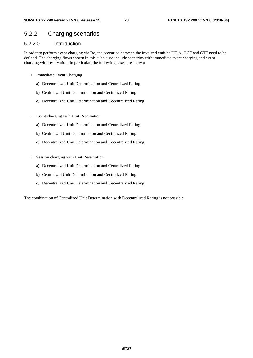### 5.2.2 Charging scenarios

### 5.2.2.0 Introduction

In order to perform event charging via Ro, the scenarios between the involved entities UE-A, OCF and CTF need to be defined. The charging flows shown in this subclause include scenarios with immediate event charging and event charging with reservation. In particular, the following cases are shown:

- 1 Immediate Event Charging
	- a) Decentralized Unit Determination and Centralized Rating
	- b) Centralized Unit Determination and Centralized Rating
	- c) Decentralized Unit Determination and Decentralized Rating
- 2 Event charging with Unit Reservation
	- a) Decentralized Unit Determination and Centralized Rating
	- b) Centralized Unit Determination and Centralized Rating
	- c) Decentralized Unit Determination and Decentralized Rating
- 3 Session charging with Unit Reservation
	- a) Decentralized Unit Determination and Centralized Rating
	- b) Centralized Unit Determination and Centralized Rating
	- c) Decentralized Unit Determination and Decentralized Rating

The combination of Centralized Unit Determination with Decentralized Rating is not possible.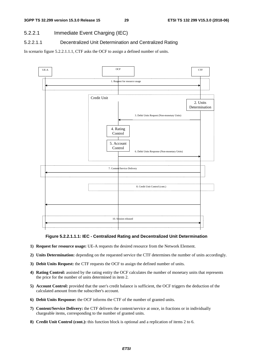### 5.2.2.1 Immediate Event Charging (IEC)

### 5.2.2.1.1 Decentralized Unit Determination and Centralized Rating

In scenario figure 5.2.2.1.1.1, CTF asks the OCF to assign a defined number of units.



#### **Figure 5.2.2.1.1.1: IEC - Centralized Rating and Decentralized Unit Determination**

- **1) Request for resource usage:** UE-A requests the desired resource from the Network Element.
- **2) Units Determination:** depending on the requested service the CTF determines the number of units accordingly.
- **3) Debit Units Request:** the CTF requests the OCF to assign the defined number of units.
- **4) Rating Control:** assisted by the rating entity the OCF calculates the number of monetary units that represents the price for the number of units determined in item 2.
- **5) Account Control:** provided that the user's credit balance is sufficient, the OCF triggers the deduction of the calculated amount from the subscriber's account.
- **6) Debit Units Response:** the OCF informs the CTF of the number of granted units.
- **7) Content/Service Delivery:** the CTF delivers the content/service at once, in fractions or in individually chargeable items, corresponding to the number of granted units.
- **8) Credit Unit Control (cont.):** this function block is optional and a replication of items 2 to 6.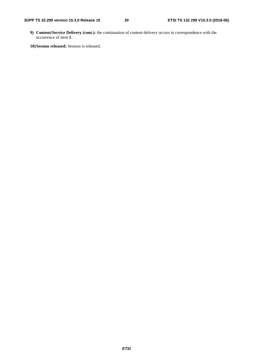**9) Content/Service Delivery (cont.):** the continuation of content delivery occurs in correspondence with the occurrence of item 8.

**10) Session released:** Session is released.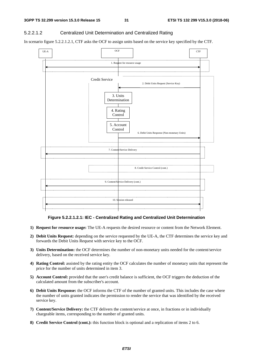#### 5.2.2.1.2 Centralized Unit Determination and Centralized Rating

In scenario figure 5.2.2.1.2.1, CTF asks the OCF to assign units based on the service key specified by the CTF.



#### **Figure 5.2.2.1.2.1: IEC - Centralized Rating and Centralized Unit Determination**

- **1) Request for resource usage:** The UE-A requests the desired resource or content from the Network Element.
- **2) Debit Units Request:** depending on the service requested by the UE-A, the CTF determines the service key and forwards the Debit Units Request with service key to the OCF.
- **3) Units Determination:** the OCF determines the number of non-monetary units needed for the content/service delivery, based on the received service key.
- **4) Rating Control:** assisted by the rating entity the OCF calculates the number of monetary units that represent the price for the number of units determined in item 3.
- **5) Account Control:** provided that the user's credit balance is sufficient, the OCF triggers the deduction of the calculated amount from the subscriber's account.
- **6) Debit Units Response:** the OCF informs the CTF of the number of granted units. This includes the case where the number of units granted indicates the permission to render the service that was identified by the received service key.
- **7) Content/Service Delivery:** the CTF delivers the content/service at once, in fractions or in individually chargeable items, corresponding to the number of granted units.
- **8) Credit Service Control (cont.):** this function block is optional and a replication of items 2 to 6.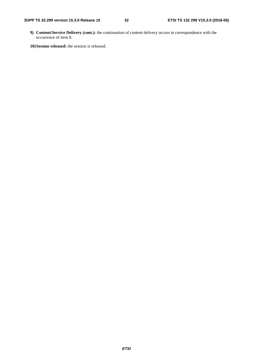**9) Content/Service Delivery (cont.):** the continuation of content delivery occurs in correspondence with the occurrence of item 8.

**10) Session released:** the session is released.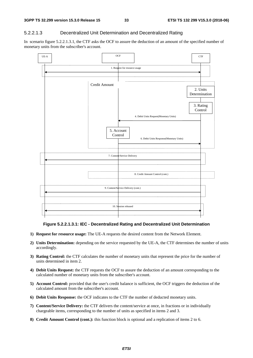#### 5.2.2.1.3 Decentralized Unit Determination and Decentralized Rating

In scenario figure 5.2.2.1.3.1, the CTF asks the OCF to assure the deduction of an amount of the specified number of monetary units from the subscriber's account.



**Figure 5.2.2.1.3.1: IEC - Decentralized Rating and Decentralized Unit Determination** 

- **1) Request for resource usage:** The UE-A requests the desired content from the Network Element.
- **2) Units Determination:** depending on the service requested by the UE-A, the CTF determines the number of units accordingly.
- **3) Rating Control:** the CTF calculates the number of monetary units that represent the price for the number of units determined in item 2.
- **4) Debit Units Request:** the CTF requests the OCF to assure the deduction of an amount corresponding to the calculated number of monetary units from the subscriber's account.
- **5) Account Control:** provided that the user's credit balance is sufficient, the OCF triggers the deduction of the calculated amount from the subscriber's account.
- **6) Debit Units Response:** the OCF indicates to the CTF the number of deducted monetary units.
- **7) Content/Service Delivery:** the CTF delivers the content/service at once, in fractions or in individually chargeable items, corresponding to the number of units as specified in items 2 and 3.
- **8) Credit Amount Control (cont.):** this function block is optional and a replication of items 2 to 6.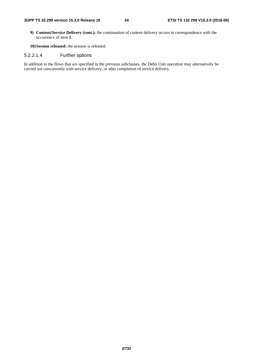**9) Content/Service Delivery (cont.):** the continuation of content delivery occurs in correspondence with the occurrence of item 8.

**10) Session released:** the session is released.

#### 5.2.2.1.4 Further options

In addition to the flows that are specified in the previous subclauses, the Debit Unit operation may alternatively be carried out concurrently with service delivery, or after completion of service delivery.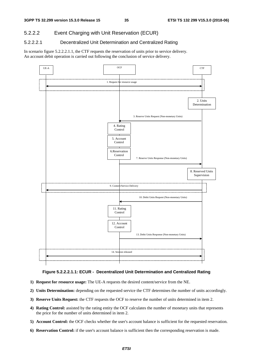### 5.2.2.2 Event Charging with Unit Reservation (ECUR)

### 5.2.2.2.1 Decentralized Unit Determination and Centralized Rating

In scenario figure 5.2.2.2.1.1, the CTF requests the reservation of units prior to service delivery. An account debit operation is carried out following the conclusion of service delivery.



#### **Figure 5.2.2.2.1.1: ECUR - Decentralized Unit Determination and Centralized Rating**

- **1) Request for resource usage:** The UE-A requests the desired content/service from the NE.
- **2) Units Determination:** depending on the requested service the CTF determines the number of units accordingly.
- **3) Reserve Units Request:** the CTF requests the OCF to reserve the number of units determined in item 2.
- **4) Rating Control:** assisted by the rating entity the OCF calculates the number of monetary units that represents the price for the number of units determined in item 2.
- **5) Account Control:** the OCF checks whether the user's account balance is sufficient for the requested reservation.
- **6) Reservation Control:** if the user's account balance is sufficient then the corresponding reservation is made.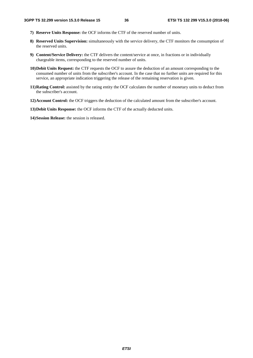- **7) Reserve Units Response:** the OCF informs the CTF of the reserved number of units.
- **8) Reserved Units Supervision:** simultaneously with the service delivery, the CTF monitors the consumption of the reserved units.
- **9) Content/Service Delivery:** the CTF delivers the content/service at once, in fractions or in individually chargeable items, corresponding to the reserved number of units.
- **10) Debit Units Request:** the CTF requests the OCF to assure the deduction of an amount corresponding to the consumed number of units from the subscriber's account. In the case that no further units are required for this service, an appropriate indication triggering the release of the remaining reservation is given.
- **11) Rating Control:** assisted by the rating entity the OCF calculates the number of monetary units to deduct from the subscriber's account.
- **12) Account Control:** the OCF triggers the deduction of the calculated amount from the subscriber's account.
- **13) Debit Units Response:** the OCF informs the CTF of the actually deducted units.
- **14) Session Release:** the session is released.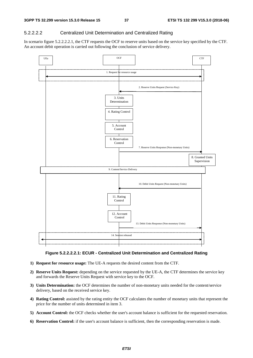#### 5.2.2.2.2 Centralized Unit Determination and Centralized Rating

In scenario figure 5.2.2.2.2.1, the CTF requests the OCF to reserve units based on the service key specified by the CTF. An account debit operation is carried out following the conclusion of service delivery.





- **1) Request for resource usage:** The UE-A requests the desired content from the CTF.
- **2) Reserve Units Request:** depending on the service requested by the UE-A, the CTF determines the service key and forwards the Reserve Units Request with service key to the OCF.
- **3) Units Determination:** the OCF determines the number of non-monetary units needed for the content/service delivery, based on the received service key.
- **4) Rating Control:** assisted by the rating entity the OCF calculates the number of monetary units that represent the price for the number of units determined in item 3.
- **5) Account Control:** the OCF checks whether the user's account balance is sufficient for the requested reservation.
- **6) Reservation Control:** if the user's account balance is sufficient, then the corresponding reservation is made.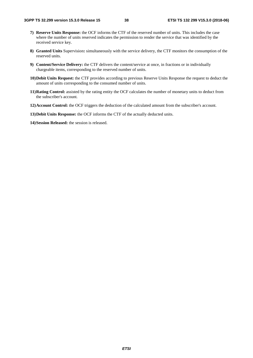- **7) Reserve Units Response:** the OCF informs the CTF of the reserved number of units. This includes the case where the number of units reserved indicates the permission to render the service that was identified by the received service key.
- **8) Granted Units** Supervision**:** simultaneously with the service delivery, the CTF monitors the consumption of the reserved units.
- **9) Content/Service Delivery:** the CTF delivers the content/service at once, in fractions or in individually chargeable items, corresponding to the reserved number of units.
- **10) Debit Units Request:** the CTF provides according to previous Reserve Units Response the request to deduct the amount of units corresponding to the consumed number of units.
- **11) Rating Control:** assisted by the rating entity the OCF calculates the number of monetary units to deduct from the subscriber's account.
- **12) Account Control:** the OCF triggers the deduction of the calculated amount from the subscriber's account.
- **13) Debit Units Response:** the OCF informs the CTF of the actually deducted units.

**14) Session Released:** the session is released.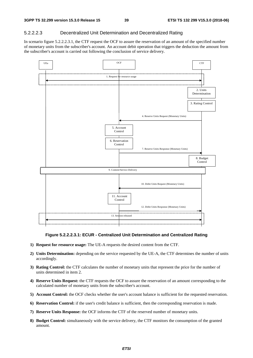#### 5.2.2.2.3 Decentralized Unit Determination and Decentralized Rating

In scenario figure 5.2.2.2.3.1, the CTF request the OCF to assure the reservation of an amount of the specified number of monetary units from the subscriber's account. An account debit operation that triggers the deduction the amount from the subscriber's account is carried out following the conclusion of service delivery.



#### **Figure 5.2.2.2.3.1: ECUR - Centralized Unit Determination and Centralized Rating**

- **1) Request for resource usage:** The UE-A requests the desired content from the CTF.
- **2) Units Determination:** depending on the service requested by the UE-A, the CTF determines the number of units accordingly.
- **3) Rating Control:** the CTF calculates the number of monetary units that represent the price for the number of units determined in item 2.
- **4) Reserve Units Request:** the CTF requests the OCF to assure the reservation of an amount corresponding to the calculated number of monetary units from the subscriber's account.
- **5) Account Control:** the OCF checks whether the user's account balance is sufficient for the requested reservation.
- **6) Reservation Control:** if the user's credit balance is sufficient, then the corresponding reservation is made.
- **7) Reserve Units Response:** the OCF informs the CTF of the reserved number of monetary units.
- **8) Budget Control:** simultaneously with the service delivery, the CTF monitors the consumption of the granted amount.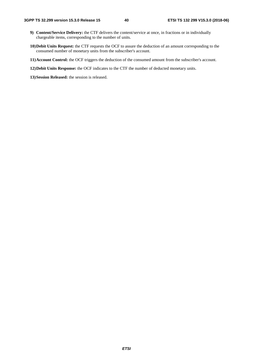- **9) Content/Service Delivery:** the CTF delivers the content/service at once, in fractions or in individually chargeable items, corresponding to the number of units.
- **10) Debit Units Request:** the CTF requests the OCF to assure the deduction of an amount corresponding to the consumed number of monetary units from the subscriber's account.
- **11) Account Control:** the OCF triggers the deduction of the consumed amount from the subscriber's account.
- **12) Debit Units Response:** the OCF indicates to the CTF the number of deducted monetary units.
- **13) Session Released:** the session is released.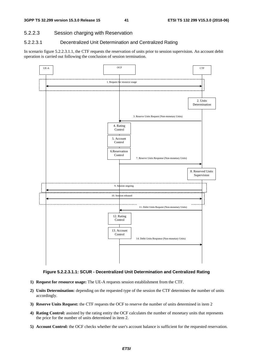#### 5.2.2.3 Session charging with Reservation

#### 5.2.2.3.1 Decentralized Unit Determination and Centralized Rating

In scenario figure 5.2.2.3.1.1, the CTF requests the reservation of units prior to session supervision. An account debit operation is carried out following the conclusion of session termination.





- **1) Request for resource usage:** The UE-A requests session establishment from the CTF.
- **2) Units Determination:** depending on the requested type of the session the CTF determines the number of units accordingly.
- **3) Reserve Units Request:** the CTF requests the OCF to reserve the number of units determined in item 2
- **4) Rating Control:** assisted by the rating entity the OCF calculates the number of monetary units that represents the price for the number of units determined in item 2.
- **5) Account Control:** the OCF checks whether the user's account balance is sufficient for the requested reservation.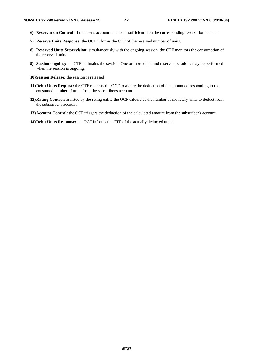- **6) Reservation Control:** if the user's account balance is sufficient then the corresponding reservation is made.
- **7) Reserve Units Response:** the OCF informs the CTF of the reserved number of units.
- **8) Reserved Units Supervision:** simultaneously with the ongoing session, the CTF monitors the consumption of the reserved units.
- **9) Session ongoing:** the CTF maintains the session. One or more debit and reserve operations may be performed when the session is ongoing.
- **10) Session Release:** the session is released
- **11) Debit Units Request:** the CTF requests the OCF to assure the deduction of an amount corresponding to the consumed number of units from the subscriber's account.
- **12) Rating Control:** assisted by the rating entity the OCF calculates the number of monetary units to deduct from the subscriber's account.
- **13) Account Control:** the OCF triggers the deduction of the calculated amount from the subscriber's account.
- **14) Debit Units Response:** the OCF informs the CTF of the actually deducted units.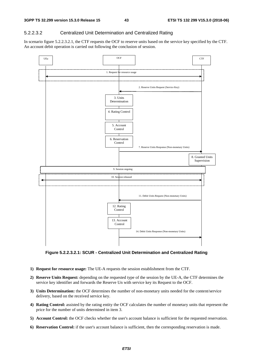#### 5.2.2.3.2 Centralized Unit Determination and Centralized Rating

In scenario figure 5.2.2.3.2.1, the CTF requests the OCF to reserve units based on the service key specified by the CTF. An account debit operation is carried out following the conclusion of session.



**Figure 5.2.2.3.2.1: SCUR - Centralized Unit Determination and Centralized Rating**

- **1) Request for resource usage:** The UE-A requests the session establishment from the CTF.
- **2) Reserve Units Request:** depending on the requested type of the session by the UE-A, the CTF determines the service key identifier and forwards the Reserve Un with service key its Request to the OCF.
- **3) Units Determination:** the OCF determines the number of non-monetary units needed for the content/service delivery, based on the received service key.
- **4) Rating Control:** assisted by the rating entity the OCF calculates the number of monetary units that represent the price for the number of units determined in item 3.
- **5) Account Control:** the OCF checks whether the user's account balance is sufficient for the requested reservation.
- **6) Reservation Control:** if the user's account balance is sufficient, then the corresponding reservation is made.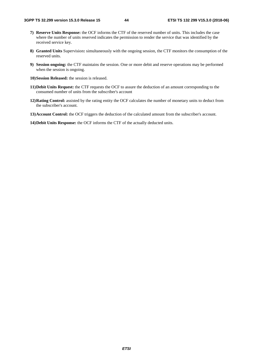- **7) Reserve Units Response:** the OCF informs the CTF of the reserved number of units. This includes the case where the number of units reserved indicates the permission to render the service that was identified by the received service key.
- **8) Granted Units** Supervision**:** simultaneously with the ongoing session, the CTF monitors the consumption of the reserved units.
- **9) Session ongoing:** the CTF maintains the session. One or more debit and reserve operations may be performed when the session is ongoing.
- **10) Session Released:** the session is released.
- **11) Debit Units Request:** the CTF requests the OCF to assure the deduction of an amount corresponding to the consumed number of units from the subscriber's account
- **12) Rating Control:** assisted by the rating entity the OCF calculates the number of monetary units to deduct from the subscriber's account.
- **13) Account Control:** the OCF triggers the deduction of the calculated amount from the subscriber's account.
- **14) Debit Units Response:** the OCF informs the CTF of the actually deducted units.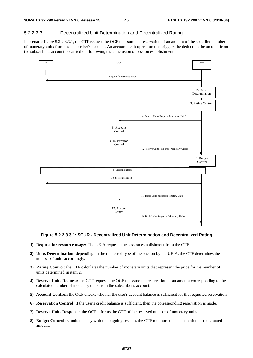#### 5.2.2.3.3 Decentralized Unit Determination and Decentralized Rating

In scenario figure 5.2.2.3.3.1, the CTF request the OCF to assure the reservation of an amount of the specified number of monetary units from the subscriber's account. An account debit operation that triggers the deduction the amount from the subscriber's account is carried out following the conclusion of session establishment.



#### **Figure 5.2.2.3.3.1: SCUR - Decentralized Unit Determination and Decentralized Rating**

- **1) Request for resource usage:** The UE-A requests the session establishment from the CTF.
- **2) Units Determination:** depending on the requested type of the session by the UE-A, the CTF determines the number of units accordingly.
- **3) Rating Control:** the CTF calculates the number of monetary units that represent the price for the number of units determined in item 2.
- **4) Reserve Units Request:** the CTF requests the OCF to assure the reservation of an amount corresponding to the calculated number of monetary units from the subscriber's account.
- **5) Account Control:** the OCF checks whether the user's account balance is sufficient for the requested reservation.
- **6) Reservation Control:** if the user's credit balance is sufficient, then the corresponding reservation is made.
- **7) Reserve Units Response:** the OCF informs the CTF of the reserved number of monetary units.
- **8) Budget Control:** simultaneously with the ongoing session, the CTF monitors the consumption of the granted amount.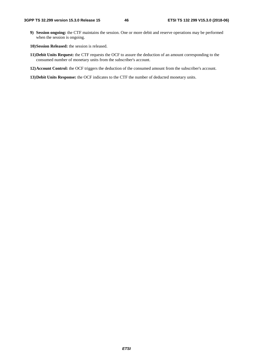- **9) Session ongoing:** the CTF maintains the session. One or more debit and reserve operations may be performed when the session is ongoing.
- **10) Session Released:** the session is released.
- **11) Debit Units Request:** the CTF requests the OCF to assure the deduction of an amount corresponding to the consumed number of monetary units from the subscriber's account.
- **12) Account Control:** the OCF triggers the deduction of the consumed amount from the subscriber's account.
- **13) Debit Units Response:** the OCF indicates to the CTF the number of deducted monetary units.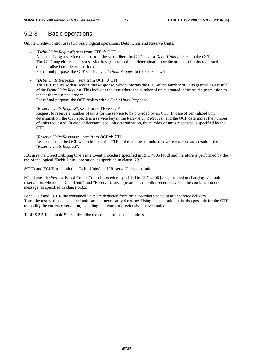### 5.2.3 Basic operations

Online Credit-Control uses two basic logical operations: Debit Units and Reserve Units.

- "*Debit Units Request*"; sent from CTF  $\rightarrow$  OCF After receiving a service request from the subscriber, the CTF sends a *Debit Units Request* to the OCF. The CTF may either specify a service key (centralised unit determination) or the number of units requested (decentralised unit determination). For refund purpose, the CTF sends a *Debit Units Request* to the OCF as well.
- "*Debit Units Response*"; sent from OCF  $\rightarrow$  CTF The OCF replies with a *Debit Units Response*, which informs the CTF of the number of units granted as a result of the *Debit Units Request*. This includes the case where the number of units granted indicates the permission to render the requested service. For refund purpose, the OCF replies with a *Debit Units Response*.
- "*Reserve Units Request*"; sent from CTF  $\rightarrow$  OCF Request to reserve a number of units for the service to be provided by an CTF. In case of centralized unit determination, the CTF specifies a service key in the *Reserve Unit Request*, and the OCF determines the number of units requested. In case of decentralised unit determination, the number of units requested is specified by the CTF.
- "*Reserve Units Response*"; sent from OCF  $\rightarrow$  CTF Response from the OCF which informs the CTF of the number of units that were reserved as a result of the "*Reserve Units Request*".

IEC uses the Direct Debiting One Time Event procedure specified in RFC 4006 [402] and therefore is performed by the use of the logical "Debit Units" operation, as specified in clause 6.3.3.

SCUR and ECUR use both the "Debit Units" and "Reserve Units" operations.

SCUR uses the Session Based Credit-Control procedure specified in RFC 4006 [402]. In session charging with unit reservation, when the "Debit Units" and "Reserve Units" operations are both needed, they shall be combined in one message, as specified in clause 6.3.5.

For SCUR and ECUR the consumed units are deducted from the subscriber's account after service delivery. Thus, the reserved and consumed units are not necessarily the same. Using this operation, it is also possible for the CTF to modify the current reservation, including the return of previously reserved units.

Table 5.2.3.1 and table 5.2.3.2 describe the content of these operations.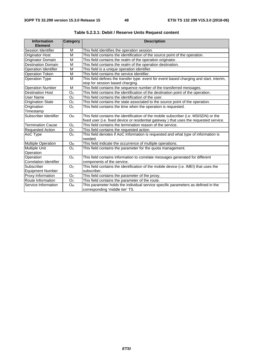| <b>Information</b><br><b>Element</b> | <b>Category</b> | <b>Description</b>                                                                                                   |  |  |  |
|--------------------------------------|-----------------|----------------------------------------------------------------------------------------------------------------------|--|--|--|
| Session Identifier                   | M               | This field identifies the operation session.                                                                         |  |  |  |
| <b>Originator Host</b>               | M               | This field contains the identification of the source point of the operation.                                         |  |  |  |
| Originator Domain                    | M               | This field contains the realm of the operation originator.                                                           |  |  |  |
| <b>Destination Domain</b>            | M               | This field contains the realm of the operation destination.                                                          |  |  |  |
| <b>Operation Identifier</b>          | M               | This field is a unique operation identifier.                                                                         |  |  |  |
| <b>Operation Token</b>               | M               | This field contains the service identifier.                                                                          |  |  |  |
| <b>Operation Type</b>                | M               | This field defines the transfer type: event for event based charging and start, interim,                             |  |  |  |
|                                      |                 | stop for session based charging.                                                                                     |  |  |  |
| <b>Operation Number</b>              | M               | This field contains the sequence number of the transferred messages.                                                 |  |  |  |
| <b>Destination Host</b>              | O <sub>C</sub>  | This field contains the identification of the destination point of the operation.                                    |  |  |  |
| <b>User Name</b>                     | O <sub>C</sub>  | This field contains the identification of the user.                                                                  |  |  |  |
| <b>Origination State</b>             | O <sub>C</sub>  | This field contains the state associated to the source point of the operation.                                       |  |  |  |
| Origination                          | O <sub>C</sub>  | This field contains the time when the operation is requested.                                                        |  |  |  |
| Timestamp                            |                 |                                                                                                                      |  |  |  |
| Subscriber Identifier                | $O_{M}$         | This field contains the identification of the mobile subscriber (i.e. MSISDN) or the                                 |  |  |  |
|                                      |                 | fixed user (i.e. fixed device or residential gateway) that uses the requested service.                               |  |  |  |
| <b>Termination Cause</b>             | O <sub>C</sub>  | This field contains the termination reason of the service.                                                           |  |  |  |
| <b>Requested Action</b>              | O <sub>C</sub>  | This field contains the requested action.                                                                            |  |  |  |
| AoC Type                             | O <sub>C</sub>  | This field denotes if AoC Information is requested and what type of information is<br>needed.                        |  |  |  |
| <b>Multiple Operation</b>            | O <sub>M</sub>  | This field indicate the occurrence of multiple operations.                                                           |  |  |  |
| <b>Multiple Unit</b><br>Operation    | O <sub>C</sub>  | This field contains the parameter for the quota management.                                                          |  |  |  |
| Operation<br>Correlation Identifier  | O <sub>c</sub>  | This field contains information to correlate messages generated for different                                        |  |  |  |
| Subscriber                           |                 | components of the service.                                                                                           |  |  |  |
| <b>Equipment Number</b>              | O <sub>c</sub>  | This field contains the identification of the mobile device (i.e. IMEI) that uses the<br>subscriber.                 |  |  |  |
| Proxy Information                    | O <sub>C</sub>  | This field contains the parameter of the proxy.                                                                      |  |  |  |
| Route Information                    | O <sub>C</sub>  | This field contains the parameter of the route.                                                                      |  |  |  |
| Service Information                  | O <sub>M</sub>  | This parameter holds the individual service specific parameters as defined in the<br>corresponding 'middle tier' TS. |  |  |  |

**Table 5.2.3.1: Debit / Reserve Units Request content**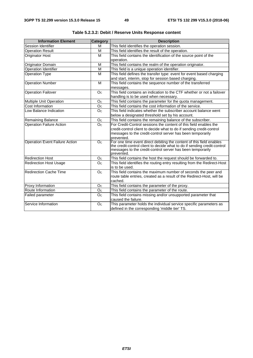| <b>Information Element</b>            | Category       | <b>Description</b>                                                                                                                               |  |  |
|---------------------------------------|----------------|--------------------------------------------------------------------------------------------------------------------------------------------------|--|--|
| Session Identifier                    | м              | This field identifies the operation session.                                                                                                     |  |  |
| <b>Operation Result</b>               | M              | This field identifies the result of the operation.                                                                                               |  |  |
| <b>Originator Host</b>                | M              | This field contains the identification of the source point of the                                                                                |  |  |
|                                       |                | operation.                                                                                                                                       |  |  |
| Originator Domain                     | M              | This field contains the realm of the operation originator.                                                                                       |  |  |
| Operation Identifier                  | M              | This field is a unique operation identifier.                                                                                                     |  |  |
| <b>Operation Type</b>                 | M              | This field defines the transfer type: event for event based charging                                                                             |  |  |
|                                       |                | and start, interim, stop for session based charging.                                                                                             |  |  |
| <b>Operation Number</b>               | M              | This field contains the sequence number of the transferred                                                                                       |  |  |
|                                       |                | messages.                                                                                                                                        |  |  |
| <b>Operation Failover</b>             | O <sub>C</sub> | This field contains an indication to the CTF whether or not a failover                                                                           |  |  |
|                                       |                | handling is to be used when necessary.                                                                                                           |  |  |
| Multiple Unit Operation               | O <sub>C</sub> | This field contains the parameter for the quota management.                                                                                      |  |  |
| Cost Information                      | O <sub>C</sub> | This field contains the cost information of the service.                                                                                         |  |  |
| Low Balance Indication                | O <sub>C</sub> | This field indicates whether the subscriber account balance went                                                                                 |  |  |
|                                       |                | below a designated threshold set by his account.                                                                                                 |  |  |
| <b>Remaining Balance</b>              | O <sub>c</sub> | This field contains the remaining balance of the subscriber.                                                                                     |  |  |
| <b>Operation Failure Action</b>       | O <sub>C</sub> | For Credit-Control sessions the content of this field enables the                                                                                |  |  |
|                                       |                | credit-control client to decide what to do if sending credit-control                                                                             |  |  |
|                                       |                | messages to the credit-control server has been temporarily                                                                                       |  |  |
|                                       |                | prevented.                                                                                                                                       |  |  |
| <b>Operation Event Failure Action</b> | O <sub>C</sub> | For one time event direct debiting the content of this field enables<br>the credit-control client to decide what to do if sending credit-control |  |  |
|                                       |                | messages to the credit-control server has been temporarily                                                                                       |  |  |
|                                       |                | prevented.                                                                                                                                       |  |  |
| <b>Redirection Host</b>               | O <sub>c</sub> | This field contains the host the request should be forwarded to.                                                                                 |  |  |
| <b>Redirection Host Usage</b>         | O <sub>C</sub> | This field identifies the routing entry resulting from the Redirect-Host                                                                         |  |  |
|                                       |                | is to be used.                                                                                                                                   |  |  |
| <b>Redirection Cache Time</b>         | O <sub>C</sub> | This field contains the maximum number of seconds the peer and                                                                                   |  |  |
|                                       |                | route table entries, created as a result of the Redirect-Host, will be                                                                           |  |  |
|                                       |                | cached.                                                                                                                                          |  |  |
| Proxy Information                     | O <sub>C</sub> | This field contains the parameter of the proxy.                                                                                                  |  |  |
| Route Information                     | O <sub>C</sub> | This field contains the parameter of the route.                                                                                                  |  |  |
| Failed parameter                      | O <sub>C</sub> | This field contains missing and/or unsupported parameter that                                                                                    |  |  |
|                                       |                | caused the failure.                                                                                                                              |  |  |
| Service Information                   | O <sub>C</sub> | This parameter holds the individual service specific parameters as                                                                               |  |  |
|                                       |                | defined in the corresponding 'middle tier' TS.                                                                                                   |  |  |

**Table 5.2.3.2: Debit / Reserve Units Response content**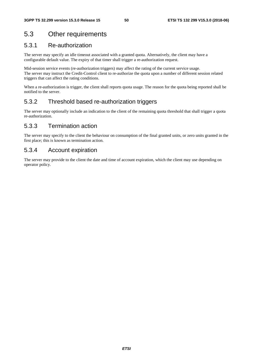# 5.3 Other requirements

### 5.3.1 Re-authorization

The server may specify an idle timeout associated with a granted quota. Alternatively, the client may have a configurable default value. The expiry of that timer shall trigger a re-authorization request.

Mid-session service events (re-authorization triggers) may affect the rating of the current service usage. The server may instruct the Credit-Control client to re-authorize the quota upon a number of different session related triggers that can affect the rating conditions.

When a re-authorization is trigger, the client shall reports quota usage. The reason for the quota being reported shall be notified to the server.

### 5.3.2 Threshold based re-authorization triggers

The server may optionally include an indication to the client of the remaining quota threshold that shall trigger a quota re-authorization.

### 5.3.3 Termination action

The server may specify to the client the behaviour on consumption of the final granted units, or zero units granted in the first place; this is known as termination action.

### 5.3.4 Account expiration

The server may provide to the client the date and time of account expiration, which the client may use depending on operator policy.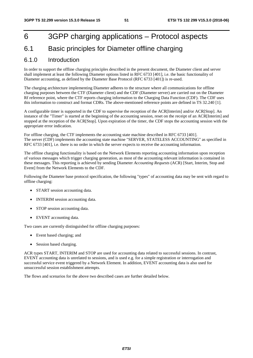# 6 3GPP charging applications – Protocol aspects

# 6.1 Basic principles for Diameter offline charging

### 6.1.0 Introduction

In order to support the offline charging principles described in the present document, the Diameter client and server shall implement at least the following Diameter options listed in RFC 6733 [401], i.e. the basic functionality of Diameter accounting, as defined by the Diameter Base Protocol (RFC 6733 [401]) is re-used.

The charging architecture implementing Diameter adheres to the structure where all communications for offline charging purposes between the CTF (Diameter client) and the CDF (Diameter server) are carried out on the Diameter Rf reference point, where the CTF reports charging information to the Charging Data Function (CDF). The CDF uses this information to construct and format CDRs. The above-mentioned reference points are defined in TS 32.240 [1].

A configurable timer is supported in the CDF to supervise the reception of the ACR[Interim] and/or ACR[Stop]. An instance of the "Timer" is started at the beginning of the accounting session, reset on the receipt of an ACR[Interim] and stopped at the reception of the ACR[Stop]. Upon expiration of the timer, the CDF stops the accounting session with the appropriate error indication.

For offline charging, the CTF implements the accounting state machine described in RFC 6733 [401]. The server (CDF) implements the accounting state machine "SERVER, STATELESS ACCOUNTING" as specified in RFC 6733 [401], i.e. there is no order in which the server expects to receive the accounting information.

The offline charging functionality is based on the Network Elements reporting accounting information upon reception of various messages which trigger charging generation, as most of the accounting relevant information is contained in these messages. This reporting is achieved by sending Diameter *Accounting Requests* (ACR) [Start, Interim, Stop and Event] from the Network Elements to the CDF.

Following the Diameter base protocol specification, the following "types" of accounting data may be sent with regard to offline charging:

- START session accounting data.
- INTERIM session accounting data.
- STOP session accounting data.
- EVENT accounting data.

Two cases are currently distinguished for offline charging purposes:

- Event based charging; and
- Session based charging.

ACR types START, INTERIM and STOP are used for accounting data related to successful sessions. In contrast, EVENT accounting data is unrelated to sessions, and is used e.g. for a simple registration or interrogation and successful service event triggered by a Network Element. In addition, EVENT accounting data is also used for unsuccessful session establishment attempts.

The flows and scenarios for the above two described cases are further detailed below.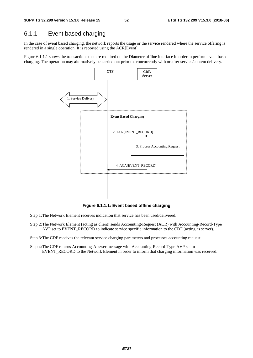### 6.1.1 Event based charging

In the case of event based charging, the network reports the usage or the service rendered where the service offering is rendered in a single operation. It is reported using the ACR[Event].

Figure 6.1.1.1 shows the transactions that are required on the Diameter offline interface in order to perform event based charging. The operation may alternatively be carried out prior to, concurrently with or after service/content delivery.



**Figure 6.1.1.1: Event based offline charging** 

- Step 1: The Network Element receives indication that service has been used/delivered.
- Step 2: The Network Element (acting as client) sends Accounting-Request (ACR) with Accounting-Record-Type AVP set to EVENT\_RECORD to indicate service specific information to the CDF (acting as server).

Step 3: The CDF receives the relevant service charging parameters and processes accounting request.

Step 4: The CDF returns Accounting-Answer message with Accounting-Record-Type AVP set to EVENT\_RECORD to the Network Element in order to inform that charging information was received.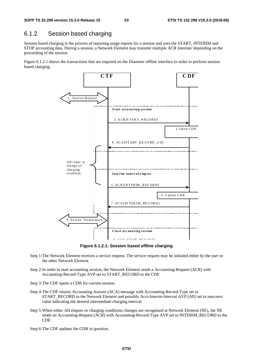### 6.1.2 Session based charging

Session based charging is the process of reporting usage reports for a session and uses the START, INTERIM and STOP accounting data. During a session, a Network Element may transmit multiple ACR Interims' depending on the proceeding of the session.

Figure 6.1.2.1 shows the transactions that are required on the Diameter offline interface in order to perform session based charging.



**Figure 6.1.2.1: Session based offline charging** 

- Step 1: The Network Element receives a service request. The service request may be initiated either by the user or the other Network Element.
- Step 2: In order to start accounting session, the Network Element sends a Accounting-Request (ACR) with Accounting-Record-Type AVP set to START\_RECORD to the CDF.
- Step 3: The CDF opens a CDR for current session.
- Step 4: The CDF returns Accounting-Answer (ACA) message with Accounting-Record-Type set to START\_RECORD to the Network Element and possibly Acct-Interim-Interval AVP (AII) set to non-zero value indicating the desired intermediate charging interval.
- Step 5: When either AII elapses or charging conditions changes are recognized at Network Element (NE), the NE sends an Accounting-Request (ACR) with Accounting-Record-Type AVP set to INTERIM\_RECORD to the CDF.
- Step 6: The CDF updates the CDR in question.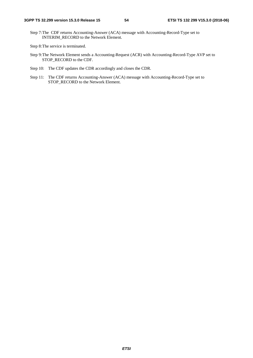Step 7: The CDF returns Accounting-Answer (ACA) message with Accounting-Record-Type set to INTERIM\_RECORD to the Network Element.

- Step 9: The Network Element sends a Accounting-Request (ACR) with Accounting-Record-Type AVP set to STOP\_RECORD to the CDF.
- Step 10: The CDF updates the CDR accordingly and closes the CDR.
- Step 11: The CDF returns Accounting-Answer (ACA) message with Accounting-Record-Type set to STOP\_RECORD to the Network Element.

Step 8: The service is terminated.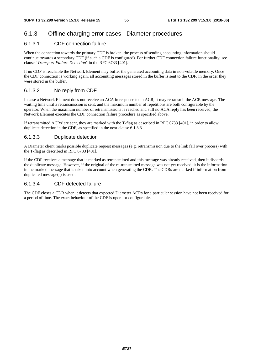# 6.1.3 Offline charging error cases - Diameter procedures

### 6.1.3.1 CDF connection failure

When the connection towards the primary CDF is broken, the process of sending accounting information should continue towards a secondary CDF (if such a CDF is configured). For further CDF connection failure functionality, see clause "*Transport Failure Detection*" in the RFC 6733 [401].

If no CDF is reachable the Network Element may buffer the generated accounting data in non-volatile memory. Once the CDF connection is working again, all accounting messages stored in the buffer is sent to the CDF, in the order they were stored in the buffer.

#### 6.1.3.2 No reply from CDF

In case a Network Element does not receive an ACA in response to an ACR, it may retransmit the ACR message. The waiting time until a retransmission is sent, and the maximum number of repetitions are both configurable by the operator. When the maximum number of retransmissions is reached and still no ACA reply has been received, the Network Element executes the CDF connection failure procedure as specified above.

If retransmitted ACRs' are sent, they are marked with the T-flag as described in RFC 6733 [401], in order to allow duplicate detection in the CDF, as specified in the next clause 6.1.3.3.

#### 6.1.3.3 Duplicate detection

A Diameter client marks possible duplicate request messages (e.g. retransmission due to the link fail over process) with the T-flag as described in RFC 6733 [401].

If the CDF receives a message that is marked as retransmitted and this message was already received, then it discards the duplicate message. However, if the original of the re-transmitted message was not yet received, it is the information in the marked message that is taken into account when generating the CDR. The CDRs are marked if information from duplicated message(s) is used.

#### 6.1.3.4 CDF detected failure

The CDF closes a CDR when it detects that expected Diameter ACRs for a particular session have not been received for a period of time. The exact behaviour of the CDF is operator configurable.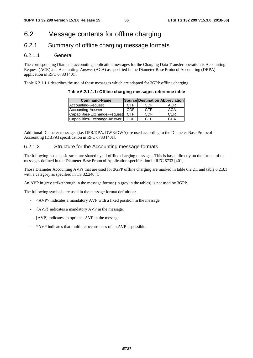# 6.2 Message contents for offline charging

### 6.2.1 Summary of offline charging message formats

#### 6.2.1.1 General

The corresponding Diameter accounting application messages for the Charging Data Transfer operation is Accounting-Request (ACR) and Accounting-Answer (ACA) as specified in the Diameter Base Protocol Accounting (DBPA) application in RFC 6733 [401].

Table 6.2.1.1.1 describes the use of these messages which are adapted for 3GPP offline charging.

| <b>Command-Name</b>           |            |            | Source Destination Abbreviation |
|-------------------------------|------------|------------|---------------------------------|
| Accounting-Request            | <b>CTF</b> | CDF        | ACR                             |
| Accounting-Answer             | CDF        | <b>CTF</b> | ACA                             |
| Capabilities-Exchange-Request | <b>CTF</b> | CDF        | <b>CFR</b>                      |
| Capabilities-Exchange-Answer  | CDE        | <b>CTF</b> | CEA                             |

**Table 6.2.1.1.1: Offline charging messages reference table** 

Additional Diameter messages (i.e. DPR/DPA, DWR/DWA)are used according to the Diameter Base Protocol Accounting (DBPA) specification in RFC 6733 [401].

#### 6.2.1.2 Structure for the Accounting message formats

The following is the basic structure shared by all offline charging messages. This is based directly on the format of the messages defined in the Diameter Base Protocol Application specification in RFC 6733 [401].

Those Diameter Accounting AVPs that are used for 3GPP offline charging are marked in table 6.2.2.1 and table 6.2.3.1 with a category as specified in TS 32.240 [1].

An AVP in grey strikethrough in the message format (in grey in the tables) is not used by 3GPP.

The following symbols are used in the message format definition:

- <AVP> indicates a mandatory AVP with a fixed position in the message.
- {AVP} indicates a mandatory AVP in the message.
- [AVP] indicates an optional AVP in the message.
- \*AVP indicates that multiple occurrences of an AVP is possible.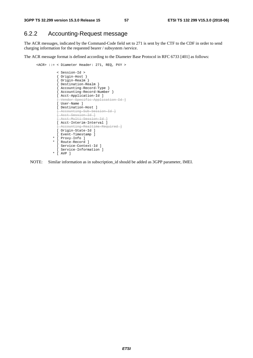### 6.2.2 Accounting-Request message

The ACR messages, indicated by the Command-Code field set to 271 is sent by the CTF to the CDF in order to send charging information for the requested bearer / subsystem /service.

The ACR message format is defined according to the Diameter Base Protocol in RFC 6733 [401] as follows:

```
 <ACR> ::= < Diameter Header: 271, REQ, PXY > 
           < Session-Id > 
            { Origin-Host } 
           { Origin-Realm } 
           { Destination-Realm } 
           { Accounting-Record-Type } 
           { Accounting-Record-Number } 
         [ Acct-Application-Id ]
            [ Vendor-Specific-Application-Id ]
          [ User-Name ] 
           [ Destination-Host ] 
           [ Accounting-Sub-Session-Id ] 
          .<br><del>[ Acct Session Id ]</del>
         [ Acct-Multi-Session-Id ]
          [ Acct-Interim-Interval ] 
             ccounting-Realtime-Required ]
          [ Origin-State-Id ] 
          [ Event-Timestamp ] 
        * [ Proxy-Info ] 
         * [ Route-Record ] 
          [ Service-Context-Id ] 
           [ Service-Information ] 
        * [ AVP ]
```
NOTE: Similar information as in subscription\_id should be added as 3GPP parameter, IMEI.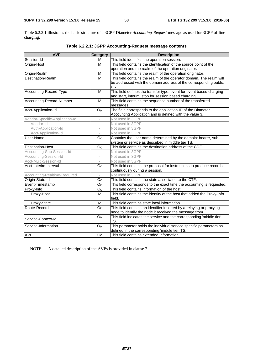Table 6.2.2.1 illustrates the basic structure of a 3GPP Diameter *Accounting-Request* message as used for 3GPP offline charging.

| <b>AVP</b>                     | <b>Category</b>          | <b>Description</b>                                                     |
|--------------------------------|--------------------------|------------------------------------------------------------------------|
| Session-Id                     | M                        | This field identifies the operation session.                           |
| Origin-Host                    | M                        | This field contains the identification of the source point of the      |
|                                |                          | operation and the realm of the operation originator.                   |
| Origin-Realm                   | M                        | This field contains the realm of the operation originator.             |
| Destination-Realm              | M                        | This field contains the realm of the operator domain. The realm will   |
|                                |                          | be addressed with the domain address of the corresponding public       |
|                                |                          | URI.                                                                   |
| Accounting-Record-Type         | M                        | This field defines the transfer type: event for event based charging   |
|                                |                          | and start, interim, stop for session based charging.                   |
| Accounting-Record-Number       | M                        | This field contains the sequence number of the transferred             |
|                                |                          | messages.                                                              |
| Acct-Application-Id            | O <sub>M</sub>           | The field corresponds to the application ID of the Diameter            |
|                                |                          | Accounting Application and is defined with the value 3.                |
| Vendor-Specific-Application-Id | $\bar{a}$                | Not used in 3GPP.                                                      |
| Vendor-Id                      | $\overline{a}$           | Not used in 3GPP.                                                      |
| Auth-Application-Id            | $\overline{\phantom{a}}$ | Not used in 3GPP.                                                      |
| Acct-Application-Id            | $\overline{\phantom{a}}$ | Not used in 3GPP.                                                      |
| User-Name                      | O <sub>c</sub>           | Contains the user name determined by the domain: bearer, sub-          |
|                                |                          | system or service as described in middle tier TS.                      |
| <b>Destination-Host</b>        | O <sub>c</sub>           | This field contains the destination address of the CDF.                |
| Accounting-Sub-Session-Id      |                          | Not used in 3GPP.                                                      |
| Accounting-Session-Id          |                          | Not used in 3GPP.                                                      |
| Acct-Multi-Session-Id          |                          | Not used in 3GPP.                                                      |
| Acct-Interim-Interval          | O <sub>C</sub>           | This field contains the proposal for instructions to produce records   |
|                                |                          | continuously during a session.                                         |
| Accounting-Realtime-Required   | $\sim$                   | Not used in 3GPP.                                                      |
| Origin-State-Id                | O <sub>C</sub>           | This field contains the state associated to the CTF.                   |
| Event-Timestamp                | O <sub>C</sub>           | This field corresponds to the exact time the accounting is requested.  |
| Proxy-Info                     | O <sub>C</sub>           | This field contains information of the host.                           |
| Proxy-Host                     | M                        | This field contains the identity of the host that added the Proxy-Info |
|                                |                          | field.                                                                 |
| Proxy-State                    | M                        | This field contains state local information.                           |
| Route-Record                   | Oc                       | This field contains an identifier inserted by a relaying or proxying   |
|                                |                          | node to identify the node it received the message from.                |
| Service-Context-Id             | <b>O</b> <sub>M</sub>    | This field indicates the service and the corresponding 'middle tier'   |
|                                |                          | TS.                                                                    |
| Service-Information            | O <sub>M</sub>           | This parameter holds the individual service specific parameters as     |
|                                |                          | defined in the corresponding 'middle tier' TS.                         |
| <b>AVP</b>                     | Oc                       | This field contains extended Information.                              |

**Table 6.2.2.1: 3GPP Accounting-Request message contents** 

NOTE: A detailed description of the AVPs is provided in clause 7.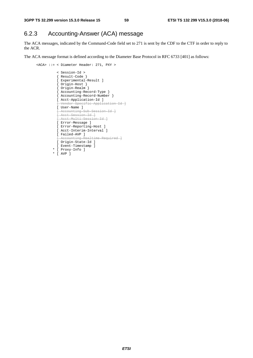### 6.2.3 Accounting-Answer (ACA) message

The ACA messages, indicated by the Command-Code field set to 271 is sent by the CDF to the CTF in order to reply to the ACR.

The ACA message format is defined according to the Diameter Base Protocol in RFC 6733 [401] as follows:

```
 <ACA> ::= < Diameter Header: 271, PXY > 
                < Session-Id > 
                { Result-Code } 
                [ Experimental-Result ] 
                { Origin-Host } 
                 { Origin-Realm } 
                { Accounting-Record-Type } 
{ Accounting-Record-Number } 
[ Acct-Application-Id ] 
                [ Vendor-Specific-Application-Id ]
                [ User-Name ] 
                [ Accounting-Sub-Session-Id ]
               .<br><del>[ Acct Session Id ]</del>
               [ Acct-Multi-Session-Id ] 
                [ Error-Message ] 
                [ Error-Reporting-Host ] 
                [ Acct-Interim-Interval ] 
                [ Failed-AVP ] 
                     ounting Realtime Required ]
                [ Origin-State-Id ] 
                [ Event-Timestamp ] 
              * [ Proxy-Info ] 
              * [ AVP ]
```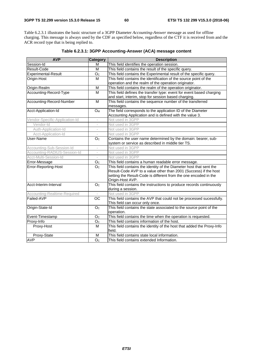Table 6.2.3.1 illustrates the basic structure of a 3GPP Diameter *Accounting-Answer* message as used for offline charging. This message is always used by the CDF as specified below, regardless of the CTF it is received from and the ACR record type that is being replied to.

| <b>AVP</b>                     | <b>Category</b>          | <b>Description</b>                                                     |  |
|--------------------------------|--------------------------|------------------------------------------------------------------------|--|
| Session-Id                     | м                        | This field identifies the operation session.                           |  |
| Result-Code                    | M                        | This field contains the result of the specific query.                  |  |
| <b>Experimental-Result</b>     | O <sub>c</sub>           | This field contains the Experimental result of the specific query.     |  |
| Origin-Host                    | M                        | This field contains the identification of the source point of the      |  |
|                                |                          | operation and the realm of the operation originator.                   |  |
| Origin-Realm                   | M                        | This field contains the realm of the operation originator.             |  |
| Accounting-Record-Type         | M                        | This field defines the transfer type: event for event based charging   |  |
|                                |                          | and start, interim, stop for session based charging.                   |  |
| Accounting-Record-Number       | M                        | This field contains the sequence number of the transferred             |  |
|                                |                          | messages.                                                              |  |
| Acct-Application-Id            | O <sub>M</sub>           | The field corresponds to the application ID of the Diameter            |  |
|                                |                          | Accounting Application and is defined with the value 3.                |  |
| Vendor-Specific-Application-Id |                          | Not used in 3GPP                                                       |  |
| Vendor-Id                      | ÷,                       | Not used in 3GPP                                                       |  |
| Auth-Application-Id            | $\bar{ }$                | Not used in 3GPP                                                       |  |
| Acct-Application-Id            | $\overline{\phantom{a}}$ | Not used in 3GPP                                                       |  |
| User-Name                      | O <sub>c</sub>           | Contains the user name determined by the domain: bearer, sub-          |  |
|                                |                          | system or service as described in middle tier TS.                      |  |
| Accounting-Sub-Session-Id      | i.                       | Not used in 3GPP                                                       |  |
| Accounting-RADIUS-Session-Id   |                          | Not used in 3GPP                                                       |  |
| Acct-Multi-Session-Id          |                          | Not used in 3GPP                                                       |  |
| Error-Message                  | O <sub>C</sub>           | This field contains a human readable error message.                    |  |
| Error-Reporting-Host           | O <sub>c</sub>           | This field contains the identity of the Diameter host that sent the    |  |
|                                |                          | Result-Code AVP to a value other than 2001 (Success) if the host       |  |
|                                |                          | setting the Result-Code is different from the one encoded in the       |  |
|                                |                          | Origin-Host AVP.                                                       |  |
| Acct-Interim-Interval          | O <sub>C</sub>           | This field contains the instructions to produce records continuously   |  |
|                                |                          | during a session.                                                      |  |
| Accounting-Realtime-Required   |                          | Not used in 3GPP                                                       |  |
| Failed-AVP                     | OC                       | This field contains the AVP that could not be processed sucessfully.   |  |
|                                |                          | This field can occur only once.                                        |  |
| Origin-State-Id                | O <sub>C</sub>           | This field contains the state associated to the source point of the    |  |
|                                |                          | operation.                                                             |  |
| Event-Timestamp                | O <sub>c</sub>           | This field contains the time when the operation is requested.          |  |
| Proxy-Info                     | O <sub>C</sub>           | This field contains information of the host.                           |  |
| Proxy-Host                     | M                        | This field contains the identity of the host that added the Proxy-Info |  |
|                                |                          | field.                                                                 |  |
| Proxy-State                    | M                        | This field contains state local information.                           |  |
| <b>AVP</b>                     | $\overline{Oc}$          | This field contains extended Information.                              |  |

**Table 6.2.3.1: 3GPP Accounting-Answer (ACA) message content**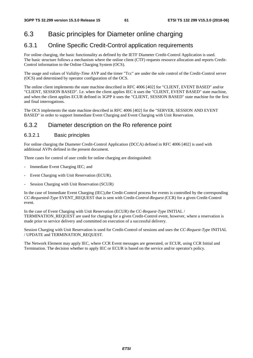# 6.3 Basic principles for Diameter online charging

# 6.3.1 Online Specific Credit-Control application requirements

For online charging, the basic functionality as defined by the IETF Diameter Credit-Control Application is used. The basic structure follows a mechanism where the online client (CTF) requests resource allocation and reports Credit-Control information to the Online Charging System (OCS).

The usage and values of *Validity-Time* AVP and the timer "Tcc" are under the sole control of the Credit-Control server (OCS) and determined by operator configuration of the OCS.

The online client implements the state machine described in RFC 4006 [402] for "CLIENT, EVENT BASED" and/or "CLIENT, SESSION BASED". I.e. when the client applies IEC it uses the "CLIENT, EVENT BASED" state machine, and when the client applies ECUR defined in 3GPP it uses the "CLIENT, SESSION BASED" state machine for the first and final interrogations.

The OCS implements the state machine described in RFC 4006 [402] for the "SERVER, SESSION AND EVENT BASED" in order to support Immediate Event Charging and Event Charging with Unit Reservation.

# 6.3.2 Diameter description on the Ro reference point

### 6.3.2.1 Basic principles

For online charging the Diameter Credit-Control Application (DCCA) defined in RFC 4006 [402] is used with additional AVPs defined in the present document.

Three cases for control of user credit for online charging are distinguished:

- Immediate Event Charging IEC; and
- Event Charging with Unit Reservation (ECUR).
- Session Charging with Unit Reservation (SCUR)

In the case of Immediate Event Charging (IEC),the Credit-Control process for events is controlled by the corresponding *CC-Requested-Type* EVENT\_REQUEST that is sent with Credit*-Control-Request (*CCR) for a given Credit-Control event.

In the case of Event Charging with Unit Reservation (ECUR) the *CC-Request-Type* INITIAL / TERMINATION\_REQUEST are used for charging for a given Credit-Control event, however, where a reservation is made prior to service delivery and committed on execution of a successful delivery.

Session Charging with Unit Reservation is used for Credit-Control of sessions and uses the *CC-Request-Type* INITIAL / UPDATE and TERMINATION\_REQUEST.

The Network Element may apply IEC, where CCR Event messages are generated, or ECUR, using CCR Initial and Termination. The decision whether to apply IEC or ECUR is based on the service and/or operator's policy.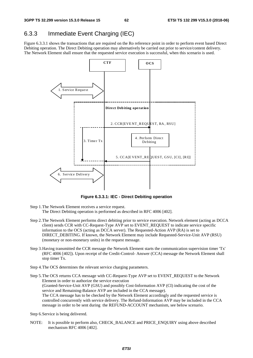# 6.3.3 Immediate Event Charging (IEC)

Figure 6.3.3.1 shows the transactions that are required on the Ro reference point in order to perform event based Direct Debiting operation. The Direct Debiting operation may alternatively be carried out prior to service/content delivery. The Network Element shall ensure that the requested service execution is successful, when this scenario is used.



**Figure 6.3.3.1: IEC - Direct Debiting operation** 

- Step 1. The Network Element receives a service request. The Direct Debiting operation is performed as described in RFC 4006 [402].
- Step 2. The Network Element performs direct debiting prior to service execution. Network element (acting as DCCA client) sends CCR with CC-Request-Type AVP set to EVENT\_REQUEST to indicate service specific information to the OCS (acting as DCCA server). The Requested-Action AVP (RA) is set to DIRECT\_DEBITING. If known, the Network Element may include Requested-Service-Unit AVP (RSU) (monetary or non-monetary units) in the request message.
- Step 3. Having transmitted the CCR message the Network Element starts the communication supervision timer 'Tx' (RFC 4006 [402]). Upon receipt of the Credit-Control- Answer (CCA) message the Network Element shall stop timer Tx.
- Step 4. The OCS determines the relevant service charging parameters.

Step 5. The OCS returns CCA message with CC-Request-Type AVP set to EVENT\_REQUEST to the Network Element in order to authorize the service execution (Granted-Service-Unit AVP (GSU) and possibly Cost-Information AVP (CI) indicating the cost of the service and Remaining-Balance AVP are included in the CCA message). The CCA message has to be checked by the Network Element accordingly and the requested service is controlled concurrently with service delivery. The Refund-Information AVP may be included in the CCA message in order to be sent during the REFUND-ACCOUNT mechanism, see below scenario.

Step 6. Service is being delivered.

NOTE: It is possible to perform also, CHECK\_BALANCE and PRICE\_ENQUIRY using above described mechanism RFC 4006 [402].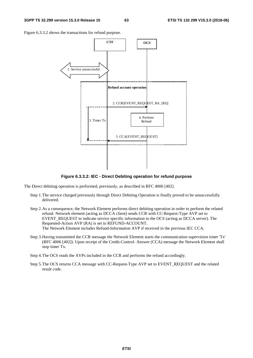Figure 6.3.3.2 shows the transactions for refund purpose.



**Figure 6.3.3.2: IEC - Direct Debiting operation for refund purpose** 

The Direct debiting operation is performed, previously, as described in RFC 4006 [402].

- Step 1. The service charged previously through Direct Debiting Operation is finally proved to be unsuccessfully delivered.
- Step 2. As a consequence, the Network Element performs direct debiting operation in order to perform the related refund. Network element (acting as DCCA client) sends CCR with CC-Request-Type AVP set to EVENT\_REQUEST to indicate service specific information to the OCS (acting as DCCA server). The Requested-Action AVP (RA) is set to REFUND-ACCOUNT. The Network Element includes Refund-Information AVP if received in the previous IEC CCA.
- Step 3. Having transmitted the CCR message the Network Element starts the communication supervision timer 'Tx' (RFC 4006 [402]). Upon receipt of the Credit-Control- Answer (CCA) message the Network Element shall stop timer Tx.
- Step 4. The OCS reads the AVPs included in the CCR and performs the refund accordingly.
- Step 5. The OCS returns CCA message with CC-Request-Type AVP set to EVENT\_REQUEST and the related result code.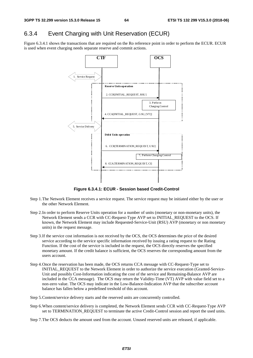### 6.3.4 Event Charging with Unit Reservation (ECUR)

Figure 6.3.4.1 shows the transactions that are required on the Ro reference point in order to perform the ECUR. ECUR is used when event charging needs separate reserve and commit actions.



**Figure 6.3.4.1: ECUR - Session based Credit-Control** 

- Step 1. The Network Element receives a service request. The service request may be initiated either by the user or the other Network Element.
- Step 2. In order to perform Reserve Units operation for a number of units (monetary or non-monetary units), the Network Element sends a CCR with CC-Request-Type AVP set to INITIAL\_REQUEST to the OCS. If known, the Network Element may include Requested-Service-Unit (RSU) AVP (monetary or non monetary units) in the request message.
- Step 3. If the service cost information is not received by the OCS, the OCS determines the price of the desired service according to the service specific information received by issuing a rating request to the Rating Function. If the cost of the service is included in the request, the OCS directly reserves the specified monetary amount. If the credit balance is sufficient, the OCS reserves the corresponding amount from the users account.
- Step 4. Once the reservation has been made, the OCS returns CCA message with CC-Request-Type set to INITIAL\_REQUEST to the Network Element in order to authorize the service execution (Granted-Service-Unit and possibly Cost-Information indicating the cost of the service and Remaining-Balance AVP are included in the CCA message). The OCS may return the Validity-Time (VT) AVP with value field set to a non-zero value. The OCS may indicate in the Low-Balance-Indication AVP that the subscriber account balance has fallen below a predefined treshold of this account.
- Step 5. Content/service delivery starts and the reserved units are concurrently controlled.
- Step 6. When content/service delivery is completed, the Network Element sends CCR with CC-Request-Type AVP set to TERMINATION\_REQUEST to terminate the active Credit-Control session and report the used units.
- Step 7. The OCS deducts the amount used from the account. Unused reserved units are released, if applicable.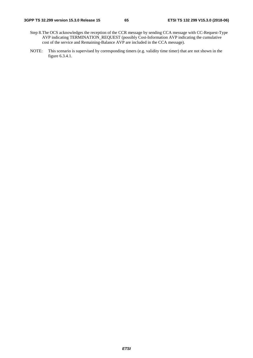- Step 8. The OCS acknowledges the reception of the CCR message by sending CCA message with CC-Request-Type AVP indicating TERMINATION\_REQUEST (possibly Cost-Information AVP indicating the cumulative cost of the service and Remaining-Balance AVP are included in the CCA message).
- NOTE: This scenario is supervised by corresponding timers (e.g. validity time timer) that are not shown in the figure 6.3.4.1.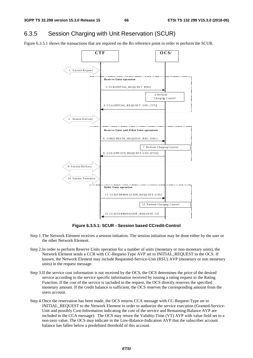## 6.3.5 Session Charging with Unit Reservation (SCUR)

Figure 6.3.5.1 shows the transactions that are required on the Ro reference point in order to perform the SCUR.



**Figure 6.3.5.1: SCUR - Session based CCredit-Control** 

- Step 1. The Network Element receives a session initiation. The session initiation may be done either by the user or the other Network Element.
- Step 2. In order to perform Reserve Units operation for a number of units (monetary or non-monetary units), the Network Element sends a CCR with CC-Request-Type AVP set to INITIAL\_REQUEST to the OCS. If known, the Network Element may include Requested-Service-Unit (RSU) AVP (monetary or non monetary units) in the request message.
- Step 3. If the service cost information is not received by the OCS, the OCS determines the price of the desired service according to the service specific information received by issuing a rating request to the Rating Function. If the cost of the service is included in the request, the OCS directly reserves the specified monetary amount. If the credit balance is sufficient, the OCS reserves the corresponding amount from the users account.
- Step 4. Once the reservation has been made, the OCS returns CCA message with CC-Request-Type set to INITIAL\_REQUEST to the Network Element in order to authorize the service execution (Granted-Service-Unit and possibly Cost-Information indicating the cost of the service and Remaining-Balance AVP are included in the CCA message). The OCS may return the Validity-Time (VT) AVP with value field set to a non-zero value. The OCS may indicate in the Low-Balance-Indication AVP that the subscriber account balance has fallen below a predefined threshold of this account.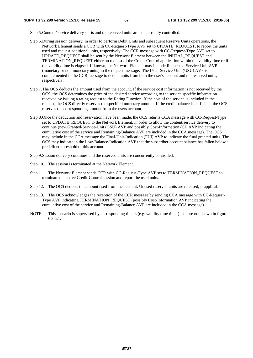Step 5. Content/service delivery starts and the reserved units are concurrently controlled.

- Step 6. During session delivery, in order to perform Debit Units and subsequent Reserve Units operations, the Network Element sends a CCR with CC-Request-Type AVP set to UPDATE\_REQUEST, to report the units used and request additional units, respectively. The CCR message with CC-Request-Type AVP set to UPDATE\_REQUEST shall be sent by the Network Element between the INITIAL\_REQUEST and TERMINATION\_REQUEST either on request of the Credit-Control application within the validity time or if the validity time is elapsed. If known, the Network Element may include Requested-Service-Unit AVP (monetary or non monetary units) in the request message. The Used-Service-Unit (USU) AVP is complemented in the CCR message to deduct units from both the user's account and the reserved units, respectively.
- Step 7. The OCS deducts the amount used from the account. If the service cost information is not received by the OCS, the OCS determines the price of the desired service according to the service specific information received by issuing a rating request to the Rating Function. If the cost of the service is included in the request, the OCS directly reserves the specified monetary amount. If the credit balance is sufficient, the OCS reserves the corresponding amount from the users account.
- Step 8. Once the deduction and reservation have been made, the OCS returns CCA message with CC-Request-Type set to UPDATE\_REQUEST to the Network Element, in order to allow the content/service delivery to continue (new Granted-Service-Unit (GSU) AVP and possibly Cost-Information (CI) AVP indicating the cumulative cost of the service and Remaining-Balance AVP are included in the CCA message). The OCS may include in the CCA message the Final-Unit-Indication (FUI) AVP to indicate the final granted units. The OCS may indicate in the Low-Balance-Indication AVP that the subscriber account balance has fallen below a predefined threshold of this account.
- Step 9. Session delivery continues and the reserved units are concurrently controlled.
- Step 10. The session is terminated at the Network Element.
- Step 11. The Network Element sends CCR with CC-Request-Type AVP set to TERMINATION REQUEST to terminate the active Credit-Control session and report the used units.
- Step 12. The OCS deducts the amount used from the account. Unused reserved units are released, if applicable.
- Step 13. The OCS acknowledges the reception of the CCR message by sending CCA message with CC-Request-Type AVP indicating TERMINATION\_REQUEST (possibly Cost-Information AVP indicating the cumulative cost of the service and Remaining-Balance AVP are included in the CCA message).
- NOTE: This scenario is supervised by corresponding timers (e.g. validity time timer) that are not shown in figure 6.3.5.1.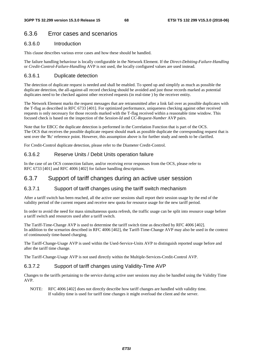### 6.3.6 Error cases and scenarios

#### 6.3.6.0 Introduction

This clause describes various error cases and how these should be handled.

The failure handling behaviour is locally configurable in the Network Element. If the *Direct-Debiting-Failure-Handling* or *Credit-Control-Failure-Handling* AVP is not used, the locally configured values are used instead.

#### 6.3.6.1 Duplicate detection

The detection of duplicate request is needed and shall be enabled. To speed up and simplify as much as possible the duplicate detection, the all-against-all record checking should be avoided and just those records marked as potential duplicates need to be checked against other received requests (in real-time ) by the receiver entity.

The Network Element marks the request messages that are retransmitted after a link fail over as possible duplicates with the T-flag as described in RFC 6733 [401]. For optimized performance, uniqueness checking against other received requests is only necessary for those records marked with the T-flag received within a reasonable time window. This focused check is based on the inspection of the *Session-Id* and *CC-Request-Number* AVP pairs.

Note that for EBCC the duplicate detection is performed in the Correlation Function that is part of the OCS. The OCS that receives the possible duplicate request should mark as possible duplicate the corresponding request that is sent over the 'Rc' reference point. However, this assumption above is for further study and needs to be clarified.

For Credit-Control duplicate detection, please refer to the Diameter Credit-Control.

#### 6.3.6.2 Reserve Units / Debit Units operation failure

In the case of an OCS connection failure, and/or receiving error responses from the OCS, please refer to RFC 6733 [401] and RFC 4006 [402] for failure handling descriptions.

#### 6.3.7 Support of tariff changes during an active user session

#### 6.3.7.1 Support of tariff changes using the tariff switch mechanism

After a tariff switch has been reached, all the active user sessions shall report their session usage by the end of the validity period of the current request and receive new quota for resource usage for the new tariff period.

In order to avoid the need for mass simultaneous quota refresh, the traffic usage can be split into resource usage before a tariff switch and resources used after a tariff switch.

The Tariff-Time-Change AVP is used to determine the tariff switch time as described by RFC 4006 [402]. In addition to the scenarios described in RFC 4006 [402], the Tariff-Time-Change AVP may also be used in the context of continuously time-based charging.

The Tariff-Change-Usage AVP is used within the Used-Service-Units AVP to distinguish reported usage before and after the tariff time change.

The Tariff-Change-Usage AVP is not used directly within the Multiple-Services-Credit-Control AVP.

#### 6.3.7.2 Support of tariff changes using Validity-Time AVP

Changes to the tariffs pertaining to the service during active user sessions may also be handled using the Validity Time AVP.

NOTE: RFC 4006 [402] does not directly describe how tariff changes are handled with validity time. If validity time is used for tariff time changes it might overload the client and the server.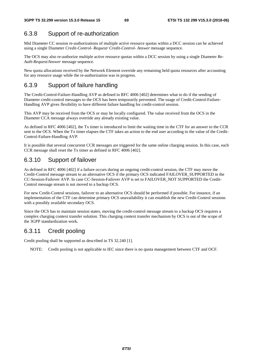### 6.3.8 Support of re-authorization

Mid Diameter CC session re-authorizations of multiple active resource quotas within a DCC session can be achieved using a single Diameter *Credit-Control- Request/ Credit-Control- Answer* message sequence.

The OCS may also re-authorize multiple active resource quotas within a DCC session by using a single Diameter *Re-Auth-Request/Answer* message sequence.

New quota allocations received by the Network Element override any remaining held quota resources after accounting for any resource usage while the re-authorization was in progress.

### 6.3.9 Support of failure handling

The Credit-Control-Failure-Handling AVP as defined in RFC 4006 [402] determines what to do if the sending of Diameter credit-control messages to the OCS has been temporarily prevented. The usage of Credit-Control-Failure-Handling AVP gives flexibility to have different failure handling for credit-control session.

This AVP may be received from the OCS or may be locally configured. The value received from the OCS in the Diameter CCA message always override any already existing value.

As defined in RFC 4006 [402], the Tx timer is introduced to limit the waiting time in the CTF for an answer to the CCR sent to the OCS. When the Tx timer elapses the CTF takes an action to the end user according to the value of the Credit-Control-Failure-Handling AVP.

It is possible that several concurrent CCR messages are triggered for the same online charging session. In this case, each CCR message shall reset the Tx timer as defined in RFC 4006 [402].

### 6.3.10 Support of failover

As defined in RFC 4006 [402] if a failure occurs during an ongoing credit-control session, the CTF may move the Credit-Control message stream to an alternative OCS if the primary OCS indicated FAILOVER\_SUPPORTED in the CC-Session-Failover AVP. In case CC-Session-Failover AVP is set to FAILOVER\_NOT SUPPORTED the Credit-Control message stream is not moved to a backup OCS.

For new Credit-Control sessions, failover to an alternative OCS should be performed if possible. For instance, if an implementation of the CTF can determine primary OCS unavailability it can establish the new Credit-Control sessions with a possibly available secondary OCS.

Since the OCS has to maintain session states, moving the credit-control message stream to a backup OCS requires a complex charging context transfer solution. This charging context transfer mechanism by OCS is out of the scope of the 3GPP standardization work.

### 6.3.11 Credit pooling

Credit pooling shall be supported as described in TS 32.240 [1].

NOTE: Credit pooling is not applicable to IEC since there is no quota management between CTF and OCF.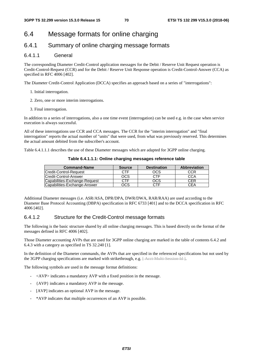# 6.4 Message formats for online charging

### 6.4.1 Summary of online charging message formats

#### 6.4.1.1 General

The corresponding Diameter Credit-Control application messages for the Debit / Reserve Unit Request operation is Credit-Control-Request (CCR) and for the Debit / Reserve Unit Response operation is Credit-Control-Answer (CCA) as specified in RFC 4006 [402].

The Diameter Credit-Control Application (DCCA) specifies an approach based on a series of "interrogations":

- 1. Initial interrogation.
- 2. Zero, one or more interim interrogations.
- 3. Final interrogation.

In addition to a series of interrogations, also a one time event (interrogation) can be used e.g. in the case when service execution is always successful.

All of these interrogations use CCR and CCA messages. The CCR for the "interim interrogation" and "final interrogation" reports the actual number of "units" that were used, from what was previously reserved. This determines the actual amount debited from the subscriber's account.

Table 6.4.1.1.1 describes the use of these Diameter messages which are adapted for 3GPP online charging.

**Table 6.4.1.1.1: Online charging messages reference table** 

| <b>Command-Name</b>           | <b>Source</b> | <b>Destination</b> | <b>Abbreviation</b> |
|-------------------------------|---------------|--------------------|---------------------|
| <b>Credit-Control-Request</b> | CTF           | OCS                | CCR                 |
| <b>ICredit-Control-Answer</b> | OCS           | CTF                | CCA                 |
| Capabilities-Exchange-Request | CTF           | OCS                | CER                 |
| Capabilities-Exchange-Answer  | OCS           | CTF                | CEA                 |

Additional Diameter messages (i.e. ASR/ASA, DPR/DPA, DWR/DWA, RAR/RAA) are used according to the Diameter Base Protocol Accounting (DBPA) specification in RFC 6733 [401] and to the DCCA specification in RFC 4006 [402].

#### 6.4.1.2 Structure for the Credit-Control message formats

The following is the basic structure shared by all online charging messages. This is based directly on the format of the messages defined in RFC 4006 [402].

Those Diameter accounting AVPs that are used for 3GPP online charging are marked in the table of contents 6.4.2 and 6.4.3 with a category as specified in TS 32.240 [1].

In the definition of the Diameter commands, the AVPs that are specified in the referenced specifications but not used by the 3GPP charging specifications are marked with strikethrough, e.g.  $\frac{1}{1-\text{Aect Multi-Session Id}}}$ .

The following symbols are used in the message format definitions:

- $\langle$  AVP $>$  indicates a mandatory AVP with a fixed position in the message.
- {AVP} indicates a mandatory AVP in the message.
- [AVP] indicates an optional AVP in the message.
- \*AVP indicates that multiple occurrences of an AVP is possible.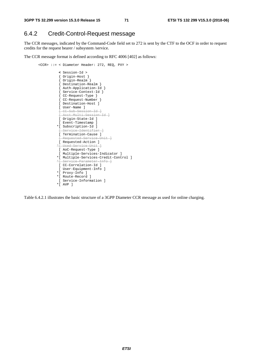### 6.4.2 Credit-Control-Request message

The CCR messages, indicated by the Command-Code field set to 272 is sent by the CTF to the OCF in order to request credits for the request bearer / subsystem /service.

The CCR message format is defined according to RFC 4006 [402] as follows:

```
 <CCR> ::= < Diameter Header: 272, REQ, PXY > 
                 < Session-Id > 
                  { Origin-Host } 
                  { Origin-Realm } 
                  { Destination-Realm } 
                  { Auth-Application-Id } 
                  { Service-Context-Id } 
{ CC-Request-Type } 
{ CC-Request-Number } 
                 [ Destination-Host ] 
                 [ User-Name ] 
                 [ CC-Sub-Session-Id ] 
                .<br><del>[ Acct Multi-Session Id ]</del>
                 [ Origin-State-Id ] 
                 [ Event-Timestamp ] 
                 *[ Subscription-Id ] 
                 [ Service-Identifier ] 
                 [ Termination-Cause ] 
                    equested Service Unit ]
                 [ Requested-Action ] 
                 *[ Used-Service-Unit ] 
                 [ AoC-Request-Type ] 
                 [ Multiple-Services-Indicator ] 
                *[ Multiple-Services-Credit-Control ] 
                   Service-Parameter-Info
                 [ CC-Correlation-Id ] 
                 [ User-Equipment-Info ] 
                *[ Proxy-Info ] 
                *[ Route-Record ] 
                 [ Service-Information ] 
                *[ AVP ]
```
Table 6.4.2.1 illustrates the basic structure of a 3GPP Diameter CCR message as used for online charging.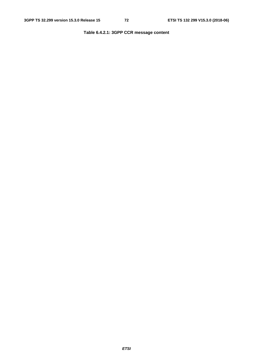## **Table 6.4.2.1: 3GPP CCR message content**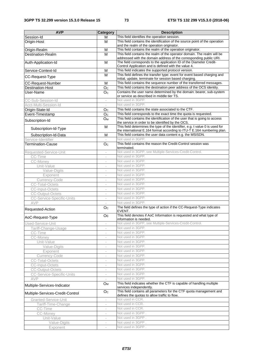| <b>AVP</b>                       | <b>Category</b>          | <b>Description</b>                                                                                                                           |
|----------------------------------|--------------------------|----------------------------------------------------------------------------------------------------------------------------------------------|
| Session-Id                       | м                        | This field identifies the operation session.                                                                                                 |
| Origin-Host                      | M                        | This field contains the identification of the source point of the operation<br>and the realm of the operation originator.                    |
| Origin-Realm                     | M                        | This field contains the realm of the operation originator.                                                                                   |
| <b>Destination-Realm</b>         | M                        | This field contains the realm of the operator domain. The realm will be                                                                      |
|                                  |                          | addressed with the domain address of the corresponding public URI.                                                                           |
| Auth-Application-Id              | M                        | The field corresponds to the application ID of the Diameter Credit-                                                                          |
|                                  |                          | Control Application and is defined with the value 4.                                                                                         |
| Service-Context-Id               | M                        | This field indicates the supported protocol version.                                                                                         |
| CC-Request-Type                  | M                        | This field defines the transfer type: event for event based charging and                                                                     |
|                                  |                          | initial, update, terminate for session based charging.                                                                                       |
| <b>CC-Request-Number</b>         | M                        | This field contains the sequence number of the transferred messages.                                                                         |
| <b>Destination-Host</b>          | $\overline{O_{C}}$       | This field contains the destination peer address of the OCS identity.<br>Contains the user name determined by the domain: bearer, sub-system |
| User-Name                        | O <sub>c</sub>           | or service as described in middle tier TS.                                                                                                   |
| CC-Sub-Session-Id                | $\overline{\phantom{a}}$ | Not used in 3GPP.                                                                                                                            |
| Acct-Multi-Session-Id            |                          | Not used in 3GPP.                                                                                                                            |
| Origin-State-Id                  | O <sub>C</sub>           | This field contains the state associated to the CTF.                                                                                         |
| Event-Timestamp                  | O <sub>C</sub>           | This field corresponds to the exact time the quota is requested.                                                                             |
|                                  | $O_{M}$                  | This field contains the identification of the user that is going to access                                                                   |
| Subscription-Id                  |                          | the service in order to be identified by the OCS.                                                                                            |
| Subscription-Id-Type             | M                        | This field determines the type of the identifier, e.g. t value 0 is used for                                                                 |
|                                  |                          | the international E.164 format according to ITU-T E.164 numbering plan.                                                                      |
| Subscription-Id-Data             | $\overline{\mathsf{M}}$  | This field contains the user data content e.g. the MSISDN.                                                                                   |
| Service-Identifier               |                          | Not used in 3GPP.                                                                                                                            |
| <b>Termination-Cause</b>         | O <sub>C</sub>           | This field contains the reason the Credit-Control session was<br>terminated.                                                                 |
| Requested-Service-Unit           |                          | Not used in 3GPP, see Multiple-Services-Credit-Control.                                                                                      |
| CC-Time                          | $\overline{\phantom{a}}$ | Not used in 3GPP.                                                                                                                            |
| CC-Money                         | $\bar{ }$                | Not used in 3GPP.                                                                                                                            |
| Unit-Value                       | $\overline{\phantom{a}}$ | Not used in 3GPP.                                                                                                                            |
| Value-Digits                     | i,                       | Not used in 3GPP.                                                                                                                            |
| Exponent                         |                          | Not used in 3GPP.                                                                                                                            |
| Currency-Code                    |                          | Not used in 3GPP.                                                                                                                            |
| <b>CC-Total-Octets</b>           | $\overline{\phantom{a}}$ | Not used in 3GPP.                                                                                                                            |
| <b>CC-Input-Octets</b>           | $\overline{\phantom{a}}$ | Not used in 3GPP.                                                                                                                            |
| <b>CC-Output-Octets</b>          |                          | Not used in 3GPP.                                                                                                                            |
| <b>CC-Service-Specific-Units</b> | ÷,                       | Not used in 3GPP.                                                                                                                            |
| AVP                              |                          | Not used in 3GPP.                                                                                                                            |
| Requested-Action                 | O <sub>C</sub>           | The field defines the type of action if the CC-Request-Type indicates<br>EVENT.                                                              |
| AoC-Request-Type                 | Oc                       | This field denotes if AoC Information is requested and what type of<br>information is needed.                                                |
| Used-Service-Unit                |                          | Not used in 3GPP, see Multiple-Services-Credit-Control.                                                                                      |
| Tariff-Change-Usage              | $\overline{a}$           | Not used in 3GPP.                                                                                                                            |
| CC-Time                          | $\overline{\phantom{a}}$ | Not used in 3GPP.                                                                                                                            |
| CC-Money                         | $\bar{\phantom{a}}$      | Not used in 3GPP.                                                                                                                            |
| Unit-Value                       | $\bar{ }$                | Not used in 3GPP.                                                                                                                            |
| Value-Digits                     | $\overline{\phantom{a}}$ | Not used in 3GPP.                                                                                                                            |
| Exponent                         |                          | Not used in 3GPP.                                                                                                                            |
| Currency-Code                    | $\overline{\phantom{a}}$ | Not used in 3GPP.                                                                                                                            |
| <b>CC-Total-Octets</b>           | $\overline{\phantom{a}}$ | Not used in 3GPP.                                                                                                                            |
| <b>CC-Input-Octets</b>           |                          | Not used in 3GPP.                                                                                                                            |
| <b>CC-Output-Octets</b>          |                          | Not used in 3GPP.                                                                                                                            |
| <b>CC-Service-Specific-Units</b> |                          | Not used in 3GPP.                                                                                                                            |
| AVP                              | $\overline{\phantom{a}}$ | Not used in 3GPP.                                                                                                                            |
| Multiple-Services-Indicator      | <b>O</b> <sub>M</sub>    | This field indicates whether the CTF is capable of handling multiple<br>services independently.                                              |
| Multiple-Services-Credit-Control | O <sub>C</sub>           | This field contains all parameters for the CTF quota management and<br>defines the quotas to allow traffic to flow.                          |
| Granted-Service-Unit             | $\overline{\phantom{a}}$ | Not used in CCR.                                                                                                                             |
| Tariff-Time-Change               | $\overline{\phantom{a}}$ | Not used in CCR.                                                                                                                             |
| CC-Time                          | $\bar{\phantom{a}}$      | Not used in CCR.                                                                                                                             |
| CC-Money                         | $\bar{ }$                | Not used in 3GPP.                                                                                                                            |
| Unit-Value                       | $\bar{ }$                | Not used in 3GPP.                                                                                                                            |
| Value-Digits                     |                          | Not used in 3GPP.                                                                                                                            |
| Exponent                         | $\overline{\phantom{a}}$ | Not used in 3GPP.                                                                                                                            |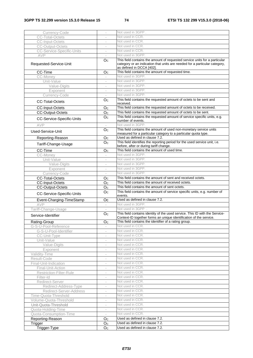| Currency-Code                    |                             | Not used in 3GPP.                                                                                                                                                                     |
|----------------------------------|-----------------------------|---------------------------------------------------------------------------------------------------------------------------------------------------------------------------------------|
| <b>CC-Total-Octets</b>           |                             | Not used in CCR.                                                                                                                                                                      |
| <b>CC-Input-Octets</b>           |                             | Not used in CCR.                                                                                                                                                                      |
| <b>CC-Output-Octets</b>          |                             | Not used in CCR.                                                                                                                                                                      |
| <b>CC-Service-Specific-Units</b> | $\overline{\phantom{a}}$    | Not used in CCR.                                                                                                                                                                      |
| AVP                              |                             | Not used in 3GPP.                                                                                                                                                                     |
| Requested-Service-Unit           | O <sub>C</sub>              | This field contains the amount of requested service units for a particular<br>category or an indication that units are needed for a particular category,<br>as defined in DCCA [402]. |
| CC-Time                          | O <sub>c</sub>              | This field contains the amount of requested time.                                                                                                                                     |
| CC-Money                         | $\overline{\phantom{a}}$    | Not used in 3GPP.                                                                                                                                                                     |
| Unit-Value                       | $\overline{\phantom{a}}$    | Not used in 3GPP.                                                                                                                                                                     |
| Value-Digits                     |                             | Not used in 3GPP.                                                                                                                                                                     |
| Exponent                         | $\sim$                      | Not used in 3GPP.                                                                                                                                                                     |
| Currency-Code                    |                             | Not used in 3GPP.                                                                                                                                                                     |
|                                  | O <sub>c</sub>              | This field contains the requested amount of octets to be sent and                                                                                                                     |
| <b>CC-Total-Octets</b>           |                             | received.                                                                                                                                                                             |
| <b>CC-Input-Octets</b>           | O <sub>c</sub>              | This field contains the requested amount of octets to be received.                                                                                                                    |
| <b>CC-Output-Octets</b>          | O <sub>c</sub>              | This field contains the requested amount of octets to be sent.                                                                                                                        |
| CC-Service-Specific-Units        | O <sub>C</sub>              | This field contains the requested amount of service specific units, e.g.                                                                                                              |
|                                  |                             | number of events.                                                                                                                                                                     |
| AVP                              | $\overline{\phantom{a}}$    | Not used in 3GPP.                                                                                                                                                                     |
| Used-Service-Unit                | O <sub>c</sub>              | This field contains the amount of used non-monetary service units                                                                                                                     |
|                                  |                             | measured for a particular category to a particular quota type.<br>Used as defined in clause 7.2.                                                                                      |
| Reporting-Reason                 | O <sub>C</sub>              | This field identifies the reporting period for the used service unit, i.e.                                                                                                            |
| Tariff-Change-Usage              | O <sub>c</sub>              | before, after or during tariff change.                                                                                                                                                |
| <b>CC-Time</b>                   | O <sub>C</sub>              | This field contains the amount of used time.                                                                                                                                          |
| CC-Money                         |                             | Not used in 3GPP.                                                                                                                                                                     |
| Unit-Value                       | ٠                           | Not used in 3GPP.                                                                                                                                                                     |
| Value-Digits                     |                             | Not used in 3GPP.                                                                                                                                                                     |
| Exponent                         |                             | Not used in 3GPP.                                                                                                                                                                     |
| Currency-Code                    | $\overline{\phantom{a}}$    | Not used in 3GPP.                                                                                                                                                                     |
| <b>CC-Total-Octets</b>           | Oc                          | This field contains the amount of sent and received octets.                                                                                                                           |
|                                  |                             |                                                                                                                                                                                       |
|                                  |                             |                                                                                                                                                                                       |
| <b>CC-Input-Octets</b>           | O <sub>c</sub>              | This field contains the amount of received octets.                                                                                                                                    |
| <b>CC-Output-Octets</b>          | O <sub>C</sub>              | This field contains the amount of sent octets.                                                                                                                                        |
| CC-Service-Specific-Units        | $\overline{O}$ <sub>C</sub> | This field contains the amount of service specific units, e.g. number of<br>events.                                                                                                   |
| Event-Charging-TimeStamp         | Oc                          | Used as defined in clause 7.2.                                                                                                                                                        |
| AVP                              | ÷                           | Not used in 3GPP.                                                                                                                                                                     |
| Tariff-Change-Usage              | $\overline{\phantom{a}}$    | Not used in 3GPP.                                                                                                                                                                     |
| Service-Identifier               | O <sub>C</sub>              | This field contains identity of the used service. This ID with the Service-<br>Context-ID together forms an unique identification of the service.                                     |
| Rating-Group                     | Oc                          | This field contains the identifier of a rating group.                                                                                                                                 |
| G-S-U-Pool-Reference             |                             | Not used in CCR.                                                                                                                                                                      |
| G-S-U-Pool-Identifier            | $\overline{\phantom{a}}$    | Not used in CCR.                                                                                                                                                                      |
| CC-Unit-Type                     |                             | Not used in CCR.                                                                                                                                                                      |
| Unit-Value                       | $\sim$                      | Not used in CCR.                                                                                                                                                                      |
| Value-Digits                     | $\overline{\phantom{a}}$    | Not used in CCR.                                                                                                                                                                      |
| Exponent                         | $\overline{\phantom{a}}$    | Not used in CCR.                                                                                                                                                                      |
| Validity-Time                    |                             | Not used in CCR.                                                                                                                                                                      |
| Result-Code                      |                             | Not used in CCR.                                                                                                                                                                      |
| Final-Unit-Indication            |                             | Not used in CCR.                                                                                                                                                                      |
| Final-Unit-Action                | $\overline{\phantom{a}}$    | Not used in CCR.                                                                                                                                                                      |
| Restriction-Filter-Rule          | $\overline{\phantom{a}}$    | Not used in CCR.                                                                                                                                                                      |
| Filter-Id                        |                             | Not used in CCR.                                                                                                                                                                      |
| Redirect-Server                  | $\sim$                      | Not used in CCR.                                                                                                                                                                      |
| Redirect-Address-Type            |                             | Not used in CCR.                                                                                                                                                                      |
| Redirect-Server-Address          | $\overline{\phantom{a}}$    | Not used in CCR.                                                                                                                                                                      |
| Time-Quota-Threshold             | $\overline{\phantom{a}}$    | Not used in CCR.                                                                                                                                                                      |
| Volume-Quota-Threshold           | $\overline{\phantom{a}}$    | Not used in CCR.                                                                                                                                                                      |
| Unit-Quota-Threshold             | $\sim$                      | Not used in CCR.                                                                                                                                                                      |
| Quota-Holding-Time               |                             | Not used in CCR.                                                                                                                                                                      |
| Quota-Consumption-Time           | $\bar{a}$                   | Not used in CCR.                                                                                                                                                                      |
| Reporting-Reason                 | O <sub>C</sub>              | Used as defined in clause 7.2.                                                                                                                                                        |
| Trigger<br>Trigger-Type          | Oc<br>O <sub>C</sub>        | Used as defined in clause 7.2.<br>Used as defined in clause 7.2.                                                                                                                      |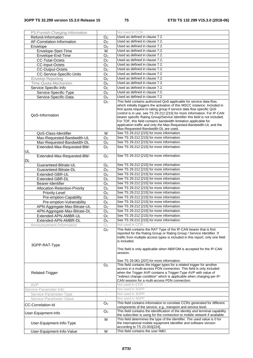| PS-Furnish-Charging-Information  |                                         | Not used in CCR.                                                                                                                                                                                                                                                                                                                                                                                                                                                                                 |
|----------------------------------|-----------------------------------------|--------------------------------------------------------------------------------------------------------------------------------------------------------------------------------------------------------------------------------------------------------------------------------------------------------------------------------------------------------------------------------------------------------------------------------------------------------------------------------------------------|
| Refund-Information               | O <sub>C</sub>                          | Used as defined in clause 7.2.                                                                                                                                                                                                                                                                                                                                                                                                                                                                   |
| AF-Correlation-Information       | O <sub>c</sub>                          | Used as defined in clause 7.2.                                                                                                                                                                                                                                                                                                                                                                                                                                                                   |
| Envelope                         | O <sub>C</sub>                          | Used as defined in clause 7.2.                                                                                                                                                                                                                                                                                                                                                                                                                                                                   |
| Envelope-Start-Time              | м                                       | Used as defined in clause 7.2.                                                                                                                                                                                                                                                                                                                                                                                                                                                                   |
| Envelope-End-Time                | O <sub>C</sub>                          | Used as defined in clause 7.2.                                                                                                                                                                                                                                                                                                                                                                                                                                                                   |
| <b>CC-Total-Octets</b>           | O <sub>c</sub>                          | Used as defined in clause 7.2.                                                                                                                                                                                                                                                                                                                                                                                                                                                                   |
| <b>CC-Input-Octets</b>           | O <sub>C</sub>                          | Used as defined in clause 7.2.                                                                                                                                                                                                                                                                                                                                                                                                                                                                   |
| <b>CC-Output-Octets</b>          | O <sub>c</sub>                          | Used as defined in clause 7.2.                                                                                                                                                                                                                                                                                                                                                                                                                                                                   |
| CC-Service-Specific-Units        | O <sub>C</sub>                          | Used as defined in clause 7.2                                                                                                                                                                                                                                                                                                                                                                                                                                                                    |
| Envelop-Reporting                | O <sub>C</sub>                          | Used as defined in clause 7.2.                                                                                                                                                                                                                                                                                                                                                                                                                                                                   |
| Time-Quota-Mechanism             | O <sub>C</sub>                          | Used as defined in clause 7.2.                                                                                                                                                                                                                                                                                                                                                                                                                                                                   |
| Service-Specific-Info            | O <sub>C</sub>                          | Used as defined in clause 7.2.                                                                                                                                                                                                                                                                                                                                                                                                                                                                   |
| Service-Specific-Type            | O <sub>c</sub>                          | Used as defined in clause 7.2.                                                                                                                                                                                                                                                                                                                                                                                                                                                                   |
| Service-Specific-Data            | O <sub>c</sub>                          | Used as defined in clause 7.2.                                                                                                                                                                                                                                                                                                                                                                                                                                                                   |
|                                  | O <sub>C</sub>                          | This field contains authorized QoS applicable for service data flow,                                                                                                                                                                                                                                                                                                                                                                                                                             |
| QoS-Information                  |                                         | which initially triggers the activation of this MSCC instance. Included in<br>first quota request to rating group if service data flow specific QoS<br>control is in use, see TS 29.212 [215] for more information. For IP-CAN<br>bearer specific Rating Group/Service Identifier this field is not included.<br>For TDF, this field contains bandwidth limitation applicable for<br>application traffic and only the Max-Requested-Bandwidth-UL and the<br>Max-Requested-Bandwidth-DL are used. |
| QoS-Class-Identifier             | м                                       | See TS 29.212 [215] for more information.                                                                                                                                                                                                                                                                                                                                                                                                                                                        |
| Max-Requested-Bandwidth-UL       | O <sub>c</sub>                          | See TS 29.212 [215] for more information.                                                                                                                                                                                                                                                                                                                                                                                                                                                        |
| Max-Requested-Bandwidth-DL       | O <sub>C</sub>                          | See TS 29.212 [215] for more information.                                                                                                                                                                                                                                                                                                                                                                                                                                                        |
| Extended-Max-Requested-BW-       | O <sub>c</sub>                          | See TS 29.212 [215] for more information.                                                                                                                                                                                                                                                                                                                                                                                                                                                        |
| <b>UL</b>                        |                                         |                                                                                                                                                                                                                                                                                                                                                                                                                                                                                                  |
| Extended-Max-Requested-BW-<br>DL | O <sub>c</sub>                          | See TS 29.212 [215] for more information.                                                                                                                                                                                                                                                                                                                                                                                                                                                        |
| Guaranteed-Bitrate-UL            | O <sub>C</sub>                          | See TS 29.212 [215] for more information.                                                                                                                                                                                                                                                                                                                                                                                                                                                        |
| Guaranteed-Bitrate-DL            | O <sub>C</sub>                          | See TS 29.212 [215] for more information.                                                                                                                                                                                                                                                                                                                                                                                                                                                        |
| Extended-GBR-UL                  | O <sub>C</sub>                          | See TS 29.212 [215] for more information.                                                                                                                                                                                                                                                                                                                                                                                                                                                        |
| Extended-GBR-DL                  | O <sub>C</sub>                          | See TS 29.212 [215] for more information.                                                                                                                                                                                                                                                                                                                                                                                                                                                        |
| Bearer-Identifier                | Oc                                      | See TS 29.212 [215] for more information.                                                                                                                                                                                                                                                                                                                                                                                                                                                        |
| Allocation-Retention-Priority    | O <sub>c</sub>                          | See TS 29.212 [215] for more information.                                                                                                                                                                                                                                                                                                                                                                                                                                                        |
| Priority-Level                   | O <sub>C</sub>                          | See TS 29.212 [215] for more information.                                                                                                                                                                                                                                                                                                                                                                                                                                                        |
| Pre-emption-Capability           | O <sub>c</sub>                          | See TS 29.212 [215] for more information.                                                                                                                                                                                                                                                                                                                                                                                                                                                        |
| Pre-emption-Vulnerability        | O <sub>c</sub>                          | See TS 29.212 [215] for more information.                                                                                                                                                                                                                                                                                                                                                                                                                                                        |
| APN-Aggregate-Max-Bitrate-UL     | O <sub>c</sub>                          | See TS 29.212 [215] for more information.                                                                                                                                                                                                                                                                                                                                                                                                                                                        |
| APN-Aggregate-Max-Bitrate-DL     | Oc                                      | See TS 29.212 [215] for more information.                                                                                                                                                                                                                                                                                                                                                                                                                                                        |
| Extended-APN-AMBR-UL             | O <sub>C</sub>                          | See TS 29.212 [215] for more information.                                                                                                                                                                                                                                                                                                                                                                                                                                                        |
| Extended-APN-AMBR-DL             | O <sub>C</sub>                          | See TS 29.212 [215] for more information.                                                                                                                                                                                                                                                                                                                                                                                                                                                        |
| Announcement-Information         | $\mathop{\rm O{}}\nolimits_{\mathbb C}$ | Not used in CCR.                                                                                                                                                                                                                                                                                                                                                                                                                                                                                 |
| 3GPP-RAT-Type                    | O <sub>c</sub>                          | This field contains the RAT Type of the IP-CAN bearer that is first<br>reported for the Rating Group or Rating Group / Service Identifier. If<br>traffic from multiple access types is included in this report, only one field<br>is included.<br>This field is only applicable when NBIFOM is accepted for the IP-CAN                                                                                                                                                                           |
|                                  |                                         | session.<br>See TS 29.061 [207] for more information.                                                                                                                                                                                                                                                                                                                                                                                                                                            |
| <b>Related-Trigger</b>           | Oc                                      | This field contains the trigger types for a related trigger for another<br>access in a multi-access PDN connection. This field is only included<br>when the Trigger AVP contains a Trigger-Type AVP with value of<br>"indirect change condition" which is applicable when charging per IP-                                                                                                                                                                                                       |
|                                  |                                         | CAN session for a multi-access PDN connection.                                                                                                                                                                                                                                                                                                                                                                                                                                                   |
| AVP                              | $\overline{\phantom{a}}$                | Not used in CCR.                                                                                                                                                                                                                                                                                                                                                                                                                                                                                 |
| Service-Parameter-Info           |                                         | Not used in 3GPP.                                                                                                                                                                                                                                                                                                                                                                                                                                                                                |
| Service-Parameter-Type           |                                         | Not used in 3GPP.                                                                                                                                                                                                                                                                                                                                                                                                                                                                                |
| Service-Parameter-Value          | $\overline{\phantom{a}}$                | Not used in 3GPP.                                                                                                                                                                                                                                                                                                                                                                                                                                                                                |
| <b>CC-Correlation-Id</b>         | O <sub>C</sub>                          | This field contains information to correlate CCRs generated for different<br>components of the service, e.g., transport and service level.                                                                                                                                                                                                                                                                                                                                                       |
| User-Equipment-Info              | O <sub>C</sub><br>M                     | This field contains the identification of the identity and terminal capability<br>the subscriber is using for the connection to mobile network if available.<br>This field determines the type of the identifier. The used value is 0 for                                                                                                                                                                                                                                                        |
| User-Equipment-Info-Type         |                                         | the international mobile equipment identifier and software version<br>according to TS 23.003[224].                                                                                                                                                                                                                                                                                                                                                                                               |
| User-Equipment-Info-Value        | M                                       | This field contains the user IMEI.                                                                                                                                                                                                                                                                                                                                                                                                                                                               |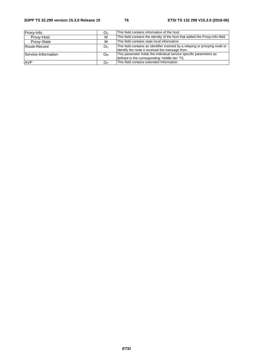#### **3GPP TS 32.299 version 15.3.0 Release 15 76 ETSI TS 132 299 V15.3.0 (2018-06)**

| Proxy-Info          | Oc  | This field contains information of the host.                                                                                     |
|---------------------|-----|----------------------------------------------------------------------------------------------------------------------------------|
| Proxy-Host          | м   | This field contains the identity of the host that added the Proxy-Info field.                                                    |
| Proxy-State         | м   | This field contains state local information.                                                                                     |
| <b>Route-Record</b> | Oc. | This field contains an identifier inserted by a relaying or proxying node to<br>lidentify the node it received the message from. |
| Service-Information | Ом  | This parameter holds the individual service specific parameters as<br>defined in the corresponding 'middle tier' TS.             |
| <b>AVP</b>          | Oc  | This field contains extended Information.                                                                                        |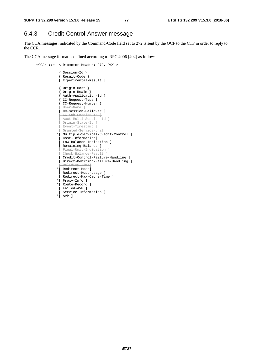## 6.4.3 Credit-Control-Answer message

The CCA messages, indicated by the Command-Code field set to 272 is sent by the OCF to the CTF in order to reply to the CCR.

The CCA message format is defined according to RFC 4006 [402] as follows:

```
 <CCA> ::= < Diameter Header: 272, PXY > 
                 < Session-Id > 
                 { Result-Code } 
                 [ Experimental-Result ] 
                 { Origin-Host } 
                  { Origin-Realm } 
{ Auth-Application-Id } 
{ CC-Request-Type } 
                 { CC-Request-Number } 
                  User-Name
                 [ CC-Session-Failover ] 
                 [ CC-Sub-Session-Id ] 
                \overline{+ Acct-Multi-Session-Id ]
                 [ Origin-State-Id ] 
                 [ Event-Timestamp ] 
                 [ Granted-Service-Unit ] 
                *[ Multiple-Services-Credit-Control ] 
                 [ Cost-Information] 
                [ Low-Balance-Indication ] 
                [ Remaining-Balance ] 
                 [ Final-Unit-Indication ] 
                 [ Check-Balance-Result ] 
                 [ Credit-Control-Failure-Handling ] 
                 [ Direct-Debiting-Failure-Handling ] 
                .<br>[ Validity-Time]
                *[ Redirect-Host] 
                 [ Redirect-Host-Usage ] 
                 [ Redirect-Max-Cache-Time ] 
                *[ Proxy-Info ] 
                *[ Route-Record ] 
                 [ Failed-AVP ] 
                 [ Service-Information ] 
               *[ AVP ]
```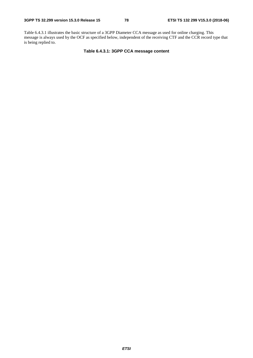Table 6.4.3.1 illustrates the basic structure of a 3GPP Diameter CCA message as used for online charging. This message is always used by the OCF as specified below, independent of the receiving CTF and the CCR record type that is being replied to.

**Table 6.4.3.1: 3GPP CCA message content**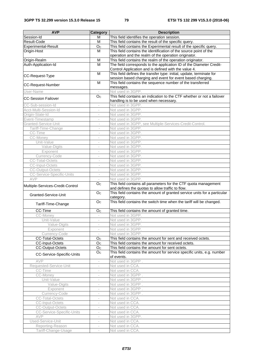| <b>AVP</b>                       | Category                 | <b>Description</b>                                                       |
|----------------------------------|--------------------------|--------------------------------------------------------------------------|
| Session-Id                       | м                        | This field identifies the operation session.                             |
| Result-Code                      | M                        | This field contains the result of the specific query.                    |
|                                  |                          |                                                                          |
| Experimental-Result              | O <sub>C</sub>           | This field contains the Experimental result of the specific query.       |
| Origin-Host                      | M                        | This field contains the identification of the source point of the        |
|                                  |                          | operation and the realm of the operation originator.                     |
| Origin-Realm                     | M                        | This field contains the realm of the operation originator.               |
| Auth-Application-Id              | $\overline{M}$           | The field corresponds to the application ID of the Diameter Credit-      |
|                                  |                          | Control Application and is defined with the value 4.                     |
| CC-Request-Type                  | M                        | This field defines the transfer type: initial, update, terminate for     |
|                                  |                          | session based charging and event for event based charging.               |
| <b>CC-Request-Number</b>         | M                        | This field contains the sequence number of the transferred               |
|                                  |                          | messages.                                                                |
| User-Name                        | $\sim$                   | Not used in 3GPP.                                                        |
| <b>CC-Session Failover</b>       | O <sub>C</sub>           | This field contains an indication to the CTF whether or not a failover   |
|                                  |                          | handling is to be used when necessary.                                   |
| CC-Sub-session-Id                | $\overline{\phantom{a}}$ | Not used in 3GPP.                                                        |
| Acct-Multi-Session-Id            | $\overline{\phantom{a}}$ | Not used in 3GPP.                                                        |
| Origin-State-Id                  | $\overline{\phantom{a}}$ | Not used in 3GPP.                                                        |
| Event-Timestamp                  | $\overline{\phantom{a}}$ | Not used in 3GPP.                                                        |
| Granted-Service-Unit             | $\overline{\phantom{a}}$ | Not used in 3GPP, see Multiple-Services-Credit-Control.                  |
| Tariff-Time-Change               | ÷,                       | Not used in 3GPP.                                                        |
| CC-Time                          |                          | Not used in 3GPP.                                                        |
| <b>CC-Money</b>                  | $\overline{\phantom{a}}$ | Not used in 3GPP.                                                        |
| Unit-Value                       | $\overline{\phantom{a}}$ | Not used in 3GPP.                                                        |
| Value-Digits                     | $\overline{\phantom{a}}$ | Not used in 3GPP.                                                        |
| Exponent                         | $\overline{\phantom{a}}$ | Not used in 3GPP.                                                        |
|                                  |                          |                                                                          |
| Currency-Code                    |                          | Not used in 3GPP.                                                        |
| <b>CC-Total-Octets</b>           | $\overline{\phantom{a}}$ | Not used in 3GPP.                                                        |
| <b>CC-Input-Octets</b>           | $\overline{\phantom{a}}$ | Not used in 3GPP.                                                        |
| <b>CC-Output-Octets</b>          | $\overline{\phantom{a}}$ | Not used in 3GPP.                                                        |
| CC-Service-Specific-Units        | $\overline{\phantom{a}}$ | Not used in 3GPP.                                                        |
| AVP                              |                          | Not used in 3GPP.                                                        |
| Multiple-Services-Credit-Control | O <sub>C</sub>           | This field contains all parameters for the CTF quota management          |
|                                  |                          | and defines the quotas to allow traffic to flow.                         |
| Granted-Service-Unit             | O <sub>C</sub>           | This field contains the amount of granted service units for a particular |
|                                  |                          | category.                                                                |
| Tariff-Time-Change               | O <sub>C</sub>           | This field contains the switch time when the tariff will be changed.     |
|                                  |                          |                                                                          |
| CC-Time                          | O <sub>C</sub>           | This field contains the amount of granted time.                          |
| CC-Money                         | $\sim$                   | Not used in 3GPP.                                                        |
| Unit-Value                       |                          | Not used in 3GPP.                                                        |
| Value-Digits                     | $\bar{a}$                | Not used in 3GPP.                                                        |
| Exponent                         | $\overline{\phantom{a}}$ | Not used in 3GPP.                                                        |
| Currency-Code                    | $\overline{\phantom{a}}$ | Not used in 3GPP.                                                        |
| <b>CC-Total-Octets</b>           | O <sub>C</sub>           | This field contains the amount for sent and received octets.             |
| <b>CC-Input-Octets</b>           | O <sub>C</sub>           | This field contains the amount for received octets.                      |
| <b>CC-Output-Octets</b>          | O <sub>C</sub>           | This field contains the amount for sent octets.                          |
|                                  | O <sub>C</sub>           | This field contains the amount for service specific units, e.g. number   |
| CC-Service-Specific-Units        |                          | of events.                                                               |
| AVP                              | $\overline{\phantom{a}}$ | Not used in 3GPP.                                                        |
| Requested-Service-Unit           |                          | Not used in CCA.                                                         |
|                                  |                          | Not used in CCA.                                                         |
| CC-Time                          |                          | Not used in 3GPP.                                                        |
| CC-Money                         | $\overline{\phantom{a}}$ |                                                                          |
| Unit-Value                       | $\overline{\phantom{a}}$ | Not used in 3GPP.                                                        |
| Value-Digits                     | $\overline{\phantom{a}}$ | Not used in 3GPP.                                                        |
| Exponent                         | $\sim$                   | Not used in 3GPP.                                                        |
| Currency-Code                    | $\overline{\phantom{a}}$ | Not used in 3GPP.                                                        |
| <b>CC-Total-Octets</b>           | $\overline{\phantom{a}}$ | Not used in CCA.                                                         |
| <b>CC-Input-Octets</b>           | $\sim$                   | Not used in CCA.                                                         |
| CC-Output-Octets                 | $\overline{\phantom{a}}$ | Not used in CCA.                                                         |
| <b>CC-Service-Specific-Units</b> | $\overline{\phantom{a}}$ | Not used in CCA.                                                         |
| AVP                              |                          | Not used in 3GPP.                                                        |
| Used-Service-Unit                | $\overline{\phantom{a}}$ | Not used in CCA.                                                         |
| Reporting-Reason                 | $\overline{\phantom{a}}$ | Not used in CCA.                                                         |
| Tariff-Change-Usage              | $\overline{\phantom{a}}$ | Not used in CCA.                                                         |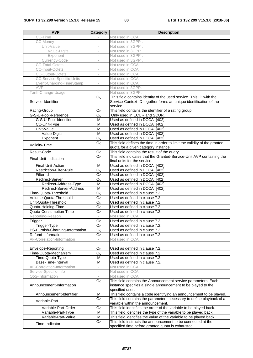| <b>AVP</b>                                 | <b>Category</b>                  | <b>Description</b>                                                        |
|--------------------------------------------|----------------------------------|---------------------------------------------------------------------------|
| CC-Time                                    |                                  | Not used in CCA.                                                          |
| CC-Money                                   |                                  | Not used in 3GPP.                                                         |
| Unit-Value                                 |                                  | Not used in 3GPP.                                                         |
| Value-Digits                               | $\overline{\phantom{a}}$         | Not used in 3GPP.                                                         |
| Exponent                                   | $\overline{\phantom{a}}$         | Not used in 3GPP.                                                         |
| Currency-Code                              | $\overline{\phantom{a}}$         | Not used in 3GPP.                                                         |
| <b>CC-Total-Octets</b>                     | $\overline{\phantom{a}}$         | Not used in CCA.                                                          |
| <b>CC-Input-Octets</b>                     | $\overline{\phantom{m}}$         | Not used in CCA.                                                          |
| <b>CC-Output-Octets</b>                    | $\overline{\phantom{a}}$         | Not used in CCA.                                                          |
| <b>CC-Service-Specific-Units</b>           | $\overline{\phantom{a}}$         | Not used in CCA.                                                          |
| Event-Charging-TimeStamp                   | $\overline{\phantom{a}}$         | Not used in CCA.                                                          |
| AVP                                        | $\overline{\phantom{a}}$         | Not used in 3GPP.                                                         |
| Tariff-Change-Usage                        |                                  | Not used in 3GPP.                                                         |
|                                            | O <sub>c</sub>                   | This field contains identity of the used service. This ID with the        |
| Service-Identifier                         |                                  |                                                                           |
|                                            |                                  | Service-Context-ID together forms an unique identification of the         |
|                                            | O <sub>C</sub>                   | service.<br>This field contains the identifier of a rating group.         |
| Rating-Group                               |                                  |                                                                           |
| G-S-U-Pool-Reference                       | O <sub>c</sub>                   | Only used in ECUR and SCUR.                                               |
| G-S-U-Pool-Identifier                      | M                                | Used as defined in DCCA [402].                                            |
| CC-Unit-Type                               | M                                | Used as defined in DCCA [402].                                            |
| Unit-Value                                 | $\overline{\mathsf{M}}$          | Used as defined in DCCA [402]                                             |
| Value-Digits                               | $\overline{M}$                   | Used as defined in DCCA [402]                                             |
| Exponent                                   | O <sub>C</sub>                   | Used as defined in DCCA [402].                                            |
| Validity-Time                              | O <sub>C</sub>                   | This field defines the time in order to limit the validity of the granted |
|                                            |                                  | quota for a given category instance.                                      |
| Result-Code                                | O <sub>C</sub>                   | This field contains the result of the query.                              |
| Final-Unit-Indication                      | $\overline{Oc}$                  | This field indicates that the Granted-Service-Unit AVP containing the     |
|                                            |                                  | final units for the service.                                              |
| Final-Unit-Action                          | M                                | Used as defined in DCCA [402].                                            |
| <b>Restriction-Filter-Rule</b>             | O <sub>C</sub>                   | Used as defined in DCCA [402].                                            |
| Filter-Id                                  | O <sub>C</sub>                   | Used as defined in DCCA [402].                                            |
| Redirect-Server                            | O <sub>C</sub>                   | Used as defined in DCCA [402].                                            |
| Redirect-Address-Type                      | M                                | Used as defined in DCCA [402]                                             |
| Redirect-Server-Address                    | M                                | Used as defined in DCCA [402].                                            |
| Time-Quota-Threshold                       | O <sub>C</sub>                   | Used as defined in clause 7.2.                                            |
| Volume-Quota-Threshold                     | O <sub>C</sub>                   | Used as defined in clause 7.2.                                            |
| Unit-Quota-Threshold                       | O <sub>C</sub>                   | Used as defined in clause 7.2.                                            |
| Quota-Holding-Time                         | O <sub>c</sub>                   | Used as defined in clause 7.2.                                            |
| Quota-Consumption-Time                     | O <sub>C</sub>                   | Used as defined in clause 7.2.                                            |
| Reporting-Reason                           | $\overline{\phantom{a}}$         | Not used in CCA.                                                          |
| Trigger                                    | $\overline{OC}$                  | Used as defined in clause 7.2.                                            |
| Trigger-Type                               | O <sub>C</sub>                   | Used as defined in clause 7.2.                                            |
| PS-Furnish-Charging-Information            | O <sub>C</sub>                   | Used as defined in clause 7.2.                                            |
| Refund-Information                         | O <sub>C</sub>                   | Used as defined in clause 7.2.                                            |
| AF-Correlation-Information                 | $\overline{\phantom{a}}$         | Not used in CCA.                                                          |
|                                            |                                  |                                                                           |
|                                            |                                  |                                                                           |
| Envelope-Reporting<br>Time-Quota-Mechanism | O <sub>C</sub><br>O <sub>C</sub> | Used as defined in clause 7.2.<br>Used as defined in clause 7.2.          |
|                                            |                                  |                                                                           |
| Time-Quota-Type                            | M                                | Used as defined in clause 7.2.                                            |
| Base-Time-Interval                         | M                                | Used as defined in clause 7.2.                                            |
| AF-Correlation-Information                 | $\overline{\phantom{a}}$         | Not used in CCA.                                                          |
| Service-Specific-Info                      | $\overline{\phantom{a}}$         | Not used in CCA.                                                          |
| QoS-Information                            |                                  | Not used in CCA.                                                          |
|                                            | O <sub>C</sub>                   | This field contains the Announcement service parameters. Each             |
| Announcement-Information                   |                                  | instance specifies a single announcement to be played to the              |
|                                            |                                  | specified user.                                                           |
| Announcement-Identifier                    | M                                | This field contains a code identifying an announcement to be played.      |
| Variable-Part                              | O <sub>C</sub>                   | This field contains the parameters necessary to define playback of a      |
|                                            |                                  | variable within the announcement.                                         |
| Variable-Part-Order                        | O <sub>C</sub>                   | This field identifies the order of the variable to be played back.        |
| Variable-Part-Type                         | M                                | This field identifies the type of the variable to be played back.         |
| Variable-Part-Value                        | M                                | This field identifies the value of the variable to be played back.        |
| Time-Indicator                             | O <sub>C</sub>                   | This field instructs the announcement to be connected at the              |
|                                            |                                  | specified time before granted quota is exhausted.                         |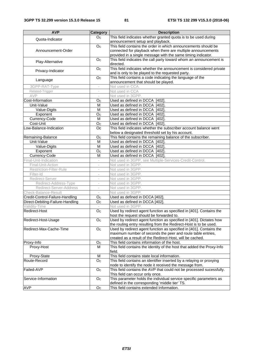| <b>AVP</b>                       | Category                                             | <b>Description</b>                                                     |  |  |  |  |  |  |
|----------------------------------|------------------------------------------------------|------------------------------------------------------------------------|--|--|--|--|--|--|
| Quota-Indicator                  | O <sub>C</sub>                                       | This field indicates whether granted quota is to be used during        |  |  |  |  |  |  |
|                                  |                                                      | announcement setup and playback.                                       |  |  |  |  |  |  |
|                                  | O <sub>C</sub>                                       | This field contains the order in which announcements should be         |  |  |  |  |  |  |
| Announcement-Order               |                                                      | connected for playback when there are multiple announcements           |  |  |  |  |  |  |
|                                  |                                                      | provided in a single message with the same timing indicator.           |  |  |  |  |  |  |
| Play-Alternative                 | O <sub>C</sub>                                       | This field indicates the call party toward whom an announcement is     |  |  |  |  |  |  |
|                                  |                                                      | directed.                                                              |  |  |  |  |  |  |
| Privacy-Indicator                | O <sub>C</sub>                                       | This field indicates whether the announcement is considered private    |  |  |  |  |  |  |
|                                  |                                                      | and is only to be played to the requested party.                       |  |  |  |  |  |  |
| Language                         | O <sub>C</sub>                                       | This field contains a code indicating the language of the              |  |  |  |  |  |  |
| 3GPP-RAT-Type                    |                                                      | announcement that should be played.<br>Not used in CCA.                |  |  |  |  |  |  |
| Related-Trigger                  | $\overline{\phantom{a}}$<br>$\overline{\phantom{a}}$ | Not used in CCA                                                        |  |  |  |  |  |  |
| AVP                              |                                                      | Not used in 3GPP.                                                      |  |  |  |  |  |  |
| Cost-Information                 | O <sub>c</sub>                                       | Used as defined in DCCA [402].                                         |  |  |  |  |  |  |
| Unit-Value                       | M                                                    | Used as defined in DCCA [402]                                          |  |  |  |  |  |  |
| Value-Digits                     | M                                                    | Used as defined in DCCA [402]                                          |  |  |  |  |  |  |
| Exponent                         | O <sub>c</sub>                                       | Used as defined in DCCA [402]                                          |  |  |  |  |  |  |
| Currency-Code                    | M                                                    | Used as defined in DCCA [402].                                         |  |  |  |  |  |  |
| Cost-Unit                        | O <sub>C</sub>                                       | Used as defined in DCCA [402]                                          |  |  |  |  |  |  |
| Low-Balance-Indication           | Oc                                                   | This field indicates whether the subscriber account balance went       |  |  |  |  |  |  |
|                                  |                                                      | below a designated threshold set by his account.                       |  |  |  |  |  |  |
| Remaining-Balance                | O <sub>C</sub>                                       | This field contains the remaining balance of the subscriber.           |  |  |  |  |  |  |
| Unit-Value                       | M                                                    | Used as defined in DCCA [402]                                          |  |  |  |  |  |  |
| Value-Digits                     | M                                                    | Used as defined in DCCA [402]                                          |  |  |  |  |  |  |
| Exponent                         | O <sub>c</sub>                                       | Used as defined in DCCA [402]                                          |  |  |  |  |  |  |
| Currency-Code                    | M                                                    | Used as defined in DCCA [402].                                         |  |  |  |  |  |  |
| Final-Unit-Indication            | $\overline{\phantom{a}}$                             | Not used in 3GPP, see Multiple-Services-Credit-Control.                |  |  |  |  |  |  |
| Final-Unit-Action                | $\overline{\phantom{a}}$                             | Not used in 3GPP.                                                      |  |  |  |  |  |  |
| Restriction-Filter-Rule          | $\overline{\phantom{a}}$                             | Not used in 3GPP.                                                      |  |  |  |  |  |  |
| Filter-Id                        | $\overline{\phantom{a}}$                             | Not used in 3GPP.                                                      |  |  |  |  |  |  |
| Redirect-Server                  | $\overline{\phantom{a}}$                             | Not used in 3GPP.                                                      |  |  |  |  |  |  |
| Redirect-Address-Type            | $\overline{\phantom{a}}$                             | Not used in 3GPP.                                                      |  |  |  |  |  |  |
| Redirect-Server-Address          | $\overline{\phantom{a}}$                             | Not used in 3GPP.                                                      |  |  |  |  |  |  |
| Check-Balance-Result             |                                                      | Not used in 3GPP.                                                      |  |  |  |  |  |  |
| Credit-Control-Failure-Handling  | O <sub>C</sub>                                       | Used as defined in DCCA [402].                                         |  |  |  |  |  |  |
| Direct-Debiting-Failure-Handling | O <sub>C</sub>                                       | Used as defined in DCCA [402].                                         |  |  |  |  |  |  |
| Validity-Time                    |                                                      | Not used in 3GPP.                                                      |  |  |  |  |  |  |
| Redirect-Host                    | O <sub>c</sub>                                       | Used by redirect agent function as specified in [401]. Contains the    |  |  |  |  |  |  |
|                                  |                                                      | host the request should be forwarded to.                               |  |  |  |  |  |  |
| Redirect-Host-Usage              | O <sub>C</sub>                                       | Used by redirect agent function as specified in [401]. Dictates how    |  |  |  |  |  |  |
|                                  |                                                      | the routing entry resulting from the Redirect-Host is to be used.      |  |  |  |  |  |  |
| Redirect-Max-Cache-Time          | $\mathsf{O}_\mathbb{C}$                              | Used by redirect agent function as specified in [401]. Contains the    |  |  |  |  |  |  |
|                                  |                                                      | maximum number of seconds the peer and route table entries,            |  |  |  |  |  |  |
|                                  |                                                      | created as a result of the Redirect-Host, will be cached.              |  |  |  |  |  |  |
| Proxy-Info                       | Oc                                                   | This field contains information of the host.                           |  |  |  |  |  |  |
| Proxy-Host                       | м                                                    | This field contains the identity of the host that added the Proxy-Info |  |  |  |  |  |  |
|                                  |                                                      | field.                                                                 |  |  |  |  |  |  |
| Proxy-State                      | M                                                    | This field contains state local information.                           |  |  |  |  |  |  |
| Route-Record                     | O <sub>C</sub>                                       | This field contains an identifier inserted by a relaying or proxying   |  |  |  |  |  |  |
|                                  |                                                      | node to identify the node it received the message from.                |  |  |  |  |  |  |
| Failed-AVP                       | O <sub>C</sub>                                       | This field contains the AVP that could not be processed sucessfully.   |  |  |  |  |  |  |
|                                  |                                                      | This field can occur only once.                                        |  |  |  |  |  |  |
| Service-Information              | O <sub>c</sub>                                       | This parameter holds the individual service specific parameters as     |  |  |  |  |  |  |
|                                  |                                                      | defined in the corresponding 'middle tier' TS.                         |  |  |  |  |  |  |
| <b>AVP</b>                       | O <sub>C</sub>                                       | This field contains extended Information.                              |  |  |  |  |  |  |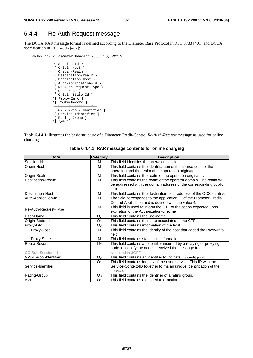## 6.4.4 Re-Auth-Request message

The DCCA RAR message format is defined according to the Diameter Base Protocol in RFC 6733 [401] and DCCA specification in RFC 4006 [402]:

```
<RAR> ::= < Diameter Header: 258, REQ, PXY > 
          < Session-Id > 
          { Origin-Host } 
           { Origin-Realm } 
           { Destination-Realm } 
          { Destination-Host } 
          { Auth-Application-Id } 
          { Re-Auth-Request-Type } 
          [ User-Name ] 
          [ Origin-State-Id ] 
          *[ Proxy-Info ] 
          *[ Route-Record ] 
          [ CC-Sub-Session-Id ] 
          [ G-S-U-Pool-Identifier ] 
          [ Service-Identifier ]
          [ Rating-Group ]
          *[ AVP ]
```
Table 6.4.4.1 illustrates the basic structure of a Diameter Credit-Control *Re-Auth-Request* message as used for online charging.

| <b>AVP</b>            | <b>Category</b>          | <b>Description</b>                                                               |  |  |  |  |
|-----------------------|--------------------------|----------------------------------------------------------------------------------|--|--|--|--|
| Session-Id            | М                        | This field identifies the operation session.                                     |  |  |  |  |
| Origin-Host           | М                        | This field contains the identification of the source point of the                |  |  |  |  |
|                       |                          | operation and the realm of the operation originator.                             |  |  |  |  |
| Origin-Realm          | M                        | This field contains the realm of the operation originator.                       |  |  |  |  |
| Destination-Realm     | м                        | This field contains the realm of the operator domain. The realm will             |  |  |  |  |
|                       |                          | be addressed with the domain address of the corresponding public<br>URI.         |  |  |  |  |
| Destination-Host      | М                        | This field contains the destination peer address of the OCS identity.            |  |  |  |  |
| Auth-Application-Id   | M                        | The field corresponds to the application ID of the Diameter Credit-              |  |  |  |  |
|                       |                          | Control Application and is defined with the value 4.                             |  |  |  |  |
| Re-Auth-Request-Type  | M                        | This field is used to inform the CTF of the action expected upon                 |  |  |  |  |
|                       |                          | expiration of the Authorization-Lifetime                                         |  |  |  |  |
| User-Name             | O <sub>C</sub>           | This field contains the username.                                                |  |  |  |  |
| Origin-State-Id       | O <sub>C</sub>           | This field contains the state associated to the CTF.                             |  |  |  |  |
| Proxy-Info            | O <sub>C</sub>           | This field contains information of the host.                                     |  |  |  |  |
| Proxy-Host            | M                        | This field contains the identity of the host that added the Proxy-Info<br>field. |  |  |  |  |
| Proxy-State           | M                        | This field contains state local information.                                     |  |  |  |  |
| Route-Record          | O <sub>C</sub>           | This field contains an identifier inserted by a relaying or proxying             |  |  |  |  |
|                       |                          | node to identify the node it received the message from.                          |  |  |  |  |
| CC-Sub-Session-Id     | $\overline{\phantom{a}}$ | Not used in 3GPP.                                                                |  |  |  |  |
| G-S-U-Pool-Identifier | O <sub>C</sub>           | This field contains an identifier to indicate the credit pool.                   |  |  |  |  |
|                       | O <sub>C</sub>           | This field contains identity of the used service. This ID with the               |  |  |  |  |
| Service-Identifier    |                          | Service-Context-ID together forms an unique identification of the                |  |  |  |  |
|                       |                          | service.                                                                         |  |  |  |  |
| Rating-Group          | O <sub>C</sub>           | This field contains the identifier of a rating group.                            |  |  |  |  |
| <b>AVP</b>            | O <sub>C</sub>           | This field contains extended Information.                                        |  |  |  |  |

**Table 6.4.4.1: RAR message contents for online charging**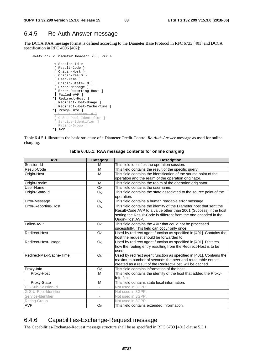## 6.4.5 Re-Auth-Answer message

The DCCA RAA message format is defined according to the Diameter Base Protocol in RFC 6733 [401] and DCCA specification in RFC 4006 [402]:

```
<RAA> ::= < Diameter Header: 258, PXY > 
          < Session-Id > 
          { Result-Code } 
           { Origin-Host } 
           { Origin-Realm } 
          [ User-Name ] 
          [ Origin-State-Id ] 
          [ Error-Message ] 
          [ Error-Reporting-Host ] 
            [ Failed-AVP ] 
          *[ Redirect-Host ] 
          [ Redirect-Host-Usage ] 
          [ Redirect-Host-Cache-Time ] 
          *[ Proxy-Info ] 
          [ CC-Sub-Session-Id ] 
          [ G-S-U-Pool-Identifier ] 
          [ Service-Identifier ] 
           [ Rating-Group ] 
          *[ AVP ]
```
Table 6.4.5.1 illustrates the basic structure of a Diameter Credit-Control *Re-Auth-Answer* message as used for online charging.

| <b>AVP</b>              | <b>Category</b>          | <b>Description</b>                                                  |
|-------------------------|--------------------------|---------------------------------------------------------------------|
| Session-Id              | м                        | This field identifies the operation session.                        |
| Result-Code             | M                        | This field contains the result of the specific query.               |
| Origin-Host             | M                        | This field contains the identification of the source point of the   |
|                         |                          | operation and the realm of the operation originator.                |
| Origin-Realm            | M                        | This field contains the realm of the operation originator.          |
| User-Name               | O <sub>C</sub>           | This field contains the username.                                   |
| Origin-State-Id         | O <sub>C</sub>           | This field contains the state associated to the source point of the |
|                         |                          | operation.                                                          |
| Error-Message           | O <sub>c</sub>           | This field contains a human readable error message.                 |
| Error-Reporting-Host    | O <sub>C</sub>           | This field contains the identity of the Diameter host that sent the |
|                         |                          | Result-Code AVP to a value other than 2001 (Success) if the host    |
|                         |                          | setting the Result-Code is different from the one encoded in the    |
|                         |                          | Origin-Host AVP.                                                    |
| Failed-AVP              | O <sub>C</sub>           | This field contains the AVP that could not be processed             |
|                         |                          | sucessfully. This field can occur only once.                        |
| Redirect-Host           | O <sub>C</sub>           | Used by redirect agent function as specified in [401]. Contains the |
|                         |                          | host the request should be forwarded to.                            |
| Redirect-Host-Usage     | O <sub>C</sub>           | Used by redirect agent function as specified in [401]. Dictates     |
|                         |                          | how the routing entry resulting from the Redirect-Host is to be     |
|                         |                          | used.                                                               |
| Redirect-Max-Cache-Time | O <sub>C</sub>           | Used by redirect agent function as specified in [401]. Contains the |
|                         |                          | maximum number of seconds the peer and route table entries,         |
|                         |                          | created as a result of the Redirect-Host, will be cached.           |
| Proxy-Info              | O <sub>c</sub>           | This field contains information of the host.                        |
| Proxy-Host              | M                        | This field contains the identity of the host that added the Proxy-  |
|                         |                          | Info field.                                                         |
| Proxy-State             | M                        | This field contains state local information.                        |
| CC-Sub-Session-Id       |                          | Not used in 3GPP.                                                   |
| G-S-U-Pool-Identifier   | $\overline{\phantom{a}}$ | Not used in 3GPP.                                                   |
| Service-Identifier      |                          | Not used in 3GPP.                                                   |
| Rating-Group            |                          | Not used in 3GPP.                                                   |
| <b>AVP</b>              | O <sub>c</sub>           | This field contains extended Information.                           |

**Table 6.4.5.1: RAA message contents for online charging** 

## 6.4.6 Capabilities-Exchange-Request message

The Capabilities-Exchange-Request message structure shall be as specified in RFC 6733 [401] clause 5.3.1.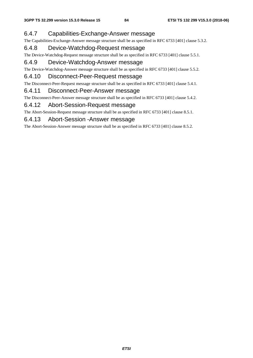## 6.4.7 Capabilities-Exchange-Answer message

The Capabilities-Exchange-Answer message structure shall be as specified in RFC 6733 [401] clause 5.3.2.

## 6.4.8 Device-Watchdog-Request message

The Device-Watchdog-Request message structure shall be as specified in RFC 6733 [401] clause 5.5.1.

## 6.4.9 Device-Watchdog-Answer message

The Device-Watchdog-Answer message structure shall be as specified in RFC 6733 [401] clause 5.5.2.

## 6.4.10 Disconnect-Peer-Request message

The Disconnect-Peer-Request message structure shall be as specified in RFC 6733 [401] clause 5.4.1.

## 6.4.11 Disconnect-Peer-Answer message

The Disconnect-Peer-Answer message structure shall be as specified in RFC 6733 [401] clause 5.4.2.

## 6.4.12 Abort-Session-Request message

The Abort-Session-Request message structure shall be as specified in RFC 6733 [401] clause 8.5.1.

### 6.4.13 Abort-Session -Answer message

The Abort-Session-Answer message structure shall be as specified in RFC 6733 [401] clause 8.5.2.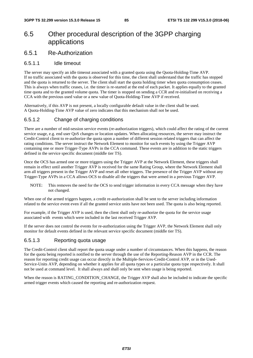# 6.5 Other procedural description of the 3GPP charging applications

6.5.1 Re-Authorization

#### 6.5.1.1 Idle timeout

The server may specify an idle timeout associated with a granted quota using the Quota-Holding-Time AVP. If no traffic associated with the quota is observed for this time, the client shall understand that the traffic has stopped and the quota is returned to the server. The client shall start the quota holding timer when quota consumption ceases. This is always when traffic ceases, i.e. the timer is re-started at the end of each packet. It applies equally to the granted time quota and to the granted volume quota. The timer is stopped on sending a CCR and re-initialised on receiving a CCA with the previous used value or a new value of Quota-Holding-Time AVP if received.

Alternatively, if this AVP is not present, a locally configurable default value in the client shall be used. A Quota-Holding-Time AVP value of zero indicates that this mechanism shall not be used.

#### 6.5.1.2 Change of charging conditions

There are a number of mid-session service events (re-authorization triggers), which could affect the rating of the current service usage, e.g. end user QoS changes or location updates. When allocating resources, the server may instruct the Credit-Control client to re-authorize the quota upon a number of different session related triggers that can affect the rating conditions. The server instruct the Network Element to monitor for such events by using the Trigger AVP containing one or more Trigger-Type AVPs in the CCA command. These events are in addition to the static triggers defined in the service specific document (middle tier TS).

Once the OCS has armed one or more triggers using the Trigger AVP at the Network Element, these triggers shall remain in effect until another Trigger AVP is received for the same Rating Group, where the Network Element shall arm all triggers present in the Trigger AVP and reset all other triggers. The presence of the Trigger AVP without any Trigger-Type AVPs in a CCA allows OCS to disable all the triggers that were armed in a previous Trigger AVP.

NOTE: This removes the need for the OCS to send trigger information in every CCA message when they have not changed.

When one of the armed triggers happen, a credit re-authorization shall be sent to the server including information related to the service event even if all the granted service units have not been used. The quota is also being reported.

For example, if the Trigger AVP is used, then the client shall only re-authorize the quota for the service usage associated with events which were included in the last received Trigger AVP.

If the server does not control the events for re-authorization using the Trigger AVP, the Network Element shall only monitor for default events defined in the relevant service specific document (middle tier TS).

#### 6.5.1.3 Reporting quota usage

The Credit-Control client shall report the quota usage under a number of circumstances. When this happens, the reason for the quota being reported is notified to the server through the use of the Reporting-Reason AVP in the CCR. The reason for reporting credit usage can occur directly in the Multiple-Services-Credit-Control AVP, or in the Used-Service-Units AVP, depending on whether it applies for all quota types or a particular quota type respectively. It shall not be used at command level. It shall always and shall only be sent when usage is being reported.

When the reason is RATING CONDITION CHANGE, the Trigger AVP shall also be included to indicate the specific armed trigger events which caused the reporting and re-authorization request.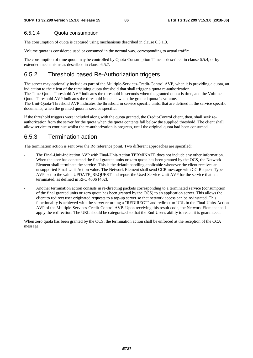#### 6.5.1.4 Quota consumption

The consumption of quota is captured using mechanisms described in clause 6.5.1.3.

Volume quota is considered used or consumed in the normal way, corresponding to actual traffic.

The consumption of time quota may be controlled by Quota-Consumption-Time as described in clause 6.5.4, or by extended mechanisms as described in clause 6.5.7.

## 6.5.2 Threshold based Re-Authorization triggers

The server may optionally include as part of the Multiple-Services-Credit-Control AVP, when it is providing a quota, an indication to the client of the remaining quota threshold that shall trigger a quota re-authorization. The Time-Quota-Threshold AVP indicates the threshold in seconds when the granted quota is time, and the Volume-Quota-Threshold AVP indicates the threshold in octets when the granted quota is volume. The Unit-Quota-Threshold AVP indicates the threshold in service specific units, that are defined in the service specific documents, when the granted quota is service specific.

If the threshold triggers were included along with the quota granted, the Credit-Control client, then, shall seek reauthorization from the server for the quota when the quota contents fall below the supplied threshold. The client shall allow service to continue whilst the re-authorization is progress, until the original quota had been consumed.

## 6.5.3 Termination action

The termination action is sent over the Ro reference point. Two different approaches are specified:

- The Final-Unit-Indication AVP with Final-Unit-Action TERMINATE does not include any other information. When the user has consumed the final granted units or zero quota has been granted by the OCS, the Network Element shall terminate the service. This is the default handling applicable whenever the client receives an unsupported Final-Unit-Action value. The Network Element shall send CCR message with CC-Request-Type AVP set to the value UPDATE\_REQUEST and report the Used-Service-Unit AVP for the service that has terminated, as defined in RFC 4006 [402].
- Another termination action consists in re-directing packets corresponding to a terminated service (consumption of the final granted units or zero quota has been granted by the OCS) to an application server. This allows the client to redirect user originated requests to a top-up server so that network access can be re-instated. This functionality is achieved with the server returning a "REDIRECT" and redirect-to URL in the Final-Units-Action AVP of the Multiple-Services-Credit-Control AVP. Upon receiving this result code, the Network Element shall apply the redirection. The URL should be categorized so that the End-User's ability to reach it is guaranteed.

When zero quota has been granted by the OCS, the termination action shall be enforced at the reception of the CCA message.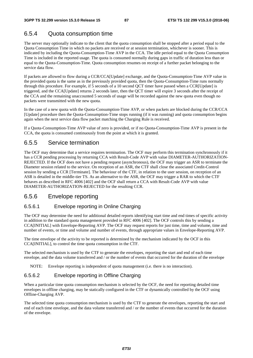## 6.5.4 Quota consumption time

The server may optionally indicate to the client that the quota consumption shall be stopped after a period equal to the Quota Consumption Time in which no packets are received or at session termination, whichever is sooner. This is indicated by including the Quota-Consumption-Time AVP in the CCA. The idle period equal to the Quota Consumption Time is included in the reported usage. The quota is consumed normally during gaps in traffic of duration less than or equal to the Quota-Consumption-Time. Quota consumption resumes on receipt of a further packet belonging to the service data flow.

If packets are allowed to flow during a CCR/CCA[Update] exchange, and the Quota-Consumption-Time AVP value in the provided quota is the same as in the previously provided quota, then the Quota-Consumption-Time runs normally through this procedure. For example, if 5 seconds of a 10 second QCT timer have passed when a CCR[Update] is triggered, and the CCA[Update] returns 2 seconds later, then the QCT timer will expire 3 seconds after the receipt of the CCA and the remaining unaccounted 5 seconds of usage will be recorded against the new quota even though no packets were transmitted with the new quota.

In the case of a new quota with the Quota-Consumption-Time AVP, or when packets are blocked during the CCR/CCA [Update] procedure then the Quota-Consumption-Time stops running (if it was running) and quota consumption begins again when the next service data flow packet matching the Charging Rule is received.

If a Quota-Consumption-Time AVP value of zero is provided, or if no Quota-Consumption-Time AVP is present in the CCA, the quota is consumed continuously from the point at which it is granted.

## 6.5.5 Service termination

The OCF may determine that a service requires termination. The OCF may perform this termination synchronously if it has a CCR pending processing by returning CCA with Result-Code AVP with value DIAMETER-AUTHORIZATION-REJECTED. If the OCF does not have a pending request (asynchronous), the OCF may trigger an ASR to terminate the Diameter session related to the service. On reception of an ASR, the CTF shall close the associated Credit-Control session by sending a CCR [Terminate]. The behaviour of the CTF, in relation to the user session, on reception of an ASR is detailed in the middle-tier TS. As an alternative to the ASR, the OCF may trigger a RAR to which the CTF behaves as described in RFC 4006 [402] and the OCF shall return a CCA with Result-Code AVP with value DIAMETER-AUTHORIZATION-REJECTED for the resulting CCR.

## 6.5.6 Envelope reporting

#### 6.5.6.1 Envelope reporting in Online Charging

The OCF may determine the need for additional detailed reports identifying start time and end times of specific activity in addition to the standard quota management provided in RFC 4006 [402]. The OCF controls this by sending a CCA[INITIAL] with Envelope-Reporting AVP. The OCF may request reports for just time, time and volume, time and number of events, or time and volume and number of events, through appropriate values in Envelope-Reporting AVP.

The time envelope of the activity to be reported is determined by the mechanism indicated by the OCF in this CCA[INITIAL], to control the time quota consumption in the CTF.

The selected mechanism is used by the CTF to generate the envelopes, reporting the start and end of each time envelope, and the data volume transferred and / or the number of events that occurred for the duration of the envelope

NOTE: Envelope reporting is independent of quota management (i.e. there is no interaction).

#### 6.5.6.2 Envelope reporting in Offline Charging

When a particular time quota consumption mechanism is selected by the OCF, the need for reporting detailed time envelopes in offline charging, may be statically configured in the CTF or dynamically controlled by the OCF using Offline-Charging AVP.

The selected time quota consumption mechanism is used by the CTF to generate the envelopes, reporting the start and end of each time envelope, and the data volume transferred and / or the number of events that occurred for the duration of the envelope.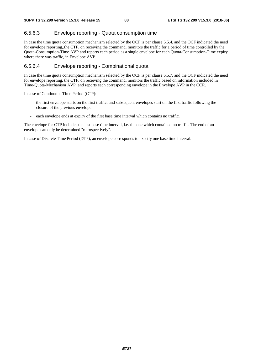#### 6.5.6.3 Envelope reporting - Quota consumption time

In case the time quota consumption mechanism selected by the OCF is per clause 6.5.4, and the OCF indicated the need for envelope reporting,.the CTF, on receiving the command, monitors the traffic for a period of time controlled by the Quota-Consumption-Time AVP and reports each period as a single envelope for each Quota-Consumption-Time expiry where there was traffic, in Envelope AVP.

#### 6.5.6.4 Envelope reporting - Combinational quota

In case the time quota consumption mechanism selected by the OCF is per clause 6.5.7, and the OCF indicated the need for envelope reporting, the CTF, on receiving the command, monitors the traffic based on information included in Time-Quota-Mechanism AVP, and reports each corresponding envelope in the Envelope AVP in the CCR.

In case of Continuous Time Period (CTP):

- the first envelope starts on the first traffic, and subsequent envelopes start on the first traffic following the closure of the previous envelope.
- each envelope ends at expiry of the first base time interval which contains no traffic.

The envelope for CTP includes the last base time interval, i.e. the one which contained no traffic. The end of an envelope can only be determined "retrospectively".

In case of Discrete Time Period (DTP), an envelope corresponds to exactly one base time interval.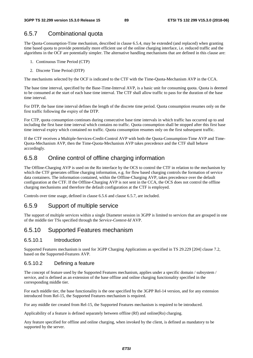## 6.5.7 Combinational quota

The Quota-Consumption-Time mechanism, described in clause 6.5.4, may be extended (and replaced) when granting time based quota to provide potentially more efficient use of the online charging interface, i.e. reduced traffic and the algorithms in the OCF are potentially simpler. The alternative handling mechanisms that are defined in this clause are:

- 1. Continuous Time Period (CTP)
- 2. Discrete Time Period (DTP)

The mechanisms selected by the OCF is indicated to the CTF with the Time-Quota-Mechanism AVP in the CCA.

The base time interval, specified by the Base-Time-Interval AVP, is a basic unit for consuming quota. Quota is deemed to be consumed at the start of each base time interval. The CTF shall allow traffic to pass for the duration of the base time interval.

For DTP, the base time interval defines the length of the discrete time period. Quota consumption resumes only on the first traffic following the expiry of the DTP.

For CTP, quota consumption continues during consecutive base time intervals in which traffic has occurred up to and including the first base time interval which contains no traffic. Quota consumption shall be stopped after this first base time interval expiry which contained no traffic. Quota consumption resumes only on the first subsequent traffic.

If the CTF receives a Multiple-Services-Credit-Control AVP with both the Quota-Consumption-Time AVP and Time-Quota-Mechanism AVP, then the Time-Quota-Mechanism AVP takes precedence and the CTF shall behave accordingly.

## 6.5.8 Online control of offline charging information

The Offline-Charging AVP is used on the Ro interface by the OCS to control the CTF in relation to the mechanism by which the CTF generates offline charging information, e.g. for flow based charging controls the formation of service data containers. The information contained, within the Offline-Charging AVP, takes precedence over the default configuration at the CTF. If the Offline-Charging AVP is not sent in the CCA, the OCS does not control the offline charging mechanisms and therefore the default configuration at the CTF is employed.

Controls over time usage, defined in clause 6.5.6 and clause 6.5.7, are included.

## 6.5.9 Support of multiple service

The support of multiple services within a single Diameter session in 3GPP is limited to services that are grouped in one of the middle tier TSs specified through the *Service-Context-Id* AVP.

## 6.5.10 Supported Features mechanism

#### 6.5.10.1 Introduction

Supported Features mechanism is used for 3GPP Charging Applications as specified in TS 29.229 [204] clause 7.2, based on the Supported-Features AVP.

#### 6.5.10.2 Defining a feature

The concept of feature used by the Supported Features mechanism, applies under a specific domain / subsystem / service, and is defined as an extension of the base offline and online charging functionality specified in the corresponding middle tier.

For each middle tier, the base functionality is the one specified by the 3GPP Rel-14 version, and for any extension introduced from Rel-15, the Supported Features mechanism is required.

For any middle tier created from Rel-15, the Supported Features mechanism is required to be introduced.

Applicability of a feature is defined separately between offline (Rf) and online(Ro) charging.

Any feature specified for offline and online charging, when invoked by the client, is defined as mandatory to be supported by the server.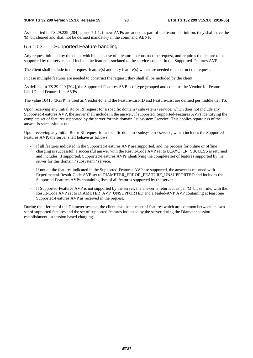#### **3GPP TS 32.299 version 15.3.0 Release 15 90 ETSI TS 132 299 V15.3.0 (2018-06)**

As specified in TS 29.229 [204] clause 7.1.1, if new AVPs are added as part of the feature definition, they shall have the 'M' bit cleared and shall not be defined mandatory in the command ABNF.

#### 6.5.10.3 Supported Feature handling

Any request initiated by the client which makes use of a feature to construct the request, and requires the feature to be supported by the server, shall include the feature associated to the service-context in the Supported-Features AVP.

The client shall include in the request feature(s) and only feature(s) which are needed to construct the request.

In case multiple features are needed to construct the request, they shall all be included by the client.

As defined in TS 29.229 [204], the Supported-Features AVP is of type grouped and contains the Vendor-Id, Feature-List-ID and Feature-List AVPs.

The value 10415 (3GPP) is used as Vendor-Id, and the Feature-List-ID and Feature-List are defined per middle tier TS.

Upon receiving any initial Ro or Rf request for a specific domain / subsystem / service, which does not include any Supported-Features AVP, the server shall include in the answer, if supported, Supported-Features AVPs identifying the complete set of features supported by the server for this domain / subsystem / service. This applies regardless of the answer is successful or not.

Upon receiving any initial Ro or Rf request for a specific domain / subsystem / service, which includes the Supported-Features AVP, the server shall behave as follows:

- If all features indicated in the Supported-Features AVP are supported, and the process for online or offline charging is successful, a successful answer with the Result-Code AVP set to DIAMETER\_SUCCESS is returned and includes, if supported, Supported-Features AVPs identifying the complete set of features supported by the server for this domain / subsystem / service.
- If not all the features indicated in the Supported-Features AVP are supported, the answer is returned with Experimental-Result-Code AVP set to DIAMETER\_ERROR\_FEATURE\_UNSUPPORTED and includes the Supported-Features AVPs containing lists of all features supported by the server.
- If Supported-Features AVP is not supported by the server, the answer is returned, as per 'M' bit set rule, with the Result-Code AVP set to DIAMETER AVP UNSUPPORTED and a Failed-AVP AVP containing at least one Supported-Features AVP as received in the request.

During the lifetime of the Diameter session, the client shall use the set of features which are common between its own set of supported features and the set of supported features indicated by the server during the Diameter session establishment, in session based charging.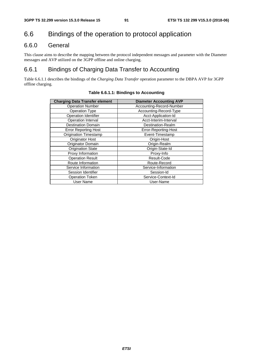# 6.6 Bindings of the operation to protocol application

## 6.6.0 General

This clause aims to describe the mapping between the protocol independent messages and parameter with the Diameter messages and AVP utilized on the 3GPP offline and online charging.

# 6.6.1 Bindings of Charging Data Transfer to Accounting

Table 6.6.1.1 describes the bindings of the *Charging Data Transfer* operation parameter to the DBPA AVP for 3GPP offline charging.

| <b>Charging Data Transfer element</b> | <b>Diameter Accounting AVP</b> |
|---------------------------------------|--------------------------------|
| <b>Operation Number</b>               | Accounting-Record-Number       |
| <b>Operation Type</b>                 | Accounting-Record-Type         |
| Operation Identifier                  | Acct-Application-Id            |
| Operation Interval                    | Acct-Interim-Interval          |
| <b>Destination Domain</b>             | Destination-Realm              |
| <b>Error Reporting Host</b>           | Error-Reporting-Host           |
| <b>Origination Timestamp</b>          | Event-Timestamp                |
| Originator Host                       | Origin-Host                    |
| Originator Domain                     | Origin-Realm                   |
| <b>Origination State</b>              | Origin-State-Id                |
| Proxy Information                     | Proxy-Info                     |
| <b>Operation Result</b>               | Result-Code                    |
| Route Information                     | Route-Record                   |
| Service Information                   | Service-Information            |
| Session Identifier                    | Session-Id                     |
| <b>Operation Token</b>                | Service-Context-Id             |
| User Name                             | User-Name                      |

#### **Table 6.6.1.1: Bindings to Accounting**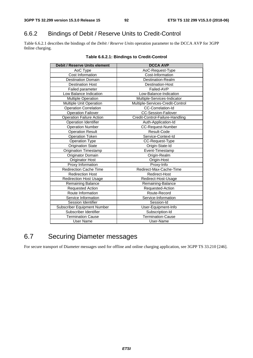# 6.6.2 Bindings of Debit / Reserve Units to Credit-Control

Table 6.6.2.1 describes the bindings of the *Debit / Reserve Units* operation parameter to the DCCA AVP for 3GPP 0nline charging.

| <b>Debit / Reserve Units element</b> | <b>DCCA AVP</b>                  |
|--------------------------------------|----------------------------------|
| AoC Type                             | AoC-Request-Type                 |
| Cost Information                     | Cost-Information                 |
| <b>Destination Domain</b>            | Destination-Realm                |
| <b>Destination Host</b>              | Destination-Host                 |
| Failed parameter                     | Failed-AVP                       |
| Low Balance Indication               | Low-Balance-Indication           |
| <b>Multiple Operation</b>            | Multiple-Services-Indicator      |
| Multiple Unit Operation              | Multiple-Services-Credit-Control |
| <b>Operation Correlation</b>         | CC-Correlation-Id                |
| <b>Operation Failover</b>            | <b>CC-Session-Failover</b>       |
| <b>Operation Failure Action</b>      | Credit-Control-Failure-Handling  |
| Operation Identifier                 | Auth-Application-Id              |
| <b>Operation Number</b>              | CC-Request-Number                |
| <b>Operation Result</b>              | Result-Code                      |
| <b>Operation Token</b>               | Service-Context-Id               |
| Operation Type                       | CC-Request-Type                  |
| <b>Origination State</b>             | Origin-State-Id                  |
| <b>Origination Timestamp</b>         | Event-Timestamp                  |
| Originator Domain                    | Origin-Realm                     |
| <b>Originator Host</b>               | Origin-Host                      |
| Proxy Information                    | Proxy-Info                       |
| <b>Redirection Cache Time</b>        | Redirect-Max-Cache-Time          |
| <b>Redirection Host</b>              | Redirect-Host                    |
| <b>Redirection Host Usage</b>        | Redirect-Host-Usage              |
| <b>Remaining Balance</b>             | Remaining-Balance                |
| <b>Requested Action</b>              | Requested-Action                 |
| Route Information                    | Route-Record                     |
| Service Information                  | Service-Information              |
| Session Identifier                   | Session-Id                       |
| Subscriber Equipment Number          | User-Equipment-Info              |
| Subscriber Identifier                | Subscription-Id                  |
| <b>Termination Cause</b>             | <b>Termination-Cause</b>         |
| <b>User Name</b>                     | User-Name                        |

#### **Table 6.6.2.1: Bindings to Credit-Control**

# 6.7 Securing Diameter messages

For secure transport of Diameter messages used for offline and online charging application, see 3GPP TS 33.210 [246].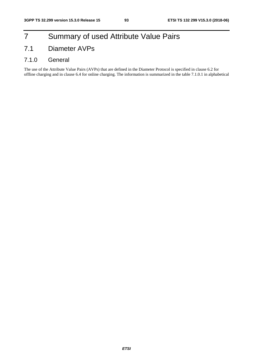# 7 Summary of used Attribute Value Pairs

# 7.1 Diameter AVPs

## 7.1.0 General

The use of the Attribute Value Pairs (AVPs) that are defined in the Diameter Protocol is specified in clause 6.2 for offline charging and in clause 6.4 for online charging. The information is summarized in the table 7.1.0.1 in alphabetical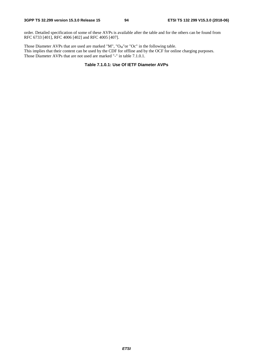order. Detailed specification of some of these AVPs is available after the table and for the others can be found from RFC 6733 [401], RFC 4006 [402] and RFC 4005 [407].

Those Diameter AVPs that are used are marked "M", " $O_M$ "or "Oc" in the following table. This implies that their content can be used by the CDF for offline and by the OCF for online charging purposes. Those Diameter AVPs that are not used are marked "-" in table 7.1.0.1.

#### **Table 7.1.0.1: Use Of IETF Diameter AVPs**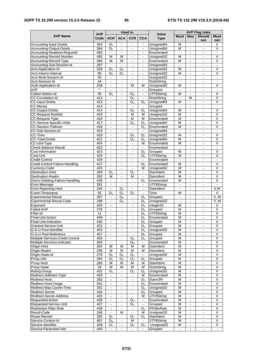| <b>Used in</b><br><b>AVP</b>                        |                  |                                  |                                  |                                  |                                  | <b>AVP Flag rules</b>     |                                        |                                  |                                  |                                              |
|-----------------------------------------------------|------------------|----------------------------------|----------------------------------|----------------------------------|----------------------------------|---------------------------|----------------------------------------|----------------------------------|----------------------------------|----------------------------------------------|
| <b>AVP Name</b>                                     | Code             | <b>ACR</b>                       | <b>ACA</b>                       | <b>CCR</b>                       | <b>CCA</b>                       | Value<br><b>Type</b>      | <b>Must</b>                            | May                              | <b>Should</b>                    | <b>Must</b>                                  |
|                                                     |                  |                                  |                                  |                                  |                                  |                           |                                        |                                  | not                              | not                                          |
| Accounting-Input-Octets<br>Accounting-Output-Octets | 363<br>364       | O <sub>c</sub><br>O <sub>C</sub> | $\blacksquare$                   | $\blacksquare$                   | $\blacksquare$                   | Unsigned64<br>Unsigned64  | M<br>M                                 | $\blacksquare$                   | ä,<br>$\blacksquare$             | V<br>$\overline{\mathsf{v}}$                 |
| Accounting-Realtime-Required                        | 483              | $\blacksquare$                   | $\blacksquare$                   | $\blacksquare$                   | Ξ.                               | Enumerated                | $\blacksquare$                         | ÷                                | ۰                                | $\overline{\phantom{a}}$                     |
| Accounting-Record-Number                            | 485              | M                                | M                                | $\sim$                           | $\blacksquare$                   | Unsigned32                | $\overline{M}$                         | $\sim$                           | $\mathbf{r}$                     | $\overline{\mathsf{v}}$                      |
| Accounting-Record-Type                              | 480              | M                                | M                                | $\qquad \qquad \blacksquare$     | $\blacksquare$                   | Enumerated                | M                                      | $\frac{1}{2}$                    | $\blacksquare$                   | V                                            |
| Accounting-Sub-Session-Id                           | 287              | $\blacksquare$                   | $\sim$                           | $\blacksquare$                   | $\blacksquare$                   | Unsigned64                | $\blacksquare$                         | $\blacksquare$                   | $\blacksquare$                   | $\blacksquare$                               |
| Acct-Application-Id                                 | 259              | O <sub>c</sub>                   | O <sub>c</sub>                   | $\blacksquare$                   | $\mathcal{L}_{\mathrm{max}}$     | Unsigned32                | M                                      | $\Box$                           | $\overline{a}$                   | $\overline{\mathsf{v}}$                      |
| Acct-Interim-Interval                               | 85               | $O_{C}$                          | O <sub>c</sub>                   | $\blacksquare$                   | $\blacksquare$                   | Unsigned32                | M                                      | $\overline{\phantom{a}}$         | $\blacksquare$                   | V                                            |
| Acct-Multi-Session-Id                               | 50               | $\mathbf{r}$                     |                                  | $\overline{a}$                   | $\blacksquare$                   | Unsigned32                | $\blacksquare$                         | ÷,                               | ä,                               | $\overline{\phantom{a}}$                     |
| Acct-Session-Id                                     | 44               | $\blacksquare$                   | $\blacksquare$                   | $\blacksquare$                   | $\blacksquare$                   | OctetString               | $\blacksquare$                         | $\blacksquare$                   | ÷,                               | $\blacksquare$                               |
| Auth-Application-Id                                 | 258              | $\overline{a}$                   | $\blacksquare$                   | М                                | М                                | Unsigned32                | M                                      | $\blacksquare$                   | $\blacksquare$                   | $\overline{\mathsf{v}}$                      |
| <b>AVP</b>                                          | $\star$          | $\blacksquare$                   | $\sim$                           | $\mathbf{r}$                     | $\blacksquare$                   | Grouped                   | $\overline{\phantom{a}}$               | $\blacksquare$                   | $\blacksquare$                   | $\overline{\phantom{a}}$                     |
| Called-Station-Id                                   | 30               | O <sub>c</sub>                   | $\blacksquare$                   | O <sub>c</sub>                   | $\blacksquare$                   | UTF8String                | М                                      | $\blacksquare$                   | $\blacksquare$                   | $\overline{\mathsf{v}}$<br>$\overline{\vee}$ |
| CC-Correlation-Id<br><b>CC-Input-Octets</b>         | 411<br>412       | $\blacksquare$                   | $\blacksquare$                   | O <sub>c</sub><br>O <sub>c</sub> | $\overline{O}_C$                 | OctetString<br>Unsigned64 | $\ddot{\phantom{a}}$<br>$\overline{M}$ | M<br>$\blacksquare$              | ä,<br>$\blacksquare$             | V                                            |
| CC-Money                                            | 413              | $\blacksquare$                   | $\blacksquare$                   | $\blacksquare$                   | $\sim$                           | Grouped                   | $\blacksquare$                         | $\overline{\phantom{a}}$         | ۰                                | $\blacksquare$                               |
| CC-Output-Octets                                    | 414              | $\blacksquare$                   | $\blacksquare$                   | O <sub>c</sub>                   | O <sub>c</sub>                   | Unsigned64                | M                                      | $\overline{\phantom{a}}$         | $\blacksquare$                   | $\overline{\mathsf{v}}$                      |
| CC-Request-Number                                   | 415              | $\blacksquare$                   | $\blacksquare$                   | M                                | M                                | Unsigned32                | M                                      | $\overline{a}$                   | $\frac{1}{2}$                    | $\overline{\mathsf{v}}$                      |
| CC-Request-Type                                     | 416              | $\blacksquare$                   | $\sim$                           | M                                | M                                | Enumerated                | $\overline{\mathsf{M}}$                | $\blacksquare$                   | $\blacksquare$                   | $\overline{\mathsf{v}}$                      |
| CC-Service-Specific-Units                           | 417              | $\blacksquare$                   | $\blacksquare$                   | O <sub>c</sub>                   | O <sub>c</sub>                   | Unsigned64                | M                                      | $\Box$                           | ÷.                               | $\overline{\mathsf{v}}$                      |
| <b>CC-Session-Failover</b>                          | 418              | $\sim$                           | $\sim$                           | $\blacksquare$                   | O <sub>C</sub>                   | Enumerated                | M                                      | $\blacksquare$                   | $\blacksquare$                   | V                                            |
| CC-Sub-Session-Id                                   | 419              | ä,                               | $\blacksquare$                   | ÷,                               |                                  | Unsigned64                | $\overline{\phantom{a}}$               | ÷,                               | L,                               | ÷,                                           |
| CC-Time                                             | 420              | $\blacksquare$                   | $\blacksquare$                   | O <sub>C</sub>                   | O <sub>C</sub>                   | Unsigned32                | M                                      | $\blacksquare$                   | $\blacksquare$                   | V                                            |
| <b>CC-Total-Octets</b>                              | 421              | $\overline{a}$                   | $\blacksquare$                   | O <sub>c</sub>                   | $O_{C}$                          | Unsigned64                | $\overline{\mathsf{M}}$                | ä,                               | $\blacksquare$                   | V                                            |
| CC-Unit-Type                                        | 454              | $\blacksquare$                   | $\blacksquare$                   | $\blacksquare$                   | М                                | Enumerated                | M                                      | $\blacksquare$                   | $\blacksquare$                   | V                                            |
| Check-Balance-Result                                | 422              | $\blacksquare$                   | $\blacksquare$                   | $\blacksquare$                   | $\blacksquare$                   | Enumerated                | $\blacksquare$                         | $\blacksquare$                   | $\blacksquare$                   | $\mathbf{r}$                                 |
| Cost-Information                                    | 423              | $\blacksquare$                   | $\blacksquare$                   | $\blacksquare$                   | $\overline{O}_C$                 | Grouped                   | M                                      | $\blacksquare$                   | $\blacksquare$                   | V                                            |
| Cost-Unit                                           | 424              | $\blacksquare$                   | $\blacksquare$                   | $\blacksquare$                   | O <sub>c</sub>                   | UTF8String                | $\overline{M}$                         | $\blacksquare$                   | $\blacksquare$                   | $\overline{\mathsf{v}}$                      |
| Credit-Control<br>Credit-Control-Failure-Handling   | 426<br>427       | $\blacksquare$                   |                                  | $\overline{a}$                   | $\blacksquare$                   | Enumerated<br>Enumerated  | $\blacksquare$<br>M                    | ÷,                               | ä,                               | $\blacksquare$<br>$\overline{\vee}$          |
| Currency-Code                                       | 425              | $\sim$                           | $\blacksquare$<br>$\sim$         | $\blacksquare$<br>L,             | O <sub>C</sub><br>м              | Unsigned32                | M                                      | $\blacksquare$<br>$\blacksquare$ | $\blacksquare$<br>$\blacksquare$ | $\overline{\vee}$                            |
| <b>Destination-Host</b>                             | 293              | O <sub>c</sub>                   | $\blacksquare$                   | $\overline{O}_C$                 | $\blacksquare$                   | DiamIdent                 | $\overline{M}$                         | $\blacksquare$                   | $\blacksquare$                   | $\overline{\mathsf{v}}$                      |
| <b>Destination-Realm</b>                            | 283              | M                                | $\blacksquare$                   | M                                | $\omega$                         | DiamIdent                 | $\overline{M}$                         | $\blacksquare$                   | $\blacksquare$                   | $\overline{\mathsf{v}}$                      |
| Direct-Debiting-Failure-Handling                    | 428              | $\blacksquare$                   | $\blacksquare$                   | $\blacksquare$                   | O <sub>C</sub>                   | Enumerated                | M                                      | $\blacksquare$                   | $\blacksquare$                   | V                                            |
| Error-Message                                       | 281              | $\blacksquare$                   |                                  |                                  | $\blacksquare$                   | UTF8String                | $\blacksquare$                         |                                  | ä,                               |                                              |
| Error-Reporting-Host                                | 294              | $\blacksquare$                   | O <sub>C</sub>                   | $\blacksquare$                   | $\blacksquare$                   | DiamIdent                 | $\blacksquare$                         | $\blacksquare$                   | $\blacksquare$                   | V, M                                         |
| Event-Timestamp                                     | 55               | O <sub>C</sub>                   | O <sub>c</sub>                   | O <sub>c</sub>                   | $\blacksquare$                   | Time                      | М                                      | $\blacksquare$                   | $\blacksquare$                   | V                                            |
| <b>Experimental-Result</b>                          | 297              | $\blacksquare$                   | O <sub>c</sub>                   | $\blacksquare$                   | O <sub>c</sub>                   | Grouped                   | $\blacksquare$                         | $\blacksquare$                   | $\blacksquare$                   | V, M                                         |
| Experimental-Result-Code                            | 298              | $\blacksquare$                   | O <sub>c</sub>                   | $\blacksquare$                   | $O_{C}$                          | Unsigned32                | $\blacksquare$                         | $\blacksquare$                   | $\blacksquare$                   | V, M                                         |
| Exponent                                            | 429              | $\blacksquare$                   | $\blacksquare$                   | $\blacksquare$                   | O <sub>C</sub>                   | Integer32                 | M                                      | $\overline{\phantom{a}}$         | ۰                                | V                                            |
| Failed-AVP                                          | $\overline{279}$ | $\mathbf{r}$                     | $\blacksquare$                   | $\blacksquare$                   | O <sub>C</sub>                   | Grouped                   | $\overline{M}$                         | $\blacksquare$                   | $\blacksquare$                   | $\overline{\mathsf{v}}$                      |
| Filter-Id                                           | 11               | $\blacksquare$                   | $\blacksquare$                   | $\blacksquare$                   | $O_{C}$                          | UTF8String                | М                                      | $\blacksquare$                   | $\blacksquare$                   | ٧                                            |
| Final-Unit-Action                                   | 449              | ä,                               | $\sim$                           | ä,                               | O <sub>c</sub>                   | Enumerated                | $\overline{M}$                         | ä,                               | ä,                               | $\overline{\mathsf{v}}$                      |
| Final-Unit-Indication                               | 430<br>431       | $\blacksquare$                   | $\blacksquare$                   | $\blacksquare$                   | O <sub>C</sub><br>O <sub>C</sub> | Grouped                   | M<br>M                                 | $\blacksquare$                   | $\blacksquare$                   | V<br>$\overline{\mathsf{v}}$                 |
| Granted-Service-Unit<br>G-S-U-Pool-Identifier       | 453              | $\blacksquare$<br>ä,             | $\blacksquare$<br>$\blacksquare$ | $\blacksquare$<br>$\Box$         | O <sub>C</sub>                   | Grouped<br>Unsigned32     | M                                      | $\blacksquare$<br>$\Box$         | $\blacksquare$<br>ä,             | $\overline{\mathsf{v}}$                      |
| G-S-U-Pool-Reference                                | 457              | $\blacksquare$                   | $\blacksquare$                   | $\blacksquare$                   | O <sub>c</sub>                   | Grouped                   | M                                      | $\blacksquare$                   | $\blacksquare$                   | $\overline{\mathsf{v}}$                      |
| Multiple-Services-Credit-Control                    | 456              | $\blacksquare$                   | $\blacksquare$                   | O <sub>c</sub>                   | O <sub>c</sub>                   | Grouped                   | $\overline{M}$                         | $\overline{\phantom{0}}$         |                                  | $\overline{\mathsf{v}}$                      |
| Multiple-Services-Indicator                         | 455              | $\Box$                           | $\Box$                           | $\overline{O_{M}}$               | $\blacksquare$                   | Enumerated                | M                                      | $\Box$                           | $\blacksquare$                   | $\overline{\mathsf{v}}$                      |
| Origin-Host                                         | 264              | М                                | М                                | M                                | м                                | DiamIdent                 | M                                      | $\blacksquare$                   | $\blacksquare$                   | $\overline{\mathsf{V}}$                      |
| Origin-Realm                                        | 296              | M                                | M                                | $\overline{\mathsf{M}}$          | M                                | DiamIdent                 | $\overline{\mathsf{M}}$                | $\Box$                           | $\blacksquare$                   | $\overline{\mathsf{v}}$                      |
| Origin-State-Id                                     | 278              | O <sub>c</sub>                   | O <sub>c</sub>                   | O <sub>c</sub>                   | $\blacksquare$                   | Unsigned32                | М                                      | $\frac{1}{2}$                    | $\blacksquare$                   | $\overline{\vee}$                            |
| Proxy-Info                                          | 284              | O <sub>c</sub>                   | O <sub>c</sub>                   | $O_{C}$                          | O <sub>c</sub>                   | Grouped                   | М                                      | $\blacksquare$                   | ۰                                | V                                            |
| Proxy-Host                                          | 280              | М                                | М                                | M                                | м                                | <b>DiamIdent</b>          | М                                      | $\omega_{\rm c}$                 | ä,                               | $\vee$                                       |
| Proxy-State                                         | 33               | M                                | М                                | M                                | М                                | OctetString               | М                                      | $\blacksquare$                   | $\blacksquare$                   | V                                            |
| Rating-Group                                        | 432              | $O_{C}$                          | $\blacksquare$                   | $O_{C}$                          | O <sub>C</sub>                   | Unsigned32                | M                                      | ÷,                               | ä,                               | $\overline{\mathsf{v}}$                      |
| Redirect-Address-Type                               | 433              | $\blacksquare$                   | $\blacksquare$                   | $\blacksquare$                   | м                                | Enumerated                | М                                      | $\blacksquare$                   | $\blacksquare$                   | $\overline{\vee}$                            |
| Redirect-Host                                       | 292              | $\blacksquare$                   | $\blacksquare$                   | $\blacksquare$                   | O <sub>c</sub>                   | DiamURI                   | М                                      | $\blacksquare$                   | $\blacksquare$                   | V<br>$\overline{\mathsf{v}}$                 |
| Redirect-Host-Usage                                 | 261<br>262       | $\blacksquare$                   | $\blacksquare$                   | $\blacksquare$                   | O <sub>c</sub>                   | Enumerated                | M<br>M                                 | $\blacksquare$                   | $\blacksquare$                   | $\overline{\vee}$                            |
| Redirect-Max-Cache-Time<br>Redirect-Server          | 434              | $\blacksquare$                   | $\blacksquare$                   | $\blacksquare$                   | O <sub>c</sub><br>O <sub>c</sub> | Unsigned32<br>Grouped     | M                                      | $\frac{1}{2}$                    | ÷<br>۰.                          | $\overline{\vee}$                            |
| Redirect-Server-Address                             | 435              | $\blacksquare$                   | $\blacksquare$                   | $\blacksquare$                   | м                                | UTF8String                | M                                      | $\blacksquare$                   | $\blacksquare$                   | $\overline{\vee}$                            |
| Requested-Action                                    | 436              | $\blacksquare$                   | $\blacksquare$                   | O <sub>c</sub>                   | $\blacksquare$                   | Enumerated                | M                                      | $\blacksquare$                   | $\blacksquare$                   | $\overline{\vee}$                            |
| Requested-Service-Unit                              | 437              | $\Box$                           | $\blacksquare$                   | O <sub>c</sub>                   | $\blacksquare$                   | Grouped                   | M                                      | $\frac{1}{2}$                    | $\blacksquare$                   | $\overline{\mathsf{v}}$                      |
| Restriction-Filter-Rule                             | 438              | $\blacksquare$                   | $\blacksquare$                   | $\frac{1}{2}$                    | O <sub>C</sub>                   | <b>IPFilterRule</b>       | M                                      | $\qquad \qquad \blacksquare$     | $\blacksquare$                   | $\overline{\mathsf{V}}$                      |
| Result-Code                                         | 268              | $\blacksquare$                   | M                                | $\blacksquare$                   | М                                | Unsigned32                | M                                      | $\blacksquare$                   | ۰                                | $\overline{\mathsf{v}}$                      |
| Route-Record                                        | 282              | O <sub>c</sub>                   | $\omega$                         | O <sub>c</sub>                   | O <sub>c</sub>                   | DiamIdent                 | М                                      | ä,                               | ÷.                               | $\vee$                                       |
| Service-Context-Id                                  | 461              | $O_{M}$                          | $\blacksquare$                   | м                                | $\blacksquare$                   | UTF8String                | М                                      | $\blacksquare$                   | $\blacksquare$                   | V                                            |
| Service-Identifier                                  | 439              | O <sub>c</sub>                   | $\blacksquare$                   | O <sub>C</sub>                   | O <sub>C</sub>                   | Unsigned32                | М                                      | $\frac{1}{2}$                    | $\frac{1}{2}$                    | $\vee$                                       |
| Service-Parameter-Info                              | 440              | $\blacksquare$                   | $\blacksquare$                   |                                  |                                  | Grouped                   | $\blacksquare$                         | ÷,                               | $\blacksquare$                   | $\blacksquare$                               |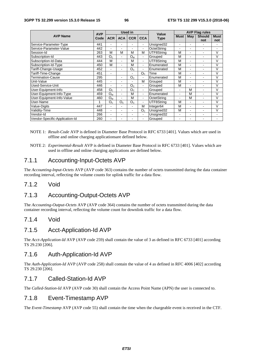|                                |                    |                          |                | Used in        |                          | Value       | <b>AVP Flag rules</b> |     |               |             |  |  |
|--------------------------------|--------------------|--------------------------|----------------|----------------|--------------------------|-------------|-----------------------|-----|---------------|-------------|--|--|
| <b>AVP Name</b>                | <b>AVP</b><br>Code | <b>ACR</b><br><b>ACA</b> |                | <b>CCR</b>     | <b>CCA</b>               | <b>Type</b> | <b>Must</b>           | May | <b>Should</b> | <b>Must</b> |  |  |
|                                |                    |                          |                |                |                          |             |                       |     | not           | not         |  |  |
| Service-Parameter-Type         | 441                |                          | ۰              | ۰              | $\blacksquare$           | Unsigned32  | ۰                     | ۰   |               |             |  |  |
| Service-Parameter-Value        | 442                | -                        | ۰              | ۰              | $\overline{\phantom{0}}$ | OctetString | -                     | ۰   | ۰             | -           |  |  |
| Session-Id                     | 263                | M                        | M              | М              | M                        | UTF8String  | М                     | ۰   | ÷.            | V           |  |  |
| Subscription-Id                | 443                | O <sub>c</sub>           | $\blacksquare$ | O <sub>M</sub> | ۰                        | Grouped     | M                     | ۰   | ۰             | $\vee$      |  |  |
| Subscription-Id-Data           | 444                | м                        | ÷.             | м              | Ξ.                       | UTF8Strina  | М                     | ٠   | ۰             | V           |  |  |
| Subscription-Id-Type           | 450                | M                        | ۰              | M              | $\blacksquare$           | Enumerated  | М                     | ٠   |               | V           |  |  |
| Tariff-Change-Usage            | 452                | ٠                        | $\blacksquare$ | O <sub>C</sub> | $\blacksquare$           | Enumerated  | M                     | Ξ.  | ۰             | V           |  |  |
| Tariff-Time-Change             | 451                | ٠                        |                | $\blacksquare$ | O <sub>c</sub>           | Time        | М                     | ۰   | ۰             | v           |  |  |
| Termination-Cause              | 295                |                          | ۰              | O <sub>C</sub> | $\blacksquare$           | Enumerated  | M                     | ۰   | ۰             | V           |  |  |
| Unit-Value                     | 445                | ۰                        | $\blacksquare$ | $\blacksquare$ | M                        | Grouped     | M                     | ۰   | ۰             | V           |  |  |
| Used-Service-Unit              | 446                |                          | $\blacksquare$ | O <sub>C</sub> | ٠                        | Grouped     | М                     | ٠   | ÷.            | V           |  |  |
| User-Equipment-Info            | 458                | O <sub>c</sub>           | $\blacksquare$ | O <sub>C</sub> | ٠                        | Grouped     | -                     | M   | ۰             | V           |  |  |
| User-Equipment-Info-Type       | 459                | $O_M$                    | ٠              | M              | $\blacksquare$           | Enumerated  | Ξ.                    | M   | ä,            | $\vee$      |  |  |
| User-Equipment-Info-Value      | 460                | $O_M$                    | ä,             | M              | $\sim$                   | OctetString |                       | M   | ٠             | V           |  |  |
| User-Name                      |                    | O <sub>C</sub>           | O <sub>C</sub> | O <sub>C</sub> | $\overline{\phantom{0}}$ | UTF8String  | M                     | ۰   | ۰             | V           |  |  |
| Value-Digits                   | 447                |                          | ä,             | $\blacksquare$ | м                        | Integer64   | M                     | ۰   | ä,            | $\vee$      |  |  |
| Validity-Time                  | 448                | -                        | $\overline{a}$ | $\blacksquare$ | O <sub>c</sub>           | Unsigned32  | M                     | -   | ٠             | V           |  |  |
| Vendor-Id                      | 266                | ۰                        | ۰              | $\blacksquare$ | $\blacksquare$           | Unsigned32  | ۰                     | ۰   | ۰             | ۰           |  |  |
| Vendor-Specific-Application-Id | 260                |                          | $\blacksquare$ | ۰              | ٠                        | Grouped     | ۰                     | ۰   | ۰             | ۰           |  |  |

- NOTE 1: *Result-Code* AVP is defined in Diameter Base Protocol in RFC 6733 [401]. Values which are used in offline and online charging applicationsare defined below.
- NOTE 2: *Experimental-Result* AVP is defined in Diameter Base Protocol in RFC 6733 [401]. Values which are used in offline and online charging applications are defined below.

## 7.1.1 Accounting-Input-Octets AVP

The *Accounting-Input-Octets* AVP (AVP code 363) contains the number of octets transmitted during the data container recording interval, reflecting the volume counts for uplink traffic for a data flow.

## 7.1.2 Void

## 7.1.3 Accounting-Output-Octets AVP

The *Accounting-Output-Octets* AVP (AVP code 364) contains the number of octets transmitted during the data container recording interval, reflecting the volume count for downlink traffic for a data flow.

## 7.1.4 Void

## 7.1.5 Acct-Application-Id AVP

The *Acct-Application-Id* AVP (AVP code 259) shall contain the value of 3 as defined in RFC 6733 [401] according TS 29.230 [206].

### 7.1.6 Auth-Application-Id AVP

The *Auth-Application-Id* AVP (AVP code 258) shall contain the value of 4 as defined in RFC 4006 [402] according TS 29.230 [206].

## 7.1.7 Called-Station-Id AVP

The *Called-Station-Id* AVP (AVP code 30) shall contain the Access Point Name (APN) the user is connected to.

## 7.1.8 Event-Timestamp AVP

The *Event-Timestamp* AVP (AVP code 55) shall contain the time when the chargeable event is received in the CTF.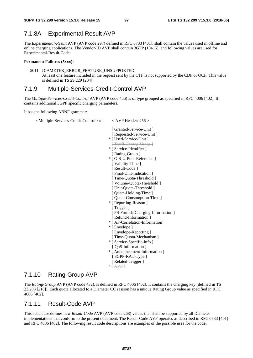## 7.1.8A Experimental-Result AVP

The *Experimental-Result* AVP (AVP code 297) defined in RFC 6733 [401], shall contain the values used in offline and online charging applications. The Vendor-ID AVP shall contain 3GPP (10415), and following values are used for Experimental-Result-Code:

#### **Permanent Failures (5xxx):**

5011 DIAMETER\_ERROR\_FEATURE\_UNSUPPORTED At least one feature included in the request sent by the CTF is not supported by the CDF or OCF. This value is defined in TS 29.229 [204]

## 7.1.9 Multiple-Services-Credit-Control AVP

The *Multiple-Services-Credit-Control* AVP (AVP code 456) is of type grouped as specified in RFC 4006 [402]. It contains additional 3GPP specific charging parameters.

It has the following ABNF grammar:

<Multiple-Services-Credit-Control> ::= < AVP Header: 456 >

- [ Granted-Service-Unit ]
- [ Requested-Service-Unit ]
- \* [ Used-Service-Unit ]
- [Tariff-Change-Usage] \* [ Service-Identifier ]
- [ Rating-Group ]
- \* [ G-S-U-Pool-Reference ]
- [ Validity-Time ] [ Result-Code ]
- [ Final-Unit-Indication ]
- [ Time-Quota-Threshold ]
- [ Volume-Quota-Threshold ]
- [ Unit-Quota-Threshold ]
- [ Quota-Holding-Time ]
- [ Quota-Consumption-Time ]
- \* [ Reporting-Reason ]
	- [ Trigger ]
- [ PS-Furnish-Charging-Information ]
- [ Refund-Information ]
- \* [ AF-Correlation-Information]
- \* [ Envelope ]
- [ Envelope-Reporting ]
- [ Time-Quota-Mechanism ]
- \* [ Service-Specific-Info ]
- [ QoS-Information ]
- \* [ Announcement-Information ]
- [ 3GPP-RAT-Type ] [ Related-Trigger ]
- $*$   $AVP$

## 7.1.10 Rating-Group AVP

The *Rating-Group* AVP (AVP code 432), is defined in RFC 4006 [402]. It contains the charging key (defined in TS 23.203 [218]). Each quota allocated to a Diameter CC session has a unique Rating Group value as specified in RFC 4006 [402].

## 7.1.11 Result-Code AVP

This subclause defines new *Result-Code* AVP (AVP code 268) values that shall be supported by all Diameter implementations that conform to the present document. The Result-Code AVP operates as described in RFC 6733 [401] and RFC 4006 [402]. The following result code descriptions are examples of the possible uses for the code: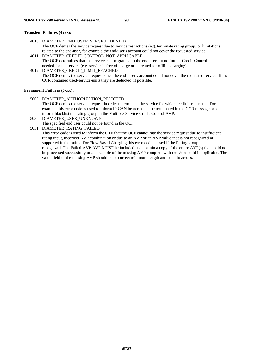#### **Transient Failures (4xxx):**

- 4010 DIAMETER\_END\_USER\_SERVICE\_DENIED The OCF denies the service request due to service restrictions (e.g. terminate rating group) or limitations related to the end-user, for example the end-user's account could not cover the requested service.
- 4011 DIAMETER CREDIT CONTROL NOT APPLICABLE The OCF determines that the service can be granted to the end user but no further Credit-Control needed for the service (e.g. service is free of charge or is treated for offline charging).

4012 DIAMETER\_CREDIT\_LIMIT\_REACHED The OCF denies the service request since the end- user's account could not cover the requested service. If the CCR contained used-service-units they are deducted, if possible.

#### **Permanent Failures (5xxx):**

5003 DIAMETER\_AUTHORIZATION\_REJECTED The OCF denies the service request in order to terminate the service for which credit is requested. For example this error code is used to inform IP CAN bearer has to be terminated in the CCR message or to inform blacklist the rating group in the Multiple-Service-Credit-Control AVP. 5030 DIAMETER\_USER\_UNKNOWN

The specified end user could not be found in the OCF.

5031 DIAMETER\_RATING\_FAILED

 This error code is used to inform the CTF that the OCF cannot rate the service request due to insufficient rating input, incorrect AVP combination or due to an AVP or an AVP value that is not recognized or supported in the rating. For Flow Based Charging this error code is used if the Rating group is not recognized. The Failed-AVP AVP MUST be included and contain a copy of the entire AVP(s) that could not be processed successfully or an example of the missing AVP complete with the Vendor-Id if applicable. The value field of the missing AVP should be of correct minimum length and contain zeroes.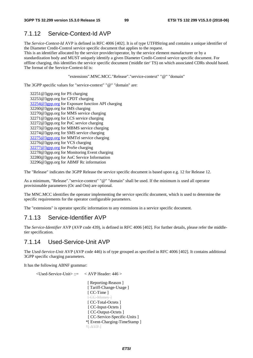## 7.1.12 Service-Context-Id AVP

The *Service-Context-Id* AVP is defined in RFC 4006 [402]. It is of type UTF8String and contains a unique identifier of the Diameter Credit-Control service specific document that applies to the request.

This is an identifier allocated by the service provider/operator, by the service element manufacturer or by a standardization body and MUST uniquely identify a given Diameter Credit-Control service specific document. For offline charging, this identifies the service specific document ('middle tier' TS) on which associated CDRs should based. The format of the Service-Context-Id is:

#### "extensions".MNC.MCC."Release"."service-context" "@" "domain"

The 3GPP specific values for "service-context" "@" "domain" are:

32251@3gpp.org for PS charging 32253@3gpp.org for CPDT charging [32254@3gpp.org](mailto:32254@3gpp.org) for Exposure function API charging 32260@3gpp.org for IMS charging 32270@3gpp.org for MMS service charging 32271@3gpp.org for LCS service charging 32272@3gpp.org for PoC service charging 32273@3gpp.org for MBMS service charging 32274@3gpp.org for SMS service charging [32275@3gpp.org](mailto:32275@3gpp.org) for MMTel service charging 32276@3gpp.org for VCS charging [32277@3gpp.org](mailto:32277@3gpp.org) for ProSe charging 32278@3gpp.org for Monitoring Event charging 32280@3gpp.org for AoC Service Information 32296@3gpp.org for ABMF Rc information

The "Release" indicates the 3GPP Release the service specific document is based upon e.g. 12 for Release 12.

As a minimum, "Release"."service-context" "@" "domain" shall be used. If the minimum is used all operator provisionable parameters (Oc and Om) are optional.

The MNC.MCC identifies the operator implementing the service specific document, which is used to determine the specific requirements for the operator configurable parameters.

The "extensions" is operator specific information to any extensions in a service specific document.

## 7.1.13 Service-Identifier AVP

The *Service-Identifier* AVP (AVP code 439), is defined in RFC 4006 [402]. For further details, please refer the middletier specification.

## 7.1.14 Used-Service-Unit AVP

The *Used-Service-Unit* AVP (AVP code 446) is of type grouped as specified in RFC 4006 [402]. It contains additional 3GPP specific charging parameters.

It has the following ABNF grammar:

<Used-Service-Unit> ::= < AVP Header: 446 >

[ Reporting-Reason ] [ Tariff-Change-Usage ] [ CC-Time ] **[ CC-Money ]** [ CC-Total-Octets ] [ CC-Input-Octets ] [ CC-Output-Octets ] [ CC-Service-Specific-Units ] \*[ Event-Charging-TimeStamp ]  $*$  $AVP$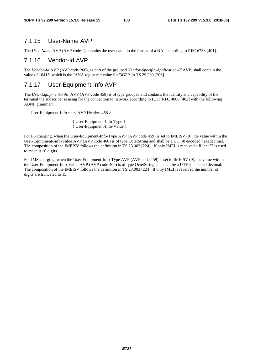## 7.1.15 User-Name AVP

The *User-Name* AVP (AVP code 1) contains the user name in the format of a NAI according to RFC 6733 [401].

## 7.1.16 Vendor-Id AVP

The *Vendor-Id* AVP (AVP code 266), as part of the grouped *Vendor-Specific-Application-Id* AVP, shall contain the value of 10415, which is the IANA registered value for '3GPP' in TS 29.230 [206].

## 7.1.17 User-Equipment-Info AVP

The *User-Equipment-Info* AVP (AVP code 458) is of type grouped and contains the identity and capability of the terminal the subscriber is using for the connection to network according to IETF RFC 4006 [402] with the following ABNF grammar:

User-Equipment-Info  $::=$  < AVP Header: 458 >

 { User-Equipment-Info-Type } { User-Equipment-Info-Value }

For PS charging, when the User-Equipment-Info-Type AVP (AVP code 459) is set to IMEISV (0), the value within the User-Equipment-Info-Value AVP (AVP code 460) is of type OctetString and shall be a UTF-8 encoded hexadecimal. The composition of the IMEISV follows the definition in TS 23.003 [224] . If only IMEI is received a filler 'F' is used to make it 16 digits.

For IMS charging, when the User-Equipment-Info-Type AVP (AVP code 459) is set to IMEISV (0), the value within the User-Equipment-Info-Value AVP (AVP code 460) is of type OctetString and shall be a UTF-8 encoded decimal. The composition of the IMEISV follows the definition in TS 23.003 [224]. If only IMEI is received the number of digits are truncated to 15.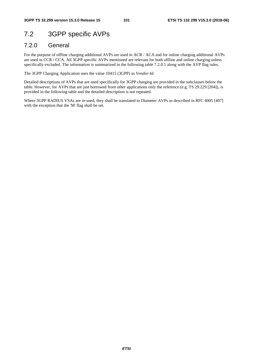# 7.2 3GPP specific AVPs

## 7.2.0 General

For the purpose of offline charging additional AVPs are used in ACR / ACA and for online charging additional AVPs are used in CCR / CCA. All 3GPP specific AVPs mentioned are relevant for both offline and online charging unless specifically excluded. The information is summarized in the following table 7.2.0.1 along with the AVP flag rules.

The 3GPP Charging Application uses the value 10415 (3GPP) as *Vendor-Id.*

Detailed descriptions of AVPs that are used specifically for 3GPP charging are provided in the subclauses below the table. However, for AVPs that are just borrowed from other applications only the reference (e.g. TS 29.229 [204]), is provided in the following table and the detailed description is not repeated.

Where 3GPP RADIUS VSAs are re-used, they shall be translated to Diameter AVPs as described in RFC 4005 [407] with the exception that the 'M' flag shall be set.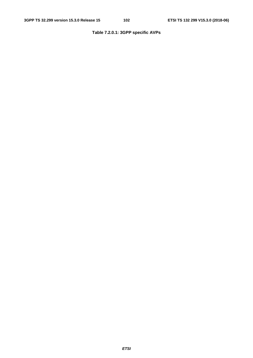## **Table 7.2.0.1: 3GPP specific AVPs**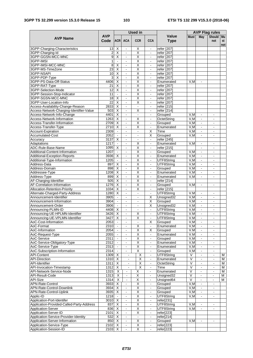#### **3GPP TS 32.299 version 15.3.0 Release 15 103 ETSI TS 132 299 V15.3.0 (2018-06)**

|                                                                         |                       |                                           |                                                | <b>Used in</b>               |                                            |                             | <b>AVP Flag rules</b>        |                                  |                          |           |
|-------------------------------------------------------------------------|-----------------------|-------------------------------------------|------------------------------------------------|------------------------------|--------------------------------------------|-----------------------------|------------------------------|----------------------------------|--------------------------|-----------|
| <b>AVP Name</b>                                                         | <b>AVP</b><br>Code    | <b>ACRI</b>                               | <b>ACA</b>                                     | <b>CCR</b>                   | <b>CCA</b>                                 | <b>Value</b><br><b>Type</b> | <b>Must</b>                  | May                              | Should Mu<br>not         | st<br>not |
| 3GPP-Charging-Characteristics                                           | 13                    | X                                         |                                                | Χ                            | $\blacksquare$                             | refer [207]                 |                              |                                  |                          |           |
| 3GPP-Charging-Id                                                        | $\overline{c}$        | $\overline{\mathsf{x}}$                   | $\blacksquare$                                 | $\overline{\mathsf{x}}$      | $\blacksquare$                             | refer [207]                 |                              |                                  |                          |           |
| 3GPP-GGSN-MCC-MNC<br>3GPP-IMSI                                          | 9<br>1                | $\overline{\mathsf{x}}$                   | $\overline{a}$<br>$\blacksquare$               | X<br>Χ                       | $\overline{a}$<br>$\blacksquare$           | refer [207]                 |                              |                                  |                          |           |
| 3GPP-IMSI-MCC-MNC                                                       | 8                     | х                                         | $\blacksquare$                                 | Χ                            | $\blacksquare$                             | refer [207]<br>refer [207]  |                              |                                  |                          |           |
| 3GPP-MS-TimeZone                                                        | 23                    | $\overline{\mathsf{x}}$                   | $\blacksquare$                                 | Χ                            | $\overline{\phantom{a}}$                   | refer [207]                 |                              |                                  |                          |           |
| 3GPP-NSAPI                                                              | 10                    | X                                         | $\omega$                                       | $\overline{\mathsf{x}}$      | $\blacksquare$                             | refer [207]                 |                              |                                  |                          |           |
| 3GPP-PDP-Type                                                           | 3                     | X                                         | $\blacksquare$                                 | Χ                            |                                            | refer [207]                 |                              |                                  |                          |           |
| 3GPP-PS-Data-Off-Status                                                 | 4406                  | $\overline{\mathsf{x}}$                   | L.                                             | $\overline{\mathsf{x}}$      | $\blacksquare$                             | Enumerated                  | V.M                          |                                  |                          |           |
| 3GPP-RAT-Type<br>3GPP-Selection-Mode                                    | 21<br>$\overline{12}$ | Χ<br>$\overline{\mathsf{x}}$              | $\blacksquare$<br>$\blacksquare$               | X<br>$\overline{\mathsf{x}}$ | $\blacksquare$                             | refer [207]                 |                              |                                  |                          |           |
| 3GPP-Session-Stop-Indicator                                             | 11                    | $\blacksquare$                            | $\blacksquare$                                 | $\overline{\mathsf{x}}$      | $\overline{\phantom{a}}$<br>$\blacksquare$ | refer [207]<br>refer [207]  |                              |                                  |                          |           |
| 3GPP-SGSN-MCC-MNC                                                       | 18                    | Х                                         | $\blacksquare$                                 | Χ                            | $\blacksquare$                             | refer [207]                 |                              |                                  |                          |           |
| 3GPP-User-Location-Info                                                 | 22                    | $\overline{\mathsf{x}}$                   | ÷,                                             | $\overline{\mathsf{x}}$      |                                            | refer [207]                 |                              |                                  |                          |           |
| Access-Availability-Change-Reason                                       | 2833                  | $\overline{\mathsf{x}}$                   | $\blacksquare$                                 | $\blacksquare$               | $\blacksquare$                             | refer [215]                 |                              |                                  |                          |           |
| Access-Network-Charging-Identifier-Value                                | 503                   | X                                         | $\blacksquare$                                 | Χ                            | $\overline{\phantom{a}}$                   | refer [214]                 |                              |                                  |                          |           |
| Access-Network-Info-Change                                              | 4401                  | $\overline{\mathsf{x}}$                   | $\mathbf{r}$                                   | $\blacksquare$               | $\blacksquare$                             | Grouped                     | V,M                          | $\blacksquare$                   | ä,                       |           |
| Access-Network-Information<br>Access-Transfer-Information               | 1263<br>2709          | $\overline{X}$<br>$\overline{\mathsf{x}}$ | $\qquad \qquad \blacksquare$<br>$\blacksquare$ | Χ<br>Χ                       | $\blacksquare$<br>$\blacksquare$           | OctetString<br>Grouped      | V, M<br>V, M                 | $\blacksquare$<br>$\sim$         | -                        |           |
| Access-Transfer-Type                                                    | 2710                  | $\overline{\mathsf{x}}$                   | $\omega$                                       | $\overline{\mathsf{x}}$      | $\blacksquare$                             | Enumerated                  | V.M                          | $\omega$                         | $\blacksquare$           |           |
| Account-Expiration                                                      | 2309                  |                                           | $\blacksquare$                                 | $\blacksquare$               | X                                          | Time                        | V,M                          | $\blacksquare$                   | $\blacksquare$           |           |
| <b>Accumulated-Cost</b>                                                 | 2052                  |                                           | ä,                                             | $\bar{\phantom{a}}$          | х                                          | Grouped                     | V.M                          |                                  | $\overline{\phantom{0}}$ |           |
| Accuracy                                                                | 3137                  | X                                         | $\blacksquare$                                 | $\blacksquare$               | $\blacksquare$                             | refer [245]                 |                              |                                  |                          |           |
| Adaptations                                                             | 1217                  | $\blacksquare$                            | $\blacksquare$                                 | Χ                            | $\mathbf{r}$                               | Enumerated                  | V.M                          | $\blacksquare$                   | ۰                        |           |
| ADC-Rule-Base-Name<br>Additional-Content-Information                    | 1095<br>1207          | X<br>$\sim$                               | $\blacksquare$<br>$\blacksquare$               | X<br>Χ                       | $\blacksquare$<br>$\blacksquare$           | refer [215]<br>Grouped      | V,M                          | $\blacksquare$<br>$\blacksquare$ | ä,<br>$\blacksquare$     |           |
| Additional-Exception-Reports                                            | 3936                  | X                                         | $\blacksquare$                                 | $\overline{\mathsf{x}}$      | $\overline{\phantom{a}}$                   | Enumerated                  | V, M                         | $\overline{\phantom{a}}$         |                          |           |
| Additional-Type-Information                                             | 1205                  | $\blacksquare$                            | $\blacksquare$                                 | $\overline{\mathsf{x}}$      | $\blacksquare$                             | UTF8String                  | V, M                         | $\blacksquare$                   | $\blacksquare$           |           |
| Address-Data                                                            | 897                   | Х                                         | $\blacksquare$                                 | Χ                            | $\overline{\phantom{a}}$                   | UTF8String                  | V, M                         | $\blacksquare$                   | $\blacksquare$           |           |
| Address-Domain                                                          | 898                   | $\overline{\mathsf{x}}$                   | ä,                                             | Χ                            | $\overline{\phantom{a}}$                   | Grouped                     | V, M                         | $\blacksquare$                   | L.                       |           |
| Addressee-Type                                                          | 1208                  | Χ                                         | $\qquad \qquad \blacksquare$                   | $\overline{\mathsf{x}}$      | $\blacksquare$                             | Enumerated                  | V, M                         | $\frac{1}{2}$                    | -                        |           |
| Address-Type                                                            | 899                   | X                                         | $\blacksquare$<br>$\omega$                     | X<br>X                       | $\blacksquare$                             | Enumerated                  | V,M                          |                                  | $\blacksquare$           |           |
| AF-Charging-Identifier<br>AF-Correlation-Information                    | 505<br>1276           | X<br>X                                    | $\blacksquare$                                 | Χ                            | $\blacksquare$<br>$\overline{\phantom{a}}$ | refer [214]<br>Grouped      | V.M                          | $\blacksquare$                   | $\overline{\phantom{a}}$ |           |
| <b>Allocation-Retention-Priority</b>                                    | 1034                  | $\overline{\mathsf{x}}$                   | $\blacksquare$                                 | X                            | $\blacksquare$                             | refer [215]                 |                              |                                  |                          |           |
| Alternate-Charged-Party-Address                                         | 1280                  | X                                         | $\blacksquare$                                 | $\blacksquare$               | $\blacksquare$                             | UTF8String                  | V.M                          | $\blacksquare$                   | $\blacksquare$           |           |
| Announcement-Identifier                                                 | 3905                  | $\blacksquare$                            | $\blacksquare$                                 | $\blacksquare$               | Χ                                          | Unsigned32                  | V,M                          | $\blacksquare$                   | $\blacksquare$           |           |
| Announcement-Information                                                | 3904                  |                                           | $\blacksquare$                                 | $\blacksquare$               | X                                          | Grouped                     | V, M                         | $\blacksquare$                   | ä,                       |           |
| Announcement-Order                                                      | 3906<br>4408          | $\blacksquare$<br>X                       | $\blacksquare$<br>$\blacksquare$               | $\blacksquare$               | X                                          | Unsigned32<br>UTF8String    | V.M<br>V, M                  | $\blacksquare$                   | $\blacksquare$           |           |
| Announcing-PLMN-ID<br>Announcing-UE-HPLMN-Identifier                    | 3426                  | X                                         | $\omega$                                       | X                            | $\blacksquare$                             | UTF8String                  | V.M                          | $\blacksquare$                   | $\mathbf{r}$             |           |
| Announcing-UE-VPLMN-Identifier                                          | 3427                  | $\times$                                  | $\blacksquare$                                 | X                            | $\blacksquare$                             | UTF8String                  | V.M                          | $\blacksquare$                   | L.                       |           |
| AoC-Cost-Information                                                    | 2053                  | $\blacksquare$                            | $\blacksquare$                                 | $\blacksquare$               | Х                                          | Grouped                     | V, M                         | $\blacksquare$                   | $\blacksquare$           |           |
| AoC-Format                                                              | 2310                  |                                           | $\qquad \qquad \blacksquare$                   | Χ                            | $\frac{1}{2}$                              | Enumerated                  | V, M                         | $\blacksquare$                   | -                        |           |
| AoC-Information                                                         | 2054                  |                                           | $\blacksquare$                                 | $\overline{\mathsf{x}}$      | $\overline{\mathsf{x}}$                    | Grouped                     | V.M                          | $\blacksquare$                   | $\blacksquare$           |           |
| AoC-Request-Type                                                        | 2055                  | $\blacksquare$                            | $\blacksquare$                                 | $\overline{\mathsf{X}}$      | ÷.                                         | Enumerated                  | V.M                          | ä,                               | $\blacksquare$           |           |
| AoC-Service<br>AoC-Service-Obligatory-Type                              | 2311<br>2312          | $\blacksquare$                            | $\blacksquare$<br>۰                            | X<br>$\overline{\mathsf{x}}$ | $\blacksquare$<br>$\blacksquare$           | Grouped<br>Enumerated       | V, M<br>V, M                 | $\blacksquare$<br>$\blacksquare$ | $\overline{\phantom{a}}$ |           |
| AoC-Service-Type                                                        | 2313                  | $\blacksquare$                            | $\blacksquare$                                 | Χ                            | $\blacksquare$                             | Enumerated                  | V, M                         | $\blacksquare$                   | $\blacksquare$           |           |
| AoC-Subscription-Information                                            | 2314                  | $\blacksquare$                            | $\blacksquare$                                 | X                            | $\blacksquare$                             | Grouped                     | V, M                         | $\blacksquare$                   | $\blacksquare$           |           |
| <b>API-Content</b>                                                      | 1309                  | X                                         | $\blacksquare$                                 | Χ                            | $\blacksquare$                             | UTF8String                  | $\overline{\vee}$            | $\blacksquare$                   | $\blacksquare$           | M         |
| <b>API-Direction</b>                                                    | 1310                  | X                                         | $\blacksquare$                                 | $\overline{X}$               | $\blacksquare$                             | Enumerated                  | $\overline{\mathsf{v}}$      | $\blacksquare$                   | -                        | м         |
| <b>API-Identifier</b>                                                   | 1311                  | $\overline{\mathsf{x}}$                   |                                                | $\overline{\mathsf{X}}$      | $\blacksquare$                             | OctetString                 | V                            |                                  | $\overline{\phantom{0}}$ | M         |
| API-Invocation-Timestamp<br>API-Network-Service-Node                    | 1312<br>1315          | X<br>X                                    | $\Box$<br>$\blacksquare$                       | $\overline{\mathsf{x}}$      | $\Box$<br>$\blacksquare$                   | Time<br>Enumerated          | $\overline{\mathsf{V}}$<br>V | $\blacksquare$<br>$\blacksquare$ | ä,<br>$\blacksquare$     | м<br>м    |
| <b>API-Result-Code</b>                                                  | $\overline{1313}$     | $\overline{X}$                            | $\Box$                                         | Χ<br>$\overline{\mathsf{x}}$ | $\blacksquare$                             | Unsigned32                  | $\overline{\vee}$            | $\omega$                         | ÷                        | М         |
| <b>API-Size</b>                                                         | 1314                  | X                                         | $\blacksquare$                                 | $\overline{X}$               | $\blacksquare$                             | Unsigned64                  | V                            | $\blacksquare$                   | ۰.                       | M         |
| APN-Rate-Control                                                        | 3933                  | $\overline{X}$                            | ۰                                              | $\overline{\mathsf{x}}$      | $\blacksquare$                             | Grouped                     | V, M                         | $\blacksquare$                   | $\overline{\phantom{a}}$ |           |
| APN-Rate-Control-Downlink                                               | 3934                  | X                                         | $\blacksquare$                                 | $\overline{\mathsf{X}}$      | $\overline{a}$                             | Grouped                     | V, M                         | $\blacksquare$                   | L,                       |           |
| APN-Rate-Control-Uplink                                                 | 3935                  | X                                         | $\blacksquare$                                 | X                            | $\blacksquare$                             | Grouped                     | V, M                         | $\blacksquare$                   | $\blacksquare$           |           |
| Applic-ID                                                               | 1218                  |                                           | $\blacksquare$                                 | Χ                            |                                            | UTF8String                  | V, M                         |                                  |                          |           |
| Application-Port-Identifer<br>Application-Provided-Called-Party-Address | 3010<br>837           | $\overline{X}$<br>X                       | $\blacksquare$<br>$\blacksquare$               | $\overline{\mathsf{X}}$<br>Χ | $\blacksquare$<br>$\blacksquare$           | refer[231]<br>UTF8String    | V, M                         | $\blacksquare$                   |                          |           |
| <b>Application-Server</b>                                               | 836                   | X                                         | $\blacksquare$                                 | $\overline{\mathsf{x}}$      | $\blacksquare$                             | UTF8String                  | V.M                          | $\omega$                         | $\blacksquare$           |           |
| Application-Server-ID                                                   | 2101                  | $\boldsymbol{\mathsf{X}}$                 | ÷                                              | Χ                            | $\blacksquare$                             | refer[223]                  |                              |                                  |                          |           |
| Application-Service-Provider-Identity                                   | 532                   | $\overline{\mathsf{x}}$                   | $\frac{1}{2}$                                  | $\blacksquare$               | $\blacksquare$                             | refer[214]                  |                              |                                  |                          |           |
| Application-Server-Information                                          | 850                   | X                                         | $\omega$                                       | $\overline{X}$               | $\blacksquare$                             | Grouped                     | V,M                          | $\blacksquare$                   | $\blacksquare$           |           |
| Application-Service-Type                                                | 2102                  | X                                         | $\blacksquare$                                 | X                            | ۰                                          | refer[223]                  |                              |                                  |                          |           |
| Application-Session-ID                                                  | 2103                  | $\overline{\mathsf{x}}$                   |                                                | Χ                            | $\blacksquare$                             | refer[223]                  |                              |                                  |                          |           |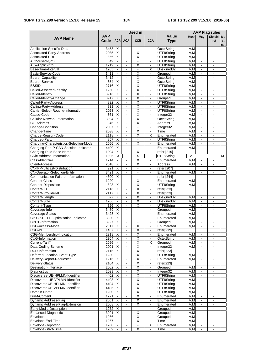#### **3GPP TS 32.299 version 15.3.0 Release 15 104 ETSI TS 132 299 V15.3.0 (2018-06)**

|                                                             |              |                          |                                  | <b>Used in</b>                                     |                                  |                           | <b>AVP Flag rules</b> |                                  |                          |     |  |
|-------------------------------------------------------------|--------------|--------------------------|----------------------------------|----------------------------------------------------|----------------------------------|---------------------------|-----------------------|----------------------------------|--------------------------|-----|--|
| <b>AVP Name</b>                                             | <b>AVP</b>   |                          |                                  |                                                    |                                  | Value                     | <b>Must</b>           | May                              | Should Mu                |     |  |
|                                                             | Code         | <b>ACR</b>               | <b>ACA</b>                       | <b>CCR</b>                                         | <b>CCA</b>                       | <b>Type</b>               |                       |                                  | not                      | st  |  |
|                                                             |              |                          |                                  |                                                    |                                  |                           |                       |                                  |                          | not |  |
| Application-Specific-Data<br>Associated-Party-Address       | 3458<br>2035 | X<br>X                   | $\blacksquare$                   | X                                                  | $\blacksquare$                   | OctetString<br>UTF8String | V, M<br>V, M          | $\blacksquare$<br>$\blacksquare$ | $\blacksquare$           |     |  |
| Associated-URI                                              | 856          | X                        | $\sim$                           | X                                                  | $\blacksquare$                   | UTF8String                | V,M                   | $\blacksquare$                   | $\sim$                   |     |  |
| Authorised-QoS                                              | 849          |                          | $\blacksquare$                   | $\blacksquare$                                     | $\blacksquare$                   | UTF8String                | V, M                  | $\blacksquare$                   |                          |     |  |
| Aux-Applic-Info                                             | 1219         |                          | $\blacksquare$                   | X                                                  | $\blacksquare$                   | UTF8String                | V, M                  | $\blacksquare$                   | $\blacksquare$           |     |  |
| Base-Time-Interval                                          | 1265         |                          | $\blacksquare$                   | $\overline{\phantom{a}}$                           | Χ                                | Unsigned32                | V, M                  |                                  |                          |     |  |
| Basic-Service-Code                                          | 3411         | $\blacksquare$           | $\omega$                         | $\overline{\mathsf{x}}$                            | $\blacksquare$                   | Grouped                   | V.M                   | $\blacksquare$                   | $\sim$                   |     |  |
| Bearer-Capability                                           | 3412         | $\blacksquare$           | $\blacksquare$                   | Χ                                                  | ÷.                               | OctetString               | V, M                  | $\blacksquare$                   |                          |     |  |
| <b>Bearer-Service</b>                                       | 854          | X                        | $\blacksquare$                   | $\overline{\mathsf{x}}$                            | $\overline{\phantom{a}}$         | OctetString               | V.M                   | $\overline{\phantom{a}}$         |                          |     |  |
| <b>BSSID</b>                                                | 2716         | X                        | $\blacksquare$                   | Χ                                                  | $\blacksquare$                   | UTF8String                | V, M                  | $\blacksquare$                   | $\blacksquare$           |     |  |
| Called-Asserted-Identity                                    | 1250         | $\overline{\mathsf{x}}$  | $\blacksquare$                   | $\overline{\mathsf{x}}$                            | $\overline{\phantom{a}}$         | UTF8String                | V, M                  | $\blacksquare$                   | $\overline{\phantom{a}}$ |     |  |
| Called-Identity                                             | 3916         | $\overline{\mathsf{x}}$  | $\Box$                           | Χ                                                  | ä,                               | UTF8String                | V, M                  | $\Box$                           | $\mathbf{r}$             |     |  |
| Called-Identity-Change                                      | 3917         | X<br>$\overline{X}$      | $\blacksquare$                   | $\overline{\mathsf{X}}$<br>Χ                       | $\blacksquare$                   | Grouped                   | V, M                  | $\blacksquare$                   |                          |     |  |
| Called-Party-Address                                        | 832<br>831   | $\overline{X}$           | $\blacksquare$<br>$\blacksquare$ | $\overline{\mathsf{x}}$                            |                                  | UTF8String<br>UTF8String  | V, M<br>V, M          | $\blacksquare$                   | $\blacksquare$           |     |  |
| Calling-Party-Address<br>Carrier-Select-Routing-Information | 2023         | X                        | $\blacksquare$                   | Χ                                                  | $\blacksquare$<br>$\blacksquare$ | UTF8String                | V, M                  | $\blacksquare$<br>$\blacksquare$ |                          |     |  |
| Cause-Code                                                  | 861          | $\overline{\mathsf{x}}$  | $\mathbf{r}$                     | $\overline{\mathsf{x}}$                            | $\blacksquare$                   | Integer32                 | V, M                  | $\blacksquare$                   |                          |     |  |
| Cellular-Network-Information                                | 3924         | X                        | $\blacksquare$                   | $\overline{\mathsf{x}}$                            | $\blacksquare$                   | OctetString               | V, M                  | $\blacksquare$                   |                          |     |  |
| <b>CG-Address</b>                                           | 846          | X                        | $\sim$                           | Χ                                                  | $\blacksquare$                   | Address                   | V, M                  | $\blacksquare$                   |                          |     |  |
| Change-Condition                                            | 2037         | $\overline{\mathsf{x}}$  | $\omega$                         | $\omega$                                           | $\blacksquare$                   | Integer32                 | V, M                  | $\omega$                         | $\sim$                   |     |  |
| Change-Time                                                 | 2038         | X                        | $\blacksquare$                   | X                                                  | $\blacksquare$                   | Time                      | V,M                   | $\blacksquare$                   |                          |     |  |
| Charge-Reason-Code                                          | 2118         | $\overline{\phantom{a}}$ | $\blacksquare$                   | X                                                  | X                                | Enumerated                | V, M                  | $\blacksquare$                   |                          |     |  |
| Charged-Party                                               | 857          | X                        | $\blacksquare$                   | $\blacksquare$                                     | $\blacksquare$                   | UTF8String                | V, M                  | $\blacksquare$                   | $\blacksquare$           |     |  |
| Charging-Characteristics-Selection-Mode                     | 2066         | X                        | $\blacksquare$                   | X                                                  | $\blacksquare$                   | Enumerated                | V,M                   | $\blacksquare$                   | $\blacksquare$           |     |  |
| Charging-Per-IP-CAN-Session-Indicator                       | 4400         | $\overline{\mathsf{x}}$  | $\Box$                           | $\omega$                                           | $\overline{\phantom{a}}$         | Enumerated                | V, M                  | $\mathbb{Z}^2$                   | $\blacksquare$           |     |  |
| Charging-Rule-Base-Name                                     | 1004         | X                        | $\blacksquare$                   | $\overline{X}$                                     | $\overline{\phantom{a}}$         | refer [215]               |                       |                                  |                          |     |  |
| Civic-Address-Information                                   | 1305         | $\overline{\mathsf{x}}$  | $\blacksquare$                   | Χ                                                  |                                  | UTF8String                | $\vee$                |                                  |                          | м   |  |
| Class-Identifier                                            | 1214         |                          | $\blacksquare$                   | $\overline{\mathsf{x}}$                            | $\blacksquare$                   | Enumerated                | V, M                  | $\blacksquare$                   | $\overline{\phantom{a}}$ |     |  |
| <b>Client-Address</b>                                       | 2018         | X                        | $\blacksquare$                   | X                                                  |                                  | <b>Address</b>            | V,M                   | $\sim$                           |                          |     |  |
| <b>CN-IP-Multicast-Distribution</b>                         | 921          | $\overline{\mathsf{x}}$  | $\sim$                           | $\blacksquare$                                     | $\blacksquare$                   | refer [207]               |                       |                                  |                          |     |  |
| <b>CN-Operator-Selection-Entity</b>                         | 3421         | $\overline{\mathsf{x}}$  | $\blacksquare$                   | $\blacksquare$                                     | $\blacksquare$                   | Enumerated                | V,M                   | $\blacksquare$                   | $\blacksquare$           |     |  |
| Communication-Failure-Information                           | 4300         | X                        | $\blacksquare$                   | $\blacksquare$                                     | $\blacksquare$                   | refer [244]               |                       |                                  |                          |     |  |
| Content-Class                                               | 1220         | $\omega$                 | $\omega$                         | Χ                                                  | $\blacksquare$                   | Enumerated                | V,M                   | $\omega$                         | $\blacksquare$           |     |  |
| Content-Disposition                                         | 828          | X                        | $\blacksquare$                   | Χ                                                  | $\overline{\phantom{a}}$         | UTF8String                | V.M                   | $\sim$                           |                          |     |  |
| Content-ID                                                  | 2116         | $\overline{\mathsf{x}}$  | $\blacksquare$                   | Χ                                                  | $\overline{\phantom{a}}$         | refer[223]                |                       |                                  |                          |     |  |
| Content-Provider-ID                                         | 2117         | $\overline{\mathsf{x}}$  | $\blacksquare$                   | $\overline{\mathsf{x}}$                            | $\blacksquare$                   | refer[223]                |                       |                                  |                          |     |  |
| Content-Length                                              | 827          | $\overline{\mathsf{x}}$  | $\sim$                           | $\overline{\mathsf{x}}$<br>$\overline{\mathsf{x}}$ | $\blacksquare$                   | Unsigned32                | V,M                   | $\blacksquare$                   | $\sim$                   |     |  |
| Content-Size                                                | 1206<br>826  | X                        | $\blacksquare$<br>$\blacksquare$ | X                                                  | $\blacksquare$<br>$\blacksquare$ | Unsigned32<br>UTF8String  | V, M<br>V, M          | $\blacksquare$<br>$\blacksquare$ | $\sim$                   |     |  |
| Content-Type<br>Coverage-Info                               | 3459         | $\overline{\mathsf{x}}$  |                                  | $\blacksquare$                                     |                                  | Grouped                   | V, M                  |                                  |                          |     |  |
| Coverage-Status                                             | 3428         | X                        | $\blacksquare$                   | $\blacksquare$                                     | $\blacksquare$                   | Enumerated                | V, M                  | $\blacksquare$                   | $\blacksquare$           |     |  |
| CP-CIoT-EPS-Optimisation-Indicator                          | 3930         | X                        | $\sim$                           | $\blacksquare$                                     | $\blacksquare$                   | Enumerated                | V,M                   | $\blacksquare$                   |                          |     |  |
| <b>CPDT-Information</b>                                     | 3927         | X                        | $\blacksquare$                   | $\blacksquare$                                     | -                                | Grouped                   | V, M                  | $\blacksquare$                   |                          |     |  |
| CSG-Access-Mode                                             | 2317         | X                        | $\blacksquare$                   | X                                                  | $\overline{\phantom{0}}$         | Enumerated                | V, M                  | $\blacksquare$                   |                          |     |  |
| CSG-Id                                                      | 1437         | X                        | $\blacksquare$                   | $\overline{\mathsf{X}}$                            | $\blacksquare$                   | refer[219]                |                       |                                  |                          |     |  |
| CSG-Membership-Indication                                   | 2318         | $\overline{\mathsf{x}}$  | $\blacksquare$                   | $\overline{\mathsf{X}}$                            | $\blacksquare$                   | Enumerated                | V, M                  | $\blacksquare$                   | $\mathbf{r}$             |     |  |
| <b>CUG-Information</b>                                      | 2304         | Χ                        | $\blacksquare$                   | X                                                  | $\blacksquare$                   | OctetString               | V,M                   | $\blacksquare$                   |                          |     |  |
| <b>Current-Tariff</b>                                       | 2056         |                          | $\blacksquare$                   | $\overline{\mathsf{x}}$                            | Χ                                | Grouped                   | V, M                  | $\blacksquare$                   |                          |     |  |
| Data-Coding-Scheme                                          | 2001         | X                        | $\blacksquare$                   | $\overline{\mathsf{X}}$                            | $\blacksquare$                   | Integer32                 | V,M                   | $\blacksquare$                   |                          |     |  |
| DCD-Information                                             | 2115         | X                        | $\blacksquare$                   | $\overline{\mathsf{X}}$                            | $\blacksquare$                   | refer[223]                |                       |                                  |                          |     |  |
| Deferred-Location-Event-Type                                | 1230         |                          | $\omega$                         | $\overline{\mathsf{x}}$                            | $\blacksquare$                   | UTF8String                | V,M                   | $\blacksquare$                   |                          |     |  |
| Delivery-Report-Requested                                   | 1216         | Χ                        | $\blacksquare$                   | X                                                  | ÷,                               | Enumerated                | V,M                   | $\blacksquare$                   | $\blacksquare$           |     |  |
| Delivery-Status                                             | 2104         | X                        | $\blacksquare$                   | $\overline{\mathsf{X}}$                            | $\blacksquare$                   | refer[223]                |                       |                                  |                          |     |  |
| Destination-Interface                                       | 2002         | X                        | $\mathcal{L}_{\mathcal{A}}$      | $\overline{\mathsf{X}}$                            | $\blacksquare$                   | Grouped                   | V,M                   | $\blacksquare$                   | $\blacksquare$           |     |  |
| <b>Diagnostics</b>                                          | 2039         | X                        | $\blacksquare$                   | X                                                  | $\blacksquare$                   | Integer32                 | V,M                   | $\blacksquare$                   |                          |     |  |
| Discoveree-UE-HPLMN-Identifier                              | 4402         | $\overline{\mathsf{x}}$  | $\Box$                           | $\overline{\mathsf{X}}$                            | $\Box$                           | UTF8String                | V.M                   | $\blacksquare$                   |                          |     |  |
| Discoveree-UE-VPLMN-Identifier                              | 4403         | $\overline{\mathsf{x}}$  | $\blacksquare$                   | $\overline{X}$                                     | ÷,                               | UTF8String                | V.M                   | $\blacksquare$                   | $\blacksquare$           |     |  |
| Discoverer-UE-HPLMN-Identifier                              | 4404         | X                        | $\blacksquare$                   | $\overline{\mathsf{X}}$                            | $\blacksquare$                   | UTF8String                | V.M                   | $\blacksquare$                   |                          |     |  |
| Discoverer-UE-VPLMN-Identifier                              | 4405         | X                        | $\blacksquare$                   | $\overline{\mathsf{X}}$                            | $\blacksquare$                   | UTF8String                | V.M                   | $\Box$                           |                          |     |  |
| Domain-Name                                                 | 1200         | Χ                        | $\blacksquare$                   | X                                                  | $\blacksquare$                   | UTF8String                | V, M                  | $\blacksquare$                   | $\blacksquare$           |     |  |
| <b>DRM-Content</b>                                          | 1221         |                          | $\blacksquare$                   | Χ                                                  | $\overline{\phantom{0}}$         | Enumerated                | V, M                  | $\blacksquare$                   |                          |     |  |
| Dynamic-Address-Flag                                        | 2051         | $\overline{\mathsf{x}}$  | $\blacksquare$                   | $\overline{\mathsf{x}}$                            | $\blacksquare$                   | Enumerated                | V, M                  | $\blacksquare$                   | $\blacksquare$           |     |  |
| Dynamic-Address-Flag-Extension                              | 2068         | Χ                        | $\blacksquare$                   | X<br>$\omega$                                      | ۰                                | Enumerated                | V,M                   | $\blacksquare$                   |                          |     |  |
| Early-Media-Description                                     | 1272         | $\overline{\mathsf{x}}$  | $\blacksquare$                   |                                                    | $\blacksquare$                   | Grouped                   | V, M                  | $\blacksquare$                   |                          |     |  |
| Enhanced-Diagnostics<br>Envelope                            | 3901<br>1266 | X                        | $\blacksquare$<br>$\blacksquare$ | Χ<br>X                                             | $\blacksquare$<br>$\blacksquare$ | Grouped<br>Grouped        | V,M<br>V,M            | $\blacksquare$<br>$\blacksquare$ | $\blacksquare$           |     |  |
| Envelope-End-Time                                           | 1267         | $\blacksquare$           | $\omega$                         | X                                                  | $\blacksquare$                   | Time                      | V,M                   |                                  |                          |     |  |
| Envelope-Reporting                                          | 1268         |                          | $\blacksquare$                   | $\blacksquare$                                     | X                                | Enumerated                | V, M                  | $\blacksquare$                   | $\blacksquare$           |     |  |
| Envelope-Start-Time                                         | 1269         |                          |                                  | $\overline{X}$                                     |                                  | Time                      | V, M                  | $\blacksquare$                   |                          |     |  |
|                                                             |              |                          |                                  |                                                    |                                  |                           |                       |                                  |                          |     |  |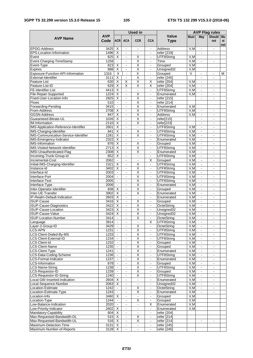#### **3GPP TS 32.299 version 15.3.0 Release 15 105 ETSI TS 132 299 V15.3.0 (2018-06)**

|                                                             |              |                              |                                  | <b>Used</b> in                                     |                                            |                            | <b>AVP Flag rules</b> |                                  |                          |     |
|-------------------------------------------------------------|--------------|------------------------------|----------------------------------|----------------------------------------------------|--------------------------------------------|----------------------------|-----------------------|----------------------------------|--------------------------|-----|
|                                                             | <b>AVP</b>   |                              |                                  |                                                    |                                            | Value                      | <b>Must</b>           | May                              | Should Mu                |     |
| <b>AVP Name</b>                                             | Code         | <b>ACR</b>                   | <b>ACA</b>                       | <b>CCR</b>                                         | <b>CCA</b>                                 | <b>Type</b>                |                       |                                  | not                      | st  |
| <b>EPDG-Address</b>                                         | 3425         | X                            | $\blacksquare$                   | $\blacksquare$                                     | $\mathbf{r}$                               | Address                    | V.M                   | $\blacksquare$                   | $\sim$                   | not |
| EPS-Location-Information                                    | 1496         | X                            | $\blacksquare$                   | $\blacksquare$                                     | $\blacksquare$                             | refer [219]                |                       | $\blacksquare$                   |                          |     |
| Event                                                       | 825          | Χ                            | $\blacksquare$                   | Χ                                                  | $\blacksquare$                             | UTF8String                 | V,M                   |                                  |                          |     |
| Event-Charging-TimeStamp                                    | 1258         |                              | $\blacksquare$                   | $\overline{\mathsf{x}}$                            |                                            | Time                       | V, M                  |                                  |                          |     |
| Event-Type                                                  | 823          | X                            | $\omega$                         | X                                                  | $\blacksquare$                             | Grouped                    | V, M                  |                                  |                          |     |
| Expires                                                     | 888          | X                            | $\blacksquare$                   | X                                                  |                                            | Unsigned32                 | V,M                   |                                  |                          |     |
| Exposure-Function-API-Information                           | 1316         | $\overline{\mathsf{x}}$      | $\blacksquare$                   | Χ                                                  | $\mathbf{r}$                               | Grouped                    | $\overline{\vee}$     | L.                               |                          | м   |
| External-Identifier                                         | 3111         | X                            | $\blacksquare$                   | $\overline{X}$                                     | $\blacksquare$                             | refer [245]                |                       |                                  |                          |     |
| Feature-List                                                | 630          | X                            | X                                | X                                                  | X                                          | refer [204]                | V, M                  | $\mathbf{r}$                     | $\overline{\phantom{a}}$ |     |
| Feature-List-ID                                             | 629          | X                            | $\overline{\mathsf{x}}$          | $\overline{\mathsf{x}}$                            | X                                          | refer [204]                | V, M                  | $\mathbf{r}$                     |                          |     |
| FE-Identifier-List<br>File-Repair-Supported                 | 4413<br>1224 | X<br>X                       | $\blacksquare$                   | $\bar{\phantom{a}}$<br>$\overline{\mathsf{x}}$     | $\blacksquare$                             | UTF8String                 | V,M<br>V, M           | $\blacksquare$<br>$\blacksquare$ |                          |     |
| Fixed-User-Location-Info                                    | 2825         | $\overline{\mathsf{x}}$      | $\blacksquare$<br>$\blacksquare$ | $\overline{\mathsf{x}}$                            | $\overline{\phantom{a}}$<br>$\blacksquare$ | Enumerated<br>refer [215]  |                       | $\blacksquare$                   | $\blacksquare$           |     |
| <b>Flows</b>                                                | 510          | $\blacksquare$               | $\blacksquare$                   | Χ                                                  | $\overline{\phantom{a}}$                   | refer [214]                |                       |                                  |                          |     |
| Forwarding-Pending                                          | 3415         |                              | $\overline{\phantom{a}}$         | $\overline{\mathsf{x}}$                            | $\blacksquare$                             | Enumerated                 | V, M                  |                                  |                          |     |
| From-Address                                                | 2708         | X                            | $\blacksquare$                   | $\overline{\mathsf{x}}$                            | $\blacksquare$                             | UTF8String                 | V, M                  | $\blacksquare$                   |                          |     |
| <b>GGSN-Address</b>                                         | 847          | X                            | $\blacksquare$                   | $\overline{\mathsf{x}}$                            | $\mathbf{r}$                               | <b>Address</b>             | V,M                   | $\blacksquare$                   |                          |     |
| Guaranteed-Bitrate-UL                                       | 1026         | X                            | $\omega$                         | X                                                  | $\omega$                                   | refer[215]                 |                       | $\blacksquare$                   | $\blacksquare$           |     |
| <b>IM-Information</b>                                       | 2110         | X                            | $\blacksquare$                   | X                                                  | $\blacksquare$                             | refer[223]                 |                       | $\blacksquare$                   |                          |     |
| IMS-Application-Reference-Identifier                        | 2601         | $\overline{\mathsf{x}}$      | $\sim$                           | $\mathbf{r}$                                       | $\blacksquare$                             | UTF8String                 | V, M                  | $\blacksquare$                   |                          |     |
| IMS-Charging-Identifier                                     | 841          | $\overline{\mathsf{x}}$      | $\blacksquare$                   | $\overline{\mathsf{x}}$                            | $\blacksquare$                             | UTF8String                 | V, M                  | $\blacksquare$                   | $\blacksquare$           |     |
| IMS-Communication-Service-Identifier                        | 1281         | $\overline{\mathsf{x}}$      | $\sim$                           | X                                                  | $\mathbf{r}$                               | UTF8String                 | V,M                   | $\mathbf{r}$                     | $\sim$                   |     |
| IMS-Emergency-Indicator                                     | 2322         | X                            | $\blacksquare$                   | $\blacksquare$                                     | $\blacksquare$                             | Enumerated                 | V, M                  | $\mathbf{r}$                     |                          |     |
| <b>IMS-Information</b>                                      | 876          | X                            | $\blacksquare$                   | X                                                  | $\blacksquare$                             | Grouped                    | V,M                   | $\blacksquare$                   |                          |     |
| IMS-Visited-Network-Identifier                              | 2713         | X                            | $\blacksquare$                   | $\overline{\mathsf{x}}$                            |                                            | UTF8String                 | V, M                  |                                  |                          |     |
| IMSI-Unauthenticated-Flag<br>Incoming-Trunk-Group-Id        | 2308<br>852  | X<br>X                       | $\blacksquare$<br>$\blacksquare$ | $\overline{\mathsf{x}}$<br>$\blacksquare$          | $\blacksquare$<br>$\blacksquare$           | Enumerated<br>UTF8String   | V, M<br>V, M          | $\blacksquare$<br>$\blacksquare$ | $\blacksquare$           |     |
| Incremental-Cost                                            | 2062         |                              | $\sim$                           | $\bar{\phantom{a}}$                                | X                                          | Grouped                    | V, M                  | $\blacksquare$                   |                          |     |
| Initial-IMS-Charging-Identifier                             | 2321         | X                            | $\blacksquare$                   | Χ                                                  | $\blacksquare$                             | UTF8String                 | V, M                  | $\blacksquare$                   |                          |     |
| Instance-Id                                                 | 3402         | X                            | $\blacksquare$                   | $\overline{\mathsf{x}}$                            | $\blacksquare$                             | UTF8String                 | V, M                  | $\blacksquare$                   |                          |     |
| Interface-Id                                                | 2003         | $\mathbf{r}$                 | $\blacksquare$                   | $\overline{\mathsf{x}}$                            | $\blacksquare$                             | UTF8String                 | V, M                  | $\Box$                           | $\sim$                   |     |
| Interface-Port                                              | 2004         |                              | $\blacksquare$                   | Χ                                                  | $\blacksquare$                             | UTF8String                 | V,M                   | $\blacksquare$                   | $\blacksquare$           |     |
| Interface-Text                                              | 2005         |                              | $\blacksquare$                   | X                                                  |                                            | UTF8String                 | V, M                  | $\blacksquare$                   |                          |     |
| Interface-Type                                              | 2006         | $\blacksquare$               | $\blacksquare$                   | X                                                  | $\blacksquare$                             | Enumerated                 | V,M                   | $\blacksquare$                   | $\blacksquare$           |     |
| Inter-Operator-Identifier                                   | 838          | X                            | $\blacksquare$                   | X                                                  | $\blacksquare$                             | Grouped                    | V,M                   | $\mathbf{r}$                     | $\sim$                   |     |
| Inter-UE-Transfer                                           | 3902         | X                            | $\blacksquare$                   | $\overline{\mathsf{x}}$                            | $\blacksquare$                             | Enumerated                 | V, M                  | $\blacksquare$                   |                          |     |
| IP-Realm-Default-Indication                                 | 2603         | X                            | $\blacksquare$                   | $\blacksquare$                                     | $\blacksquare$                             | Enumerated                 | V,M                   | $\blacksquare$                   |                          |     |
| <b>ISUP-Cause</b>                                           | 3416<br>3422 | $\overline{\mathsf{x}}$<br>X | $\blacksquare$<br>$\omega$       | $\overline{\mathsf{x}}$<br>$\overline{\mathsf{x}}$ | $\blacksquare$                             | Grouped<br>OctetString     | V, M<br>V, M          | $\blacksquare$                   | $\sim$                   |     |
| <b>ISUP-Cause-Diagnostics</b><br><b>ISUP-Cause-Location</b> | 3423         | X                            | $\blacksquare$                   | Χ                                                  |                                            | Unsigned32                 | V,M                   | $\blacksquare$                   |                          |     |
| <b>ISUP-Cause-Value</b>                                     | 3424         | $\overline{X}$               | $\Box$                           | $\overline{\mathsf{x}}$                            | $\blacksquare$                             | Unsigned <sub>32</sub>     | V, M                  | $\blacksquare$                   | $\overline{a}$           |     |
| <b>ISUP-Location-Number</b>                                 | 3414         | $\mathcal{L}$                | $\blacksquare$                   | $\overline{\mathsf{x}}$                            | $\frac{1}{2}$                              | OctetString                | V, M                  | $\blacksquare$                   |                          |     |
| Language                                                    | 3914         | $\mathcal{L}_{\mathcal{A}}$  | $\blacksquare$                   | $\blacksquare$                                     | X                                          | UTF8String                 | V, M                  | $\blacksquare$                   |                          |     |
| Layer-2-Group-ID                                            | 3429         | $\blacksquare$               | $\blacksquare$                   | $\overline{\mathsf{X}}$                            | $\blacksquare$                             | OctetString                | V, M                  | $\overline{\phantom{a}}$         | $\sim$                   |     |
| <b>LCS-APN</b>                                              | 1231         | $\blacksquare$               | $\blacksquare$                   | X                                                  | $\blacksquare$                             | UTF8String                 | V, M                  | $\blacksquare$                   | $\blacksquare$           |     |
| LCS-Client-Dialed-By-MS                                     | 1233         |                              | $\blacksquare$                   | Χ                                                  | $\overline{\phantom{a}}$                   | UTF8String                 | V, M                  | $\blacksquare$                   |                          |     |
| LCS-Client-External-ID                                      | 1234         | $\blacksquare$               | $\blacksquare$                   | $\overline{\mathsf{X}}$                            | $\blacksquare$                             | UTF8String                 | V, M                  | ÷.                               | $\blacksquare$           |     |
| CS-Client-Id                                                | 1232         | $\blacksquare$               | $\blacksquare$                   | X                                                  | $\blacksquare$                             | Grouped                    | V, M                  | $\blacksquare$                   |                          |     |
| <b>LCS-Client-Name</b>                                      | 1235         |                              | $\blacksquare$                   | $\overline{\mathsf{X}}$                            | $\blacksquare$                             | Grouped                    | V, M                  | $\blacksquare$                   |                          |     |
| LCS-Client-Type                                             | 1241         | $\blacksquare$               | $\Box$                           | $\overline{\mathsf{X}}$                            | $\blacksquare$                             | Enumerated                 | V, M                  | $\blacksquare$                   | $\blacksquare$           |     |
| LCS-Data-Coding-Scheme<br>LCS-Format-Indicator              | 1236<br>1237 | $\omega$                     | $\blacksquare$<br>$\blacksquare$ | $\overline{\mathsf{X}}$<br>$\overline{\mathsf{x}}$ | $\blacksquare$<br>$\blacksquare$           | UTF8String<br>Enumerated   | V, M<br>V, M          | $\blacksquare$<br>$\omega$       | $\sim$                   |     |
| <b>LCS-Information</b>                                      | 878          |                              | $\blacksquare$                   | X                                                  | $\blacksquare$                             | Grouped                    | V,M                   | $\blacksquare$                   |                          |     |
| LCS-Name-String                                             | 1238         |                              | $\blacksquare$                   | $\overline{\mathsf{X}}$                            | $\blacksquare$                             | UTF8String                 | V, M                  | $\blacksquare$                   |                          |     |
| LCS-Requestor-ID                                            | 1239         | $\blacksquare$               | $\blacksquare$                   | $\overline{\mathsf{x}}$                            | $\blacksquare$                             | Grouped                    | V, M                  | ÷.                               | $\blacksquare$           |     |
| LCS-Requestor-ID-String                                     | 1240         | $\blacksquare$               | $\blacksquare$                   | X                                                  | $\blacksquare$                             | UTF8String                 | V,M                   | $\blacksquare$                   | $\blacksquare$           |     |
| Local-GW-Inserted-Indication                                | 2604         | $\overline{X}$               | $\omega$                         | $\blacksquare$                                     | $\omega$                                   | Enumerated                 | V, M                  | $\Box$                           |                          |     |
| Local-Sequence-Number                                       | 2063         | X                            | $\blacksquare$                   | $\blacksquare$                                     | $\blacksquare$                             | Unsigned32                 | V,M                   | $\Box$                           |                          |     |
| Location-Estimate                                           | 1242         | $\Box$                       | $\blacksquare$                   | $\overline{\mathsf{X}}$                            |                                            | OctetString                | V, M                  | $\blacksquare$                   |                          |     |
| Location-Estimate-Type                                      | 1243         | $\Box$                       | $\blacksquare$                   | $\overline{\mathsf{x}}$                            | $\blacksquare$                             | Enumerated                 | V, M                  | $\blacksquare$                   | $\blacksquare$           |     |
| Location-Info                                               | 3460         | X                            | $\blacksquare$                   | $\blacksquare$                                     | $\blacksquare$                             | Grouped                    | V, M                  |                                  |                          |     |
| Location-Type                                               | 1244         |                              | $\blacksquare$                   | $\overline{\mathsf{x}}$                            | $\blacksquare$                             | Grouped                    | V, M                  |                                  |                          |     |
| Low-Balance-Indication                                      | 2020         | $\blacksquare$               | $\Box$                           | $\blacksquare$                                     | X                                          | Enumerated                 | V, M                  |                                  |                          |     |
| Low-Priority-Indicator                                      | 2602         | X                            | $\blacksquare$                   | $\blacksquare$<br>ä,                               | $\blacksquare$                             | Enumerated                 | V,M                   |                                  |                          |     |
| Mandatory-Capability<br>Max-Requested-Bandwidth-DL          | 604<br>515   | X<br>Χ                       | $\omega$<br>$\blacksquare$       | X                                                  | $\blacksquare$<br>$\blacksquare$           | refer [204]<br>refer [214] |                       |                                  |                          |     |
| Max-Requested-Bandwidth-UL                                  | 516          | X                            | $\Box$                           | X                                                  | $\blacksquare$                             | refer [214]                |                       | $\blacksquare$                   |                          |     |
| Maximum-Detection-Time                                      | 3131         | $\overline{\mathsf{x}}$      | $\blacksquare$                   | $\blacksquare$                                     | $\blacksquare$                             | refer [245]                |                       |                                  |                          |     |
| Maximum-Number-of-Reports                                   | 3128         | X                            | $\blacksquare$                   | $\blacksquare$                                     | $\blacksquare$                             | refer [245]                |                       |                                  |                          |     |
|                                                             |              |                              |                                  |                                                    |                                            |                            |                       |                                  |                          |     |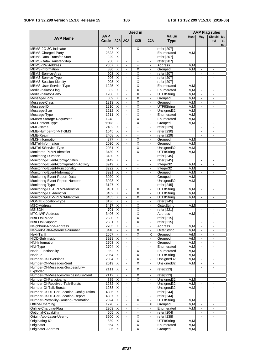|                                                              |                    |                                                    |                                  | <b>Used in</b>                             |                                  |                             | <b>AVP Flag rules</b> |                                            |                                            |           |  |
|--------------------------------------------------------------|--------------------|----------------------------------------------------|----------------------------------|--------------------------------------------|----------------------------------|-----------------------------|-----------------------|--------------------------------------------|--------------------------------------------|-----------|--|
| <b>AVP Name</b>                                              | <b>AVP</b><br>Code | <b>ACR</b>                                         | <b>ACA</b>                       | <b>CCR</b>                                 | <b>CCA</b>                       | <b>Value</b><br><b>Type</b> | <b>Must</b>           | May                                        | Should Mu<br>not                           | st<br>not |  |
| MBMS-2G-3G-Indicator                                         | 907                | $\overline{X}$                                     | $\blacksquare$                   | X                                          | $\blacksquare$                   | refer [207]                 |                       |                                            |                                            |           |  |
| MBMS-Charged-Party                                           | 2323               | $\overline{\mathsf{x}}$                            | $\blacksquare$                   | $\blacksquare$                             | $\blacksquare$                   | Enumerated                  | V,M                   |                                            |                                            |           |  |
| MBMS-Data-Transfer-Start                                     | 929                | $\overline{\mathsf{x}}$                            | $\overline{\phantom{a}}$         | $\overline{a}$                             | $\blacksquare$                   | refer [207]                 |                       |                                            |                                            |           |  |
| MBMS-Data-Transfer-Stop                                      | 930                | $\overline{\mathsf{x}}$                            | $\blacksquare$                   | $\blacksquare$                             | $\blacksquare$                   | refer [207]                 |                       |                                            |                                            |           |  |
| <b>MBMS-GW-Address</b>                                       | 2307               | $\overline{\mathsf{x}}$                            | $\blacksquare$                   | $\blacksquare$                             | $\blacksquare$                   | <b>Address</b>              | V,M                   |                                            |                                            |           |  |
| MBMS-Information                                             | 880                | $\overline{\mathsf{x}}$                            | $\blacksquare$                   | X                                          | $\blacksquare$                   | Grouped                     | V, M                  |                                            | $\blacksquare$                             |           |  |
| MBMS-Service-Area                                            | 903                | $\overline{\mathsf{x}}$                            | $\blacksquare$                   | $\overline{\mathsf{x}}$                    | $\blacksquare$                   | refer [207]                 |                       | $\blacksquare$                             | $\blacksquare$                             |           |  |
| MBMS-Service-Type                                            | 906                | X                                                  | $\blacksquare$                   | X                                          | $\blacksquare$                   | refer [207]                 |                       | $\blacksquare$                             | L.                                         |           |  |
| <b>MBMS-Session-Identity</b>                                 | 908                | $\overline{\mathsf{x}}$<br>$\overline{\mathsf{x}}$ | $\overline{\phantom{a}}$         | $\overline{\mathsf{x}}$                    | $\blacksquare$                   | refer [207]                 |                       | $\overline{a}$                             | $\overline{\phantom{0}}$                   |           |  |
| MBMS-User-Service-Type<br>Media-Initiator-Flag               | 1225<br>882        | $\overline{\mathsf{x}}$                            | $\overline{a}$<br>$\blacksquare$ | Χ<br>$\overline{\mathsf{x}}$               | $\blacksquare$<br>$\blacksquare$ | Enumerated<br>Enumerated    | V, M<br>V, M          | $\blacksquare$<br>$\blacksquare$           | ٠                                          |           |  |
| Media-Initiator-Party                                        | 1288               | $\overline{\mathsf{x}}$                            | $\blacksquare$                   | $\overline{\mathsf{x}}$                    | $\blacksquare$                   | UTF8String                  | V, M                  | $\blacksquare$                             |                                            |           |  |
| Message-Body                                                 | 889                | $\overline{\mathsf{x}}$                            | $\blacksquare$                   | $\overline{\mathsf{x}}$                    | $\blacksquare$                   | Grouped                     | V, M                  | $\blacksquare$                             | $\blacksquare$                             |           |  |
| Message-Class                                                | 1213               | $\overline{X}$                                     | $\overline{a}$                   | Χ                                          | $\blacksquare$                   | Grouped                     | V, M                  | $\overline{a}$                             |                                            |           |  |
| Message-ID                                                   | 1210               | $\overline{\mathsf{x}}$                            | $\blacksquare$                   | $\overline{\mathsf{x}}$                    | $\blacksquare$                   | UTF8String                  | V, M                  | $\blacksquare$                             | ä,                                         |           |  |
| Message-Size                                                 | 1212               | $\overline{\mathsf{x}}$                            | $\blacksquare$                   | $\overline{\mathsf{x}}$                    | $\blacksquare$                   | Unsigned32                  | V,M                   |                                            |                                            |           |  |
| Message-Type                                                 | 1211               | $\overline{\mathsf{x}}$                            | $\blacksquare$                   | $\overline{\mathsf{x}}$                    | $\blacksquare$                   | Enumerated                  | V, M                  |                                            |                                            |           |  |
| MMBox-Storage-Requested                                      | 1248               | $\blacksquare$                                     | $\blacksquare$                   | $\overline{\mathsf{x}}$                    | $\blacksquare$                   | Enumerated                  | V, M                  |                                            |                                            |           |  |
| MM-Content-Type                                              | 1203               | $\blacksquare$                                     | $\blacksquare$                   | X                                          | $\blacksquare$                   | Grouped                     | V, M                  | $\overline{a}$                             | ٠                                          |           |  |
| MME-Name                                                     | 2402               | $\overline{\mathsf{x}}$                            | $\omega$                         | $\mathbf{r}$                               | $\blacksquare$                   | refer [229]                 |                       | $\blacksquare$                             | $\blacksquare$                             |           |  |
| MME-Number-for-MT-SMS                                        | 1645               | X                                                  | $\overline{a}$                   | L.                                         | $\blacksquare$                   | refer [230]                 |                       |                                            | $\blacksquare$                             |           |  |
| MME-Realm                                                    | 2408               | $\overline{\mathsf{x}}$                            | $\overline{\phantom{a}}$         | L.                                         | $\mathbf{r}$                     | refer [229]                 |                       |                                            | ÷.                                         |           |  |
| MMS-Information                                              | 877                | $\blacksquare$                                     | $\blacksquare$                   | X                                          | $\blacksquare$                   | Grouped                     | V, M                  |                                            |                                            |           |  |
| MMTel-Information                                            | 2030               | X                                                  | $\overline{\phantom{a}}$         | $\overline{\mathsf{x}}$                    | $\mathbf{r}$                     | Grouped                     | V, M                  |                                            |                                            |           |  |
| MMTel-SService-Type                                          | 2031               | $\overline{\mathsf{x}}$                            | $\blacksquare$                   | $\overline{\mathsf{x}}$                    | $\blacksquare$                   | Unsigned32                  | V, M                  | $\blacksquare$                             | $\blacksquare$                             |           |  |
| Monitored-PLMN-Identifier                                    | 3430               | X                                                  | $\blacksquare$                   | X                                          | $\blacksquare$                   | UTF8String                  | V, M                  | $\blacksquare$                             | $\blacksquare$                             |           |  |
| Monitoring-Duration                                          | 3130               | $\overline{X}$                                     | $\overline{a}$                   | $\blacksquare$                             |                                  | refer [245]                 |                       |                                            |                                            |           |  |
| Monitoring-Event-Config-Status                               | 3142               | $\overline{\mathsf{x}}$                            | $\blacksquare$                   | $\blacksquare$                             | $\blacksquare$                   | refer [245]                 |                       | $\blacksquare$                             | $\blacksquare$                             |           |  |
| Monitoring-Event-Configuration-Activity                      | 3919               | $\overline{\mathsf{x}}$                            | $\blacksquare$                   | $\blacksquare$                             | $\blacksquare$                   | Integer32                   | V,M                   | $\blacksquare$                             | $\overline{a}$                             |           |  |
| Monitoring-Event-Functionality                               | 3922               | $\overline{\mathsf{x}}$<br>Χ                       | $\blacksquare$                   | $\blacksquare$                             | $\blacksquare$                   | Integer32                   | V, M<br>V, M          |                                            |                                            |           |  |
| Monitoring-Event-Information<br>Monitoring-Event-Report-Data | 3921<br>3920       | $\overline{\mathsf{x}}$                            | $\blacksquare$<br>$\blacksquare$ | $\overline{\phantom{0}}$<br>$\blacksquare$ | $\blacksquare$<br>$\blacksquare$ | Grouped<br>Grouped          | V, M                  | $\overline{\phantom{0}}$<br>$\blacksquare$ | -<br>٠                                     |           |  |
| Monitoring-Event-Report-Number                               | 3923               | $\overline{\mathsf{x}}$                            | $\mathbb{Z}^{\mathbb{Z}}$        | ä,                                         | $\blacksquare$                   | Unsigned32                  | V.M                   | $\Box$                                     | $\overline{a}$                             |           |  |
| Monitoring-Type                                              | 3127               | X                                                  | $\blacksquare$                   | $\blacksquare$                             | $\blacksquare$                   | refer [245]                 |                       |                                            |                                            |           |  |
| Monitoring-UE-HPLMN-Identifier                               | 3431               | $\overline{\mathsf{x}}$                            | $\blacksquare$                   | X                                          | $\blacksquare$                   | UTF8String                  | V,M                   | $\blacksquare$                             | L,                                         |           |  |
| Monitoring-UE-Identifier                                     | 3432               | $\overline{\mathsf{x}}$                            | $\blacksquare$                   | $\overline{\mathsf{x}}$                    | $\blacksquare$                   | UTF8String                  | V, M                  |                                            |                                            |           |  |
| Monitoring-UE-VPLMN-Identifier                               | 3433               | $\overline{\mathsf{x}}$                            | $\overline{\phantom{a}}$         | $\overline{\mathsf{x}}$                    | $\mathbf{r}$                     | UTF8String                  | V, M                  | $\blacksquare$                             | $\overline{\phantom{a}}$                   |           |  |
| MONTE-Location-Type                                          | 3136               | $\overline{\mathsf{x}}$                            | $\blacksquare$                   | $\blacksquare$                             | $\blacksquare$                   | refer [245]                 |                       |                                            |                                            |           |  |
| <b>MSC-Address</b>                                           | 3417               | $\overline{\mathsf{x}}$                            | $\blacksquare$                   | $\overline{\mathsf{X}}$                    | $\blacksquare$                   | OctetString                 | V,M                   |                                            |                                            |           |  |
| <b>MSISDN</b>                                                | 701                | $\overline{\mathsf{x}}$                            | ÷,                               | $\overline{\mathsf{x}}$                    | $\blacksquare$                   | refer [221]                 |                       |                                            |                                            |           |  |
| MTC-IWF-Address                                              | 3406               | $\overline{X}$                                     | $\blacksquare$                   | $\overline{\mathsf{x}}$                    | $\blacksquare$                   | <b>Address</b>              | V.M                   | $\blacksquare$                             | $\overline{\phantom{a}}$                   |           |  |
| NBIFOM-Mode                                                  | 2830               | X                                                  | $\overline{\phantom{a}}$         | X                                          | $\blacksquare$                   | refer [215]                 |                       |                                            | L.                                         |           |  |
| NBIFOM-Support                                               | 2831               | X                                                  | $\blacksquare$                   | х                                          | $\blacksquare$                   | refer [215]                 |                       |                                            | $\blacksquare$                             |           |  |
| Neighbour-Node-Address                                       | 2705               | $\overline{\mathsf{x}}$                            | $\blacksquare$                   | $\blacksquare$                             | $\blacksquare$                   | Address                     | V, M                  | $\blacksquare$                             | -                                          |           |  |
| Network-Call-Reference-Number                                | 3418               | $\bullet$                                          | $\blacksquare$<br>ä,             | $\overline{\mathsf{x}}$                    | $\blacksquare$                   | OctetString                 | V, M<br>V/M           | $\overline{\phantom{a}}$<br>$\Box$         | $\qquad \qquad \blacksquare$               |           |  |
| Next-Tariff<br>NIDD-Submission                               | 2057<br>3928       | $\blacksquare$<br>X                                |                                  | $\overline{\mathsf{x}}$<br>$\blacksquare$  | $\overline{\mathsf{X}}$          | Grouped<br>Grouped          | V/M                   |                                            | $\blacksquare$<br>$\overline{\phantom{a}}$ |           |  |
| NNI-Information                                              | 2703               | $\overline{\mathsf{x}}$                            | $\blacksquare$<br>$\blacksquare$ | $\overline{\phantom{0}}$                   | $\blacksquare$<br>$\blacksquare$ | Grouped                     | V, M                  | $\blacksquare$<br>$\blacksquare$           |                                            |           |  |
| NNI-Type                                                     | 2704               | X                                                  | $\blacksquare$                   | $\blacksquare$                             | $\blacksquare$                   | Enumerated                  | V, M                  | $\blacksquare$                             | $\blacksquare$                             |           |  |
| Node-Functionality                                           | 862                | X                                                  | $\blacksquare$                   | X                                          | $\blacksquare$                   | Enumerated                  | V, M                  |                                            |                                            |           |  |
| Node-Id                                                      | 2064               | X                                                  | $\blacksquare$                   | X                                          | $\blacksquare$                   | UTF8String                  | V, M                  |                                            |                                            |           |  |
| Number-Of-Diversions                                         | 2034               | X                                                  | ٠                                | Χ                                          | $\blacksquare$                   | Unsigned32                  | V, M                  | $\blacksquare$                             | $\blacksquare$                             |           |  |
| Number-Of-Messages-Sent                                      | 2019               | $\overline{\mathsf{x}}$                            |                                  | $\overline{\mathsf{x}}$                    | $\blacksquare$                   | Unsigned32                  | V,M                   |                                            |                                            |           |  |
| Number-Of-Messages-Successfully-                             |                    |                                                    |                                  |                                            |                                  |                             |                       | $\blacksquare$                             | $\blacksquare$                             |           |  |
| Exploded                                                     | 2111               | X                                                  | $\blacksquare$                   | X                                          | $\blacksquare$                   | refer[223]                  |                       |                                            |                                            |           |  |
| Number-Of-Messages-Successfully-Sent                         | 2112               | X                                                  | $\blacksquare$                   | X                                          | $\blacksquare$                   | refer[223]                  |                       |                                            |                                            |           |  |
| Number-Of-Participants                                       | 885                | Χ                                                  | $\Box$                           | Χ                                          | $\blacksquare$                   | Unsigned32                  | V, M                  |                                            |                                            |           |  |
| Number-Of-Received-Talk-Bursts                               | 1282               | $\overline{\mathsf{x}}$                            | $\blacksquare$                   | $\blacksquare$                             | $\blacksquare$                   | Unsigned32                  | V, M                  | $\blacksquare$                             |                                            |           |  |
| Number-Of-Talk-Bursts                                        | 1283               | X                                                  | $\blacksquare$                   | $\omega$                                   | $\blacksquare$                   | Unsigned32                  | V, M                  | $\omega$                                   | $\blacksquare$                             |           |  |
| Number-Of-UE-Per-Location-Configuration                      | 4306               | Х                                                  | $\blacksquare$                   | $\overline{\phantom{a}}$                   | $\blacksquare$                   | refer [244]                 |                       | $\blacksquare$                             |                                            |           |  |
| Number-Of-UE-Per-Location-Report                             | 4307               | $\overline{X}$                                     | $\Box$                           | $\blacksquare$                             | $\blacksquare$                   | refer [244]                 |                       |                                            |                                            |           |  |
| Number-Portability-Routing-Information                       | 2024               | $\overline{X}$                                     | $\blacksquare$                   | Χ                                          | $\blacksquare$                   | UTF8String                  | V, M                  |                                            |                                            |           |  |
| Offline-Charging                                             | 1278               | $\blacksquare$                                     | $\blacksquare$                   | $\blacksquare$                             | $\overline{X}$                   | Grouped                     | V, M                  | $\blacksquare$                             | $\overline{\phantom{0}}$                   |           |  |
| Online-Charging-Flag                                         | 2303               | X                                                  | $\blacksquare$                   | $\overline{\phantom{a}}$                   | ÷.                               | Enumerated                  | V, M                  | $\blacksquare$                             | $\overline{\phantom{a}}$                   |           |  |
| Optional-Capability                                          | 605                | X                                                  | $\blacksquare$                   | $\blacksquare$                             | $\blacksquare$                   | refer [204]                 |                       | $\blacksquare$                             | $\overline{\phantom{a}}$                   |           |  |
| Origin-App-Layer-User-Id                                     | 3600               | $\overline{\mathsf{x}}$                            | $\blacksquare$                   | X                                          | $\blacksquare$                   | refer [238]                 |                       |                                            |                                            |           |  |
| Originating-IOI<br>Originator                                | 839<br>864         | X<br>X                                             | $\blacksquare$<br>$\blacksquare$ | $\overline{\mathsf{x}}$<br>Χ               | $\blacksquare$<br>$\blacksquare$ | UTF8String<br>Enumerated    | V, M<br>V, M          | $\blacksquare$                             | $\blacksquare$                             |           |  |
| Originator-Address                                           | 886                | X                                                  | $\blacksquare$                   | $\overline{\mathsf{x}}$                    | ÷.                               | Grouped                     | V, M                  | $\blacksquare$<br>$\blacksquare$           | $\overline{\phantom{0}}$<br>$\blacksquare$ |           |  |
|                                                              |                    |                                                    |                                  |                                            |                                  |                             |                       |                                            |                                            |           |  |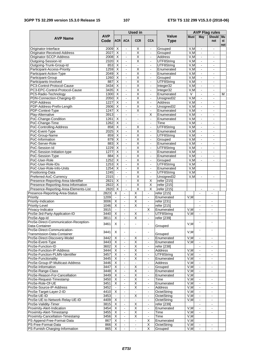|                                                              |                    |                                                    |                                  | <b>Used in</b>               |                                  |                             | <b>AVP Flag rules</b> |                                  |                                            |                 |  |
|--------------------------------------------------------------|--------------------|----------------------------------------------------|----------------------------------|------------------------------|----------------------------------|-----------------------------|-----------------------|----------------------------------|--------------------------------------------|-----------------|--|
| <b>AVP Name</b>                                              | <b>AVP</b><br>Code | <b>ACR</b>                                         | <b>ACA</b>                       | <b>CCR</b>                   | <b>CCA</b>                       | <b>Value</b><br><b>Type</b> | <b>Must</b>           | May                              | <b>Should</b><br>not                       | Mu<br>st<br>not |  |
| Originator-Interface                                         | 2009               | $\overline{X}$                                     |                                  | Χ                            | $\blacksquare$                   | Grouped                     | V,M                   |                                  |                                            |                 |  |
| Originator-Received-Address                                  | 2027               | $\overline{X}$                                     | $\blacksquare$                   | $\overline{\mathsf{x}}$      | $\blacksquare$                   | Grouped                     | V, M                  | $\blacksquare$                   | $\overline{\phantom{a}}$                   |                 |  |
| Originator-SCCP-Address                                      | 2008               | X                                                  | $\blacksquare$                   | X                            | $\blacksquare$                   | Address                     | V,M                   | $\blacksquare$                   | $\blacksquare$                             |                 |  |
| Outgoing-Session-Id                                          | 2320               | $\overline{\mathsf{x}}$                            | $\blacksquare$                   | X                            | $\blacksquare$                   | UTF8String                  | V, M                  | $\blacksquare$                   | $\blacksquare$                             |                 |  |
| Outgoing-Trunk-Group-Id                                      | 853                | $\overline{\mathsf{x}}$                            | $\mathbf{r}$                     | $\blacksquare$               | $\blacksquare$                   | UTF8String                  | V.M                   | $\blacksquare$                   | $\overline{\phantom{a}}$                   |                 |  |
| Participant-Access-Priority                                  | 1259               | $\overline{\mathsf{x}}$                            | $\blacksquare$                   | Χ                            | $\overline{\phantom{a}}$         | Enumerated                  | V, M                  |                                  |                                            |                 |  |
| Participant-Action-Type                                      | 2049               | $\overline{\mathsf{x}}$                            | $\blacksquare$                   | $\overline{\mathsf{x}}$      | $\blacksquare$                   | Enumerated                  | V.M                   | $\blacksquare$                   | $\blacksquare$                             |                 |  |
| Participant-Group                                            | 1260               | $\overline{X}$                                     | $\blacksquare$                   | $\overline{\mathsf{x}}$      | $\blacksquare$                   | Grouped                     | V,M                   | $\blacksquare$                   | $\blacksquare$                             |                 |  |
| Participants-Involved                                        | 887                | $\overline{\mathsf{x}}$<br>$\overline{X}$          | $\blacksquare$                   | $\overline{\mathsf{x}}$      | L,                               | UTF8String                  | V, M                  | $\overline{\phantom{a}}$         | $\overline{a}$                             |                 |  |
| PC3-Control-Protocol-Cause<br>PC3-EPC-Control-Protocol-Cause | 3434<br>3435       | $\overline{X}$                                     | $\blacksquare$<br>$\blacksquare$ | $\overline{\mathsf{x}}$<br>Χ | $\blacksquare$<br>$\blacksquare$ | Integer32<br>Integer32      | V, M<br>V,M           | $\blacksquare$<br>$\blacksquare$ | $\blacksquare$<br>$\overline{\phantom{a}}$ |                 |  |
| PC5-Radio-Technology                                         | 1300               | $\overline{X}$                                     | $\blacksquare$                   | Χ                            | $\blacksquare$                   | Enumerated                  | V                     | $\blacksquare$                   | $\blacksquare$                             | M               |  |
| PDN-Connection-Charging-ID                                   | 2050               | $\overline{\mathsf{x}}$                            | $\blacksquare$                   | $\overline{\mathsf{x}}$      | $\blacksquare$                   | Unsigned32                  | V, M                  | $\blacksquare$                   | $\blacksquare$                             |                 |  |
| PDP-Address                                                  | 1227               | $\overline{X}$                                     | $\blacksquare$                   | $\overline{\mathsf{x}}$      | $\blacksquare$                   | Address                     | V, M                  | $\overline{\phantom{a}}$         |                                            |                 |  |
| PDP-Address-Prefix-Length                                    | 2606               | $\overline{X}$                                     | $\blacksquare$                   | $\overline{\mathsf{x}}$      | $\blacksquare$                   | Unsigned32                  | V, M                  | $\blacksquare$                   | $\blacksquare$                             |                 |  |
| PDP-Context-Type                                             | 1247               | χ                                                  | $\blacksquare$                   | X                            | $\blacksquare$                   | Enumerated                  | V,M                   | $\blacksquare$                   | $\blacksquare$                             |                 |  |
| Play-Alternative                                             | 3913               | $\mathbf{r}$                                       | $\mathbf{r}$                     | ÷,                           | $\overline{\mathsf{x}}$          | Enumerated                  | V, M                  | $\overline{\phantom{a}}$         | $\blacksquare$                             |                 |  |
| PoC-Change-Condition                                         | 1261               | $\overline{X}$                                     | $\blacksquare$                   | $\blacksquare$               | $\blacksquare$                   | Enumerated                  | V,M                   | $\blacksquare$                   | $\blacksquare$                             |                 |  |
| PoC-Change-Time                                              | 1262               | $\overline{X}$                                     | $\blacksquare$                   | $\overline{a}$               | $\blacksquare$                   | Time                        | V, M                  | $\blacksquare$                   | $\blacksquare$                             |                 |  |
| PoC-Controlling-Address                                      | 858                | $\overline{\mathsf{x}}$                            | $\blacksquare$                   | $\overline{\mathsf{x}}$      | $\omega$                         | UTF8String                  | V, M                  | $\Box$                           | $\blacksquare$                             |                 |  |
| PoC-Event-Type                                               | 2025               | $\overline{\mathsf{x}}$                            | $\blacksquare$                   | Χ                            |                                  | Enumerated                  | V,M                   | $\blacksquare$                   | $\blacksquare$                             |                 |  |
| PoC-Group-Name                                               | 859                | $\overline{X}$                                     | $\mathbf{r}$                     | Χ                            | $\overline{\phantom{a}}$         | UTF8String                  | V, M                  | $\blacksquare$                   | $\overline{a}$                             |                 |  |
| PoC-Information                                              | 879                | $\overline{\mathsf{X}}$                            | $\blacksquare$                   | $\overline{\mathsf{x}}$      | $\blacksquare$                   | Grouped                     | V, M                  | $\blacksquare$                   | $\blacksquare$                             |                 |  |
| PoC-Server-Role                                              | 883                | $\overline{\mathsf{x}}$                            | $\blacksquare$                   | $\overline{\mathsf{x}}$      | $\blacksquare$                   | Enumerated                  | V,M                   | $\blacksquare$                   | $\blacksquare$                             |                 |  |
| PoC-Session-Id                                               | 1229               | $\overline{X}$                                     | $\Box$                           | Χ                            | $\blacksquare$                   | UTF8String                  | V,M                   | $\blacksquare$                   | $\blacksquare$                             |                 |  |
| PoC-Session-Initiation-type                                  | 1277               | $\overline{\mathsf{x}}$                            | $\blacksquare$                   | $\overline{\mathsf{x}}$      | $\overline{\phantom{a}}$         | Enumerated                  | V,M                   | $\blacksquare$                   | $\overline{a}$                             |                 |  |
| PoC-Session-Type                                             | 884                | $\overline{X}$                                     | $\blacksquare$                   | $\overline{\mathsf{x}}$      | $\blacksquare$                   | Enumerated                  | V, M                  |                                  |                                            |                 |  |
| PoC-User-Role                                                | 1252               | $\overline{\mathsf{x}}$                            | $\blacksquare$                   | Χ                            | $\blacksquare$                   | Grouped                     | V.M                   | $\blacksquare$                   | $\blacksquare$                             |                 |  |
| PoC-User-Role-IDs<br>PoC-User-Role-Info-Units                | 1253<br>1254       | $\overline{\mathsf{x}}$<br>$\overline{\mathsf{x}}$ | $\blacksquare$<br>$\Box$         | Χ<br>$\overline{\mathsf{x}}$ | $\blacksquare$                   | UTF8String<br>Enumerated    | V,M<br>V, M           |                                  |                                            |                 |  |
| Positioning-Data                                             | 1245               | $\omega$                                           | $\blacksquare$                   | Χ                            | $\blacksquare$<br>$\blacksquare$ | UTF8String                  | V,M                   |                                  |                                            |                 |  |
| Preferred-AoC-Currency                                       | 2315               | $\blacksquare$                                     | $\blacksquare$                   | Χ                            | $\blacksquare$                   | Unsigned32                  | V,M                   | $\blacksquare$                   | $\blacksquare$                             |                 |  |
| Presence-Reporting-Area-Identifier                           | 2821               | $\overline{X}$                                     | ä,                               | $\overline{\mathsf{x}}$      | X                                | refer [215]                 |                       |                                  |                                            |                 |  |
| Presence-Reporting-Area-Information                          | 2822               | $\overline{\mathsf{x}}$                            | $\blacksquare$                   | Χ                            | X                                | refer [215]                 |                       |                                  |                                            |                 |  |
| Presence-Reporting-Area-Elements-List                        | 2820               | $\overline{\mathsf{x}}$                            | $\mathbf{r}$                     | $\overline{\mathsf{x}}$      | $\overline{\mathsf{x}}$          | refer [215]                 |                       | $\mathbf{r}$                     | $\overline{a}$                             |                 |  |
| Presence-Reporting-Area-Status                               | 2823               | X                                                  | $\overline{\phantom{0}}$         | X                            | $\blacksquare$                   | refer [215]                 |                       | $\blacksquare$                   | ÷,                                         |                 |  |
| Priority                                                     | 1209               | $\omega$                                           | L,                               | $\overline{\mathsf{X}}$      | $\blacksquare$                   | Enumerated                  | V.M                   |                                  |                                            |                 |  |
| Priority-Indication                                          | 3006               | $\overline{\mathsf{x}}$                            | $\overline{a}$                   | $\overline{\mathsf{x}}$      | $\blacksquare$                   | refer [231]                 |                       | $\blacksquare$                   | $\sim$                                     |                 |  |
| Priority-Level                                               | 1046               | $\overline{\mathsf{x}}$                            | $\blacksquare$                   | $\overline{\mathsf{x}}$      | $\blacksquare$                   | refer [215]                 |                       | $\blacksquare$                   | $\blacksquare$                             |                 |  |
| Privacy-Indicator                                            | 3915               | $\blacksquare$                                     | L.                               | $\overline{a}$               | Χ                                | Enumerated                  | V,M                   |                                  |                                            |                 |  |
| ProSe-3rd-Party-Application-ID                               | 3440               | $\overline{\mathsf{X}}$                            | $\blacksquare$                   | $\overline{\mathsf{x}}$      | $\blacksquare$                   | UTF8String                  | V, M                  | $\blacksquare$                   | $\blacksquare$                             |                 |  |
| ProSe-App-Id                                                 | 3811               | X                                                  | $\overline{\phantom{a}}$         | X                            | $\overline{a}$                   | refer [239]                 |                       |                                  |                                            |                 |  |
| ProSe-Direct-Communication-Reception-<br>Data-Container      | 3461               | Χ                                                  | $\blacksquare$                   | $\blacksquare$               | $\qquad \qquad \blacksquare$     | Grouped                     | V, M                  |                                  |                                            |                 |  |
| ProSe-Direct-Communication-                                  | 3441               | X                                                  | $\blacksquare$                   | $\blacksquare$               | $\qquad \qquad \blacksquare$     |                             | V, M                  |                                  |                                            |                 |  |
| Transmission-Data-Container                                  |                    |                                                    |                                  |                              |                                  | Grouped                     |                       |                                  |                                            |                 |  |
| ProSe-Direct-Discovery-Model                                 | 3442<br>3443       | X<br>X                                             | $\blacksquare$<br>$\overline{a}$ | X<br>$\overline{\mathsf{x}}$ | $\overline{\phantom{a}}$         | Enumerated                  | V, M<br>V,M           | $\blacksquare$                   | $\sim$                                     |                 |  |
| ProSe-Event-Type<br>ProSe-Function-ID                        | 3602               | X                                                  | $\blacksquare$                   | $\overline{\mathsf{X}}$      | $\blacksquare$<br>$\blacksquare$ | Enumerated<br>refer [238]   |                       | $\blacksquare$<br>$\blacksquare$ | $\sim$                                     |                 |  |
| ProSe-Function-IP-Address                                    | 3444               | X                                                  | $\blacksquare$                   | $\overline{\mathsf{x}}$      | $\blacksquare$                   | Address                     | V, M                  |                                  |                                            |                 |  |
| ProSe-Function-PLMN-Identifier                               | 3457               | X                                                  | $\blacksquare$                   | $\overline{X}$               | $\blacksquare$                   | UTF8String                  | V, M                  | $\blacksquare$                   | $\blacksquare$                             |                 |  |
| ProSe-Functionality                                          | 3445               | X                                                  | $\blacksquare$                   | X                            | $\blacksquare$                   | Enumerated                  | V, M                  | $\blacksquare$                   |                                            |                 |  |
| ProSe-Group-IP-Multicast-Address                             | 3446               | $\overline{X}$                                     | $\overline{\phantom{a}}$         |                              | $\blacksquare$                   | Address                     | V, M                  | $\frac{1}{2}$                    |                                            |                 |  |
| ProSe-Information                                            | 3447               | $\overline{\mathsf{x}}$                            | $\overline{\phantom{a}}$         | $\overline{\mathsf{X}}$      | $\overline{\phantom{0}}$         | Grouped                     | V, M                  | $\blacksquare$                   |                                            |                 |  |
| ProSe-Range-Class                                            | 3448               | X                                                  | $\overline{\phantom{0}}$         | $\overline{\mathsf{x}}$      | $\overline{\phantom{a}}$         | Enumerated                  | V, M                  | $\blacksquare$                   | $\sim$                                     |                 |  |
| ProSe-Reason-For-Cancellation                                | 3449               | X                                                  | $\frac{1}{2}$                    | $\overline{\mathsf{x}}$      | $\blacksquare$                   | Enumerated                  | V, M                  |                                  |                                            |                 |  |
| ProSe-Request-Timestamp                                      | 3450               | X                                                  | $\Box$                           | $\overline{\mathsf{x}}$      | $\blacksquare$                   | Time                        | V, M                  | $\blacksquare$                   | $\blacksquare$                             |                 |  |
| ProSe-Role-Of-UE                                             | 3451               | X                                                  |                                  | $\overline{\mathsf{x}}$      | $\blacksquare$                   | Enumerated                  | V, M                  | $\blacksquare$                   |                                            |                 |  |
| ProSe-Source-IP-Address                                      | 3452               | $\blacksquare$                                     | $\overline{\phantom{a}}$         | $\overline{X}$               | $\blacksquare$                   | Address                     | V, M                  | $\blacksquare$                   | $\blacksquare$                             |                 |  |
| ProSe-Target-Layer-2-ID                                      | 4410               | X                                                  | $\blacksquare$                   | $\blacksquare$               | $\blacksquare$                   | OctetString                 | V, M                  | $\blacksquare$                   | $\sim$                                     |                 |  |
| ProSe-UE-ID                                                  | 3453               | $\omega$                                           | $\blacksquare$                   | $\overline{\mathsf{x}}$      | $\blacksquare$                   | OctetString                 | V, M                  | $\blacksquare$                   |                                            |                 |  |
| ProSe-UE-to-Network-Relay-UE-ID                              | 4409               | X                                                  | $\blacksquare$                   | $\blacksquare$               | $\blacksquare$                   | OctetString                 | V,M                   | $\blacksquare$                   | $\blacksquare$                             |                 |  |
| ProSe-Validity-Timer                                         | 3815               | X                                                  | $\blacksquare$                   | $\overline{X}$               | $\blacksquare$                   | refer [239]                 |                       |                                  |                                            |                 |  |
| Proximity-Alert-Indication                                   | 3454               | X                                                  | $\overline{\phantom{a}}$         | $\overline{X}$               | $\blacksquare$                   | Enumerated                  | V, M                  | $\omega$                         | $\blacksquare$                             |                 |  |
| Proximity-Alert-Timestamp                                    | 3455               | $\overline{\mathsf{x}}$                            | $\blacksquare$                   | X                            | $\blacksquare$                   | Time                        | V,M                   |                                  | $\blacksquare$                             |                 |  |
| Proximity-Cancellation-Timestamp                             | 3456               | X                                                  | $\blacksquare$                   | Χ                            | $\blacksquare$                   | Time                        | V, M                  |                                  |                                            |                 |  |
| PS-Append-Free-Format-Data<br>PS-Free-Format-Data            | 867<br>866         | X<br>Χ                                             | $\blacksquare$                   | $\blacksquare$               | Χ<br>X                           | Enumerated<br>OctetString   | V, M<br>V, M          |                                  |                                            |                 |  |
| PS-Furnish-Charging-Information                              | 865                | $\overline{\mathsf{x}}$                            | $\blacksquare$<br>ä,             | $\blacksquare$<br>$\Box$     | $\overline{\mathsf{x}}$          | Grouped                     | V, M                  | $\blacksquare$                   | $\blacksquare$<br>$\mathbf{r}$             |                 |  |
|                                                              |                    |                                                    |                                  |                              |                                  |                             |                       |                                  |                                            |                 |  |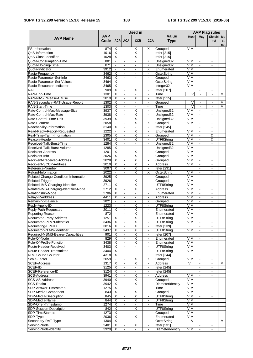|                                                        |                    |                                                    |                                  | Used in                                   |                                           |                           | <b>AVP Flag rules</b> |                |                          |           |
|--------------------------------------------------------|--------------------|----------------------------------------------------|----------------------------------|-------------------------------------------|-------------------------------------------|---------------------------|-----------------------|----------------|--------------------------|-----------|
| <b>AVP Name</b>                                        | <b>AVP</b><br>Code | <b>ACRI</b>                                        | <b>ACA</b>                       | <b>CCR</b>                                | <b>CCA</b>                                | Value<br><b>Type</b>      | <b>Must</b>           | May            | Should Mu<br>not         | st<br>not |
| <b>PS-Information</b>                                  | 874                | X                                                  | $\mathbf{r}$                     | X                                         | Х                                         | Grouped                   | V,M                   | $\mathbf{r}$   | $\sim$                   |           |
| QoS-Information                                        | 1016               | X                                                  | $\blacksquare$                   | $\overline{\mathsf{x}}$                   | $\blacksquare$                            | refer [215]               |                       | $\sim$         | $\blacksquare$           |           |
| QoS-Class-Identifier                                   | 1028               | $\overline{\mathsf{x}}$                            | $\blacksquare$                   | $\overline{\mathsf{x}}$                   |                                           | refer [215]               |                       |                |                          |           |
| Quota-Consumption-Time                                 | 881                | $\blacksquare$                                     | $\blacksquare$                   | $\mathbf{r}$                              | X                                         | Unsigned32                | V, M                  | $\blacksquare$ | $\mathbf{r}$             |           |
| Quota-Holding-Time                                     | 871                |                                                    | $\blacksquare$                   |                                           | X                                         | Unsigned32                | V,M                   |                | $\blacksquare$           |           |
| Quota-Indicator<br>Radio-Frequency                     | 3912<br>3462       | $\sim$                                             | $\blacksquare$<br>$\blacksquare$ | $\overline{a}$                            | $\overline{\mathsf{x}}$<br>$\blacksquare$ | Enumerated                | V, M<br>V, M          |                |                          |           |
| Radio-Parameter-Set-Info                               | 3463               | Χ<br>X                                             | $\sim$                           | $\blacksquare$<br>$\blacksquare$          | $\blacksquare$                            | OctetString<br>Grouped    | V.M                   | $\blacksquare$ | $\sim$                   |           |
| Radio-Parameter-Set-Values                             | 3464               | X                                                  | $\blacksquare$                   | $\blacksquare$                            | $\blacksquare$                            | <b>OctetString</b>        | V, M                  | $\blacksquare$ | $\blacksquare$           |           |
| Radio-Resources-Indicator                              | 3465               | X                                                  | $\mathbf{r}$                     | $\overline{a}$                            | $\blacksquare$                            | Integer32                 | V, M                  | $\mathbf{r}$   | $\sim$                   |           |
| RAI                                                    | 909                | $\overline{\mathsf{x}}$                            | $\blacksquare$                   | $\overline{\mathsf{x}}$                   | $\overline{\phantom{a}}$                  | refer [207]               |                       |                |                          |           |
| RAN-End-Time                                           | 1301               | $\overline{\mathsf{x}}$                            | $\blacksquare$                   | $\blacksquare$                            | $\blacksquare$                            | Time                      | $\overline{\vee}$     | $\blacksquare$ | $\blacksquare$           | M         |
| RAN-NAS-Release-Cause                                  | 2819               | X                                                  | $\blacksquare$                   | X                                         | $\blacksquare$                            | refer [215]               |                       |                |                          |           |
| RAN-Secondary-RAT-Usage-Report                         | 1302               | $\overline{\mathsf{x}}$                            | $\overline{\phantom{a}}$         | $\frac{1}{2}$                             | $\blacksquare$                            | Grouped                   | V                     | $\blacksquare$ | $\blacksquare$           | М         |
| <b>RAN-Start-Time</b>                                  | 1303               | $\overline{\mathsf{x}}$                            | $\blacksquare$                   | $\overline{\phantom{a}}$                  | $\blacksquare$                            | Time                      | V                     | $\frac{1}{2}$  |                          | м         |
| Rate-Control-Max-Message-Size                          | 3937               | $\overline{\mathsf{x}}$                            | $\blacksquare$                   | $\overline{\mathsf{x}}$                   | $\blacksquare$                            | Unsigned32                | V, M                  | $\sim$         | $\overline{\phantom{a}}$ |           |
| Rate-Control-Max-Rate                                  | 3938               | $\overline{\mathsf{x}}$                            | $\Box$                           | $\overline{\mathsf{x}}$                   | $\blacksquare$                            | Unsigned32                | V, M                  | $\blacksquare$ | $\blacksquare$           |           |
| Rate-Control-Time-Unit                                 | 3939               | X                                                  | $\blacksquare$                   | Χ                                         | $\blacksquare$                            | Unsigned32                | V,M                   | $\blacksquare$ | $\sim$                   |           |
| Rate-Element                                           | 2058               | $\blacksquare$                                     | $\blacksquare$                   | $\overline{\mathsf{x}}$                   | X                                         | Grouped                   | V, M                  |                |                          |           |
| Reachability-Information                               | 3140               | $\overline{\mathsf{x}}$                            | $\blacksquare$                   | $\blacksquare$                            | $\blacksquare$                            | refer [245]               |                       | $\blacksquare$ | $\blacksquare$           |           |
| Read-Reply-Report-Requested                            | 1222               | $\mathbf{r}$                                       | $\mathbf{r}$                     | $\overline{\mathsf{x}}$                   | $\blacksquare$                            | Enumerated                | V,M                   | $\blacksquare$ | $\sim$                   |           |
| Real-Time-Tariff-Information                           | 2305               | X                                                  | $\Box$                           | $\overline{\mathsf{x}}$                   | $\blacksquare$                            | Grouped                   | V, M                  | $\blacksquare$ | П                        |           |
| Reason-Header                                          | 3401               | X                                                  | $\mathbf{r}$                     | X                                         | $\blacksquare$                            | UTF8String                | V,M                   | $\blacksquare$ | $\Box$                   |           |
| Received-Talk-Burst-Time<br>Received-Talk-Burst-Volume | 1284<br>1285       | $\overline{\mathsf{x}}$<br>$\overline{\mathsf{x}}$ | L,                               | $\blacksquare$                            |                                           | Unsigned32                | V, M<br>V, M          |                |                          |           |
| <b>Recipient-Address</b>                               | 1201               | $\overline{\mathsf{x}}$                            | $\blacksquare$<br>$\blacksquare$ | $\blacksquare$<br>$\overline{\mathsf{X}}$ | $\blacksquare$<br>$\blacksquare$          | Unsigned32<br>Grouped     | V,M                   | $\blacksquare$ | $\blacksquare$           |           |
| Recipient-Info                                         | 2026               | $\overline{\mathsf{x}}$                            | $\overline{\phantom{a}}$         | $\overline{\mathsf{x}}$                   | $\blacksquare$                            | Grouped                   | V, M                  | $\blacksquare$ |                          |           |
| Recipient-Received-Address                             | 2028               | $\overline{\mathsf{x}}$                            | $\blacksquare$                   | $\overline{\mathsf{X}}$                   | $\blacksquare$                            | Grouped                   | V, M                  | $\blacksquare$ | $\overline{a}$           |           |
| Recipient-SCCP-Address                                 | 2010               | $\overline{\mathsf{x}}$                            | $\blacksquare$                   | $\overline{\mathsf{x}}$                   | $\blacksquare$                            | Address                   | V.M                   | $\blacksquare$ | $\overline{\phantom{a}}$ |           |
| Reference-Number                                       | 3007               | $\overline{\mathsf{x}}$                            | $\Box$                           | $\overline{\mathsf{x}}$                   | $\blacksquare$                            | refer [231]               |                       | $\blacksquare$ | $\blacksquare$           |           |
| Refund-Information                                     | 2022               | $\tilde{\phantom{a}}$                              | $\mathbf{r}$                     | $\overline{\mathsf{x}}$                   | X                                         | OctetString               | V,M                   | $\blacksquare$ | $\sim$                   |           |
| Related-Change-Condition-Information                   | 3925               | X                                                  | $\blacksquare$                   | $\blacksquare$                            | $\blacksquare$                            | Grouped                   | V, M                  | $\blacksquare$ |                          |           |
| <b>Related-Trigger</b>                                 | 3926               | $\blacksquare$                                     | $\blacksquare$                   | $\overline{X}$                            | $\blacksquare$                            | Grouped                   | V,M                   | $\blacksquare$ | $\sim$                   |           |
| Related-IMS-Charging-Identifier                        | 2711               | $\overline{\mathsf{x}}$                            | $\blacksquare$                   | $\overline{\mathsf{x}}$                   |                                           | UTF8String                | V, M                  | $\blacksquare$ | $\sim$                   |           |
| Related-IMS-Charging-Identifier-Node                   | 2712               | $\overline{\mathsf{x}}$                            | $\blacksquare$                   | $\overline{\mathsf{x}}$                   |                                           | <b>Address</b>            | V, M                  | $\blacksquare$ | $\sim$                   |           |
| Relationship-Mode                                      | 2706               | X                                                  | $\blacksquare$                   | $\blacksquare$                            | $\blacksquare$                            | Enumerated                | V,M                   | $\blacksquare$ | $\blacksquare$           |           |
| Relay-IP-address                                       | 4411               | $\overline{\mathsf{x}}$                            | $\blacksquare$                   | $\blacksquare$                            | $\overline{\phantom{a}}$                  | <b>Address</b>            | V, M                  | $\blacksquare$ |                          |           |
| Remaining-Balance                                      | 2021               | $\blacksquare$                                     | $\blacksquare$                   | $\mathbf{r}$                              | X                                         | Grouped                   | V, M                  | $\mathbf{r}$   | $\sim$                   |           |
| Reply-Applic-ID                                        | 1223               | $\sim$                                             | $\blacksquare$                   | X                                         | $\blacksquare$                            | UTF8String                | V, M                  |                |                          |           |
| Reply-Path-Requested                                   | 2011               | X                                                  | $\blacksquare$                   | $\overline{\mathsf{x}}$                   | $\bar{\phantom{a}}$                       | Enumerated                | V, M                  | $\blacksquare$ | $\blacksquare$           |           |
| Reporting-Reason                                       | 872                | $\blacksquare$                                     | $\blacksquare$                   | $\overline{X}$                            | $\blacksquare$                            | Enumerated                | V, M                  |                |                          |           |
| Requested-Party-Address                                | 1251               | $\overline{\mathsf{x}}$                            | $\blacksquare$<br>$\blacksquare$ | $\overline{\mathsf{x}}$                   | $\blacksquare$                            | UTF8String                | V, M                  | $\blacksquare$ | $\blacksquare$           |           |
| Requested-PLMN-Identifier<br>Requesting-EPUID          | 3436<br>3816       | X<br>X                                             | $\blacksquare$                   | х<br>$\overline{\mathsf{x}}$              | $\blacksquare$<br>$\blacksquare$          | UTF8String<br>refer [239] | V, M                  | $\blacksquare$ | $\blacksquare$<br>$\sim$ |           |
| Requestor-PLMN-Identifier                              | 3437               | X                                                  |                                  | χ                                         |                                           | UTF8String                | V,M                   |                |                          |           |
| Required-MBMS-Bearer-Capabilities                      | 901                | $\overline{\mathsf{x}}$                            | $\blacksquare$                   | $\overline{\mathsf{X}}$                   | $\blacksquare$                            | refer [207]               |                       |                |                          |           |
| Role-Of-Node                                           | 829                | X                                                  | $\blacksquare$                   | X                                         | $\blacksquare$                            | Enumerated                | V,M                   | $\blacksquare$ | $\blacksquare$           |           |
| Role-Of-ProSe-Function                                 | 3438               | $\overline{\mathsf{x}}$                            | $\omega$                         | X                                         | $\blacksquare$                            | Enumerated                | V, M                  |                |                          |           |
| Route-Header-Received                                  | 3403               | X                                                  | $\blacksquare$                   | $\blacksquare$                            | $\blacksquare$                            | UTF8String                | V,M                   |                |                          |           |
| Route-Header-Transmitted                               | 3404               | X                                                  | $\blacksquare$                   | $\blacksquare$                            | $\blacksquare$                            | UTF8String                | V, M                  | $\blacksquare$ |                          |           |
| RRC-Cause-Counter                                      | 4318               | X                                                  | $\blacksquare$                   | $\blacksquare$                            | $\blacksquare$                            | refer [244]               |                       | $\blacksquare$ | $\blacksquare$           |           |
| Scale-Factor                                           | 2059               |                                                    | $\blacksquare$                   | X                                         | X                                         | Grouped                   | V,M                   | $\blacksquare$ | $\sim$                   |           |
| <b>SCEF-Address</b>                                    | 1317               | X                                                  | $\blacksquare$                   | $\overline{\mathsf{x}}$                   | $\blacksquare$                            | Address                   | V                     | $\blacksquare$ |                          | м         |
| SCEF-ID                                                | 3125               | $\overline{X}$                                     | $\blacksquare$                   | $\blacksquare$                            | $\blacksquare$                            | refer [245]               |                       | $\blacksquare$ | $\blacksquare$           |           |
| SCEF-Reference-ID                                      | 3124               | X                                                  | $\blacksquare$                   | $\blacksquare$                            | $\blacksquare$                            | refer [245]               |                       | $\blacksquare$ | $\blacksquare$           |           |
| <b>SCS-Address</b>                                     | 3941               | X                                                  | $\Box$                           | $\overline{X}$                            | $\blacksquare$                            | Address                   | V, M                  | $\blacksquare$ | $\blacksquare$           |           |
| SCS-AS-Address                                         | 3940               | X                                                  | $\blacksquare$                   | X                                         | $\blacksquare$                            | Grouped                   | V,M                   |                | $\blacksquare$           |           |
| SCS-Realm                                              | 3942               | X                                                  | $\blacksquare$                   | $\overline{\mathsf{x}}$                   |                                           | <b>DiameterIdentity</b>   | V, M                  |                |                          |           |
| SDP-Answer-Timestamp<br>SDP-Media-Component            | 1275               | $\overline{X}$                                     | $\blacksquare$                   | $\blacksquare$<br>$\overline{\mathsf{X}}$ | $\blacksquare$                            | Time                      | V, M                  |                |                          |           |
|                                                        | 843                | X<br>$\overline{X}$                                | $\blacksquare$<br>$\blacksquare$ | $\overline{\mathsf{x}}$                   | $\blacksquare$                            | Grouped                   | V, M<br>V, M          | $\blacksquare$ | $\blacksquare$           |           |
| SDP-Media-Description                                  | 845                |                                                    |                                  |                                           | $\blacksquare$                            | UTF8String                |                       |                |                          |           |
| SDP-Media-Name<br>SDP-Offer-Timestamp                  | 844<br>1274        | X<br>$\overline{\mathsf{x}}$                       | $\Box$<br>$\blacksquare$         | X<br>$\blacksquare$                       | $\blacksquare$<br>$\blacksquare$          | UTF8String<br>Time        | V, M<br>V, M          |                |                          |           |
| SDP-Session-Description                                | 842                | $\overline{X}$                                     | $\Box$                           | $\overline{\mathsf{x}}$                   | $\blacksquare$                            | UTF8String                | V, M                  | $\blacksquare$ | $\blacksquare$           |           |
| SDP-TimeStamps                                         | 1273               | X                                                  | $\blacksquare$                   | $\blacksquare$                            | $\blacksquare$                            | Grouped                   | V,M                   |                |                          |           |
| SDP-Type                                               | 2036               | X                                                  | $\omega$                         | X                                         | $\blacksquare$                            | Enumerated                | V,M                   | $\blacksquare$ |                          |           |
| Secondary-RAT-Type                                     | 1304               | X                                                  | $\blacksquare$                   | $\blacksquare$                            | $\blacksquare$                            | OctetString               | V                     | $\blacksquare$ | $\blacksquare$           | M         |
| Serving-Node                                           | 2401               | X                                                  | $\blacksquare$                   | X                                         | $\blacksquare$                            | refer [231]               |                       | $\sim$         | $\blacksquare$           |           |
| Serving-Node-Identity                                  | 3929               | $\overline{\mathsf{x}}$                            | $\blacksquare$                   | $\blacksquare$                            | $\blacksquare$                            | DiameterIdentity          | V,M                   |                |                          |           |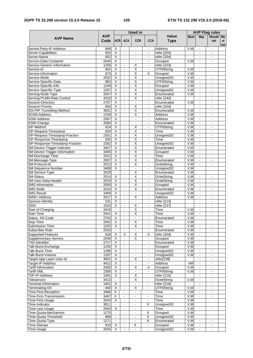|                                                       |                    |                                                    |                                  | <b>Used in</b>                                     |                                  |                               | <b>AVP Flag rules</b> |                                  |                      |                |
|-------------------------------------------------------|--------------------|----------------------------------------------------|----------------------------------|----------------------------------------------------|----------------------------------|-------------------------------|-----------------------|----------------------------------|----------------------|----------------|
| <b>AVP Name</b>                                       | <b>AVP</b><br>Code | <b>ACRI</b>                                        | <b>ACA</b>                       | <b>CCR</b>                                         | <b>CCA</b>                       | Value<br><b>Type</b>          | <b>Must</b>           | May                              | Should Mu<br>not     | st<br>not      |
| Served-Party-IP-Address                               | 848                | X                                                  | $\blacksquare$                   | $\blacksquare$                                     | $\blacksquare$                   | Address                       | V,M                   | $\blacksquare$                   | $\blacksquare$       |                |
| Server-Capabilities                                   | 603                | Χ                                                  | $\blacksquare$                   | $\blacksquare$                                     | $\blacksquare$                   | refer [204]                   |                       | ۰                                | $\blacksquare$       |                |
| Server-Name                                           | 602                | X                                                  | $\bar{\phantom{a}}$              |                                                    |                                  | refer [204]                   |                       | $\blacksquare$                   |                      |                |
| Service-Data-Container<br>Service-Generic-Information | 2040<br>1256       | X<br>X                                             | $\omega$<br>$\blacksquare$       | $\mathbf{r}$<br>X                                  | $\blacksquare$<br>$\blacksquare$ | Grouped<br>refer [223]        | V.M                   |                                  | ä,                   |                |
| Service-Id                                            | 855                | $\overline{\mathsf{x}}$                            | $\mathbf{r}$                     | $\overline{\mathsf{x}}$                            | $\mathbf{r}$                     | UTF8String                    | V, M                  | $\blacksquare$                   | ÷.                   |                |
| Service-Information                                   | 873                | $\overline{\mathsf{x}}$                            | $\blacksquare$                   | $\overline{\mathsf{x}}$                            | X                                | Grouped                       | V, M                  |                                  |                      |                |
| Service-Mode                                          | 2032               | X                                                  | $\blacksquare$                   | $\overline{\mathsf{x}}$                            | $\blacksquare$                   | Unsigned32                    | V, M                  | $\blacksquare$                   | ٠                    |                |
| Service-Specific-Data                                 | 863                | $\overline{\mathsf{x}}$                            | $\blacksquare$                   | $\overline{\mathsf{X}}$                            | $\blacksquare$                   | UTF8String                    | V, M                  | $\blacksquare$                   | ä,                   |                |
| Service-Specific-Info                                 | 1249               | X                                                  | $\blacksquare$                   | X                                                  | $\blacksquare$                   | Grouped                       | V, M                  | $\blacksquare$                   | $\blacksquare$       |                |
| Service-Specific-Type                                 | 1257               | $\overline{\mathsf{x}}$                            | $\blacksquare$                   | $\overline{\mathsf{x}}$                            | $\blacksquare$                   | Unsigned32                    | V, M                  |                                  |                      |                |
| Serving-Node-Type                                     | 2047               | $\overline{\mathsf{x}}$                            | $\blacksquare$                   | $\overline{\mathsf{x}}$                            | $\blacksquare$                   | Enumerated                    | V, M                  | $\blacksquare$                   | -                    |                |
| Serving-PLMN-Rate-Control                             | 4310               | X                                                  | $\blacksquare$                   | $\overline{\mathsf{x}}$                            | $\blacksquare$                   | refer [244]                   |                       | ÷                                | $\blacksquare$       |                |
| Session-Direction<br>Session-Priority                 | 2707<br>650        | $\overline{\mathsf{x}}$<br>$\overline{\mathsf{x}}$ | $\blacksquare$                   | $\blacksquare$<br>X                                | $\mathbf{r}$                     | Enumerated                    | V,M                   | $\blacksquare$                   | ä,                   |                |
| SGi-PtP-Tunnelling-Method                             | 3931               | $\overline{\mathsf{x}}$                            | $\blacksquare$<br>$\blacksquare$ | $\overline{\mathsf{x}}$                            | $\blacksquare$<br>$\mathbf{r}$   | refer [204]<br>Enumerated     | V,M                   | $\blacksquare$                   | ۰                    |                |
| <b>SGSN-Address</b>                                   | 1228               | Χ                                                  | $\blacksquare$                   | Χ                                                  | $\blacksquare$                   | <b>Address</b>                | V,M                   | $\Box$                           | ÷,                   |                |
| SGW-Address                                           | 2067               | X                                                  | $\blacksquare$                   | $\blacksquare$                                     | $\mathbf{r}$                     | <b>Address</b>                | V, M                  | $\blacksquare$                   | ۰                    |                |
| SGW-Change                                            | 2065               | $\overline{\mathsf{x}}$                            | $\blacksquare$                   |                                                    | $\blacksquare$                   | Enumerated                    | V, M                  | ٠                                |                      |                |
| SIP-Method                                            | 824                | $\overline{\mathsf{x}}$                            | $\blacksquare$                   | $\overline{\mathsf{X}}$                            | $\blacksquare$                   | UTF8String                    | V, M                  | $\blacksquare$                   | -                    |                |
| SIP-Request-Timestamp                                 | 834                | $\overline{\mathsf{x}}$                            | $\mathbf{r}$                     | $\overline{\mathsf{x}}$                            | $\blacksquare$                   | Time                          | V, M                  | $\blacksquare$                   | ä,                   |                |
| SIP-Request-Timestamp-Fraction                        | 2301               | $\overline{\mathsf{x}}$                            | $\Box$                           | $\overline{\mathsf{x}}$                            | $\blacksquare$                   | Unsigned32                    | V, M                  | $\blacksquare$                   | $\blacksquare$       |                |
| SIP-Response-Timestamp                                | 835                | X                                                  | $\blacksquare$                   | X                                                  | $\blacksquare$                   | Time                          | V,M                   | $\blacksquare$                   | ÷,                   |                |
| SIP-Response-Timestamp-Fraction                       | 2302               | $\overline{\mathsf{x}}$                            | $\bar{\phantom{a}}$              | $\overline{\mathsf{x}}$                            | $\blacksquare$                   | Unsigned32                    | V, M                  | ä,                               |                      |                |
| SM-Device-Trigger-Indicator                           | 3407               | $\overline{\mathsf{x}}$                            | $\blacksquare$                   | $\overline{\mathsf{x}}$                            | $\blacksquare$                   | Enumerated                    | V, M                  | $\blacksquare$                   | ÷,                   |                |
| SM-Device-Trigger-Information                         | 3405<br>2012       | X<br>$\overline{\mathsf{x}}$                       | $\blacksquare$<br>$\blacksquare$ | $\overline{\mathsf{x}}$<br>$\overline{\mathsf{x}}$ | $\blacksquare$<br>$\mathbf{r}$   | Grouped<br>Time               | V,M<br>V, M           | $\blacksquare$<br>$\blacksquare$ | $\blacksquare$<br>ä, |                |
| SM-Discharge-Time<br>SM-Message-Type                  | 2007               | $\overline{\mathsf{X}}$                            | $\blacksquare$                   | $\overline{\mathsf{X}}$                            | $\blacksquare$                   | Enumerated                    | V,M                   | ۰                                |                      |                |
| SM-Protocol-ID                                        | 2013               | $\overline{\mathsf{x}}$                            | $\blacksquare$                   | $\overline{\mathsf{x}}$                            | $\blacksquare$                   | OctetString                   | V, M                  | $\blacksquare$                   | ۰                    |                |
| SM-Sequence-Number                                    | 3408               | Χ                                                  | $\blacksquare$                   | $\blacksquare$                                     | $\omega$                         | Unsigned32                    | V, M                  |                                  |                      |                |
| SM-Service-Type                                       | 2029               | $\mathbf{r}$                                       | $\blacksquare$                   | $\overline{\mathsf{x}}$                            | $\mathbf{r}$                     | Enumerated                    | V,M                   |                                  |                      |                |
| SM-Status                                             | 2014               | X                                                  | ä,                               | $\overline{\mathsf{x}}$                            |                                  | OctetString                   | V, M                  |                                  |                      |                |
| SM-User-Data-Header                                   | 2015               | Χ                                                  | $\blacksquare$                   | $\overline{X}$                                     | $\blacksquare$                   | OctetString                   | V, M                  | $\blacksquare$                   | ۰                    |                |
| SMS-Information                                       | 2000               | X                                                  | $\mathbf{r}$                     | X                                                  | $\mathbf{r}$                     | Grouped                       | V,M                   | $\blacksquare$                   | $\blacksquare$       |                |
| SMS-Node                                              | 2016               | X                                                  | $\blacksquare$                   | X                                                  | $\blacksquare$                   | Enumerated                    | V, M                  | $\blacksquare$                   | ä,                   |                |
| <b>SMS-Result</b><br><b>SMSC-Address</b>              | 3409               | X                                                  | $\mathbf{r}$                     | $\sim$<br>X                                        | $\blacksquare$                   | Unsigned32                    | V,M                   | $\blacksquare$                   | ä,                   |                |
| Sponsor-Identity                                      | 2017<br>531        | $\overline{\mathsf{x}}$<br>$\overline{\mathsf{x}}$ | $\blacksquare$<br>$\omega$       | $\mathbf{r}$                                       | $\blacksquare$<br>$\blacksquare$ | <b>Address</b><br>refer [214] | V, M                  | $\blacksquare$<br>$\blacksquare$ | ÷,                   |                |
| SSID                                                  | 1524               | X                                                  | $\blacksquare$                   | X                                                  | $\overline{\phantom{a}}$         | refer [237]                   |                       | $\blacksquare$                   | $\blacksquare$       |                |
| Start-of-Charging                                     | 3419               | $\blacksquare$                                     | $\blacksquare$                   | $\overline{\mathsf{x}}$                            | $\blacksquare$                   | Time                          | V,M                   | $\blacksquare$                   |                      |                |
| <b>Start-Time</b>                                     | 2041               | $\overline{\mathsf{x}}$                            | $\blacksquare$                   | Χ                                                  | $\blacksquare$                   | Time                          | V, M                  | $\blacksquare$                   | ÷,                   |                |
| Status-AS-Code                                        | 2702               | $\overline{\mathsf{x}}$                            | $\blacksquare$                   | $\sim$                                             | $\blacksquare$                   | Enumerated                    | V, M                  | $\blacksquare$                   | $\blacksquare$       |                |
| Stop-Time                                             | 2042               | X                                                  | $\blacksquare$                   | X                                                  | $\blacksquare$                   | Time                          | V,M                   |                                  |                      |                |
| Submission-Time                                       | 1202               | X                                                  | $\blacksquare$                   | $\overline{\mathsf{x}}$                            | $\blacksquare$                   | Time                          | V, M                  | $\blacksquare$                   | $\blacksquare$       |                |
| Subscriber-Role                                       | 2033               |                                                    |                                  |                                                    |                                  | Enumerated                    | V, M                  |                                  |                      |                |
| Supported-Features                                    | 628                | $\overline{X}$                                     | X                                | $\overline{X}$<br>X                                | X                                | refer [204]                   | V, M                  | $\blacksquare$                   | $\blacksquare$       |                |
| Supplementary-Service<br><b>TAD-Identifier</b>        | 2048<br>2717       | X<br>X                                             | $\blacksquare$<br>$\blacksquare$ | $\blacksquare$                                     | $\blacksquare$<br>$\blacksquare$ | Grouped<br>Enumerated         | V,M<br>V, M           | $\blacksquare$                   |                      |                |
| Talk-Burst-Exchange                                   | 1255               | $\overline{\mathsf{x}}$                            | $\blacksquare$                   | $\blacksquare$                                     | $\blacksquare$                   | Grouped                       | V,M                   |                                  |                      |                |
| Talk-Burst-Time                                       | 1286               | $\overline{\mathsf{x}}$                            | $\blacksquare$                   | $\blacksquare$                                     | $\blacksquare$                   | Unsigned32                    | V,M                   | $\blacksquare$                   |                      |                |
| Talk-Burst-Volume                                     | 1287               | X                                                  | $\blacksquare$                   | $\blacksquare$                                     | $\sim$                           | Unsigned32                    | V,M                   | $\blacksquare$                   | $\blacksquare$       |                |
| Target-App-Layer-User-Id                              | 3601               | X                                                  | $\blacksquare$                   | X                                                  | $\blacksquare$                   | refer[238]                    |                       | $\blacksquare$                   | ۰                    |                |
| Target-IP-Address                                     | 4412               | X                                                  | $\blacksquare$                   |                                                    | $\blacksquare$                   | <b>Address</b>                | <b>VM</b>             | $\blacksquare$                   | $\frac{1}{2}$        | $\blacksquare$ |
| Tariff-Information                                    | 2060               | X                                                  | $\blacksquare$                   | X                                                  | X                                | Grouped                       | V,M                   | $\blacksquare$                   | $\frac{1}{2}$        |                |
| Tariff-XML                                            | 2306               | X                                                  | $\blacksquare$                   | $\blacksquare$                                     | $\blacksquare$                   | UTF8String                    | V,M                   | $\blacksquare$                   | $\blacksquare$       |                |
| TDF-IP-Address                                        | 1091               | X                                                  | $\blacksquare$                   | X                                                  | $\blacksquare$                   | refer [215]                   |                       | ÷                                | $\blacksquare$       |                |
| Teleservice                                           | 3413               | $\blacksquare$                                     | $\blacksquare$                   | X                                                  | $\blacksquare$                   | OctetString                   | V,M                   | $\blacksquare$                   | $\blacksquare$       |                |
| Terminal-Information<br>Terminating-IOI               | 1401<br>840        | X<br>$\overline{\mathsf{x}}$                       | $\blacksquare$                   | $\overline{\mathsf{x}}$                            | $\blacksquare$<br>$\blacksquare$ | refer [219]<br>UTF8String     | V, M                  | $\blacksquare$                   | $\blacksquare$       |                |
| Time-First-Reception                                  | 3466               | X                                                  | $\blacksquare$                   | $\blacksquare$                                     | $\frac{1}{2}$                    | Time                          | V,M                   | $\blacksquare$                   | $\blacksquare$       |                |
| Time-First-Transmission                               | 3467               | X                                                  | $\blacksquare$                   | $\blacksquare$                                     | ÷,                               | Time                          | V, M                  | $\Box$                           | ÷,                   |                |
| Time-First-Usage                                      | 2043               | X                                                  | $\blacksquare$                   | $\blacksquare$                                     | $\frac{1}{2}$                    | Time                          | V,M                   |                                  |                      |                |
| Time-Indicator                                        | 3911               | $\blacksquare$                                     | $\blacksquare$                   | $\blacksquare$                                     | X                                | Unsigned32                    | V, M                  |                                  |                      |                |
| Time-Last-Usage                                       | 2044               | $\overline{\mathsf{x}}$                            | $\omega$                         | $\blacksquare$                                     | $\blacksquare$                   | Time                          | V, M                  | $\blacksquare$                   | $\blacksquare$       |                |
| Time-Quota-Mechanism                                  | 1270               |                                                    | $\blacksquare$                   | $\sim$                                             | Χ                                | Grouped                       | V,M                   |                                  |                      |                |
| Time-Quota-Threshold                                  | 868                | $\blacksquare$                                     | $\blacksquare$                   | $\mathbf{r}$                                       | $\overline{\mathsf{x}}$          | Unsigned32                    | V, M                  |                                  |                      |                |
| Time-Quota-Type                                       | 1271               |                                                    | $\blacksquare$                   | $\blacksquare$                                     | Χ                                | Enumerated                    | V, M                  | $\blacksquare$                   | ۰                    |                |
| <b>Time-Stamps</b>                                    | 833                | X                                                  | $\blacksquare$                   | X                                                  | $\blacksquare$                   | Grouped                       | V,M                   | $\blacksquare$                   | $\blacksquare$       |                |
| Time-Usage                                            | 2045               | $\overline{X}$                                     | $\mathbf{r}$                     | $\blacksquare$                                     | $\blacksquare$                   | Unsigned32                    | V, M                  | ÷.                               |                      |                |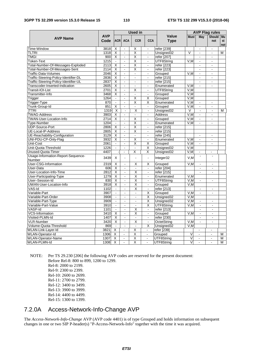| <b>AVP Name</b>                       |                    |                         |                          | <b>Used in</b>           |                             |                             | <b>AVP Flag rules</b>   |                          |                          |           |
|---------------------------------------|--------------------|-------------------------|--------------------------|--------------------------|-----------------------------|-----------------------------|-------------------------|--------------------------|--------------------------|-----------|
|                                       | <b>AVP</b><br>Code | <b>ACRI</b>             | <b>ACA</b>               | <b>CCR</b>               | <b>CCA</b>                  | <b>Value</b><br><b>Type</b> | <b>Must</b>             | May                      | Should Mu<br>not         | st<br>not |
| Time-Window                           | 3818               | X                       | $\blacksquare$           | Χ                        | $\Box$                      | refer [239]                 |                         | $\blacksquare$           | $\blacksquare$           |           |
| tltri                                 | 1318               | $\overline{\mathsf{x}}$ | $\blacksquare$           | X                        | $\sim$                      | Unsigned32                  | V                       |                          | $\overline{a}$           | м         |
| <b>TMGI</b>                           | 900                | X                       | $\blacksquare$           | X                        | $\blacksquare$              | refer $[207]$               |                         | $\blacksquare$           | $\sim$                   |           |
| Token-Text                            | 1215               | $\blacksquare$          | $\blacksquare$           | X                        |                             | UTF8String                  | V,M                     |                          |                          |           |
| Total-Number-Of-Messages-Exploded     | 2113               | $\overline{\mathsf{x}}$ | ä,                       | $\overline{\mathsf{x}}$  | $\blacksquare$              | refer [223]                 |                         |                          |                          |           |
| Total-Number-Of-Messages-Sent         | 2114               | X                       | ä,                       | $\overline{\mathsf{x}}$  | $\blacksquare$              | refer [223]                 |                         | ä,                       | $\overline{a}$           |           |
| Traffic-Data-Volumes                  | 2046               | $\overline{\mathsf{x}}$ | $\mathbf{r}$             | $\overline{a}$           | $\sim$                      | Grouped                     | V.M                     | $\blacksquare$           | $\sim$                   |           |
| Traffic-Steering-Policy-Identifier-DL | 2836               | $\overline{\mathsf{x}}$ | $\overline{a}$           | L.                       | $\blacksquare$              | refer [215]                 |                         | $\overline{\phantom{a}}$ | $\sim$                   |           |
| Traffic-Steering-Policy-Identifier-UL | 2837               | X                       | ä,                       | $\ddot{\phantom{a}}$     | $\blacksquare$              | refer [215]                 |                         | $\blacksquare$           | $\blacksquare$           |           |
| Transcoder-Inserted-Indication        | 2605               | $\overline{\mathsf{x}}$ | $\overline{\phantom{a}}$ | $\overline{a}$           | $\hat{\mathbf{r}}$          | Enumerated                  | V,M                     | $\blacksquare$           | $\mathbf{r}$             |           |
| Transit-IOI-List                      | 2701               | X                       | ä,                       | Χ                        | $\blacksquare$              | UTF8String                  | V,M                     |                          |                          |           |
| Transmitter-Info                      | 3468               | X                       | $\blacksquare$           | $\blacksquare$           | $\blacksquare$              | Grouped                     | V,M                     |                          |                          |           |
| Trigger                               | 1264               |                         | $\overline{a}$           | Χ                        | Χ                           | Grouped                     | V,M                     |                          |                          |           |
| Trigger-Type                          | 870                | $\blacksquare$          | ä,                       | $\overline{\mathsf{x}}$  | $\overline{\mathsf{x}}$     | Enumerated                  | V, M                    | $\blacksquare$           | $\sim$                   |           |
| Trunk-Group-Id                        | 851                | X                       | $\blacksquare$           | $\overline{\phantom{a}}$ | $\blacksquare$              | Grouped                     | V.M                     | $\overline{\phantom{a}}$ | $\sim$                   |           |
| <b>TTRI</b>                           | 1319               | $\overline{\mathsf{x}}$ | $\blacksquare$           | $\overline{\mathsf{x}}$  | $\blacksquare$              | Unsigned32                  | $\overline{\mathsf{v}}$ | $\blacksquare$           | ÷,                       | м         |
| <b>TWAG-Address</b>                   | 3903               | X                       | $\blacksquare$           | $\overline{a}$           | $\blacksquare$              | <b>Address</b>              | V.M                     | $\blacksquare$           | $\blacksquare$           |           |
| TWAN-User-Location-Info               | 2714               | X                       | ä,                       | X                        | $\sim$                      | Grouped                     | V,M                     |                          | $\sim$                   |           |
| Type-Number                           | 1204               | $\sim$                  | $\mathbf{r}$             | X                        | $\blacksquare$              | Enumerated                  | V, M                    | $\blacksquare$           | $\blacksquare$           |           |
| <b>UDP-Source-Port</b>                | 2806               | X                       | $\blacksquare$           | X                        | $\blacksquare$              | refer [215]                 |                         |                          |                          |           |
| UE-Local-IP-Address                   | 2805               | X                       | $\Box$                   | $\overline{\mathsf{x}}$  | $\blacksquare$              | refer [215]                 |                         |                          |                          |           |
| UE-Reachability-Configuration         | 3129               | X                       | $\blacksquare$           | $\overline{\phantom{a}}$ | $\sim$                      | refer [245]                 |                         | $\overline{\phantom{a}}$ | $\sim$                   |           |
| UNI-PDU-CP-Only-Flag                  | 3932               | X                       | $\tilde{\phantom{a}}$    | $\overline{\mathsf{x}}$  | $\blacksquare$              | Enumerated                  | V,M                     | $\overline{\phantom{a}}$ | $\tilde{\phantom{a}}$    |           |
| Unit-Cost                             | 2061               | $\blacksquare$          | $\blacksquare$           | $\overline{\mathsf{x}}$  | $\overline{\mathsf{x}}$     | Grouped                     | V,M                     | $\blacksquare$           | $\sim$                   |           |
| Unit-Quota-Threshold                  | 1226               | $\blacksquare$          | $\blacksquare$           | $\overline{\phantom{a}}$ | X                           | Unsigned32                  | V,M                     |                          |                          |           |
| Unused-Quota-Timer                    | 4407               |                         | $\frac{1}{2}$            | $\overline{\mathsf{x}}$  | X                           | Unsigned32                  | V, M                    | ÷.                       | $\Box$                   |           |
| Usage-Information-Report-Sequence-    |                    |                         |                          |                          |                             |                             |                         |                          |                          |           |
| <b>Number</b>                         | 3439               | X                       | ä,                       | ÷,                       | $\blacksquare$              | Integer32                   | V.M                     |                          |                          |           |
| User-CSG-Information                  | 2319               | X                       | $\blacksquare$           | X                        | X                           | Grouped                     | V.M                     | $\mathbf{r}$             | $\sim$                   |           |
| User-Data                             | 606                | X                       | $\blacksquare$           | $\blacksquare$           | $\blacksquare$              | $r = [204]$                 |                         | $\blacksquare$           | ÷.                       |           |
| User-Location-Info-Time               | 2812               | X                       | $\Box$                   | $\overline{\mathsf{x}}$  | $\omega$                    | refer [215]                 |                         | $\omega$                 | $\blacksquare$           |           |
| User-Participating-Type               | 1279               | Χ                       | $\blacksquare$           | X                        | $\blacksquare$              | Enumerated                  | V,M                     |                          |                          |           |
| User-Session-Id                       | 830                | X                       | $\blacksquare$           | Χ                        | $\blacksquare$              | UTF8String                  | V, M                    | $\blacksquare$           | $\blacksquare$           |           |
| UWAN-User-Location-Info               | 3918               | X                       | $\overline{a}$           | $\overline{\mathsf{x}}$  | $\blacksquare$              | Grouped                     | V,M                     |                          |                          |           |
| VAS-Id                                | 1102               |                         | $\blacksquare$           | Χ                        | $\blacksquare$              | refer [213]                 |                         |                          |                          |           |
| Variable-Part                         | 3907               | $\blacksquare$          | $\overline{a}$           | $\ddot{\phantom{a}}$     | Χ                           | Grouped                     | V.M                     |                          |                          |           |
| Variable-Part-Order                   | 3908               | $\blacksquare$          | ä,                       | $\blacksquare$           | $\overline{\mathsf{x}}$     | Unsigned32                  | V.M                     |                          |                          |           |
| Variable-Part-Type                    | 3909               | $\Box$                  | $\Box$                   | $\Box$                   | X                           | Unsigned32                  | V,M                     | ä,                       | $\blacksquare$           |           |
| Variable-Part-Value                   | 3910               | $\sim$                  | ä,                       | $\sim$                   | X                           | UTF8String                  | V,M                     | $\blacksquare$           | $\overline{a}$           |           |
| VASP-Id                               | 1101               | $\blacksquare$          | $\blacksquare$           | $\overline{\mathsf{x}}$  | $\blacksquare$              | refer [213]                 |                         | $\blacksquare$           | $\blacksquare$           |           |
| VCS-Information                       | 3410               | X                       | $\bar{\phantom{a}}$      | $\overline{\mathsf{x}}$  | $\blacksquare$              | Grouped                     | V.M                     | $\blacksquare$           | $\overline{\phantom{a}}$ |           |
| Visited-PLMN-Id                       | 1407               | $\overline{\mathsf{x}}$ | L,                       | $\overline{a}$           | $\blacksquare$              | refer [230]                 |                         | ä,                       |                          |           |
| <b>VLR-Number</b>                     | 3420               | X                       | $\overline{\phantom{a}}$ | $\overline{\mathsf{x}}$  |                             | OctetString                 | V,M                     | $\overline{a}$           |                          |           |
| Volume-Quota-Threshold                | 869                | $\sim$                  | $\overline{a}$           | $\overline{\phantom{a}}$ | Χ                           | Unsigned32                  | V.M                     |                          |                          |           |
| WLAN-Link-Layer-Id                    | 3821               | Χ                       | $\overline{a}$           | Χ                        | $\mathcal{L}^{\mathcal{A}}$ | refer [239]                 |                         | ÷,                       | $\blacksquare$           |           |
| <b>WLAN-Operator-Id</b>               | 1306               | X                       | $\overline{\phantom{a}}$ | Χ                        | $\omega$                    | Grouped                     | V                       | ÷,                       | $\overline{\phantom{a}}$ | м         |
| <b>WLAN-Operator-Name</b>             | 1307               | X                       | $\overline{\phantom{a}}$ | X                        | $\blacksquare$              | UTF8String                  | $\vee$                  | $\blacksquare$           | $\blacksquare$           | М         |
| WLAN-PLMN-Id                          | 1308               | X                       | L,                       | Χ                        | $\Box$                      | UTF8String                  | V                       | $\blacksquare$           | $\overline{a}$           | м         |
|                                       |                    |                         |                          |                          |                             |                             |                         |                          |                          |           |

NOTE: Per TS 29.230 [206] the following AVP codes are reserved for the present document: Before Rel-8: 800 to 899, 1200 to 1299. Rel-8: 2000 to 2199. Rel-9: 2300 to 2399. Rel-10: 2600 to 2699. Rel-11: 2700 to 2799. Rel-12: 3400 to 3499. Rel-13: 3900 to 3999. Rel-14: 4400 to 4499. Rel-15: 1300 to 1399.

### 7.2.0A Access-Network-Info-Change AVP

The *Access-Network-Info-Change* AVP (AVP code 4401) is of type Grouped and holds information on subsequent changes in one or two SIP P-header(s) "P-Access-Network-Info" together with the time it was acquired.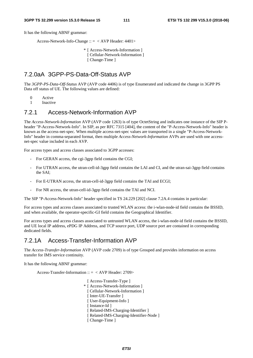It has the following ABNF grammar:

Access-Network-Info-Change :: = < AVP Header: 4401>

 \* [ Access-Network-Information ] [ Cellular-Network-Information ] [ Change-Time ]

#### 7.2.0aA 3GPP-PS-Data-Off-Status AVP

The *3GPP-PS-Data-Off-Status* AVP (AVP code 4406) is of type Enumerated and indicated the change in 3GPP PS Data off status of UE. The following values are defined:

0 Active

1 Inactive

#### 7.2.1 Access-Network-Information AVP

The *Access-Network-Information* AVP (AVP code 1263) is of type OctetString and indicates one instance of the SIP Pheader "P-Access-Network-Info". In SIP, as per RFC 7315 [404], the content of the "P-Access-Network-Info" header is known as the access-net-spec. When multiple access-net-spec values are transported in a single "P-Access-Network-Info" header in comma-separated format, then multiple *Access-Network-Information* AVPs are used with one accessnet-spec value included in each AVP.

For access types and access classes associated to 3GPP accesses:

- For GERAN access, the cgi-3gpp field contains the CGI;
- For UTRAN access, the utran-cell-id-3gpp field contains the LAI and CI, and the utran-sai-3gpp field contains the SAI;
- For E-UTRAN access, the utran-cell-id-3gpp field contains the TAI and ECGI;
- For NR access, the utran-cell-id-3gpp field contains the TAI and NCI.

The SIP "P-Access-Network-Info" header specified in TS 24.229 [202] clause 7.2A.4 contains in particular:

For access types and access classes associated to trusted WLAN access: the i-wlan-node-id field contains the BSSID, and when available, the operator-specific-GI field contains the Geographical Identifier.

For access types and access classes associated to untrusted WLAN access, the i-wlan-node-id field contains the BSSID, and UE local IP address, ePDG IP Address, and TCP source port, UDP source port are contained in corresponding dedicated fields.

#### 7.2.1A Access-Transfer-Information AVP

The *Access-Transfer-Information* AVP (AVP code 2709) is of type Grouped and provides information on access transfer for IMS service continuity.

It has the following ABNF grammar:

Access-Transfer-Information ::  $=$  < AVP Header: 2709>

[ Access-Transfer-Type ] \* [ Access-Network-Information ] [ Cellular-Network-Information ] [ Inter-UE-Transfer ] [ User-Equipment-Info ] [ Instance-Id ] [ Related-IMS-Charging-Identifier ] [ Related-IMS-Charging-Identifier-Node ] [ Change-Time ]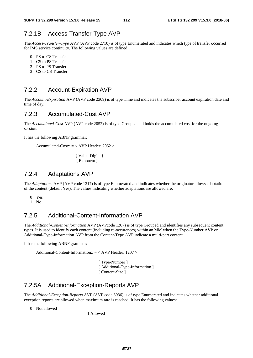#### 7.2.1B Access-Transfer-Type AVP

The *Access-Transfer-Type* AVP (AVP code 2710) is of type Enumerated and indicates which type of transfer occurred for IMS service continuity. The following values are defined:

- 0 PS to CS Transfer
- 1 CS to PS Transfer
- 2 PS to PS Transfer
- 3 CS to CS Transfer

#### 7.2.2 Account-Expiration AVP

The *Account-Expiration* AVP (AVP code 2309) is of type Time and indicates the subscriber account expiration date and time of day.

#### 7.2.3 Accumulated-Cost AVP

The *Accumulated-Cost* AVP (AVP code 2052) is of type Grouped and holds the accumulated cost for the ongoing session.

It has the following ABNF grammar:

```
Accumulated-Cost:: = < AVP Header: 2052 >
```
{ Value-Digits } [ Exponent ]

#### 7.2.4 Adaptations AVP

The *Adaptations* AVP (AVP code 1217) is of type Enumerated and indicates whether the originator allows adaptation of the content (default Yes). The values indicating whether adaptations are allowed are:

- 0 Yes
- 1 No

#### 7.2.5 Additional-Content-Information AVP

The *Additional-Content-Information* AVP (AVPcode 1207) is of type Grouped and identifies any subsequent content types. It is used to identify each content (including re-occurences) within an MM when the Type-Number AVP or Additional-Type-Information AVP from the Content-Type AVP indicate a multi-part content.

It has the following ABNF grammar:

Additional-Content-Information:: = < AVP Header: 1207 >

 [ Type-Number ] [ Additional-Type-Information ] [ Content-Size ]

### 7.2.5A Additional-Exception-Reports AVP

The *Additional-Exception-Reports* AVP (AVP code 3936) is of type Enumerated and indicates whether additional exception reports are allowed when maximum rate is reached. It has the following values:

0 Not allowed

1 Allowed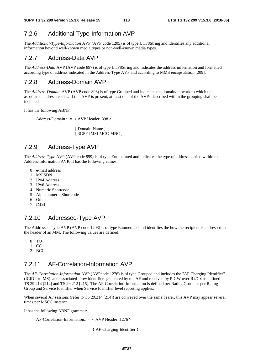### 7.2.6 Additional-Type-Information AVP

The *Additional-Type-Information* AVP (AVP code 1205) is of type UTF8String and identifies any additional information beyond well-known media types or non-well-known media types.

#### 7.2.7 Address-Data AVP

The *Address-Data* AVP (AVP code 897) is of type UTF8String and indicates the address information and formatted according type of address indicated in the Address-Type AVP and according to MMS encapsulation [209].

### 7.2.8 Address-Domain AVP

The *Address-Domain* AVP (AVP code 898) is of type Grouped and indicates the domain/network to which the associated address resides. If this AVP is present, at least one of the AVPs described within the grouping shall be included.

It has the following ABNF:

Address-Domain :: = < AVP Header: 898 >

[ Domain-Name ] [ 3GPP-IMSI-MCC-MNC ]

### 7.2.9 Address-Type AVP

The *Address-Type* AVP (AVP code 899) is of type Enumerated and indicates the type of address carried within the Address-Information AVP. It has the following values:

- 0 e-mail address
- 1 MSISDN
- 2 IPv4 Address
- 3 IPv6 Address
- 4 Numeric Shortcode
- 5 Alphanumeric Shortcode
- 6 Other
- 7 IMSI

### 7.2.10 Addressee-Type AVP

The Addressee-Type AVP (AVP code 1208) is of type Enumerated and identifies the how the recipient is addressed in the header of an MM. The following values are defined:

- 0 TO
- 1 CC
- 2 BCC

# 7.2.11 AF-Correlation-Information AVP

The *AF-Correlation-Information* AVP (AVPcode 1276) is of type Grouped and includes the "AF Charging Identifier" (ICID for IMS) and associated flow identifiers generated by the AF and received by P-GW over Rx/Gx as defined in TS 29.214 [214] and TS 29.212 [215]. The AF-Correlation-Information is defined per Rating Group or per Rating Group and Service Identifier when Service Identifier level reporting applies.

When several AF sessions (refer to TS 29.214 [214]) are conveyed over the same bearer, this AVP may appear several times per MSCC instance.

It has the following ABNF grammar:

AF-Correlation-Information::  $=$  < AVP Header: 1276 >

{ AF-Charging-Identifier }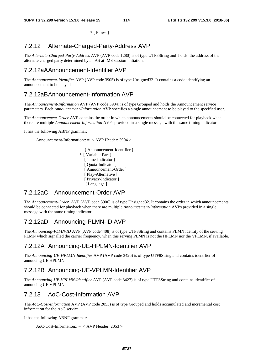\* [ Flows ]

# 7.2.12 Alternate-Charged-Party-Address AVP

The *Alternate-Charged-Party-Address* AVP (AVP code 1280) is of type UTF8String and holds the address of the alternate charged party determined by an AS at IMS session initiation.

# 7.2.12aA Announcement-Identifier AVP

The *Announcement-Identifier* AVP (AVP code 3905) is of type Unsigned32. It contains a code identifying an announcement to be played.

# 7.2.12aB Announcement-Information AVP

The *Announcement-Information* AVP (AVP code 3904) is of type Grouped and holds the Announcement service parameters. Each *Announcement-Information* AVP specifies a single announcement to be played to the specified user.

The *Announcement-Order* AVP contains the order in which announcements should be connected for playback when there are multiple *Announcement-Information* AVPs provided in a single message with the same timing indicator.

It has the following ABNF grammar:

Announcement-Information:: = < AVP Header: 3904 >

{ Announcement-Identifier } \* [ Variable-Part ] [ Time-Indicator ] [ Quota-Indicator ] [ Announcement-Order ] [ Play-Alternative ] [ Privacy-Indicator ] [Language]

#### 7.2.12aC Announcement-Order AVP

The *Announcement-Order* AVP (AVP code 3906) is of type Unsigned32. It contains the order in which announcements should be connected for playback when there are multiple *Announcement-Information* AVPs provided in a single message with the same timing indicator.

# 7.2.12aD Announcing-PLMN-ID AVP

The *Announcing-PLMN-ID* AVP (AVP code4408) is of type UTF8String and contains PLMN identity of the serving PLMN which signalled the carrier frequency, when this serving PLMN is not the HPLMN nor the VPLMN, if available.

### 7.2.12A Announcing-UE-HPLMN-Identifier AVP

The *Announcing-UE-HPLMN-Identifier* AVP (AVP code 3426) is of type UTF8String and contains identifier of annoucing UE HPLMN.

### 7.2.12B Announcing-UE-VPLMN-Identifier AVP

The *Announcing-UE-VPLMN-Identifier* AVP (AVP code 3427) is of type UTF8String and contains identifier of annoucing UE VPLMN.

### 7.2.13 AoC-Cost-Information AVP

The *AoC-Cost-Information* AVP (AVP code 2053) is of type Grouped and holds accumulated and incremental cost infromation for the AoC service

It has the following ABNF grammar:

AoC-Cost-Information:: = < AVP Header: 2053 >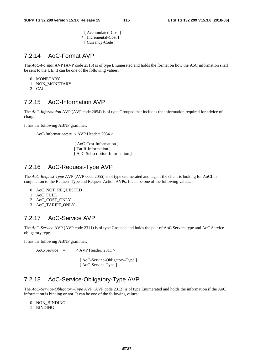[ Accumulated-Cost ] \* [ Incremental-Cost ] [ Currency-Code ]

# 7.2.14 AoC-Format AVP

The *AoC-Format* AVP (AVP code 2310) is of type Enumerated and holds the format on how the AoC information shall be sent to the UE. It can be one of the following values:

- 0 MONETARY
- 1 NON MONETARY
- 2 CAI

# 7.2.15 AoC-Information AVP

The *AoC-Information* AVP (AVP code 2054) is of type Grouped that includes the information required for advice of charge.

It has the following ABNF grammar:

```
AoC-Information:: = < AVP Header: 2054 >
```
[ AoC-Cost-Information ] [ Tariff-Information ] [ AoC-Subscription-Information ]

# 7.2.16 AoC-Request-Type AVP

The *AoC-Request-Type* AVP (AVP code 2055) is of type enumerated and tags if the client is looking for AoCI in conjunction to the Request-Type and Request-Action AVPs. It can be one of the following values:

- 0 AoC\_NOT\_REQUESTED
- 1 AoC\_FULL
- 2 AoC\_COST\_ONLY
- 3 AoC\_TARIFF\_ONLY

# 7.2.17 AoC-Service AVP

The *AoC-Service* AVP (AVP code 2311) is of type Grouped and holds the pair of AoC Service type and AoC Service obligatory type.

It has the following ABNF grammar:

AoC-Service ::  $=$  < AVP Header: 2311 >

[ AoC-Service-Obligatory-Type ] [ AoC-Service-Type ]

# 7.2.18 AoC-Service-Obligatory-Type AVP

The *AoC-Service-Obligatory-Type* AVP (AVP code 2312) is of type Enumerated and holds the information if the AoC information is binding or not. It can be one of the following values:

- 0 NON\_BINDING
- 1 BINDING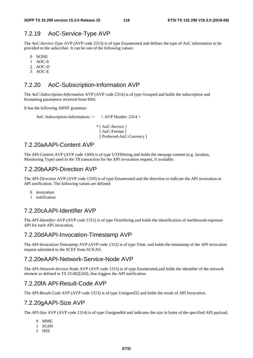### 7.2.19 AoC-Service-Type AVP

The *AoC-Service-Type* AVP (AVP code 2313) is of type Enumerated and defines the type of AoC information to be provided to the subscriber. It can be one of the following values:

- 0 NONE
- 1 AOC-S
- 2 AOC-D
- 3 AOC-E

# 7.2.20 AoC-Subscription-Information AVP

The *AoC-Subscription-Information* AVP (AVP code 2314) is of type Grouped and holds the subscription and formatting parameters received from HSS.

It has the following ABNF grammar:

AoC-Subscription-Information::  $=$  < AVP Header: 2314 >

\* [ AoC-Service ] [ AoC-Format ] [ Preferred-AoC-Currency ]

### 7.2.20aA API-Content AVP

The API*-Content* AVP (AVP code 1309) is of type UTF8String and holds the message content (e.g. location, Monitoring Type) used in the T8 transaction for the API invocation request, if available.

#### 7.2.20bA API-Direction AVP

The *API-Direction* AVP (AVP code 1310) is of type Enumerated and the direction to indicate the API invocation or API notification. The following values are defined:

- 0 invocation<br>1 notification
- notification

### 7.2.20cA API-Identifier AVP

The *API-Identifier* AVP (AVP code 1311) is of type OctetString and holds the identification of northbound exposure API for each API invocation.

#### 7.2.20dA API-Invocation-Timestamp AVP

The *API*-*Invocation-Timestamp* AVP (AVP code 1312) is of type Time, and holds the timestamp of the API invocation request submitted to the SCEF from SCS/AS.

#### 7.2.20eA API-Network-Service-Node AVP

The *API-Network-Service-Node* AVP (AVP code 1315) is of type Enumerated,and holds the identifier of the network element as defined in TS 23.682[243], that triggers the API notification.

### 7.2.20fA API-Result-Code AVP

The *API-Result-Code AVP* (AVP code 1313) is of type Unsigned32 and holds the result of API Invocation.

### 7.2.20gA API-Size AVP

The *API-Size* AVP (AVP code 1314) is of type Unsigned64 and indicates the size in bytes of the specified API payload.

- 0 MME
- 1 SGSN
- 2 HSS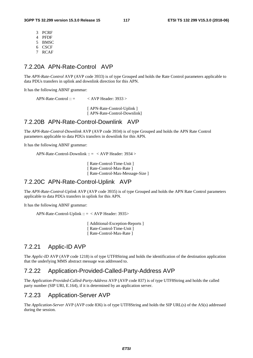- 3 PCRF
- 4 PFDF
- 5 BMSC
- 6 CSCF
- 7 RCAF

### 7.2.20A APN-Rate-Control AVP

The *APN-Rate-Control* AVP (AVP code 3933) is of type Grouped and holds the Rate Control parameters applicable to data PDUs transfers in uplink and downlink direction for this APN.

It has the following ABNF grammar:

APN-Rate-Control ::  $=$  < AVP Header: 3933 >

[ APN-Rate-Control-Uplink ] [ APN-Rate-Control-Downlink]

#### 7.2.20B APN-Rate-Control-Downlink AVP

The *APN-Rate-Control-Downlink* AVP (AVP code 3934) is of type Grouped and holds the APN Rate Control parameters applicable to data PDUs transfers in downlink for this APN.

It has the following ABNF grammar:

APN-Rate-Control-Downlink :: = < AVP Header: 3934 >

[ Rate-Control-Time-Unit ] [ Rate-Control-Max-Rate ] [ Rate-Control-Max-Message-Size ]

#### 7.2.20C APN-Rate-Control-Uplink AVP

The *APN-Rate-Control-Uplink* AVP (AVP code 3935) is of type Grouped and holds the APN Rate Control parameters applicable to data PDUs transfers in uplink for this APN.

It has the following ABNF grammar:

APN-Rate-Control-Uplink :: = < AVP Header: 3935>

[ Additional-Exception-Reports ] [ Rate-Control-Time-Unit ] [ Rate-Control-Max-Rate ]

#### 7.2.21 Applic-ID AVP

The *Applic-ID* AVP (AVP code 1218) is of type UTF8String and holds the identification of the destination application that the underlying MMS abstract message was addressed to.

# 7.2.22 Application-Provided-Called-Party-Address AVP

The *Application-Provided-Called-Party-Address* AVP (AVP code 837) is of type UTF8String and holds the called party number (SIP URI, E.164), if it is determined by an application server.

# 7.2.23 Application-Server AVP

The *Application-Server* AVP (AVP code 836) is of type UTF8String and holds the SIP URL(s) of the AS(s) addressed during the session.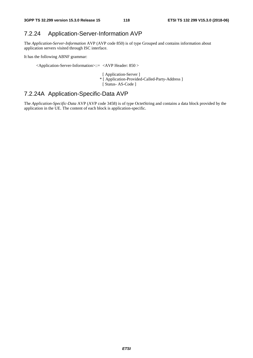# 7.2.24 Application-Server-Information AVP

The *Application-Server-Information* AVP (AVP code 850) is of type Grouped and contains information about application servers visited through ISC interface.

It has the following ABNF grammar:

<Application-Server-Information>::= <AVP Header: 850 >

- [ Application-Server ]
- \* [ Application-Provided-Called-Party-Address ]
- [ Status- AS-Code ]

# 7.2.24A Application-Specific-Data AVP

The *Application-Specific-Data* AVP (AVP code 3458) is of type OctetString and contains a data block provided by the application in the UE. The content of each block is application-specific.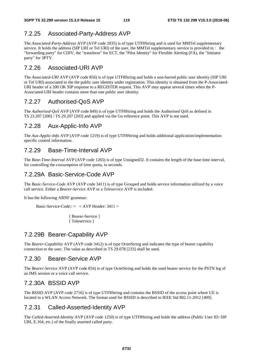# 7.2.25 Associated-Party-Address AVP

The *Associated-Party-Address* AVP (AVP code 2035) is of type UTF8String and is used for MMTel supplementary service. It holds the address (SIP URI or Tel URI) of the user, the MMTel supplementary service is provided to: the "forwarding party" for CDIV, the "transferor" for ECT, the "Pilot Identity" for Flexible Alerting (FA), the "Initiator party" for 3PTY.

# 7.2.26 Associated-URI AVP

The *Associated-URI* AVP (AVP code 856) is of type UTF8String and holds a non-barred public user identity (SIP URI or Tel URI) associated to the the public user identity under registration. This identity is obtained from the P-Associated-URI header of a 200 OK SIP response to a REGISTER request. This AVP may appear several times when the P-Associated-URI header contains more than one public user identity.

# 7.2.27 Authorised-QoS AVP

The *Authorised-QoS* AVP (AVP code 849) is of type UTF8String and holds the Authorised QoS as defined in TS 23.207 [200] / TS 29.207 [203] and applied via the Go reference point. This AVP is not used.

# 7.2.28 Aux-Applic-Info AVP

The *Aux-Applic-Info* AVP (AVP code 1219) is of type UTF8String and holds additional application/implementation specific control information.

# 7.2.29 Base-Time-Interval AVP

The *Base-Time-Interval* AVP (AVP code 1265) is of type Unsigned32. It contains the length of the base time interval, for controlling the consumption of time quota, in seconds.

# 7.2.29A Basic-Service-Code AVP

The *Basic-Service-Code* AVP (AVP code 3411) is of type Grouped and holds service information utilized by a voice call service. Either a *Bearer-Service* AVP or a *Teleservice* AVP is included.

It has the following ABNF grammar:

Basic-Service-Code::  $=$  < AVP Header: 3411 >

[ Bearer-Service ] [ Teleservice ]

# 7.2.29B Bearer-Capability AVP

The *Bearer-Capability* AVP (AVP code 3412) is of type OctetString and indicates the type of bearer capability connection to the user. The value as described in TS 29.078 [233] shall be used.

### 7.2.30 Bearer-Service AVP

The *Bearer-Service* AVP (AVP code 854) is of type OctetString and holds the used bearer service for the PSTN leg of an IMS session or a voice call service.

### 7.2.30A BSSID AVP

The *BSSID* AVP (AVP code 2716) is of type UTF8String and contains the BSSID of the access point where UE is located in a WLAN Access Network. The format used for BSSID is described in IEEE Std 802.11-2012 [409].

# 7.2.31 Called-Asserted-Identity AVP

The *Called-Asserted-Identity* AVP (AVP code 1250) is of type UTF8String and holds the address (Public User ID: SIP URI, E.164, etc.) of the finally asserted called party.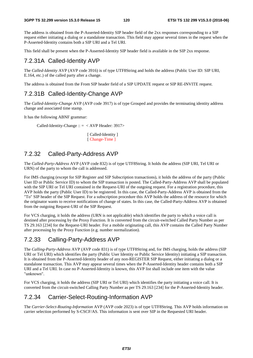The address is obtained from the P-Asserted-Identity SIP header field of the 2xx responses corresponding to a SIP request either initiating a dialog or a standalone transaction. This field may appear several times in the request when the P-Asserted-Identity contains both a SIP URI and a Tel URI.

This field shall be present when the P-Asserted-Identity SIP header field is available in the SIP 2xx response.

# 7.2.31A Called-Identity AVP

The *Called-Identity* AVP (AVP code 3916) is of type UTF8String and holds the address (Public User ID: SIP URI, E.164, etc.) of the called party after a change.

The address is obtained from the From SIP header field of a SIP UPDATE request or SIP RE-INVITE request.

# 7.2.31B Called-Identity-Change AVP

The *Called-Identity-Change* AVP (AVP code 3917) is of type Grouped and provides the terminating identity address change and associated time stamp.

It has the following ABNF grammar:

Called-Identity-Change  $:: = <$  AVP Header: 3917>

[ Called-Identity ] [ Change-Time ]

# 7.2.32 Called-Party-Address AVP

The *Called-Party-Address* AVP (AVP code 832) is of type UTF8String. It holds the address (SIP URI, Tel URI or URN) of the party to whom the call is addressed.

For IMS charging (except for SIP Register and SIP Subscription transactions), it holds the address of the party (Public User ID or Public Service ID) to whom the SIP transaction is posted. The Called-Party-Address AVP shall be populated with the SIP URI or Tel URI contained in the Request-URI of the outgoing request. For a registration procedure, this AVP holds the party (Public User ID) to be registered. In this case, the Called-Party-Address AVP is obtained from the "To" SIP header of the SIP Request. For a subscription procedure this AVP holds the address of the resource for which the originator wants to receive notifications of change of states. In this case, the Called-Party-Address AVP is obtained from the outgoing Request-URI of the SIP Request.

For VCS charging, it holds the address (URN is not applicable) which identifies the party to which a voice call is destined after processing by the Proxy Function. It is converted from the circuit-switched Called Party Number as per TS 29.163 [234] for the Request-URI header. For a mobile originating call, this AVP contains the Called Party Number after processing by the Proxy Function (e.g. number normalization).

# 7.2.33 Calling-Party-Address AVP

The *Calling-Party-Address* AVP (AVP code 831) is of type UTF8String and, for IMS charging, holds the address (SIP URI or Tel URI) which identifies the party (Public User Identity or Public Service Identity) initiating a SIP transaction. It is obtained from the P-Asserted-Identity header of any non-REGISTER SIP Request, either initiating a dialog or a standalone transaction. This AVP may appear several times when the P-Asserted-Identity header contains both a SIP URI and a Tel URI. In case no P-Asserted-Identity is known, this AVP list shall include one item with the value "unknown".

For VCS charging, it holds the address (SIP URI or Tel URI) which identifies the party initiating a voice call. It is converted from the circuit-switched Calling Party Number as per TS 29.163 [234] for the P-Asserted-Identity header.

# 7.2.34 Carrier-Select-Routing-Information AVP

The *Carrier-Select-Routing-Information* AVP (AVP code 2023) is of type UTF8String. This AVP holds information on carrier selection performed by S-CSCF/AS. This information is sent over SIP in the Requested URI header.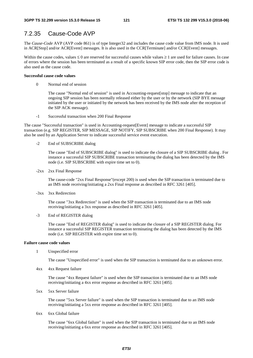# 7.2.35 Cause-Code AVP

The *Cause-Code* AVP (AVP code 861) is of type Integer32 and includes the cause code value from IMS node. It is used in ACR[Stop] and/or ACR[Event] messages. It is also used in the CCR[Terminate] and/or CCR[Event] messages.

Within the cause codes, values  $\leq 0$  are reserved for successful causes while values  $\geq 1$  are used for failure causes. In case of errors where the session has been terminated as a result of a specific known SIP error code, then the SIP error code is also used as the cause code.

#### **Successful cause code values**

0 Normal end of session

The cause "Normal end of session" is used in Accounting-request[stop] message to indicate that an ongoing SIP session has been normally released either by the user or by the network (SIP BYE message initiated by the user or initiated by the network has been received by the IMS node after the reception of the SIP ACK message).

-1 Successful transaction when 200 Final Response

The cause "Successful transaction" is used in Accounting-request[Event] message to indicate a successful SIP transaction (e.g. SIP REGISTER, SIP MESSAGE, SIP NOTIFY, SIP SUBSCRIBE when 200 Final Response). It may also be used by an Application Server to indicate successful service event execution.

-2 End of SUBSCRIBE dialog

The cause "End of SUBSCRIBE dialog" is used to indicate the closure of a SIP SUBSCRIBE dialog . For instance a successful SIP SUBSCRIBE transaction terminating the dialog has been detected by the IMS node (i.e. SIP SUBSCRIBE with expire time set to 0).

-2xx 2xx Final Response

The cause-code "2xx Final Response"(except 200) is used when the SIP transaction is terminated due to an IMS node receiving/initiating a 2xx Final response as described in RFC 3261 [405].

-3xx 3xx Redirection

The cause "3xx Redirection" is used when the SIP transaction is terminated due to an IMS node receiving/initiating a 3xx response as described in RFC 3261 [405].

-3 End of REGISTER dialog

The cause "End of REGISTER dialog" is used to indicate the closure of a SIP REGISTER dialog. For instance a successful SIP REGISTER transaction terminating the dialog has been detected by the IMS node (i.e. SIP REGISTER with expire time set to 0).

#### **Failure cause code values**

1 Unspecified error

The cause "Unspecified error" is used when the SIP transaction is terminated due to an unknown error.

4xx 4xx Request failure

The cause "4xx Request failure" is used when the SIP transaction is terminated due to an IMS node receiving/initiating a 4xx error response as described in RFC 3261 [405].

5xx 5xx Server failure

The cause "5xx Server failure" is used when the SIP transaction is terminated due to an IMS node receiving/initiating a 5xx error response as described in RFC 3261 [405].

6xx 6xx Global failure

The cause "6xx Global failure" is used when the SIP transaction is terminated due to an IMS node receiving/initiating a 6xx error response as described in RFC 3261 [405].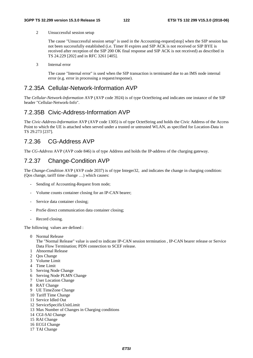2 Unsuccessful session setup

The cause "Unsuccessful session setup" is used in the Accounting-request[stop] when the SIP session has not been successfully established (i.e. Timer H expires and SIP ACK is not received or SIP BYE is received after reception of the SIP 200 OK final response and SIP ACK is not received) as described in TS 24.229 [202] and in RFC 3261 [405].

3 Internal error

The cause "Internal error" is used when the SIP transaction is terminated due to an IMS node internal error (e.g. error in processing a request/response).

#### 7.2.35A Cellular-Network-Information AVP

The *Cellular-Network-Information* AVP (AVP code 3924) is of type OctetString and indicates one instance of the SIP header "Cellular-Network-Info".

### 7.2.35B Civic-Address-Information AVP

The *Civic-Address-Information* AVP (AVP code 1305) is of type OctetString and holds the Civic Address of the Access Point to which the UE is attached when served under a trusted or untrusted WLAN, as specified for Location-Data in TS 29.273 [237].

# 7.2.36 CG-Address AVP

The *CG-Address* AVP (AVP code 846) is of type Address and holds the IP-address of the charging gateway.

# 7.2.37 Change-Condition AVP

The *Change-Condition* AVP (AVP code 2037) is of type Integer32, and indicates the change in charging condition: (Qos change, tariff time change …) which causes:

- Sending of Accounting-Request from node;
- Volume counts container closing for an IP-CAN bearer;
- Service data container closing;
- ProSe direct communication data container closing;
- Record closing.

The following values are defined :

0 Normal Release

The "Normal Release" value is used to indicate IP-CAN session termination , IP-CAN bearer release or Service Data Flow Termination; PDN connection to SCEF release.

- 1 Abnormal Release
- 2 Qos Change
- 3 Volume Limit
- 4 Time Limit
- 5 Serving Node Change
- 6 Serving Node PLMN Change
- 7 User Location Change
- 8 RAT Change
- 9 UE TimeZone Change
- 10 Tariff Time Change
- 11 Service Idled Out
- 12 ServiceSpecificUnitLimit
- 13 Max Number of Changes in Charging conditions
- 14 CGI-SAI Change
- 15 RAI Change
- 16 ECGI Change
- 17 TAI Change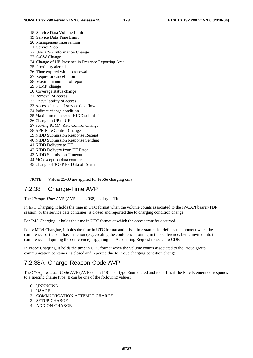- 18 Service Data Volume Limit 19 Service Data Time Limit 20 Management Intervention 21 Service Stop 22 User CSG Information Change 23 S-GW Change 24 Change of UE Presence in Presence Reporting Area 25 Proximity alerted 26 Time expired with no renewal 27 Requestor cancellation 28 Maximum number of reports 29 PLMN change 30 Coverage status change 31 Removal of access 32 Unavailability of access 33 Access change of service data flow 34 Indirect change condition 35 Maximum number of NIDD submissions 36 Change in UP to UE 37 Serving PLMN Rate Control Change 38 APN Rate Control Change 39 NIDD Submission Response Receipt 40 NIDD Submission Response Sending 41 NIDD Delivery to UE 42 NIDD Delivery from UE Error 43 NIDD Submission Timeout 44 MO exception data counter 45 Change of 3GPP PS Data off Status
- NOTE: Values 25-30 are applied for ProSe charging only.

### 7.2.38 Change-Time AVP

The *Change-Time* AVP (AVP code 2038) is of type Time.

In EPC Charging, it holds the time in UTC format when the volume counts associated to the IP-CAN bearer/TDF session, or the service data container, is closed and reported due to charging condition change.

For IMS Charging, it holds the time in UTC format at which the access transfer occurred.

For MMTel Charging, it holds the time in UTC format and it is a time stamp that defines the moment when the conference participant has an action (e.g. creating the conference, joining in the conference, being invited into the conference and quiting the conference) triggering the Accounting Request message to CDF.

In ProSe Charging, it holds the time in UTC format when the volume counts associated to the ProSe group communication container, is closed and reported due to ProSe charging condition change.

# 7.2.38A Charge-Reason-Code AVP

The *Charge-Reason-Code* AVP (AVP code 2118) is of type Enumerated and identifies if the Rate-Element corresponds to a specific charge type. It can be one of the following values:

- 0 UNKNOWN
- 1 USAGE
- 2 COMMUNICATION-ATTEMPT-CHARGE
- 3 SETUP-CHARGE
- 4 ADD-ON-CHARGE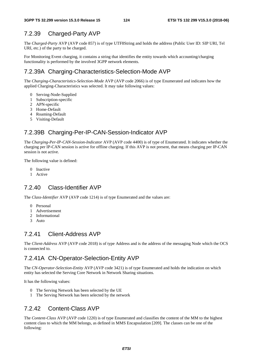# 7.2.39 Charged-Party AVP

The *Charged-Party* AVP (AVP code 857) is of type UTF8String and holds the address (Public User ID: SIP URI, Tel URI, etc.) of the party to be charged.

For Monitoring Event charging, it contains a string that identifies the entity towards which accounting/charging functionality is performed by the involved 3GPP network elements.

# 7.2.39A Charging-Characteristics-Selection-Mode AVP

The *Charging-Characteristics-Selection-Mode* AVP (AVP code 2066) is of type Enumerated and indicates how the applied Charging-Characteristics was selected. It may take following values:

- 0 Serving-Node-Supplied
- 1 Subscription-specific
- 2 APN-specific
- 3 Home-Default
- 4 Roaming-Default
- 5 Visiting-Default

# 7.2.39B Charging-Per-IP-CAN-Session-Indicator AVP

The *Charging-Per-IP-CAN-Session-Indicator* AVP (AVP code 4400) is of type of Enumerated. It indicates whether the charging per IP-CAN session is active for offline charging. If this AVP is not present, that means charging per IP-CAN session is not active.

The following value is defined:

- 0 Inactive
- 1 Active

### 7.2.40 Class-Identifier AVP

The *Class-Identifier* AVP (AVP code 1214) is of type Enumerated and the values are:

- 0 Personal
- 1 Advertisement
- 2 Informational
- 3 Auto

### 7.2.41 Client-Address AVP

The *Client-Address* AVP (AVP code 2018) is of type Address and is the address of the messaging Node which the OCS is connected to.

# 7.2.41A CN-Operator-Selection-Entity AVP

The *CN-Operator-Selection-Entity* AVP (AVP code 3421) is of type Enumerated and holds the indication on which entity has selected the Serving Core Network in Network Sharing situations.

It has the following values:

- 0 The Serving Network has been selected by the UE
- 1 The Serving Network has been selected by the network

# 7.2.42 Content-Class AVP

The *Content-Class* AVP (AVP code 1220) is of type Enumerated and classifies the content of the MM to the highest content class to which the MM belongs, as defined in MMS Encapsulation [209]. The classes can be one of the following: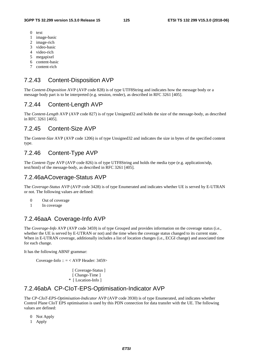- 0 text
- 1 image-basic
- 2 image-rich
- 3 video-basic
- 4 video-rich
- 5 megapixel
- 6 content-basic
- 7 content-rich

#### 7.2.43 Content-Disposition AVP

The *Content-Disposition* AVP (AVP code 828) is of type UTF8String and indicates how the message body or a message body part is to be interpreted (e.g. session, render), as described in RFC 3261 [405].

#### 7.2.44 Content-Length AVP

The *Content-Length* AVP (AVP code 827) is of type Unsigned32 and holds the size of the message-body, as described in RFC 3261 [405].

#### 7.2.45 Content-Size AVP

The *Content-Size* AVP (AVP code 1206) is of type Unsigned32 and indicates the size in bytes of the specified content type.

### 7.2.46 Content-Type AVP

The *Content-Type* AVP (AVP code 826) is of type UTF8String and holds the media type (e.g. application/sdp, text/html) of the message-body, as described in RFC 3261 [405].

#### 7.2.46aA Coverage-Status AVP

The *Coverage-Status* AVP (AVP code 3428) is of type Enumerated and indicates whether UE is served by E-UTRAN or not. The following values are defined:

- 0 Out of coverage
- 1 In coverage

# 7.2.46aaA Coverage-Info AVP

The *Coverage-Info* AVP (AVP code 3459) is of type Grouped and provides information on the coverage status (i.e., whether the UE is served by E-UTRAN or not) and the time when the coverage status changed to its current state. When in E-UTRAN coverage, additionally includes a list of location changes (i.e., ECGI change) and associated time for each change.

It has the following ABNF grammar:

Coverage-Info :: = < AVP Header: 3459>

[ Coverage-Status ] [ Change-Time ] \* [ Location-Info ]

# 7.2.46abA CP-CIoT-EPS-Optimisation-Indicator AVP

The *CP-CIoT-EPS-Optimisation-Indicator* AVP (AVP code 3930) is of type Enumerated, and indicates whether Control Plane CIoT EPS optimisation is used by this PDN connection for data transfer with the UE. The following values are defined:

- 0 Not Apply
- 1 Apply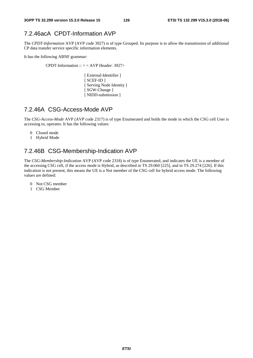# 7.2.46acA CPDT-Information AVP

The *CPDT-Information* AVP (AVP code 3927) is of type Grouped. Its purpose is to allow the transmission of additional CP data transfer service specific information elements.

It has the following ABNF grammar:

CPDT-Information ::  $=$  < AVP Header: 3927>

[ External-Identifier ] [ SCEF-ID ] [ Serving Node Identity ] [ SGW-Change ] [ NIDD-submission ]

# 7.2.46A CSG-Access-Mode AVP

The *CSG-Access-Mode* AVP (AVP code 2317) is of type Enumerated and holds the mode in which the CSG cell User is accessing to, operates. It has the following values:

- 0 Closed mode
- 1 Hybrid Mode

# 7.2.46B CSG-Membership-Indication AVP

The *CSG-Membership-Indication* AVP (AVP code 2318) is of type Enumerated, and indicates the UE is a member of the accessing CSG cell, if the access mode is Hybrid, as described in TS 29.060 [225], and in TS 29.274 [226]. If this indication is not present, this means the UE is a Not member of the CSG cell for hybrid access mode. The following values are defined:

- 0 Not CSG member
- 1 CSG Member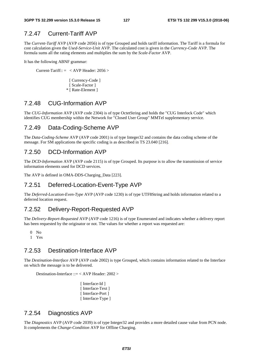# 7.2.47 Current-Tariff AVP

The *Current-Tariff* AVP (AVP code 2056) is of type Grouped and holds tariff information. The Tariff is a formula for cost calculation given the *Used-Service-Unit* AVP. The calculated cost is given in the *Currency-Code* AVP. The formula sums all the rating elements and multiplies the sum by the *Scale-Factor* AVP.

It has the following ABNF grammar:

Current-Tariff::  $=$  < AVP Header: 2056 >

[ Currency-Code ] [ Scale-Factor ] \* [ Rate-Element ]

# 7.2.48 CUG-Information AVP

The *CUG-Information* AVP (AVP code 2304) is of type OctetString and holds the "CUG Interlock Code" which identifies CUG membership within the Network for "Closed User Group" MMTel supplementary service.

# 7.2.49 Data-Coding-Scheme AVP

The *Data-Coding-Scheme* AVP (AVP code 2001) is of type Integer32 and contains the data coding scheme of the message. For SM applications the specific coding is as described in TS 23.040 [216].

### 7.2.50 DCD-Information AVP

The *DCD-Information* AVP (AVP code 2115) is of type Grouped. Its purpose is to allow the transmission of service information elements used for DCD services.

The AVP is defined in OMA-DDS-Charging\_Data [223].

### 7.2.51 Deferred-Location-Event-Type AVP

The *Deferred-Location-Even-Type* AVP (AVP code 1230) is of type UTF8String and holds information related to a deferred location request.

### 7.2.52 Delivery-Report-Requested AVP

The *Delivery-Report-Requested* AVP (AVP code 1216) is of type Enumerated and indicates whether a delivery report has been requested by the originator or not. The values for whether a report was requested are:

- 0 No
- 1 Yes

### 7.2.53 Destination-Interface AVP

The *Destination-Interface* AVP (AVP code 2002) is type Grouped, which contains information related to the Interface on which the message is to be delivered.

Destination-Interface ::= < AVP Header: 2002 >

[ Interface-Id ] [ Interface-Text ] [ Interface-Port ] [ Interface-Type ]

### 7.2.54 Diagnostics AVP

The *Diagnostics* AVP (AVP code 2039) is of type Integer32 and provides a more detailed cause value from PCN node. It complements the *Change-Condition* AVP for Offline Charging.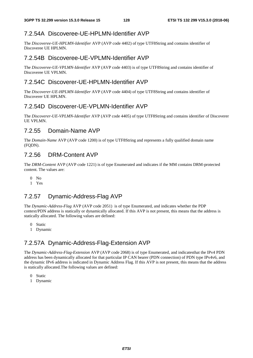# 7.2.54A Discoveree-UE-HPLMN-Identifier AVP

The *Discoveree-UE-HPLMN-Identifier* AVP (AVP code 4402) of type UTF8String and contains identifier of Discoveree UE HPLMN.

# 7.2.54B Discoveree-UE-VPLMN-Identifier AVP

The *Discoveree-UE-VPLMN-Identifier* AVP (AVP code 4403) is of type UTF8String and contains identifier of Discoveree UE VPLMN.

# 7.2.54C Discoverer-UE-HPLMN-Identifier AVP

The *Discoverer-UE-HPLMN-Identifier* AVP (AVP code 4404) of type UTF8String and contains identifier of Discoverer UE HPLMN.

# 7.2.54D Discoverer-UE-VPLMN-Identifier AVP

The *Discoverer-UE-VPLMN-Identifier* AVP (AVP code 4405) of type UTF8String and contains identifier of Discoverer UE VPLMN.

# 7.2.55 Domain-Name AVP

The *Domain-Name* AVP (AVP code 1200) is of type UTF8String and represents a fully qualified domain name (FQDN).

# 7.2.56 DRM-Content AVP

The *DRM-Content* AVP (AVP code 1221) is of type Enumerated and indicates if the MM contains DRM-protected content. The values are:

- $0$  No
- 1 Yes

# 7.2.57 Dynamic-Address-Flag AVP

The *Dynamic-Address-Flag* AVP (AVP code 2051) is of type Enumerated, and indicates whether the PDP context/PDN address is statically or dynamically allocated. If this AVP is not present, this means that the address is statically allocated. The following values are defined:

- 0 Static
- 1 Dynamic

# 7.2.57A Dynamic-Address-Flag-Extension AVP

The *Dynamic-Address-Flag*-*Extension* AVP (AVP code 2068) is of type Enumerated, and indicatesthat the IPv4 PDN address has been dynamically allocated for that particular IP CAN bearer (PDN connection) of PDN type IPv4v6, and the dynamic IPv6 address is indicated in Dynamic Address Flag. If this AVP is not present, this means that the address is statically allocated.The following values are defined:

- 0 Static
- 1 Dynamic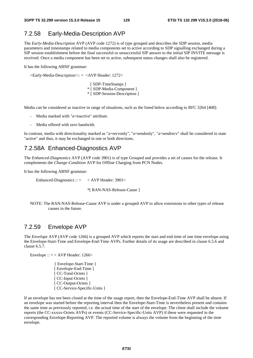### 7.2.58 Early-Media-Description AVP

The *Early-Media-Description* AVP (AVP code 1272) is of type grouped and describes the SDP session, media parameters and timestamps related to media components set to active according to SDP signalling exchanged during a SIP session establishment before the final successful or unsuccessful SIP answer to the initial SIP INVITE message is received. Once a media component has been set to active, subsequent status changes shall also be registered.

It has the following ABNF grammar:

<Early-Media-Description>:: = <AVP Header: 1272>

[ SDP-TimeStamps ] \* [ SDP-Media-Component ] \* [ SDP-Session-Description ]

Media can be considered as inactive in range of situations, such as the listed below according to RFC 3264 [408]:

- Media marked with "a=inactive" attribute.
- Media offered with zero bandwith.

In contrast, media with directionality marked as "a=recvonly", "a=sendonly", "a=sendrecv" shall be considered in state "active" and thus, it may be exchanged in one or both directions.

#### 7.2.58A Enhanced-Diagnostics AVP

The *Enhanced-Diagnostics* AVP (AVP code 3901) is of type Grouped and provides a set of causes for the release. It complements the *Change-Condition* AVP for Offline Charging from PCN Nodes.

It has the following ABNF grammar:

Enhanced-Diagnostics  $\therefore$  = < AVP Header: 3901>

\*[ RAN-NAS-Release-Cause ]

NOTE: The RAN-NAS-Release-Cause AVP is under a grouped AVP to allow extensions to other types of release causes in the future.

#### 7.2.59 Envelope AVP

The *Envelope* AVP (AVP code 1266) is a grouped AVP which reports the start and end time of one time envelope using the Envelope-Start-Time and Envelope-End-Time AVPs. Further details of its usage are described in clause 6.5.6 and clause 6.5.7.

Envelope ::  $=$  < AVP Header: 1266>

{ Envelope-Start-Time } [ Envelope-End-Time ] [ CC-Total-Octets ] [ CC-Input-Octets ] [ CC-Output-Octets ] [ CC-Service-Specific-Units ]

If an envelope has not been closed at the time of the usage report, then the Envelope-End-Time AVP shall be absent. If an envelope was started before the reporting interval then the Envelope-Start-Time is nevertheless present and contains the same time as previously reported, i.e. the actual time of the start of the envelope. The client shall include the volume reports (the CC-xxxxx-Octets AVPs) or events (CC-Service-Specific-Units AVP) if these were requested in the corresponding Envelope-Reporting AVP. The reported volume is always the volume from the beginning of the time envelope.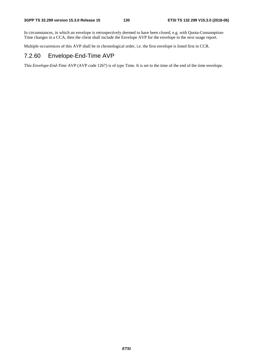In circumstances, in which an envelope is retrospectively deemed to have been closed, e.g. with Quota-Consumption-Time changes in a CCA, then the client shall include the Envelope AVP for the envelope in the next usage report.

Multiple occurrences of this AVP shall be in chronological order, i.e. the first envelope is listed first in CCR.

# 7.2.60 Envelope-End-Time AVP

This *Envelope-End-Time* AVP (AVP code 1267) is of type Time. It is set to the time of the end of the time envelope.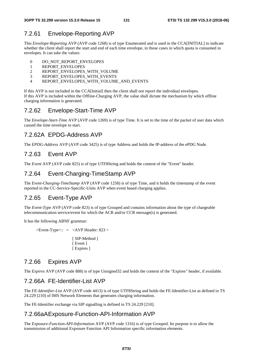### 7.2.61 Envelope-Reporting AVP

This *Envelope-Reporting* AVP (AVP code 1268) is of type Enumerated and is used in the CCA[INITIAL] to indicate whether the client shall report the start and end of each time envelope, in those cases in which quota is consumed in envelopes. It can take the values:

- 0 DO\_NOT\_REPORT\_ENVELOPES
- 1 REPORT\_ENVELOPES
- 2 REPORT\_ENVELOPES\_WITH\_VOLUME
- 3 REPORT\_ENVELOPES\_WITH\_EVENTS<br>4 REPORT ENVELOPES\_WITH\_VOLUME
- 4 REPORT\_ENVELOPES\_WITH\_VOLUME\_AND\_EVENTS

If this AVP is not included in the CCA[Initial] then the client shall not report the individual envelopes. If this AVP is included within the Offline-Charging AVP, the value shall dictate the mechanism by which offline charging information is generated.

#### 7.2.62 Envelope-Start-Time AVP

The *Envelope-Start-Time* AVP (AVP code 1269) is of type Time. It is set to the time of the packet of user data which caused the time envelope to start.

### 7.2.62A EPDG-Address AVP

The *EPDG-Address* AVP (AVP code 3425) is of type Address and holds the IP-address of the ePDG Node.

#### 7.2.63 Event AVP

The *Event* AVP (AVP code 825) is of type UTF8String and holds the content of the "Event" header.

#### 7.2.64 Event-Charging-TimeStamp AVP

The *Event-Charging-TimeStamp* AVP (AVP code 1258) is of type Time, and it holds the timestamp of the event reported in the CC-Service-Specific-Units AVP when event based charging applies.

### 7.2.65 Event-Type AVP

The *Event-Type* AVP (AVP code 823) is of type Grouped and contains information about the type of chargeable telecommunication service/event for which the ACR and/or CCR message(s) is generated.

It has the following ABNF grammar:

 $\leq$ Event-Type $\geq$ :: =  $\leq$ AVP Header: 823  $\geq$ 

[ SIP-Method ] [ Event ] [ Expires ]

#### 7.2.66 Expires AVP

The *Expires* AVP (AVP code 888) is of type Unsigned32 and holds the content of the "Expires" header, if available.

#### 7.2.66A FE-Identifier-List AVP

The *FE-Identifier-List* AVP (AVP code 4413) is of type UTF8String and holds the FE-Identifier-List as defined in TS 24.229 [210] of IMS Network Elements that generates charging information.

The FE-Identifier exchange via SIP signalling is defined in TS 24.229 [210].

#### 7.2.66aA Exposure-Function-API-Information AVP

The *Exposure-Function-API-Information* AVP (AVP code 1316) is of type Grouped. Its purpose is to allow the transmission of additional Exposure Function API Information specific information elements.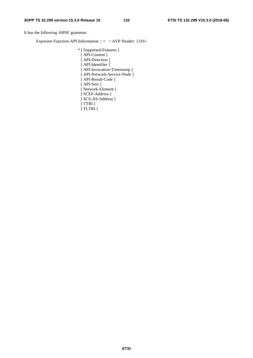It has the following ABNF grammar:

Exposure-Function-API-Information :: = < AVP Header: 1316>

\* [ Supported-Features ] [ API-Content ] [ API-Direction ] [ API-Identifier ] [ API-Invocation-Timestamp ] [ API-Network-Service-Node ] [ API-Result-Code ] [ API-Size ] [ Network-Element ] [ SCEF-Address ] [ SCS-AS-Address ] [ TTRI ] [ TLTRI ]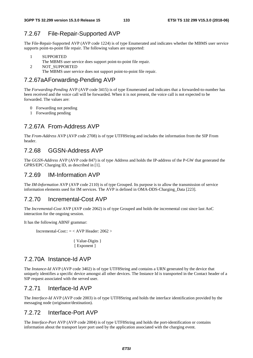# 7.2.67 File-Repair-Supported AVP

The File-Repair-Supported AVP (AVP code 1224) is of type Enumerated and indicates whether the MBMS user service supports point-to-point file repair. The following values are supported:

- 1 SUPPORTED
- The MBMS user service does support point-to-point file repair.
- 2 NOT\_SUPPORTED
	- The MBMS user service does not support point-to-point file repair.

### 7.2.67aA Forwarding-Pending AVP

The *Forwarding-Pending* AVP (AVP code 3415) is of type Enumerated and indicates that a forwarded-to-number has been received and the voice call will be forwarded. When it is not present, the voice call is not expected to be forwarded. The values are:

- 0 Forwarding not pending
- 1 Forwarding pending

# 7.2.67A From-Address AVP

The *From-Address* AVP (AVP code 2708) is of type UTF8String and includes the information from the SIP From header.

# 7.2.68 GGSN-Address AVP

The *GGSN-Address* AVP (AVP code 847) is of type Address and holds the IP-address of the P-GW that generated the GPRS/EPC Charging ID, as described in [1].

# 7.2.69 IM-Information AVP

The *IM-Information* AVP (AVP code 2110) is of type Grouped. Its purpose is to allow the transmission of service information elements used for IM services. The AVP is defined in OMA-DDS-Charging\_Data [223].

### 7.2.70 Incremental-Cost AVP

The *Incremental-Cost* AVP (AVP code 2062) is of type Grouped and holds the incremental cost since last AoC interaction for the ongoing session.

It has the following ABNF grammar:

Incremental-Cost:: = < AVP Header: 2062 >

```
 { Value-Digits } 
[ Exponent ]
```
# 7.2.70A Instance-Id AVP

The *Instance-Id* AVP (AVP code 3402) is of type UTF8String and contains a URN generated by the device that uniquely identifies a specific device amongst all other devices. The Instance Id is transported in the Contact header of a SIP request associated with the served user.

### 7.2.71 Interface-Id AVP

The *Interface-Id* AVP (AVP code 2003) is of type UTF8String and holds the interface identification provided by the messaging node (originator/destination).

### 7.2.72 Interface-Port AVP

The *Interface-Port* AVP (AVP code 2004) is of type UTF8String and holds the port-identification or contains information about the transport layer port used by the application associated with the charging event.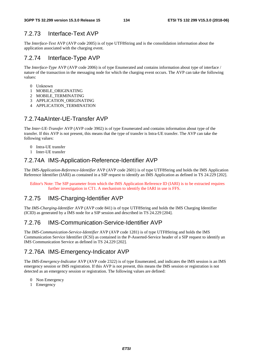# 7.2.73 Interface-Text AVP

The *Interface-Text* AVP (AVP code 2005) is of type UTF8String and is the consolidation information about the application associated with the charging event.

# 7.2.74 Interface-Type AVP

The *Interface-Type* AVP (AVP code 2006) is of type Enumerated and contains information about type of interface / nature of the transaction in the messaging node for which the charging event occurs. The AVP can take the following values:

- 0 Unknown
- 1 MOBILE\_ORIGINATING
- 2 MOBILE\_TERMINATING
- 3 APPLICATION\_ORIGINATING
- 4 APPLICATION\_TERMINATION

# 7.2.74aA Inter-UE-Transfer AVP

The *Inter-UE-Transfer* AVP (AVP code 3902) is of type Enumerated and contains information about type of the transfer. If this AVP is not present, this means that the type of transfer is Intra-UE transfer. The AVP can take the following values:

- 0 Intra-UE transfer
- 1 Inter-UE transfer

# 7.2.74A IMS-Application-Reference-Identifier AVP

The *IMS-Application-Reference-Identifier* AVP (AVP code 2601) is of type UTF8String and holds the IMS Application Reference Identifier (IARI) as contained in a SIP request to identify an IMS Application as defined in TS 24.229 [202].

Editor's Note: The SIP parameter from which the IMS Application Reference ID (IARI) is to be extracted requires further investigation in CT1. A mechanism to identify the IARI in use is FFS.

# 7.2.75 IMS-Charging-Identifier AVP

The *IMS-Charging-Identifier* AVP (AVP code 841) is of type UTF8String and holds the IMS Charging Identifier (ICID) as generated by a IMS node for a SIP session and described in TS 24.229 [204].

### 7.2.76 IMS-Communication-Service-Identifier AVP

The *IMS-Communication-Service-Identifier* AVP (AVP code 1281) is of type UTF8String and holds the IMS Communication Service Identifier (ICSI) as contained in the P-Asserted-Service header of a SIP request to identify an IMS Communication Service as defined in TS 24.229 [202].

# 7.2.76A IMS-Emergency-Indicator AVP

The *IMS-Emergency-Indicator* AVP (AVP code 2322) is of type Enumerated, and indicates the IMS session is an IMS emergency session or IMS registration. If this AVP is not present, this means the IMS session or registration is not detected as an emergency session or registration. The following values are defined:

- 0 Non Emergency
- 1 Emergency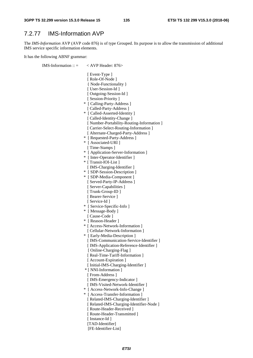#### 7.2.77 IMS-Information AVP

The *IMS-Information* AVP (AVP code 876) is of type Grouped. Its purpose is to allow the transmission of additional IMS service specific information elements.

It has the following ABNF grammar:

IMS-Information ::  $=$  < AVP Header: 876> [ Event-Type ] [ Role-Of-Node ] { Node-Functionality } [ User-Session-Id ] [ Outgoing-Session-Id ] [ Session-Priority ] \* [ Calling-Party-Address ] [ Called-Party-Address ] \* [ Called-Asserted-Identity ] [ Called-Identity-Change ] [ Number-Portability-Routing-Information ] [ Carrier-Select-Routing-Information ] [ Alternate-Charged-Party-Address ] \* [ Requested-Party-Address ] \* [ Associated-URI ] [ Time-Stamps ] \* [ Application-Server-Information ] \* [ Inter-Operator-Identifier ] \* [ Transit-IOI-List ] [ IMS-Charging-Identifier ] \* [ SDP-Session-Description ] \* [ SDP-Media-Component ] [ Served-Party-IP-Address ] [ Server-Capabilities ] [ Trunk-Group-ID ] [ Bearer-Service ] [ Service-Id ] \* [ Service-Specific-Info ] \* [ Message-Body ] [ Cause-Code ] \* [ Reason-Header ] \* [ Access-Network-Information ] [ Cellular-Network-Information ] \* [ Early-Media-Description ] [ IMS-Communication-Service-Identifier ] [ IMS-Application-Reference-Identifier ] [ Online-Charging-Flag ] [ Real-Time-Tariff-Information ] [ Account-Expiration ] [ Initial-IMS-Charging-Identifier ] \* [ NNI-Information ] [ From-Address ] [ IMS-Emergency-Indicator ] [ IMS-Visited-Network-Identifier ] \* [ Access-Network-Info-Change ] \* [ Access-Transfer-Information ] [ Related-IMS-Charging-Identifier ] [ Related-IMS-Charging-Identifier-Node ] [ Route-Header-Received ] [ Route-Header-Transmitted ] [ Instance-Id ] [TAD-Identifier] [FE-Identifier-List]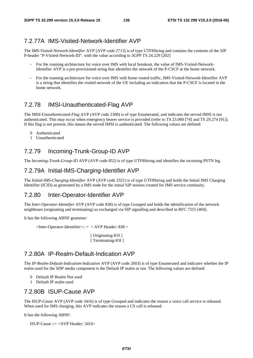### 7.2.77A IMS-Visited-Network-Identifier AVP

The *IMS-Visited-Network-Identifier* AVP (AVP code 2713) is of type UTF8String and contains the contents of the SIP P-header "P-Visited-Network-ID". with the value according to 3GPP TS 24.229 [202]

- For the roaming architecture for voice over IMS with local breakout, the value of IMS-Visited-Network-Identifier AVP is a pre-provisioned string that identifies the network of the P-CSCF at the home network.
- For the roaming architecture for voice over IMS with home routed traffic, IMS-Visited-Network-Identifier AVP is a string that identifies the visited network of the UE including an indication that the P-CSCF is located in the home network.

# 7.2.78 IMSI-Unauthenticated-Flag AVP

The *IMSI-Unauthenticated-Flag* AVP (AVP code 2308) is of type Enumerated, and indicates the served IMSI is not authenticated. This may occur when emergency bearer service is provided (refer to TS 23.060 [74] and TS 29.274 [91]). If this flag is not present, this means the served IMSI is authenticated. The following values are defined:

- 0 Authenticated
- 1 Unauthenticated

# 7.2.79 Incoming-Trunk-Group-ID AVP

The *Incoming-Trunk-Group-ID* AVP (AVP code 852) is of type UTF8String and identifies the incoming PSTN leg.

### 7.2.79A Initial-IMS-Charging-Identifier AVP

The *Initial-IMS-Charging-Identifier* AVP (AVP code 2321) is of type UTF8String and holds the Initial IMS Charging Identifier (ICID) as generated by a IMS node for the initial SIP session created for IMS service continuity.

# 7.2.80 Inter-Operator-Identifier AVP

The *Inter-Operator-Identifier* AVP (AVP code 838) is of type Grouped and holds the identification of the network neighbours (originating and terminating) as exchanged via SIP signalling and described in RFC 7315 [404].

It has the following ABNF grammar:

 $\langle$ Inter-Operator-Identifier>:: =  $\langle$  AVP Header: 838 >

[ Originating-IOI ] [ Terminating-IOI ]

### 7.2.80A IP-Realm-Default-Indication AVP

The *IP-Realm-Default-Indication-Indication* AVP (AVP code 2603) is of type Enumerated and indicates whether the IP realm used for the SDP media component is the Default IP realm or not. The following values are defined:

- 0 Default IP Realm Not used
- 1 Default IP realm used

### 7.2.80B ISUP-Cause AVP

The *ISUP-Cause* AVP (AVP code 3416) is of type Grouped and indicates the reason a voice call service is released. When used for IMS charging, this AVP indicates the reason a CS call is released.

It has the following ABNF:

ISUP-Cause ::= <AVP Header: 3416>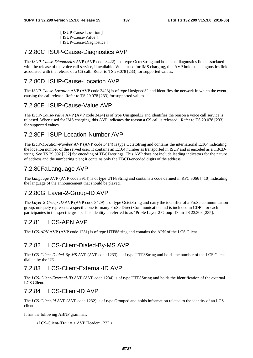[ ISUP-Cause-Location ] [ ISUP-Cause-Value ] [ ISUP-Cause-Diagnostics ]

# 7.2.80C ISUP-Cause-Diagnostics AVP

The *ISUP-Cause-Diagnostics* AVP (AVP code 3422) is of type OctetString and holds the diagnostics field associated with the release of the voice call service, if available. When used for IMS charging, this AVP holds the diagnostics field associated with the release of a CS call. Refer to TS 29.078 [233] for supported values.

# 7.2.80D ISUP-Cause-Location AVP

The *ISUP-Cause-Location* AVP (AVP code 3423) is of type Unsigned32 and identifies the network in which the event causing the call release. Refer to TS 29.078 [233] for supported values.

# 7.2.80E ISUP-Cause-Value AVP

The *ISUP-Cause-Value* AVP (AVP code 3424) is of type Unsigned32 and identifies the reason a voice call service is released. When used for IMS charging, this AVP indicates the reason a CS call is released. Refer to TS 29.078 [233] for supported values.

# 7.2.80F ISUP-Location-Number AVP

The *ISUP-Location-Number* AVP (AVP code 3414) is type OctetString and contains the international E.164 indicating the location number of the served user. It contains an E.164 number as transported in ISUP and is encoded as a TBCDstring. See TS 29.002 [232] for encoding of TBCD-strings. This AVP does not include leading indicators for the nature of address and the numbering plan; it contains only the TBCD-encoded digits of the address.

# 7.2.80Fa Language AVP

The *Language* AVP (AVP code 3914) is of type UTF8String and contains a code defined in RFC 3066 [410] indicating the language of the announcement that should be played.

# 7.2.80G Layer-2-Group-ID AVP

The *Layer-2-Group-ID* AVP (AVP code 3429) is of type OctetString and carry the identifier of a ProSe communication group, uniquely represents a specific one-to-many ProSe Direct Communication and is included in CDRs for each participantes in the specific group. This identity is referred to as "ProSe Layer-2 Group ID" in TS 23.303 [235].

# 7.2.81 LCS-APN AVP

The *LCS-APN* AVP (AVP code 1231) is of type UTF8String and contains the APN of the LCS Client.

# 7.2.82 LCS-Client-Dialed-By-MS AVP

The *LCS-Client-Dialed-By-MS* AVP (AVP code 1233) is of type UTF8String and holds the number of the LCS Client dialled by the UE.

# 7.2.83 LCS-Client-External-ID AVP

The *LCS-Client-External-ID* AVP (AVP code 1234) is of type UTF8String and holds the identification of the external LCS Client.

# 7.2.84 LCS-Client-ID AVP

The *LCS-Client-Id* AVP (AVP code 1232) is of type Grouped and holds information related to the identity of an LCS client.

It has the following ABNF grammar:

```
\langleLCS-Client-ID>:: = \langle AVP Header: 1232 >
```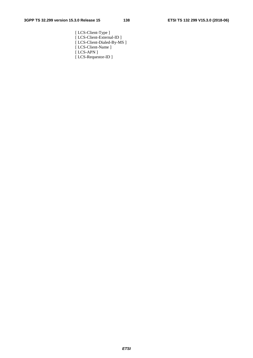[ LCS-Client-Type ] [ LCS-Client-External-ID ] [ LCS-Client-Dialed-By-MS ] [ LCS-Client-Name ] [ LCS-APN ] [ LCS-Requestor-ID ]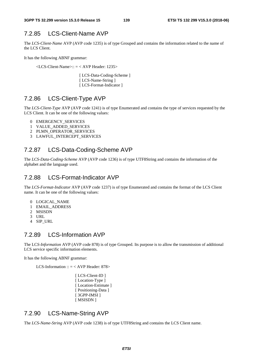# 7.2.85 LCS-Client-Name AVP

The *LCS-Client-Name* AVP (AVP code 1235) is of type Grouped and contains the information related to the name of the LCS Client.

It has the following ABNF grammar:

<LCS-Client-Name>:: = < AVP Header: 1235>

 [ LCS-Data-Coding-Scheme ] [ LCS-Name-String ] [ LCS-Format-Indicator ]

# 7.2.86 LCS-Client-Type AVP

The *LCS-Client-Type* AVP (AVP code 1241) is of type Enumerated and contains the type of services requested by the LCS Client. It can be one of the following values:

- 0 EMERGENCY\_SERVICES
- 1 VALUE\_ADDED\_SERVICES
- 2 PLMN\_OPERATOR\_SERVICES
- 3 LAWFUL\_INTERCEPT\_SERVICES

# 7.2.87 LCS-Data-Coding-Scheme AVP

The *LCS-Data-Coding-Scheme* AVP (AVP code 1236) is of type UTF8String and contains the information of the alphabet and the language used.

### 7.2.88 LCS-Format-Indicator AVP

The *LCS-Format-Indicator* AVP (AVP code 1237) is of type Enumerated and contains the format of the LCS Client name. It can be one of the following values:

- 0 LOGICAL\_NAME
- 1 EMAIL\_ADDRESS
- 2 MSISDN
- 3 URL
- 4 SIP\_URL

### 7.2.89 LCS-Information AVP

The LC*S-Information* AVP (AVP code 878) is of type Grouped. Its purpose is to allow the transmission of additional LCS service specific information elements.

It has the following ABNF grammar:

LCS-Information ::  $=$  < AVP Header: 878>

[ LCS-Client-ID ] [Location-Type ] [Location-Estimate] [ Positioning-Data ] [ 3GPP-IMSI ] [ MSISDN ]

### 7.2.90 LCS-Name-String AVP

The *LCS-Name-String* AVP (AVP code 1238) is of type UTF8String and contains the LCS Client name.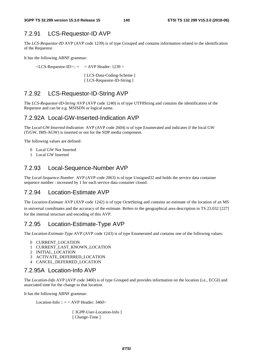# 7.2.91 LCS-Requestor-ID AVP

The *LCS-Requestor-I*D AVP (AVP code 1239) is of type Grouped and contains information related to the identification of the Requestor.

It has the following ABNF grammar:

 $\langle$ LCS-Requestor-ID>:: =  $\langle$  AVP Header: 1239 >

 [ LCS-Data-Coding-Scheme ] [ LCS-Requestor-ID-String ]

# 7.2.92 LCS-Requestor-ID-String AVP

The *LCS-Requestor-ID-String* AVP (AVP code 1240) is of type UTF8String and contains the identification of the Requestor and can be e.g. MSISDN or logical name.

#### 7.2.92A Local-GW-Inserted-Indication AVP

The *Local-GW-Inserted-Indication* AVP (AVP code 2604) is of type Enumerated and indicates if the local GW (TrGW, IMS-AGW) is inserted or not for the SDP media component.

The following values are defined:

- 0 Local GW Not Inserted
- 1 Local GW Inserted

### 7.2.93 Local-Sequence-Number AVP

The *Local-Sequence-Number* AVP (AVP code 2063) is of type Unsigned32 and holds the service data container sequence number : increased by 1 for each service data container closed.

#### 7.2.94 Location-Estimate AVP

The *Location-Estimate* AVP (AVP code 1242) is of type OctetString and contains an estimate of the location of an MS in universal coordinates and the accuracy of the estimate. Refers to the geographical area description in TS 23.032 [227] for the internal structure and encoding of this AVP.

### 7.2.95 Location-Estimate-Type AVP

The *Location-Estimate-Type* AVP (AVP code 1243) is of type Enumerated and contains one of the following values:

- 0 CURRENT\_LOCATION
- 1 CURRENT\_LAST\_KNOWN\_LOCATION
- 2 INITIAL\_LOCATION
- 3 ACTIVATE\_DEFERRED\_LOCATION
- 4 CANCEL\_DEFERRED\_LOCATION

#### 7.2.95A Location-Info AVP

The *Location-Info* AVP (AVP code 3460) is of type Grouped and provides information on the location (i.e., ECGI) and associated time for the change to that location.

It has the following ABNF grammar:

Location-Info ::  $=$  < AVP Header: 3460>

[ 3GPP-User-Location-Info ] [ Change-Time ]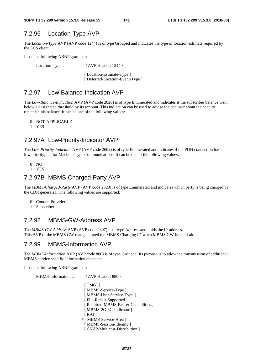# 7.2.96 Location-Type AVP

The *Location-Type* AVP (AVP code 1244) is of type Grouped and indicates the type of location estimate required by the LCS client.

It has the following ABNF grammar:

Location-Type:: = < AVP Header: 1244>

[Location-Estimate-Type ] [ Deferred-Location-Event-Type ]

# 7.2.97 Low-Balance-Indication AVP

The *Low-Balance-Indication* AVP (AVP code 2020) is of type Enumerated and indicates if the subscriber balance went below a designated threshold by its account. This indication can be used to advise the end user about the need to replenish his balance. It can be one of the following values:

- 0 NOT-APPLICABLE
- 1 YES

# 7.2.97A Low-Priority-Indicator AVP

The *Low-Priority-Indicator* AVP (AVP code 2602) is of type Enumerated and indicates if the PDN connection has a low priority, i.e. for Machine Type Communications. It can be one of the following values:

- 0 NO
- 1 YES

### 7.2.97B MBMS-Charged-Party AVP

The *MBMS-Charged-Party* AVP (AVP code 2323) is of type Enumerated and indicates which party is being charged by the CDR generated. The following values are supported:

- 0 Content Provider
- 1 Subscriber

# 7.2.98 MBMS-GW-Address AVP

The *MBMS-GW-Address* AVP (AVP code 2307) is of type Address and holds the IP-address. This AVP of the MBMS GW that generated the MBMS Charging ID when MBMS GW is stand-alone.

### 7.2.99 MBMS-Information AVP

The *MBMS-Information* AVP (AVP code 880) is of type Grouped. Its purpose is to allow the transmission of additional MBMS service specific information elements.

It has the following ABNF grammar:

MBMS-Information  $:: = \langle AVP \text{Header}: 880 \rangle$ [ TMGI ] [ MBMS-Service-Type ] [ MBMS-User-Service-Type ] [ File-Repair-Supported ] [ Required-MBMS-Bearer-Capabilities ] [ MBMS-2G-3G-Indicator ]  $[RAI]$  \* [ MBMS-Service-Area ] [ MBMS-Session-Identity ] [ CN-IP-Multicast-Distribution ]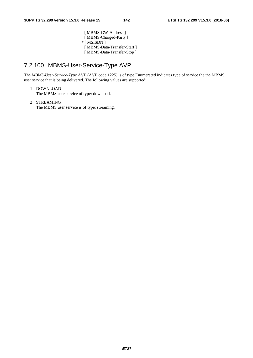[ MBMS-GW-Address ] [ MBMS-Charged-Party ] \* [ MSISDN ] [ MBMS-Data-Transfer-Start ] [ MBMS-Data-Transfer-Stop ]

# 7.2.100 MBMS-User-Service-Type AVP

The *MBMS-User-Service-Type* AVP (AVP code 1225) is of type Enumerated indicates type of service the the MBMS user service that is being delivered. The following values are supported:

- 1 DOWNLOAD The MBMS user service of type: download.
- 2 STREAMING The MBMS user service is of type: streaming.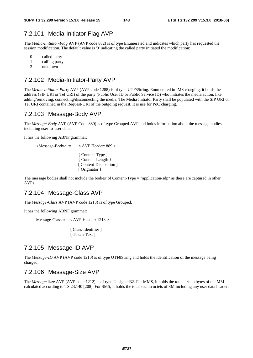### 7.2.101 Media-Initiator-Flag AVP

The *Media-Initiator-Flag* AVP (AVP code 882) is of type Enumerated and indicates which party has requested the session modification. The default value is '0' indicating the called party initiated the modification:

- 0 called party
- 1 calling party<br>2 unknown
- unknown

### 7.2.102 Media-Initiator-Party AVP

The *Media-Initiator-Party* AVP (AVP code 1288) is of type UTF8String. Enumerated in IMS charging, it holds the address (SIP URI or Tel URI) of the party (Public User ID or Public Service ID) who initiates the media action, like adding/removing, connecting/disconnecting the media. The Media Initiator Party shall be populated with the SIP URI or Tel URI contained in the Request-URI of the outgoing request. It is use for PoC charging.

### 7.2.103 Message-Body AVP

The *Message-Body* AVP (AVP Code 889) is of type Grouped AVP and holds information about the message bodies including user-to-user data.

It has the following ABNF grammar:

<Message-Body>::= < AVP Header: 889 >

{ Content-Type } { Content-Length } [ Content-Disposition ] [ Originator ]

The message bodies shall not include the bodies' of Content-Type = "application-sdp" as these are captured in other AVPs.

#### 7.2.104 Message-Class AVP

The *Message-Class* AVP (AVP code 1213) is of type Grouped.

It has the following ABNF grammar:

```
Message-Class :: = < AVP Header: 1213 >
```
 [ Class-Identifier ] [ Token-Text ]

#### 7.2.105 Message-ID AVP

The *Message-ID* AVP (AVP code 1210) is of type UTF8String and holds the identification of the message being charged.

#### 7.2.106 Message-Size AVP

The *Message-Size* AVP (AVP code 1212) is of type Unsigned32. For MMS, it holds the total size in bytes of the MM calculated according to TS 23.140 [208]. For SMS, it holds the total size in octets of SM including any user data header.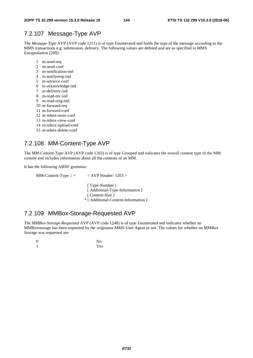### 7.2.107 Message-Type AVP

The *Message-Type* AVP (AVP code 1211) is of type Enumerated and holds the type of the message according to the MMS transactions e.g. submission, delivery. The following values are defined and are as specified in MMS Encapsulation [209]:

- 1 m-send-req
- 2 m-send-conf
- 3 m-notification-ind
- 4 m-notifyresp-ind
- 5 m-retrieve-conf
- 6 m-acknowledge-ind
- 7 m-delivery-ind
- 8 m-read-rec-ind
- 9 m-read-orig-ind
- 10 m-forward-req
- 11 m-forward-conf
- 12 m-mbox-store-conf
- 13 m-mbox-view-conf
- 14 m-mbox-upload-conf
- 15 m-mbox-delete-conf

### 7.2.108 MM-Content-Type AVP

The *MM-Content-Type* AVP (AVP code 1203) is of type Grouped and indicates the overall content type of the MM content and includes information about all the contents of an MM.

It has the following ABNF grammar:

 $MM-Content-Type :: = \nightharpoonup \nightharpoonup \nightharpoonup \nightharpoonup \nightharpoonup \nightharpoonup \nightharpoonup \nightharpoonup \nightharpoonup \nightharpoonup \nightharpoonup \nightharpoonup \nightharpoonup \nightharpoonup \nightharpoonup \nightharpoonup \nightharpoonup \nightharpoonup \nightharpoonup \nightharpoonup \nightharpoonup \nightharpoonup \nightharpoonup \nightharpoonup \nightharpoonup \nightharpoonup \nightharpoonup \nightharpoonup \nightharpoonup \nightharpoonup \nightharpoonup \nightharpoonup \nightharpoonup \nightharpoonup \nightharpoonup \nighthar$ 

[ Type-Number ] [ Additional-Type-Information ] [ Content-Size ] \* [ Additional-Content-Information ]

### 7.2.109 MMBox-Storage-Requested AVP

The *MMBox-Storage-Requested* AVP (AVP code 1248) is of type Enumerated and indicates whether an MMBoxstorage has been requested by the originator MMS User Agent or not. The values for whether an MMBox Storage was requested are:

| 0 | No  |
|---|-----|
|   | Yes |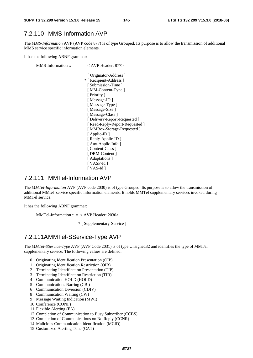#### 7.2.110 MMS-Information AVP

The *MMS-Information* AVP (AVP code 877) is of type Grouped. Its purpose is to allow the transmission of additional MMS service specific information elements.

It has the following ABNF grammar:

MMS-Information ::  $=$   $\langle$  AVP Header: 877> [ Originator-Address ] \* [ Recipient-Address ] [ Submission-Time ] [ MM-Content-Type ] [ Priority ] [ Message-ID ] [ Message-Type ] [ Message-Size ] [ Message-Class ] [ Delivery-Report-Requested ] [ Read-Reply-Report-Requested ] [ MMBox-Storage-Requested ] [ Applic-ID ] [ Reply-Applic-ID ] [ Aux-Applic-Info ] [ Content-Class ] [ DRM-Content ] [ Adaptations ] [ VASP-Id ] [ VAS-Id ]

#### 7.2.111 MMTel-Information AVP

The *MMTel-Information* AVP (AVP code 2030) is of type Grouped. Its purpose is to allow the transmission of additional MMtel service specific information elements. It holds MMTel supplementary services invoked during MMTel service.

It has the following ABNF grammar:

MMTel-Information  $:: = <$  AVP Header: 2030>

\* [ Supplementary-Service ]

#### 7.2.111A MMTel-SService-Type AVP

The *MMTel-SService-Type* AVP (AVP Code 2031) is of type Unsigned32 and identifies the type of MMTel supplementary service. The following values are defined:

- 0 Originating Identification Presentation (OIP)
- 1 Originating Identification Restriction (OIR)
- 2 Terminating Identification Presentation (TIP)
- 3 Terminating Identification Restriction (TIR)
- 4 Communication HOLD (HOLD)
- 5 Communications Barring (CB )
- 6 Communication Diversion (CDIV)
- 8 Communication Waiting (CW)
- 9 Message Waiting Indication (MWI)
- 10 Conference (CONF)
- 11 Flexible Alerting (FA)
- 12 Completion of Communication to Busy Subscriber (CCBS)
- 13 Completion of Communications on No Reply (CCNR)
- 14 Malicious Communication Identification (MCID)
- 15 Customized Alerting Tone (CAT)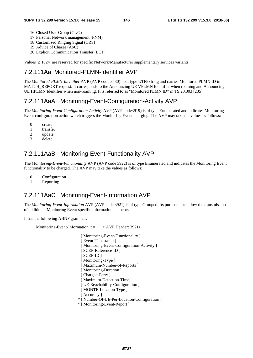- 16 Closed User Group (CUG)
- 17 Personal Network management (PNM)
- 18 Customized Ringing Signal (CRS)
- 19 Advice of Charge (AoC)
- 20 Explicit Communication Transfer (ECT)

Values  $\geq 1024$  are reserved for specific Network/Manufacturer supplementary services variants.

### 7.2.111Aa Monitored-PLMN-Identifier AVP

The *Monitored-PLMN-Identifier* AVP (AVP code 3430) is of type UTF8String and carries Monitored PLMN ID in MATCH\_REPORT request. It corresponds to the Announcing UE VPLMN Identifier when roaming and Announcing UE HPLMN Identifier when non-roaming. It is referred to as "Monitored PLMN ID" in TS 23.303 [235].

#### 7.2.111AaA Monitoring-Event-Configuration-Activity AVP

The *Monitoring-Event-Configuration-Activity* AVP (AVP code3919) is of type Enumerated and indicates Monitoring Event configuration action which triggers the Monitoring Event charging. The AVP may take the values as follows:

- 0 create
- 1 transfer<br>2 undate
- update
- 3 delete

#### 7.2.111AaB Monitoring-Event-Functionality AVP

The *Monitoring-Event-Functionality* AVP (AVP code 3922) is of type Enumerated and indicates the Monitoring Event functionality to be charged. The AVP may take the values as follows:

- 0 Configuration
- 1 Reporting

#### 7.2.111AaC Monitoring-Event-Information AVP

The *Monitoring-Event-Information* AVP (AVP code 3921) is of type Grouped. Its purpose is to allow the transmission of additional Monitoring Event specific information elements.

It has the following ABNF grammar:

Monitoring-Event-Information :: = < AVP Header: 3921>

[ Monitoring-Event-Functionality ] [ Event-Timestamp ] [ Monitoring-Event-Configuration-Activity ] [ SCEF-Reference-ID ] [ SCEF-ID ] [ Monitoring-Type ] [ Maximum-Number-of-Reports ] [ Monitoring-Duration ] [ Charged-Party ] [ Maximum-Detection-Time] [ UE-Reachability-Configuration ] [ MONTE-Location-Type ] [ Accuracy ] \* [ Number-Of-UE-Per-Location-Configuration ] \* [ Monitoring-Event-Report ]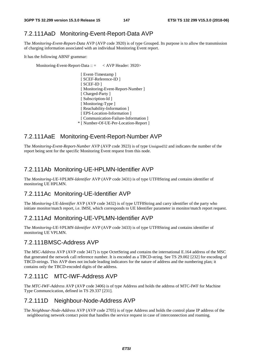### 7.2.111AaD Monitoring-Event-Report-Data AVP

The *Monitoring-Event-Report-Data* AVP (AVP code 3920) is of type Grouped. Its purpose is to allow the transmission of charging information associated with an individual Monitoring Event report.

It has the following ABNF grammar:

Monitoring-Event-Report-Data ::  $=$  < AVP Header: 3920>

[ Event-Timestamp ] [ SCEF-Reference-ID ] [ SCEF-ID ] [ Monitoring-Event-Report-Number ] [ Charged-Party ] [ Subscription-Id ] [ Monitoring-Type ] [ Reachability-Information ] [ EPS-Location-Information ] [ Communication-Failure-Information ] \* [ Number-Of-UE-Per-Location-Report ]

#### 7.2.111AaE Monitoring-Event-Report-Number AVP

The *Monitoring-Event-Report-Number* AVP (AVP code 3923) is of type Unsigned32 and indicates the number of the report being sent for the specific Monitoring Event request from this node.

#### 7.2.111Ab Monitoring-UE-HPLMN-Identifier AVP

The *Monitoring-UE-VPLMN-Identifier* AVP (AVP code 3431) is of type UTF8String and contains identifier of monitoring UE HPLMN.

# 7.2.111Ac Monitoring-UE-Identifier AVP

The *Monitoring-UE-Identifier* AVP (AVP code 3432) is of type UTF8String and carry identifier of the party who initiate monitor/match report, i.e. IMSI, which corresponds to UE Identifier parameter in monitor/match report request.

#### 7.2.111Ad Monitoring-UE-VPLMN-Identifier AVP

The *Monitoring-UE-VPLMN-Identifier* AVP (AVP code 3433) is of type UTF8String and contains identifier of monitoring UE VPLMN.

### 7.2.111BMSC-Address AVP

The *MSC-Address* AVP (AVP code 3417) is type OctetString and contains the international E.164 address of the MSC that generated the network call reference number. It is encoded as a TBCD-string. See TS 29.002 [232] for encoding of TBCD-strings. This AVP does not include leading indicators for the nature of address and the numbering plan; it contains only the TBCD-encoded digits of the address.

#### 7.2.111C MTC-IWF-Address AVP

The *MTC-IWF-Address* AVP (AVP code 3406) is of type Address and holds the address of MTC-IWF for Machine Type Communcication, defined in TS 29.337 [231].

#### 7.2.111D Neighbour-Node-Address AVP

The *Neighbour-Node-Address* AVP (AVP code 2705) is of type Address and holds the control plane IP address of the neighbouring network contact point that handles the service request in case of interconnection and roaming.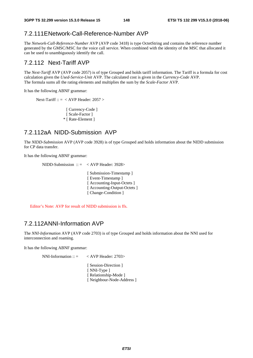#### 7.2.111E Network-Call-Reference-Number AVP

The *Network-Call-Reference-Number* AVP (AVP code 3418) is type OctetString and contains the reference number generated by the GMSC/MSC for the voice call service. When combined with the identity of the MSC that allocated it can be used to unambiguously identify the call.

#### 7.2.112 Next-Tariff AVP

The *Next-Tariff* AVP (AVP code 2057) is of type Grouped and holds tariff information. The Tariff is a formula for cost calculation given the *Used-Service-Unit* AVP. The calculated cost is given in the *Currency-Code* AVP. The formula sums all the rating elements and multiplies the sum by the *Scale-Factor* AVP.

It has the following ABNF grammar:

Next-Tariff ::  $=$  < AVP Header: 2057 >

[ Currency-Code ] [ Scale-Factor ] \* [ Rate-Element ]

#### 7.2.112aA NIDD-Submission AVP

The *NIDD-Submission* AVP (AVP code 3928) is of type Grouped and holds information about the NIDD submission for CP data transfer.

It has the following ABNF grammar:

NIDD-Submission ::  $=$  < AVP Header: 3928> [ Submission-Timestamp ] [ Event-Timestamp ] [ Accounting-Input-Octets ] [ Accounting-Output-Octets ]

[ Change-Condition ]

Editor's Note: AVP for result of NIDD submission is ffs.

#### 7.2.112A NNI-Information AVP

The *NNI-Information* AVP (AVP code 2703) is of type Grouped and holds information about the NNI used for interconnection and roaming.

It has the following ABNF grammar:

NNI-Information ::  $=$  < AVP Header: 2703> [ Session-Direction ] [ NNI-Type ] [ Relationship-Mode ] [ Neighbour-Node-Address ]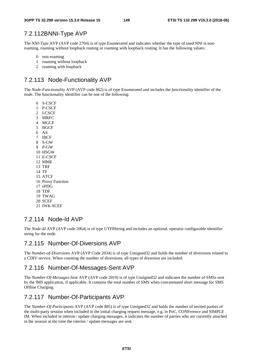### 7.2.112BNNI-Type AVP

The *NNI-Type* AVP (AVP code 2704) is of type Enumerated and indicates whether the type of used NNI is nonroaming, roaming without loopback routing or roaming with loopback routing. It has the following values:

- 0 non-roaming
- 1 roaming without loopback
- 2 roaming with loopback

# 7.2.113 Node-Functionality AVP

The *Node-Functionality* AVP (AVP code 862) is of type Enumerated and includes the *functionality* identifier of the *node*. The functionality identifier can be one of the following:

0 S-CSCF

- 1 P-CSCF
- 2 I-CSCF
- 3 MRFC
- 4 MGCF
- 5 BGCF
- 6 AS
- 7 IBCF 8 S-GW
- 9 P-GW
- 10 HSGW
- 11 E-CSCF
- 12 MME
- 13 TRF
- 14 TF
- 15 ATCF
- 16 Proxy Function
- 17 ePDG
- 18 TDF
- 19 TWAG
- 20 SCEF
- 21 IWK-SCEF

#### 7.2.114 Node-Id AVP

The *Node-Id* AVP (AVP code 2064) is of type UTF8String and includes an optional, operator configurable identifier string for the node.

#### 7.2.115 Number-Of-Diversions AVP

The *Number-of-Diversions* AVP (AVP Code 2034) is of type Unsigned32 and holds the number of diversions related to a CDIV service. When counting the number of diversions, all types of diversion are included.

#### 7.2.116 Number-Of-Messages-Sent AVP

The *Number-Of-Messages-Sent* AVP (AVP code 2019) is of type Unsigned32 and indicates the number of SMSs sent by the IMS application, if applicable. It contains the total number of SMS when concatenated short message for SMS Offline Charging.

#### 7.2.117 Number-Of-Participants AVP

The *Number-Of-Participants* AVP (AVP code 885) is of type Unsigned32 and holds the number of invited parties of the multi-party session when included in the initial charging request message, e.g. in PoC, CONFerence and SIMPLE IM. When included in interim / update charging messages, it indicates the number of parties who are currently attached in the session at the time the interim / update messages are sent.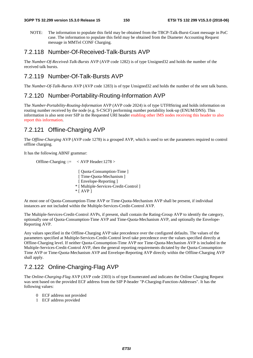NOTE: The information to populate this field may be obtained from the TBCP-Talk-Burst-Grant message in PoC case. The information to populate this field may be obtained from the Diameter Accounting Request message in MMTel CONF Charging.

#### 7.2.118 Number-Of-Received-Talk-Bursts AVP

The *Number-Of-Received-Talk-Bursts* AVP (AVP code 1282) is of type Unsigned32 and holds the number of the received talk bursts.

#### 7.2.119 Number-Of-Talk-Bursts AVP

The *Number-Of-Talk-Bursts* AVP (AVP code 1283) is of type Unsigned32 and holds the number of the sent talk bursts.

#### 7.2.120 Number-Portability-Routing-Information AVP

The *Number-Portability-Routing-Information* AVP (AVP code 2024) is of type UTF8String and holds information on routing number received by the node (e.g. S-CSCF) performing number portability look-up (ENUM/DNS). This information is also sent over SIP in the Requested URI header enabling other IMS nodes receiving this header to also report this information.

### 7.2.121 Offline-Charging AVP

The *Offline-Charging* AVP (AVP code 1278) is a grouped AVP, which is used to set the parameters required to control offline charging.

It has the following ABNF grammar:

Offline-Charging ::= < AVP Header:1278 > [ Quota-Consumption-Time ] [ Time-Ouota-Mechanism ] [ Envelope-Reporting ] \* [ Multiple-Services-Credit-Control ]  $*$  [ AVP ]

At most one of Quota-Consumption-Time AVP or Time-Quota-Mechanism AVP shall be present, if individual instances are not included within the Multiple-Services-Credit-Control AVP.

The Multiple-Services-Credit-Control AVPs, if present, shall contain the Rating-Group AVP to identify the category, optionally one of Quota-Consumption-Time AVP and Time-Quota-Mechanism AVP, and optionally the Envelope-Reporting AVP.

Any values specified in the Offline-Charging AVP take precedence over the configured defaults. The values of the parameters specified at Multiple-Services-Credit-Control level take precedence over the values specified directly at Offline-Charging level. If neither Quota-Consumption-Time AVP nor Time-Quota-Mechanism AVP is included in the Multiple-Services-Credit-Control AVP, then the general reporting requirements dictated by the Quota-Consumption-Time AVP or Time-Quota-Mechanism AVP and Envelope-Reporting AVP directly within the Offline-Charging AVP shall apply.

### 7.2.122 Online-Charging-Flag AVP

The *Online-Charging-Flag* AVP (AVP code 2303) is of type Enumerated and indicates the Online Charging Request was sent based on the provided ECF address from the SIP P-header "P-Charging-Function-Addresses". It has the following values:

- 0 ECF address not provided
- 1 ECF address provided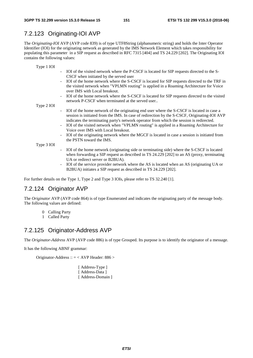### 7.2.123 Originating-IOI AVP

The *Originating-IOI* AVP (AVP code 839) is of type UTF8String (alphanumeric string) and holds the Inter Operator Identifier (IOI) for the originating network as generated by the IMS Network Element which takes responsibility for populating this parameter in a SIP request as described in RFC 7315 [404] and TS 24.229 [202]. The Originating IOI contains the following values:

| Type 1 IOI |                                                                                                                                                                                                                                                                                                                                                                                                                                                                                                                                                                                                    |
|------------|----------------------------------------------------------------------------------------------------------------------------------------------------------------------------------------------------------------------------------------------------------------------------------------------------------------------------------------------------------------------------------------------------------------------------------------------------------------------------------------------------------------------------------------------------------------------------------------------------|
|            | IOI of the visited network where the P-CSCF is located for SIP requests directed to the S-<br>$\overline{\phantom{a}}$<br>CSCF when initiated by the served user                                                                                                                                                                                                                                                                                                                                                                                                                                   |
|            | IOI of the home network where the S-CSCF is located for SIP requests directed to the TRF in<br>the visited network when "VPLMN routing" is applied in a Roaming Architecture for Voice<br>over IMS with Local breakout.                                                                                                                                                                                                                                                                                                                                                                            |
|            | IOI of the home network where the S-CSCF is located for SIP requests directed to the visited<br>$\overline{\phantom{a}}$<br>network P-CSCF when terminated at the served user                                                                                                                                                                                                                                                                                                                                                                                                                      |
| Type 2 IOI |                                                                                                                                                                                                                                                                                                                                                                                                                                                                                                                                                                                                    |
|            | IOI of the home network of the originating end user where the S-CSCF is located in case a<br>$\blacksquare$<br>session is initiated from the IMS. In case of redirection by the S-CSCF, Originating-IOI AVP<br>indicates the terminating party's network operator from which the session is redirected.<br>IOI of the visited network when "VPLMN routing" is applied in a Roaming Architecture for<br>Voice over IMS with Local breakout.<br>IOI of the originating network where the MGCF is located in case a session is initiated from<br>$\overline{\phantom{0}}$<br>the PSTN toward the IMS. |
| Type 3 IOI |                                                                                                                                                                                                                                                                                                                                                                                                                                                                                                                                                                                                    |
|            | IOI of the home network (originating side or terminating side) where the S-CSCF is located<br>$\blacksquare$<br>when forwarding a SIP request as described in TS 24.229 [202] to an AS (proxy, terminating<br>UA or redirect server or B2BUA).<br>IOI of the service provider network where the AS is located when an AS (originating UA or<br>$\overline{\phantom{a}}$<br>B2BUA) initiates a SIP request as described in TS 24.229 [202].                                                                                                                                                         |

For further details on the Type 1, Type 2 and Type 3 IOIs, please refer to TS 32.240 [1].

#### 7.2.124 Originator AVP

The *Originator* AVP (AVP code 864) is of type Enumerated and indicates the originating party of the message body. The following values are defined:

- 0 Calling Party
- 1 Called Party

#### 7.2.125 Originator-Address AVP

The *Originator-Address* AVP (AVP code 886) is of type Grouped. Its purpose is to identify the originator of a message.

It has the following ABNF grammar:

Originator-Address :: = < AVP Header: 886 >

[ Address-Type ] [ Address-Data ] [ Address-Domain ]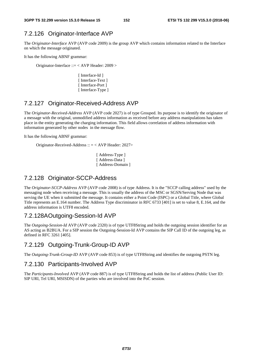### 7.2.126 Originator-Interface AVP

The *Originator-Interface* AVP (AVP code 2009) is the group AVP which contains information related to the Interface on which the message originated.

It has the following ABNF grammar:

Originator-Interface ::= < AVP Header: 2009 >

[ Interface-Id ] [ Interface-Text ] [ Interface-Port ] [ Interface-Type ]

### 7.2.127 Originator-Received-Address AVP

The *Originator-Received-Address* AVP (AVP code 2027) is of type Grouped. Its purpose is to identify the originator of a message with the original, unmodified address information as received before any address manipulations has taken place in the entity generating the charging information. This field allows correlation of address information with information generated by other nodes in the message flow.

It has the following ABNF grammar:

Originator-Received-Address :: = < AVP Header: 2027>

[ Address-Type ] [ Address-Data ] [ Address-Domain ]

#### 7.2.128 Originator-SCCP-Address

The *Originator-SCCP-Address* AVP (AVP code 2008) is of type Address. It is the "SCCP calling address" used by the messaging node when receiving a message. This is usually the address of the MSC or SGSN/Serving Node that was serving the UE when it submitted the message. It contains either a Point Code (ISPC) or a Global Title, where Global Title represents an E.164 number. The Address Type discriminator in RFC 6733 [401] is set to value 8, E.164, and the address information is UTF8 encoded.

#### 7.2.128A Outgoing-Session-Id AVP

The *Outgoing-Session-Id* AVP (AVP code 2320) is of type UTF8String and holds the outgoing session identifier for an AS acting as B2BUA. For a SIP session the Outgoing-Session-Id AVP contains the SIP Call ID of the outgoing leg, as defined in RFC 3261 [405].

#### 7.2.129 Outgoing-Trunk-Group-ID AVP

The *Outgoing-Trunk-Group-ID* AVP (AVP code 853) is of type UTF8String and identifies the outgoing PSTN leg.

#### 7.2.130 Participants-Involved AVP

The *Participants-Involved* AVP (AVP code 887) is of type UTF8String and holds the list of address (Public User ID: SIP URI, Tel URI, MSISDN) of the parties who are involved into the PoC session.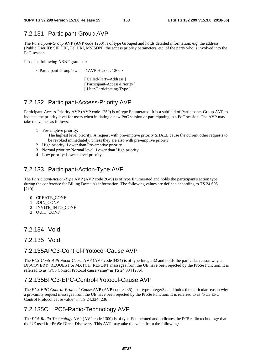### 7.2.131 Participant-Group AVP

The *Participant-Group* AVP (AVP code 1260) is of type Grouped and holds detailed information, e.g. the address (Public User ID: SIP URI, Tel URI, MSISDN), the access priority parameters, etc, of the party who is involved into the PoC session.

It has the following ABNF grammar:

 $\langle$  Participant-Group  $>$  :: =  $\langle$  AVP Header: 1260 $>$ 

[ Called-Party-Address ] [ Participant-Access-Priority ] [ User-Participating-Type ]

### 7.2.132 Participant-Access-Priority AVP

Participant-Access-Priority AVP (AVP code 1259) is of type Enumerated. It is a subfield of Participants-Group AVP to indicate the priority level for users when initiating a new PoC session or participating in a PoC session. The AVP may take the values as follows:

1 Pre-emptive priority:

The highest level priority. A request with pre-emptive priority SHALL cause the current other requests to be revoked immediately, unless they are also with pre-emptive priority

- 2 High priority: Lower than Pre-emptive priority
- 3 Normal priority: Normal level. Lower than High priority
- 4 Low priority: Lowest level priority

## 7.2.133 Participant-Action-Type AVP

The *Participant-Action-Type* AVP (AVP code 2049) is of type Enumerated and holds the participant's action type during the conference for Billing Domain's information. The following values are defined according to TS 24.605 [219]:

- 0 CREATE\_CONF
- 1 JOIN\_CONF
- 2 INVITE\_INTO\_CONF
- 3 QUIT\_CONF

#### 7.2.134 Void

#### 7.2.135 Void

#### 7.2.135A PC3-Control-Protocol-Cause AVP

The *PC3-Control-Protocol-Cause* AVP (AVP code 3434) is of type Integer32 and holds the particular reason why a DISCOVERY\_REQUEST or MATCH\_REPORT messages from the UE have been rejected by the ProSe Function. It is referred to as "PC3 Control Protocol cause value" in TS 24.334 [236].

### 7.2.135B PC3-EPC-Control-Protocol-Cause AVP

The *PC3-EPC-Control-Protocol-Cause* AVP (AVP code 3435) is of type Integer32 and holds the particular reason why a proximity request messages from the UE have been rejected by the ProSe Function. It is referred to as "PC3 EPC Control Protocol cause value" in TS 24.334 [236].

### 7.2.135C PC5-Radio-Technology AVP

The *PC5-Radio-Technology* AVP (AVP code 1300) is of type Enumerated and indicates the PC5 radio technology that the UE used for ProSe Direct Discovery. This AVP may take the value from the following: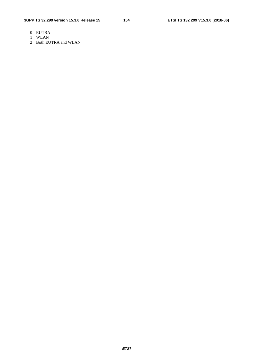- 0 EUTRA
- 1 WLAN
- 2 Both EUTRA and WLAN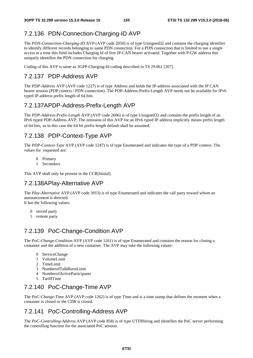# 7.2.136 PDN-Connection-Charging-ID AVP

The *PDN-Connection-Charging-ID* AVP (AVP code 2050) is of type Unsigned32 and contains the charging identifier to identify different records belonging to same PDN connection. For a PDN connection that is limited to use a single access at a time this field includes Charging Id of first IP-CAN bearer activated. Together with P-GW address this uniquely identifies the PDN connection for charging.

Coding of this AVP is same as 3GPP-Charging-Id coding described in TS 29.061 [207].

### 7.2.137 PDP-Address AVP

The *PDP-Address* AVP (AVP code 1227) is of type Address and holds the IP-address associated with the IP CAN bearer session (PDP context / PDN connection). The PDP-Address-Prefix-Length AVP needs not be available for IPv6 typed IP-address prefix length of 64 bits.

### 7.2.137A PDP-Address-Prefix-Length AVP

The *PDP-Address*-*Prefix-Length* AVP (AVP code 2606) is of type Unsigned32 and contains the prefix length of an IPv6 typed PDP-Address AVP. The omission of this AVP for an IPv6 typed IP address implicitly means prefix length of 64 bits, as in this case the 64 bit prefix length default shall be assumed.

### 7.2.138 PDP-Context-Type AVP

The *PDP-Context-Type* AVP (AVP code 1247) is of type Enumerated and indicates the type of a PDP context. The values for requested are:

- 0 Primary
- 1 Secondary

This AVP shall only be present in the CCR[Initial].

#### 7.2.138A Play-Alternative AVP

The *Play-Alternative* AVP (AVP code 3913) is of type Enumerated and indicates the call party toward whom an announcement is directed. It has the following values:

- 0 served party
- 1 remote party

### 7.2.139 PoC-Change-Condition AVP

The *PoC-Change-Condition* AVP (AVP code 1261) is of type Enumerated and contains the reason for closing a container and the addition of a new container. The AVP may take the following values:

- 0 ServiceChange
- 1 VolumeLimit
- 2 TimeLimit
- 3 NumberofTalkBurstLimit
- 4 NumberofActiveParticipants
- 5 TariffTime

### 7.2.140 PoC-Change-Time AVP

The *PoC-Change-Time* AVP (AVP code 1262) is of type Time and is a time stamp that defines the moment when a container is closed or the CDR is closed.

### 7.2.141 PoC-Controlling-Address AVP

The *PoC-Controlling-Address* AVP (AVP code 858) is of type UTF8String and identifies the PoC server performing the controlling function for the associated PoC session.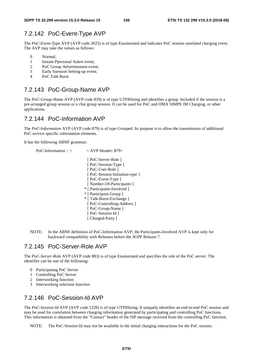# 7.2.142 PoC-Event-Type AVP

The *PoC-Event-Type* AVP (AVP code 2025) is of type Enumerated and indicates PoC session unrelated charging event. The AVP may take the values as follows:

- 0 Normal;
- 1 Instant Ppersonal Aalert event;
- 2 PoC Group Advertisement event;
- 3 Early Ssession Setting-up event;
- 4 PoC Talk Burst

### 7.2.143 PoC-Group-Name AVP

The *PoC-Group-Name* AVP (AVP code 859) is of type UTF8String and identifies a group. Included if the session is a pre-arranged group session or a chat group session. It can be used for PoC and OMA SIMPE IM Charging, or other applications.

### 7.2.144 PoC-Information AVP

The *PoC-Information* AVP (AVP code 879) is of type Grouped. Its purpose is to allow the transmission of additional PoC service specific information elements.

It has the following ABNF grammar:

| PoC-Information :: $=$ | $<$ AVP Header: 879>          |
|------------------------|-------------------------------|
|                        | [ PoC-Server-Role ]           |
|                        | [PoC-Session-Type]            |
|                        | [PoC-User-Role]               |
|                        | [PoC-Session-Initiation-type] |
|                        | [PoC-Event-Type]              |
|                        | [Number-Of-Participants]      |
|                        | * [ Participants-Involved ]   |
|                        | * [ Participant-Group ]       |
|                        | * [Talk-Burst-Exchange]       |
|                        | [PoC-Controlling-Address]     |
|                        | [PoC-Group-Name]              |
|                        | [PoC-Session-Id]              |
|                        | [ Charged-Party ]             |

NOTE: In the ABNF definition of PoC-Information AVP, the Participants-Involved AVP is kept only for backward compatibility with Releases before the 3GPP Release 7.

#### 7.2.145 PoC-Server-Role AVP

The *PoC-Server-Role* AVP (AVP code 883) is of type Enumerated and specifies the role of the PoC server. The identifier can be one of the following:

- 0 Participating PoC Server
- 1 Controlling PoC Server
- 2 Interworking function
- 3 Interworking selection function

### 7.2.146 PoC-Session-Id AVP

The *PoC-Session-Id* AVP (AVP code 1229) is of type UTF8String. It uniquely identifies an end-to-end PoC session and may be used for correlation between charging information generated by participating and controlling PoC functions. This information is obtained from the "Contact" header of the SIP message received from the controlling PoC function.

NOTE: The PoC-Session-Id may not be available in the initial charging interactions for the PoC session.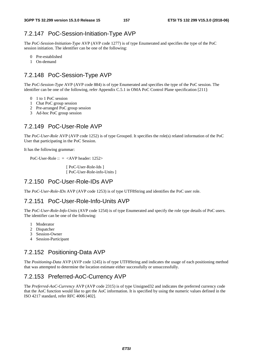### 7.2.147 PoC-Session-Initiation-Type AVP

The *PoC-Session-Initiation-Type* AVP (AVP code 1277) is of type Enumerated and specifies the type of the PoC session initiation. The identifier can be one of the following:

- 0 Pre-established
- 1 On-demand

### 7.2.148 PoC-Session-Type AVP

The *PoC-Session-Type* AVP (AVP code 884) is of type Enumerated and specifies the type of the PoC session. The identifier can be one of the following, refer Appendix C.5.1 in OMA PoC Control Plane specification [211]:

- 0 1 to 1 PoC session
- 1 Chat PoC group session
- 2 Pre-arranged PoC group session
- 3 Ad-hoc PoC group session

#### 7.2.149 PoC-User-Role AVP

The *PoC-User-Role* AVP (AVP code 1252) is of type Grouped. It specifies the role(s) related information of the PoC User that participating in the PoC Session.

It has the following grammar:

PoC-User-Role :: = <AVP header: 1252>

[ PoC-User-Role-Ids ] [ PoC-User-Role-info-Units ]

### 7.2.150 PoC-User-Role-IDs AVP

The *PoC-User-Role-IDs* AVP (AVP code 1253) is of type UTF8String and identifies the PoC user role.

#### 7.2.151 PoC-User-Role-Info-Units AVP

The *PoC-User-Role-Info-Units* (AVP code 1254) is of type Enumerated and specify the role type details of PoC users. The identifier can be one of the following:

- 1 Moderator
- 2 Dispatcher
- 3 Session-Owner
- 4 Session-Participant

#### 7.2.152 Positioning-Data AVP

The *Positioning-Data* AVP (AVP code 1245) is of type UTF8String and indicates the usage of each positioning method that was attempted to determine the location estimate either successfully or unsuccessfully.

### 7.2.153 Preferred-AoC-Currency AVP

The *Preferred-AoC-Currency* AVP (AVP code 2315) is of type Unsigned32 and indicates the preferred currency code that the AoC function would like to get the AoC information. It is specified by using the numeric values defined in the ISO 4217 standard, refer RFC 4006 [402].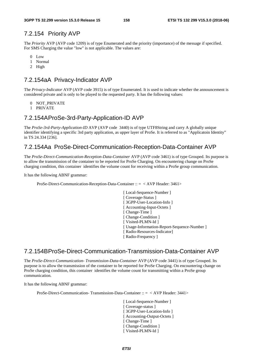#### 7.2.154 Priority AVP

The *Priority* AVP (AVP code 1209) is of type Enumerated and the priority (importance) of the message if specified. For SMS Charging the value "low" is not applicable. The values are:

- 0 Low
- 1 Normal
- 2 High

### 7.2.154aA Privacy-Indicator AVP

The *Privacy-Indicator* AVP (AVP code 3915) is of type Enumerated. It is used to indicate whether the announcement is considered private and is only to be played to the requested party. It has the following values:

- 0 NOT\_PRIVATE
- 1 PRIVATE

#### 7.2.154A ProSe-3rd-Party-Application-ID AVP

The *ProSe-3rd-Party-Application-ID* AVP (AVP code 3440) is of type UTF8String and carry A globally unique identifier identifying a specific 3rd party application, as upper layer of ProSe. It is referred to as "Applicatoin Identity" in TS 24.334 [236].

#### 7.2.154Aa ProSe-Direct-Communication-Reception-Data-Container AVP

The *ProSe-Direct-Communication-Reception-Data-Container* AVP (AVP code 3461) is of type Grouped. Its purpose is to allow the transmission of the container to be reported for ProSe Charging. On encountering change on ProSe charging condition, this container identifies the volume count for receiving within a ProSe group communication.

It has the following ABNF grammar:

ProSe-Direct-Communication-Reception-Data-Container :: = < AVP Header: 3461>

[ Local-Sequence-Number ] [ Coverage-Status ] [ 3GPP-User-Location-Info ] [ Accounting-Input-Octets ] [ Change-Time ] [ Change-Condition ] [ Visited-PLMN-Id ] [ Usage-Information-Report-Sequence-Number ] [ Radio-Resources-Indicator] [ Radio-Frequency ]

### 7.2.154B ProSe-Direct-Communication-Transmission-Data-Container AVP

The *ProSe-Direct-Communication- Transmission-Data-Container* AVP (AVP code 3441) is of type Grouped. Its purpose is to allow the transmission of the container to be reported for ProSe Charging. On encountering change on ProSe charging condition, this container identifies the volume count for transmitting within a ProSe group communication.

It has the following ABNF grammar:

ProSe-Direct-Communication- Transmission-Data-Container :: = < AVP Header: 3441>

[Local-Sequence-Number] [ Coverage-status ] [ 3GPP-User-Location-Info ] [ Accounting-Output-Octets ] [ Change-Time ] [ Change-Condition ] [ Visited-PLMN-Id ]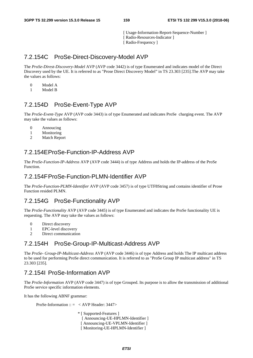[ Usage-Information-Report-Sequence-Number ] [ Radio-Resources-Indicator ] [ Radio-Frequency ]

### 7.2.154C ProSe-Direct-Discovery-Model AVP

The *ProSe-Direst-Discovery-Model* AVP (AVP code 3442) is of type Enumerated and indicates model of the Direct Discovery used by the UE. It is referred to as "Prose Direct Discovery Model" in TS 23.303 [235].The AVP may take the values as follows:

- 0 Model A
- 1 Model B

#### 7.2.154D ProSe-Event-Type AVP

The *ProSe-Event-Type* AVP (AVP code 3443) is of type Enumerated and indicates ProSe charging event. The AVP may take the values as follows:

- 0 Annoucing
- 1 Monitoring
- 2 Match Report

### 7.2.154E ProSe-Function-IP-Address AVP

The *ProSe-Function-IP-Address* AVP (AVP code 3444) is of type Address and holds the IP-address of the ProSe Function.

#### 7.2.154F ProSe-Function-PLMN-Identifier AVP

The *ProSe-Function-PLMN-Identifier* AVP (AVP code 3457) is of type UTF8String and contains identifier of Prose Function resided PLMN.

### 7.2.154G ProSe-Functionality AVP

The *ProSe-Functionality* AVP (AVP code 3445) is of type Enumerated and indicates the ProSe functionality UE is requesting. The AVP may take the values as follows:

- 0 Direct discovery
- 1 EPC-level discovery
- 2 Direct communication

#### 7.2.154H ProSe-Group-IP-Multicast-Address AVP

The *ProSe- Group-IP-Multicast-Address* AVP (AVP code 3446) is of type Address and holds The IP multicast address to be used for performing ProSe direct communication. It is referred to as "ProSe Group IP multicast address" in TS 23.303 [235].

#### 7.2.154I ProSe-Information AVP

The *ProSe-Information* AVP (AVP code 3447) is of type Grouped. Its purpose is to allow the transmission of additional ProSe service specific information elements.

It has the following ABNF grammar:

ProSe-Information ::  $=$  < AVP Header: 3447>

\* [ Supported-Features ] [ Announcing-UE-HPLMN-Identifier ] [ Announcing-UE-VPLMN-Identifier ] [ Monitoring-UE-HPLMN-Identifier ]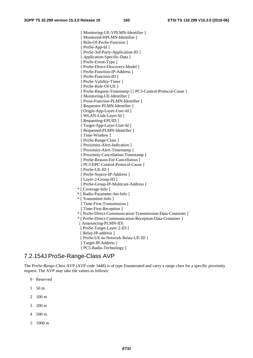[ Monitoring-UE-VPLMN-Identifier ] [ Monitored-HPLMN-Identifier ] [ Role-Of-ProSe-Function ] [ ProSe-App-Id ] [ ProSe-3rd-Party-Application-ID ] [ Application-Specific-Data ] [ ProSe-Event-Type ] [ ProSe-Direct-Discovery-Model ] [ ProSe-Function-IP-Address ] [ ProSe-Function-ID ] [ ProSe-Validity-Timer ] [ ProSe-Role-Of-UE ] [ ProSe-Request-Timestamp ] [ PC3-Control-Protocol-Cause ] [ Monitoring-UE-Identifier ] [ Prose-Function-PLMN-Identifier ] [ Requestor-PLMN-Identifier ] [ Origin-App-Layer-User-Id ] [ WLAN-Link-Layer-Id ] [ Requesting-EPUID ] [ Target-App-Layer-User-Id ] [ Requested-PLMN-Identifier ] [ Time-Window ] [ ProSe-Range-Class ] [ Proximity-Alert-Indication ] [ Proximity-Alert-Timestamp ] [ Proximity-Cancellation-Timestamp ] [ ProSe-Reason-For-Cancellation ] [ PC3-EPC-Control-Protocol-Cause ] [ ProSe-UE-ID ] [ ProSe-Source-IP-Address ] [ Layer-2-Group-ID ] [ ProSe-Group-IP-Multicast-Address ] \* [ Coverage-Info ] \* [ Radio-Parameter-Set-Info ] \* [ Transmitter-Info ] [ Time-First-Transmission ] [ Time-First-Reception ] \* [ ProSe-Direct-Communication-Transmission-Data-Container ] \* [ ProSe-Direct-Communication-Reception-Data-Container ] [ Announcing-PLMN-ID] [ ProSe-Target-Layer-2-ID ] [ Relay-IP-address ] [ ProSe-UE-to-Network-Relay-UE-ID ] [ Target-IP-Address ] [ PC5-Radio-Technology ]

### 7.2.154J ProSe-Range-Class AVP

The *ProSe-Range-Class* AVP (AVP code 3448) is of type Enumerated and carry a range class for a specific proximity request. The AVP may take the values as follows:

- 0 Reserved
- 1 50 m
- 2 100 m
- 3 200 m
- 4 500 m
- 5 1000 m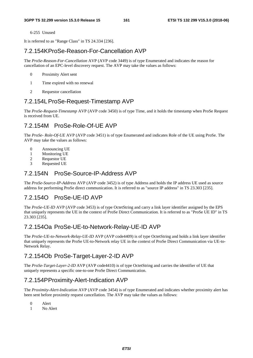6-255 Unused

It is referred to as "Range Class" in TS 24.334 [236].

### 7.2.154K ProSe-Reason-For-Cancellation AVP

The *ProSe-Reason-For-Cancellation* AVP (AVP code 3449) is of type Enumerated and indicates the reason for cancellation of an EPC-level discovery request. The AVP may take the values as follows:

- 0 Proximity Alert sent
- 1 Time expired with no renewal
- 2 Requestor cancellation

### 7.2.154L ProSe-Request-Timestamp AVP

The *ProSe-Request-Timestamp* AVP (AVP code 3450) is of type Time, and it holds the timestamp when ProSe Request is received from UE.

## 7.2.154M ProSe-Role-Of-UE AVP

The *ProSe- Role-Of-UE* AVP (AVP code 3451) is of type Enumerated and indicates Role of the UE using ProSe. The AVP may take the values as follows:

- 0 Announcing UE
- 1 Monitoring UE
- 2 Requestor UE
- 3 Requested UE

### 7.2.154N ProSe-Source-IP-Address AVP

The *ProSe-Source-IP-Address* AVP (AVP code 3452) is of type Address and holds the IP address UE used as source address for performing ProSe direct communication. It is referred to as "source IP address" in TS 23.303 [235].

## 7.2.154O ProSe-UE-ID AVP

The *ProSe-UE-ID* AVP (AVP code 3453) is of type OctetString and carry a link layer identifier assigned by the EPS that uniquely represents the UE in the context of ProSe Direct Communication. It is referred to as "ProSe UE ID" in TS 23.303 [235].

## 7.2.154Oa ProSe-UE-to-Network-Relay-UE-ID AVP

The *ProSe-UE-to-Network-Relay-UE-ID* AVP (AVP code4409) is of type OctetString and holds a link layer identifier that uniquely represents the ProSe UE-to-Network relay UE in the context of ProSe Direct Communication via UE-to-Network Relay.

## 7.2.154Ob ProSe-Target-Layer-2-ID AVP

The *ProSe-Target-Layer-2-ID* AVP (AVP code4410) is of type OctetString and carries the identifier of UE that uniquely represents a specific one-to-one ProSe Direct Communication.

## 7.2.154P Proximity-Alert-Indication AVP

The *Proximity-Alert-Indication* AVP (AVP code 3454) is of type Enumerated and indicates whether proximity alert has been sent before proximity request cancellation. The AVP may take the values as follows:

- 0 Alert
- 1 No Alert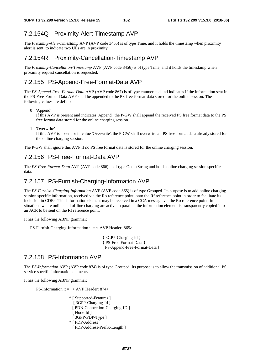### 7.2.154Q Proximity-Alert-Timestamp AVP

The *Proximity-Alert-Timestamp* AVP (AVP code 3455) is of type Time, and it holds the timestamp when proximity alert is sent, to indicate two UEs are in proximity.

#### 7.2.154R Proximity-Cancellation-Timestamp AVP

The *Proximity-Cancellation-Timestamp* AVP (AVP code 3456) is of type Time, and it holds the timestamp when proximity request cancellation is requested.

#### 7.2.155 PS-Append-Free-Format-Data AVP

The *PS-Append-Free-Format-Data* AVP (AVP code 867) is of type enumerated and indicates if the information sent in the PS-Free-Format-Data AVP shall be appended to the PS-free-format-data stored for the online-session. The following values are defined:

0 'Append'

If this AVP is present and indicates 'Append', the P-GW shall append the received PS free format data to the PS free format data stored for the online charging session.

1 'Overwrite'

If this AVP is absent or in value 'Overwrite', the P-GW shall overwrite all PS free format data already stored for the online charging session.

The P-GW shall ignore this AVP if no PS free format data is stored for the online charging session.

### 7.2.156 PS-Free-Format-Data AVP

The *PS-Free-Format-Data* AVP (AVP code 866) is of type OctectString and holds online charging session specific data.

#### 7.2.157 PS-Furnish-Charging-Information AVP

The *PS-Furnish-Charging-Information* AVP (AVP code 865) is of type Grouped. Its purpose is to add online charging session specific information, received via the Ro reference point, onto the Rf reference point in order to facilitate its inclusion in CDRs. This information element may be received in a CCA message via the Ro reference point. In situations where online and offline charging are active in parallel, the information element is transparently copied into an ACR to be sent on the Rf reference point.

It has the following ABNF grammar:

PS-Furnish-Charging-Information :: = < AVP Header: 865>

{ 3GPP-Charging-Id } { PS-Free-Format-Data } [ PS-Append-Free-Format-Data ]

#### 7.2.158 PS-Information AVP

The *PS-Information* AVP (AVP code 874) is of type Grouped. Its purpose is to allow the transmission of additional PS service specific information elements.

It has the following ABNF grammar:

PS-Information ::  $=$  < AVP Header: 874>

\* [ Supported-Features ] [ 3GPP-Charging-Id ] [ PDN-Connection-Charging-ID ] [ Node-Id ] [ 3GPP-PDP-Type ] \* [ PDP-Address ] [ PDP-Address-Prefix-Length ]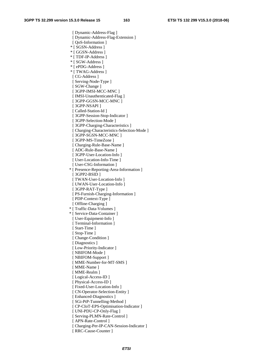[ Dynamic-Address-Flag ] [ Dynamic-Address-Flag-Extension ] [ QoS-Information ] \* [ SGSN-Address ] \* [ GGSN-Address ] \* [ TDF-IP-Address ] \* [ SGW-Address ] \* [ ePDG-Address ] \* [ TWAG-Address ] [ CG-Address ] [ Serving-Node-Type ] [ SGW-Change ] [ 3GPP-IMSI-MCC-MNC ] [ IMSI-Unauthenticated-Flag ] [ 3GPP-GGSN-MCC-MNC ] [ 3GPP-NSAPI ] [ Called-Station-Id ] [ 3GPP-Session-Stop-Indicator ] [ 3GPP-Selection-Mode ] [ 3GPP-Charging-Characteristics ] [ Charging-Characteristics-Selection-Mode ] [ 3GPP-SGSN-MCC-MNC ] [ 3GPP-MS-TimeZone ] [ Charging-Rule-Base-Name ] [ ADC-Rule-Base-Name ] [ 3GPP-User-Location-Info ] [ User-Location-Info-Time ] [ User-CSG-Information ] \* [ Presence-Reporting-Area-Information ] [ 3GPP2-BSID ] [ TWAN-User-Location-Info ] [ UWAN-User-Location-Info ] [ 3GPP-RAT-Type ] [ PS-Furnish-Charging-Information ] [ PDP-Context-Type ] [ Offline-Charging ] \* [ Traffic-Data-Volumes ] \* [ Service-Data-Container ] [ User-Equipment-Info ] [ Terminal-Information ] [ Start-Time ] [ Stop-Time ] [ Change-Condition ] [ Diagnostics ] [ Low-Priority-Indicator ] [ NBIFOM-Mode ] [ NBIFOM-Support ] [ MME-Number-for-MT-SMS ] [ MME-Name ] [ MME-Realm ] [ Logical-Access-ID ] [ Physical-Access-ID ] [ Fixed-User-Location-Info ] [ CN-Operator-Selection-Entity ] [ Enhanced-Diagnostics ] [ SGi-PtP-Tunnelling-Method ] [ CP-CIoT-EPS-Optimisation-Indicator ] [ UNI-PDU-CP-Only-Flag ] [ Serving-PLMN-Rate-Control ] [ APN-Rate-Control ] [ Charging-Per-IP-CAN-Session-Indicator ] [ RRC-Cause-Counter ]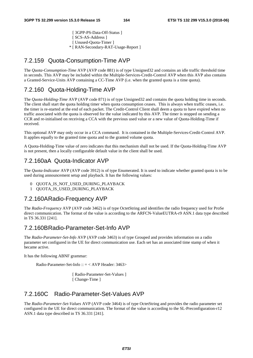[ 3GPP-PS-Data-Off-Status ] [ SCS-AS-Address ] [ Unused-Quota-Timer ] \* [ RAN-Secondary-RAT-Usage-Report ]

#### 7.2.159 Quota-Consumption-Time AVP

The *Quota-Consumption-Time* AVP (AVP code 881) is of type Unsigned32 and contains an idle traffic threshold time in seconds. This AVP may be included within the Multiple-Services-Credit-Control AVP when this AVP also contains a Granted-Service-Units AVP containing a CC-Time AVP (i.e. when the granted quota is a time quota).

#### 7.2.160 Quota-Holding-Time AVP

The *Quota-Holding-Time* AVP (AVP code 871) is of type Unsigned32 and contains the quota holding time in seconds. The client shall start the quota holding timer when quota consumption ceases. This is always when traffic ceases, i.e. the timer is re-started at the end of each packet. The Credit-Control Client shall deem a quota to have expired when no traffic associated with the quota is observed for the value indicated by this AVP. The timer is stopped on sending a CCR and re-initialised on receiving a CCA with the previous used value or a new value of Quota-Holding-Time if received.

This optional AVP may only occur in a CCA command. It is contained in the Multiple-Services-Credit-Control AVP. It applies equally to the granted time quota and to the granted volume quota.

A Quota-Holding-Time value of zero indicates that this mechanism shall not be used. If the Quota-Holding-Time AVP is not present, then a locally configurable default value in the client shall be used.

#### 7.2.160aA Quota-Indicator AVP

The *Quota-Indicator* AVP (AVP code 3912) is of type Enumerated. It is used to indicate whether granted quota is to be used during announcement setup and playback. It has the following values:

- 0 QUOTA IS NOT USED DURING PLAYBACK
- 1 OUOTA IS USED DURING PLAYBACK

#### 7.2.160A Radio-Frequency AVP

The *Radio-Frequency* AVP (AVP code 3462) is of type OctetString and identifies the radio frequency used for ProSe direct communication. The format of the value is according to the ARFCN-ValueEUTRA-r9 ASN.1 data type described in TS 36.331 [241].

#### 7.2.160B Radio-Parameter-Set-Info AVP

The *Radio-Parameter-Set-Info* AVP (AVP code 3463) is of type Grouped and provides information on a radio parameter set configured in the UE for direct communication use. Each set has an associated time stamp of when it became active.

It has the following ABNF grammar:

Radio-Parameter-Set-Info :: = < AVP Header: 3463>

[ Radio-Parameter-Set-Values ] [ Change-Time ]

#### 7.2.160C Radio-Parameter-Set-Values AVP

The *Radio-Parameter-Set-Values* AVP (AVP code 3464) is of type OctetString and provides the radio parameter set configured in the UE for direct communication. The format of the value is according to the SL-Preconfiguration-r12 ASN.1 data type described in TS 36.331 [241].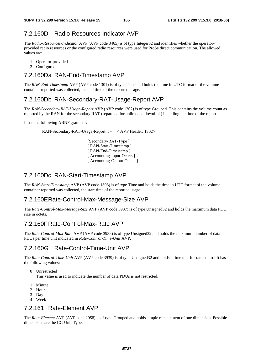### 7.2.160D Radio-Resources-Indicator AVP

The *Radio-Resources-Indicator* AVP (AVP code 3465) is of type Integer32 and identifies whether the operatorprovided radio resources or the configured radio resources were used for ProSe direct communication. The allowed values are:

- 1 Operator-provided
- 2 Configured

### 7.2.160Da RAN-End-Timestamp AVP

The *RAN-End-Timestamp* AVP (AVP code 1301) is of type Time and holds the time in UTC format of the volume container reported was collected, the end time of the reported usage.

#### 7.2.160Db RAN-Secondary-RAT-Usage-Report AVP

The *RAN-Secondary-RAT-Usage-Report* AVP (AVP code 1302) is of type Grouped. This contains the volume count as reported by the RAN for the secondary RAT (separated for uplink and downlink) including the time of the report.

It has the following ABNF grammar:

RAN-Secondary-RAT-Usage-Report  $\therefore$  = < AVP Header: 1302>

 [Secondary-RAT-Type ] [ RAN-Start-Timestamp ] [ RAN-End-Timestamp ] [ Accounting-Input-Octets ] [ Accounting-Output-Octets ]

#### 7.2.160Dc RAN-Start-Timestamp AVP

The *RAN-Start-Timestamp* AVP (AVP code 1303) is of type Time and holds the time in UTC format of the volume container reported was collected, the start time of the reported usage.

#### 7.2.160E Rate-Control-Max-Message-Size AVP

The *Rate-Control-Max-Message-Size* AVP (AVP code 3937) is of type Unsigned32 and holds the maximum data PDU size in octets.

#### 7.2.160F Rate-Control-Max-Rate AVP

The *Rate-Control-Max-Rate* AVP (AVP code 3938) is of type Unsigned32 and holds the maximum number of data PDUs per time unit indicated in *Rate-Control-Time-Unit* AVP.

## 7.2.160G Rate-Control-Time-Unit AVP

The *Rate-Control-Time-Unit* AVP (AVP code 3939) is of type Unsigned32 and holds a time unit for rate control.It has the following values:

0 Unrestricted

This value is used to indicate the number of data PDUs is not restricted.

- 1 Minute
- 2 Hour
- 3 Day
- 4 Week

# 7.2.161 Rate-Element AVP

The *Rate-Element* AVP (AVP code 2058) is of type Grouped and holds simple rate element of one dimension. Possible dimensions are the CC-Unit-Type.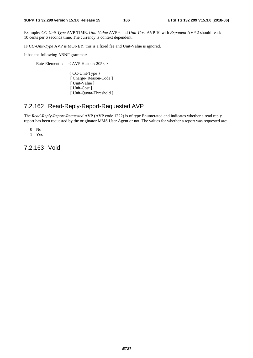Example: *CC-Unit-Type* AVP TIME, *Unit-Value* AVP 6 and *Unit-Cost* AVP 10 with *Exponent* AVP 2 should read: 10 cents per 6 seconds time. The currency is context dependent.

IF *CC-Unit-Type* AVP is MONEY, this is a fixed fee and Unit-Value is ignored.

It has the following ABNF grammar:

Rate-Element :: = < AVP Header: 2058 >

{ CC-Unit-Type } [ Charge- Reason-Code ] [ Unit-Value ] [ Unit-Cost ] [ Unit-Quota-Threshold ]

### 7.2.162 Read-Reply-Report-Requested AVP

The *Read-Reply-Report-Requested* AVP (AVP code 1222) is of type Enumerated and indicates whether a read reply report has been requested by the originator MMS User Agent or not. The values for whether a report was requested are:

0 No

1 Yes

7.2.163 Void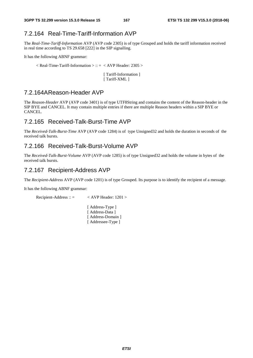# 7.2.164 Real-Time-Tariff-Information AVP

The *Real-Time-Tariff-Information* AVP (AVP code 2305) is of type Grouped and holds the tariff information received in real time according to TS 29.658 [222] in the SIP signalling.

It has the following ABNF grammar:

 $\langle$  Real-Time-Tariff-Information  $\rangle$  :: =  $\langle$  AVP Header: 2305  $\rangle$ 

[ Tariff-Information ] [ Tariff-XML ]

### 7.2.164A Reason-Header AVP

The *Reason-Header* AVP (AVP code 3401) is of type UTF8String and contains the content of the Reason-header in the SIP BYE and CANCEL. It may contain multiple entries if there are multiple Reason headers within a SIP BYE or CANCEL.

### 7.2.165 Received-Talk-Burst-Time AVP

The *Received-Talk-Burst-Time* AVP (AVP code 1284) is of type Unsigned32 and holds the duration in seconds of the received talk bursts.

### 7.2.166 Received-Talk-Burst-Volume AVP

The *Received-Talk-Burst-Volume* AVP (AVP code 1285) is of type Unsigned32 and holds the volume in bytes of the received talk bursts.

### 7.2.167 Recipient-Address AVP

The *Recipient-Address* AVP (AVP code 1201) is of type Grouped. Its purpose is to identify the recipient of a message.

It has the following ABNF grammar:

Recipient-Address ::  $=$  < AVP Header: 1201 >

[ Address-Type ] [ Address-Data ] [ Address-Domain ] [ Addressee-Type ]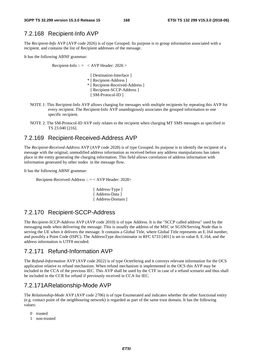### 7.2.168 Recipient-Info AVP

The *Recipient-Info* AVP (AVP code 2026) is of type Grouped. Its purpose is to group information associated with a recipient. and contains the list of Recipient addresses of the message.

It has the following ABNF grammar:

Recipient-Info ::  $=$  < AVP Header: 2026 >

- [ Destination-Interface ]
- \* [ Recipient-Address ]
- \* [ Recipient-Received-Address ]
- [ Recipient-SCCP-Address ]
- [ SM-Protocol-ID ]
- NOTE 1: This Recipient-Info AVP allows charging for messages with multiple recipients by repeating this AVP for every recipient. The Recipient-Info AVP unambigiously associates the grouped information to one specific recipient.
- NOTE 2: The SM-Protocol-ID AVP only relates to the recipient when charging MT SMS messages as specified in TS 23.040 [216].

### 7.2.169 Recipient-Received-Address AVP

The *Recipient-Received-Address* AVP (AVP code 2028) is of type Grouped. Its purpose is to identify the recipient of a message with the original, unmodified address information as received before any address manipulations has taken place in the entity generating the charging information. This field allows correlation of address information with information generated by other nodes in the message flow.

It has the following ABNF grammar:

Recipient-Received-Address :: = < AVP Header: 2028>

[ Address-Type ] [ Address-Data ] [ Address-Domain ]

## 7.2.170 Recipient-SCCP-Address

The *Recipient-SCCP-Address* AVP (AVP code 2010) is of type Address. It is the "SCCP called address" used by the messaging node when delivering the message. This is usually the address of the MSC or SGSN/Serving Node that is serving the UE when it delivers the message. It contains a Global Title, where Global Title represents an E.164 number, and possibly a Point Code (ISPC). The AddressType discriminator in RFC 6733 [401] is set to value 8, E.164, and the address information is UTF8 encoded.

# 7.2.171 Refund-Information AVP

The *Refund-Information* AVP (AVP code 2022) is of type OctetString and it conveys relevant information for the OCS application relative to refund mechanism. When refund mechanism is implemented in the OCS this AVP may be included in the CCA of the previous IEC. This AVP shall be used by the CTF in case of a refund scenario and thus shall be included in the CCR for refund if previously received in CCA for IEC.

### 7.2.171A Relationship-Mode AVP

The *Relationship-Mode* AVP (AVP code 2706) is of type Enumerated and indicates whether the other functional entity (e.g. contact point of the neighbouring network) is regarded as part of the same trust domain. It has the following values:

- 0 trusted
- 1 non-trusted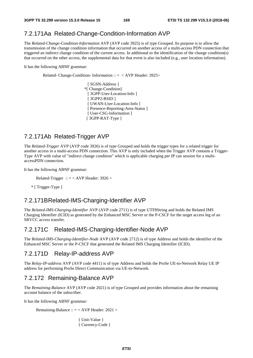# 7.2.171Aa Related-Change-Condition-Information AVP

The *Related-Change-Condition-Information* AVP (AVP code 3925) is of type Grouped. Its purpose is to allow the transmission of the change condition information that occurred on another access of a multi-access PDN connection that triggered an indirect change condition of the current access. In additional to the identification of the change condition(s) that occurred on the other access, the supplemental data for that event is also included (e.g., user location information).

It has the following ABNF grammar:

Related- Change-Condition- Information :: = < AVP Header: 3925>

 [ SGSN-Address ] \*[ Change-Condition] [ 3GPP-User-Location-Info ] [ 3GPP2-BSID ] [ UWAN-User-Location-Info ] [ Presence-Reporting-Area-Status ] [ User-CSG-Information ] [ 3GPP-RAT-Type ]

#### 7.2.171Ab Related-Trigger AVP

The *Related-Trigger* AVP (AVP code 3926) is of type Grouped and holds the trigger types for a related trigger for another access in a multi-access PDN connection. This AVP is only included when the Trigger AVP contains a Trigger-Type AVP with value of "indirect change condition" which is applicable charging per IP can session for a multiaccessPDN connection.

It has the following ABNF grammar:

Related-Trigger ::  $=$  < AVP Header: 3926 >

\* [ Trigger-Type ]

#### 7.2.171B Related-IMS-Charging-Identifier AVP

The *Related-IMS-Charging-Identifier* AVP (AVP code 2711) is of type UTF8String and holds the Related IMS Charging Identifier (ICID) as generated by the Enhanced MSC Server or the P-CSCF for the target access leg of an SRVCC access transfer.

#### 7.2.171C Related-IMS-Charging-Identifier-Node AVP

The *Related-IMS-Charging-Identifier-Node* AVP (AVP code 2712) is of type Address and holds the identifier of the Enhanced MSC Server or the P-CSCF that generated the Related IMS Charging Identifier (ICID).

#### 7.2.171D Relay-IP-address AVP

The *Relay-IP-address* AVP (AVP code 4411) is of type Address and holds the ProSe UE-to-Network Relay UE IP address for performing ProSe Direct Communication via UE-to-Network.

#### 7.2.172 Remaining-Balance AVP

The *Remaining-Balance* AVP (AVP code 2021) is of type Grouped and provides information about the remaining account balance of the subscriber.

It has the following ABNF grammar:

Remaining-Balance ::  $=$  < AVP Header: 2021 >

{ Unit-Value } { Currency-Code }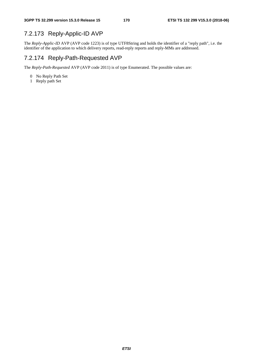# 7.2.173 Reply-Applic-ID AVP

The *Reply-Applic-ID* AVP (AVP code 1223) is of type UTF8String and holds the identifier of a "reply path", i.e. the identifier of the application to which delivery reports, read-reply reports and reply-MMs are addressed.

### 7.2.174 Reply-Path-Requested AVP

The *Reply-Path-Requested* AVP (AVP code 2011) is of type Enumerated. The possible values are:

- 0 No Reply Path Set
- 1 Reply path Set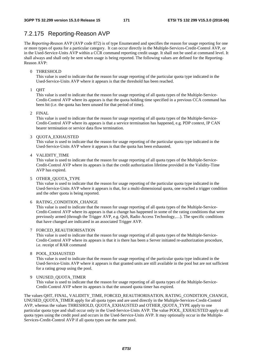### 7.2.175 Reporting-Reason AVP

The *Reporting-Reason* AVP (AVP code 872) is of type Enumerated and specifies the reason for usage reporting for one or more types of quota for a particular category. It can occur directly in the Multiple-Services-Credit-Control AVP, or in the Used-Service-Units AVP within a CCR command reporting credit usage. It shall not be used at command level. It shall always and shall only be sent when usage is being reported. The following values are defined for the Reporting-Reason AVP:

#### 0 THRESHOLD

This value is used to indicate that the reason for usage reporting of the particular quota type indicated in the Used-Service-Units AVP where it appears is that the threshold has been reached.

1 QHT

This value is used to indicate that the reason for usage reporting of all quota types of the Multiple-Service-Credit-Control AVP where its appears is that the quota holding time specified in a previous CCA command has been hit (i.e. the quota has been unused for that period of time).

#### 2 FINAL

This value is used to indicate that the reason for usage reporting of all quota types of the Multiple-Service-Credit-Control AVP where its appears is that a service termination has happened, e.g. PDP context, IP CAN bearer termination or service data flow termination.

#### 3 QUOTA\_EXHAUSTED

This value is used to indicate that the reason for usage reporting of the particular quota type indicated in the Used-Service-Units AVP where it appears is that the quota has been exhausted.

#### 4 VALIDITY\_TIME

This value is used to indicate that the reason for usage reporting of all quota types of the Multiple-Service-Credit-Control AVP where its appears is that the credit authorization lifetime provided in the Validity-Time AVP has expired.

#### 5 OTHER\_QUOTA\_TYPE

This value is used to indicate that the reason for usage reporting of the particular quota type indicated in the Used-Service-Units AVP where it appears is that, for a multi-dimensional quota, one reached a trigger condition and the other quota is being reported.

#### 6 RATING\_CONDITION\_CHANGE

This value is used to indicate that the reason for usage reporting of all quota types of the Multiple-Service-Credit-Control AVP where its appears is that a change has happened in some of the rating conditions that were previously armed (through the Trigger AVP, e.g. QoS, Radio Access Technology,…). The specific conditions that have changed are indicated in an associated Trigger AVP.

#### 7 FORCED\_REAUTHORISATION

This value is used to indicate that the reason for usage reporting of all quota types of the Multiple-Service-Credit-Control AVP where its appears is that it is there has been a Server initiated re-authorization procedure, i.e. receipt of RAR command

#### 8 POOL\_EXHAUSTED

This value is used to indicate that the reason for usage reporting of the particular quota type indicated in the Used-Service-Units AVP where it appears is that granted units are still available in the pool but are not sufficient for a rating group using the pool.

#### 9 UNUSED\_QUOTA\_TIMER

This value is used to indicate that the reason for usage reporting of all quota types of the Multiple-Service-Credit-Control AVP where its appears is that the unused quota timer has expired.

The values QHT, FINAL, VALIDITY\_TIME, FORCED\_REAUTHORISATION, RATING\_CONDITION\_CHANGE, UNUSED\_QUOTA\_TIMER apply for all quota types and are used directly in the Multiple-Services-Credit-Control AVP, whereas the values THRESHOLD, QUOTA\_EXHAUSTED and OTHER\_QUOTA\_TYPE apply to one particular quota type and shall occur only in the Used-Service-Units AVP. The value POOL\_EXHAUSTED apply to all quota types using the credit pool and occurs in the Used-Service-Units AVP. It may optionally occur in the Multiple-Services-Credit-Control AVP if all quota types use the same pool.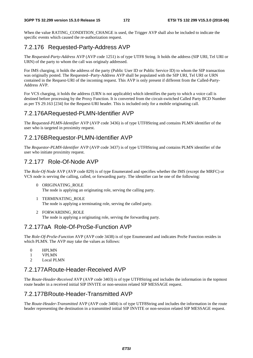When the value RATING CONDITION CHANGE is used, the Trigger AVP shall also be included to indicate the specific events which caused the re-authorization request.

# 7.2.176 Requested-Party-Address AVP

The *Requested-Party-Address* AVP (AVP code 1251) is of type UTF8 String. It holds the address (SIP URI, Tel URI or URN) of the party to whom the call was originaly addressed.

For IMS charging, it holds the address of the party (Public User ID or Public Service ID) to whom the SIP transaction was originally posted. The Requested--Party-Address AVP shall be populated with the SIP URI, Tel URI or URN contained in the Request-URI of the incoming request. This AVP is only present if different from the Called-Party-Address AVP.

For VCS charging, it holds the address (URN is not applicable) which identifies the party to which a voice call is destined before processing by the Proxy Function. It is converted from the circuit-switched Called Party BCD Number as per TS 29.163 [234] for the Request-URI header. This is included only for a mobile originating call.

### 7.2.176A Requested-PLMN-Identifier AVP

The *Requested-PLMN-Identifier* AVP (AVP code 3436) is of type UTF8String and contains PLMN identifier of the user who is targeted in proximity request.

# 7.2.176B Requestor-PLMN-Identifier AVP

The *Requestor-PLMN-Identifier* AVP (AVP code 3437) is of type UTF8String and contains PLMN identifier of the user who initiate proximity request.

## 7.2.177 Role-Of-Node AVP

The *Role-Of-Node* AVP (AVP code 829) is of type Enumerated and specifies whether the IMS (except the MRFC) or VCS node is serving the calling, called, or forwarding party. The identifier can be one of the following:

- 0 ORIGINATING\_ROLE The node is applying an originating role, serving the calling party.
- 1 TERMINATING\_ROLE The node is applying a terminating role, serving the called party.
- 2 FORWARDING\_ROLE

The node is applying a originating role, serving the forwarding party.

## 7.2.177aA Role-Of-ProSe-Function AVP

The *Role-Of-ProSe-Function* AVP (AVP code 3438) is of type Enumerated and indicates ProSe Function resides in which PLMN. The AVP may take the values as follows:

- 0 HPLMN
- 1 VPLMN
- 2 Local PLMN

## 7.2.177A Route-Header-Received AVP

The *Route-Header-Received* AVP (AVP code 3403) is of type UTF8String and includes the information in the topmost route header in a received initial SIP INVITE or non-session related SIP MESSAGE request.

## 7.2.177B Route-Header-Transmitted AVP

The *Route-Header-Transmitted* AVP (AVP code 3404) is of type UTF8String and includes the information in the route header representing the destination in a transmitted initial SIP INVITE or non-session related SIP MESSAGE request.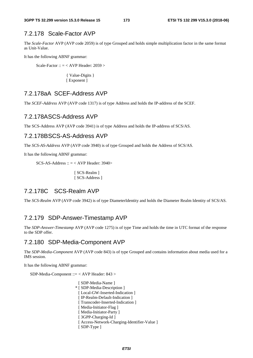## 7.2.178 Scale-Factor AVP

The *Scale-Factor* AVP (AVP code 2059) is of type Grouped and holds simple multiplication factor in the same format as Unit-Value.

It has the following ABNF grammar:

Scale-Factor :: = < AVP Header: 2059 >

{ Value-Digits } [ Exponent ]

#### 7.2.178aA SCEF-Address AVP

The *SCEF-Address* AVP (AVP code 1317) is of type Address and holds the IP-address of the SCEF.

#### 7.2.178A SCS-Address AVP

The SCS-Address AVP (AVP code 3941) is of type Address and holds the IP-address of SCS/AS.

#### 7.2.178B SCS-AS-Address AVP

The *SCS-AS-Address* AVP (AVP code 3940) is of type Grouped and holds the Address of SCS/AS.

It has the following ABNF grammar:

 $SCS-AS-Address :: = < AVP$  Header: 3940>

[ SCS-Realm ] [ SCS-Address ]

### 7.2.178C SCS-Realm AVP

The *SCS-Realm* AVP (AVP code 3942) is of type DiameterIdentity and holds the Diameter Realm Identity of SCS/AS.

### 7.2.179 SDP-Answer-Timestamp AVP

The *SDP-Answer-Timestamp* AVP (AVP code 1275) is of type Time and holds the time in UTC format of the response to the SDP offer.

#### 7.2.180 SDP-Media-Component AVP

The *SDP-Media-Component* AVP (AVP code 843) is of type Grouped and contains information about media used for a IMS session.

It has the following ABNF grammar:

SDP-Media-Component ::= < AVP Header: 843 >

[ SDP-Media-Name ] \* [ SDP-Media-Description ] [ Local-GW-Inserted-Indication ] [ IP-Realm-Default-Indication ] [ Transcoder-Inserted-Indication ] [ Media-Initiator-Flag ] [ Media-Initiator-Party ] [ 3GPP-Charging-Id ] [ Access-Network-Charging-Identifier-Value ] [ SDP-Type ]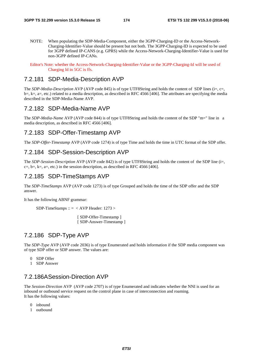NOTE: When populating the SDP-Media-Component, either the 3GPP-Charging-ID or the Access-Network-Charging-Identifier-Value should be present but not both. The 3GPP-Charging-ID is expected to be used for 3GPP defined IP-CANS (e.g. GPRS) while the Access-Network-Charging-Identifier-Value is used for non-3GPP defined IP-CANs.

Editor's Note: whether the Access-Network-Charging-Identifier-Value or the 3GPP-Charging-Id will be used of Charging Id in 5GC is ffs.

#### 7.2.181 SDP-Media-Description AVP

The *SDP-Media-Description* AVP (AVP code 845) is of type UTF8String and holds the content of SDP lines (i=, c=,  $b=$ ,  $k=$ ,  $a=$ , etc.) related to a media description, as described in RFC 4566 [406]. The attributes are specifying the media described in the SDP-Media-Name AVP.

#### 7.2.182 SDP-Media-Name AVP

The *SDP-Media-Name* AVP (AVP code 844) is of type UTF8String and holds the content of the SDP "m=" line in a media description, as described in RFC 4566 [406].

#### 7.2.183 SDP-Offer-Timestamp AVP

The *SDP-Offer-Timestamp* AVP (AVP code 1274) is of type Time and holds the time in UTC format of the SDP offer.

#### 7.2.184 SDP-Session-Description AVP

The *SDP-Session-Description* AVP (AVP code 842) is of type UTF8String and holds the content of the SDP line (i=,  $c=$ ,  $b=$ ,  $k=$ ,  $a=$ , etc.) in the session description, as described in RFC 4566 [406].

#### 7.2.185 SDP-TimeStamps AVP

The *SDP-TimeStamps* AVP (AVP code 1273) is of type Grouped and holds the time of the SDP offer and the SDP answer.

It has the following ABNF grammar:

```
SDP-TimeStamps :: = < AVP Header: 1273 >
```
 [ SDP-Offer-Timestamp ] [ SDP-Answer-Timestamp ]

#### 7.2.186 SDP-Type AVP

The *SDP-Type* AVP (AVP code 2036) is of type Enumerated and holds information if the SDP media component was of type SDP offer or SDP answer. The values are:

- 0 SDP Offer
- 1 SDP Answer

### 7.2.186A Session-Direction AVP

The *Session-Direction* AVP (AVP code 2707) is of type Enumerated and indicates whether the NNI is used for an inbound or outbound service request on the control plane in case of interconnection and roaming. It has the following values:

- 0 inbound
- 1 outbound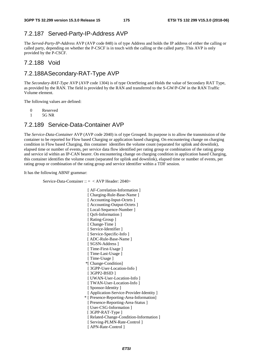### 7.2.187 Served-Party-IP-Address AVP

The *Served-Party-IP-Address* AVP (AVP code 848) is of type Address and holds the IP address of either the calling or called party, depending on whether the P-CSCF is in touch with the calling or the called party. This AVP is only provided by the P-CSCF.

#### 7.2.188 Void

#### 7.2.188A Secondary-RAT-Type AVP

The *Secondary-RAT-Type* AVP (AVP code 1304) is of type OctetString and Holds the value of Secondary RAT Type, as provided by the RAN. The field is provided by the RAN and transferred to the S-GW/P-GW in the RAN Traffic Volume element.

The following values are defined:

0 Reserved

1 5G NR

#### 7.2.189 Service-Data-Container AVP

The *Service-Data-Container* AVP (AVP code 2040) is of type Grouped. Its purpose is to allow the transmission of the container to be reported for Flow based Charging or application based charging. On encountering change on charging condition in Flow based Charging, this container identifies the volume count (separated for uplink and downlink), elapsed time or number of events, per service data flow identified per rating group or combination of the rating group and service id within an IP-CAN bearer. On encountering change on charging condition in application based Charging, this container identifies the volume count (separated for uplink and downlink), elapsed time or number of events, per rating group or combination of the rating group and service identifier within a TDF session.

It has the following ABNF grammar:

Service-Data-Container :: = < AVP Header: 2040>

 [ AF-Correlation-Information ] [ Charging-Rule-Base-Name ] [ Accounting-Input-Octets ] [ Accounting-Output-Octets ] [Local-Sequence-Number] [  $QoS$ -Information ] [ Rating-Group ] [ Change-Time ] [ Service-Identifier ] [ Service-Specific-Info ] [ ADC-Rule-Base-Name ] [ SGSN-Address ] [ Time-First-Usage ] [ Time-Last-Usage ] [ Time-Usage ] \*[ Change-Condition] [ 3GPP-User-Location-Info ] [ 3GPP2-BSID ] [ UWAN-User-Location-Info ] [ TWAN-User-Location-Info ] [ Sponsor-Identity ] [ Application-Service-Provider-Identity ] \* [ Presence-Reporting-Area-Information] [ Presence-Reporting-Area-Status ] [ User-CSG-Information ] [ 3GPP-RAT-Type ] [ Related-Change-Condition-Information ] [ Serving-PLMN-Rate-Control ] [ APN-Rate-Control ]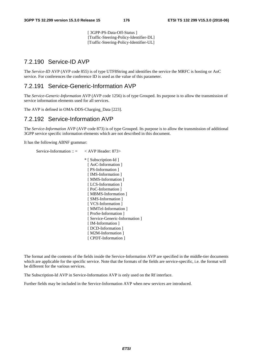[ 3GPP-PS-Data-Off-Status ] [Traffic-Steering-Policy-Identifier-DL] [Traffic-Steering-Policy-Identifier-UL]

### 7.2.190 Service-ID AVP

The *Service-ID* AVP (AVP code 855) is of type UTF8String and identifies the service the MRFC is hosting or AoC service. For conferences the conference ID is used as the value of this parameter.

#### 7.2.191 Service-Generic-Information AVP

The *Service-Generic-Information* AVP (AVP code 1256) is of type Grouped. Its purpose is to allow the transmission of service information elements used for all services.

The AVP is defined in OMA-DDS-Charging\_Data [223].

### 7.2.192 Service-Information AVP

The *Service-Information* AVP (AVP code 873) is of type Grouped. Its purpose is to allow the transmission of additional 3GPP service specific information elements which are not described in this document.

It has the following ABNF grammar:

```
Service-Information :: = < AVP Header: 873>
               * [ Subscription-Id ] 
                [ AoC-Information ]
                [ PS-Information ]
                [ IMS-Information ]
                [ MMS-Information ]
                [ LCS-Information ]
                [ PoC-Information ]
                [ MBMS-Information ]
                [ SMS-Information ]
                [ VCS-Information ]
                [ MMTel-Information ]
                [ ProSe-Information ]
                [ Service-Generic-Information ]
                [ IM-Information ]
                [ DCD-Information ]
                [ M2M-Information ]
                [ CPDT-Information ]
```
The format and the contents of the fields inside the Service-Information AVP are specified in the middle-tier documents which are applicable for the specific service. Note that the formats of the fields are service-specific, i.e. the format will be different for the various services.

The Subscription-Id AVP in Service-Information AVP is only used on the Rf interface.

Further fields may be included in the Service-Information AVP when new services are introduced.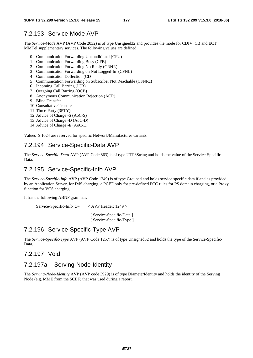#### 7.2.193 Service-Mode AVP

The *Service-Mode* AVP (AVP Code 2032) is of type Unsigned32 and provides the mode for CDIV, CB and ECT MMTel supplementary services. The following values are defined:

- 0 Communication Forwarding Unconditional (CFU)
- 1 Communication Forwarding Busy (CFB)
- 2 Communication Forwarding No Reply (CRNR)
- 3 Communication Forwarding on Not Logged-In (CFNL)
- 4 Communication Deflection (CD
- 5 Communication Forwarding on Subscriber Not Reachable (CFNRc)
- 6 Incoming Call Barring (ICB)
- 7 Outgoing Call Barring (OCB)
- 8 Anonymous Communication Rejection (ACR)
- 9 Blind Transfer
- 10 Consultative Transfer
- 11 Three-Party (3PTY)
- 12 Advice of Charge -S (AoC-S)
- 13 Advice of Charge -D (AoC-D)
- 14 Advice of Charge -E (AoC-E)

Values  $\geq 1024$  are reserved for specific Network/Manufacturer variants

#### 7.2.194 Service-Specific-Data AVP

The *Service-Specific-Data* AVP (AVP Code 863) is of type UTF8String and holds the value of the Service-Specific-Data.

#### 7.2.195 Service-Specific-Info AVP

The *Service-Specific-Info* AVP (AVP Code 1249) is of type Grouped and holds service specific data if and as provided by an Application Server, for IMS charging, a PCEF only for pre-defined PCC rules for PS domain charging, or a Proxy function for VCS charging.

It has the following ABNF grammar:

Service-Specific-Info ::= < AVP Header: 1249 >

 [ Service-Specific-Data ] [ Service-Specific-Type ]

#### 7.2.196 Service-Specific-Type AVP

The *Service-Specific-Type* AVP (AVP Code 1257) is of type Unsigned32 and holds the type of the Service-Specific-Data.

#### 7.2.197 Void

#### 7.2.197a Serving-Node-Identity

The *Serving-Node-Identity* AVP (AVP code 3929) is of type DiameterIdentity and holds the identity of the Serving Node (e.g. MME from the SCEF) that was used during a report.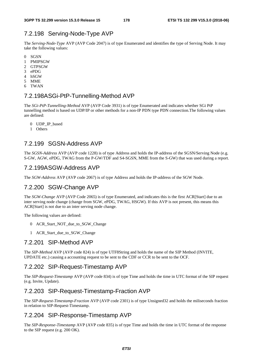# 7.2.198 Serving-Node-Type AVP

The *Serving-Node-Type* AVP (AVP Code 2047) is of type Enumerated and identifies the type of Serving Node. It may take the following values:

- 0 SGSN
- 1 PMIPSGW
- 2 GTPSGW
- 3 ePDG
- 4 hSGW
- 5 MME
- 6 TWAN

### 7.2.198A SGi-PtP-Tunnelling-Method AVP

The *SGi-PtP-Tunnelling-Method* AVP (AVP Code 3931) is of type Enumerated and indicates whether SGi PtP tunnelling method is based on UDP/IP or other methods for a non-IP PDN type PDN connection.The following values are defined:

- 0 UDP\_IP\_based
- 1 Others

## 7.2.199 SGSN-Address AVP

The *SGSN-Address* AVP (AVP code 1228) is of type Address and holds the IP-address of the SGSN/Serving Node (e.g. S-GW, AGW, ePDG, TWAG from the P-GW/TDF and S4-SGSN, MME from the S-GW) that was used during a report.

### 7.2.199A SGW-Address AVP

The *SGW-Address* AVP (AVP code 2067) is of type Address and holds the IP-address of the SGW Node.

## 7.2.200 SGW-Change AVP

The *SGW-Change* AVP (AVP Code 2065) is of type Enumerated, and indicates this is the first ACR[Start] due to an inter serving node change (change from SGW, ePDG, TWAG, HSGW). If this AVP is not present, this means this ACR[Start] is not due to an inter serving node change.

The following values are defined:

- 0 ACR\_Start\_NOT\_due\_to\_SGW\_Change
- 1 ACR Start due to SGW Change

### 7.2.201 SIP-Method AVP

The *SIP-Method* AVP (AVP code 824) is of type UTF8String and holds the name of the SIP Method (INVITE, UPDATE etc.) causing a accounting request to be sent to the CDF or CCR to be sent to the OCF.

### 7.2.202 SIP-Request-Timestamp AVP

The *SIP-Request-Timestamp* AVP (AVP code 834) is of type Time and holds the time in UTC format of the SIP request (e.g. Invite, Update).

### 7.2.203 SIP-Request-Timestamp-Fraction AVP

The *SIP-Request-Timestamp-Fraction* AVP (AVP code 2301) is of type Unsigned32 and holds the miliseconds fraction in relation to SIP-Request-Timestamp.

### 7.2.204 SIP-Response-Timestamp AVP

The *SIP-Response-Timestamp* AVP (AVP code 835) is of type Time and holds the time in UTC format of the response to the SIP request (e.g. 200 OK).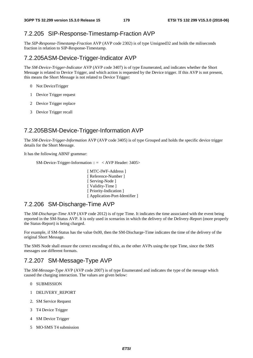#### 7.2.205 SIP-Response-Timestamp-Fraction AVP

The *SIP-Response-Timestamp-Fraction* AVP (AVP code 2302) is of type Unsigned32 and holds the miliseconds fraction in relation to SIP-Response-Timestamp.

#### 7.2.205A SM-Device-Trigger-Indicator AVP

The *SM-Device-Trigger-Indicator* AVP (AVP code 3407) is of type Enumerated, and indicates whether the Short Message is related to Device Trigger, and which action is requested by the Device trigger. If this AVP is not present, this means the Short Message is not related to Device Trigger:

- 0 Not DeviceTrigger
- 1 Device Trigger request
- 2 Device Trigger replace
- 3 Device Trigger recall

#### 7.2.205B SM-Device-Trigger-Information AVP

The *SM-Device-Trigger-Information* AVP (AVP code 3405) is of type Grouped and holds the specific device trigger details for the Short Message.

It has the following ABNF grammar:

SM-Device-Trigger-Information :: = < AVP Header: 3405>

[ MTC-IWF-Address ] [ Reference-Number ] [ Serving-Node ] [ Validity-Time ] [ Priority-Indication ] [ Application-Port-Identifier ]

### 7.2.206 SM-Discharge-Time AVP

The *SM-Discharge-Time* AVP (AVP code 2012) is of type Time. It indicates the time associated with the event being reported in the SM-Status AVP. It is only used in scenarios in which the delivery of the Delivery-Report (more properly the Status-Report) is being charged.

For example, if SM-Status has the value 0x00, then the SM-Discharge-Time indicates the time of the delivery of the original Short Message.

The SMS Node shall ensure the correct encoding of this, as the other AVPs using the type Time, since the SMS messages use different formats.

### 7.2.207 SM-Message-Type AVP

The *SM*-*Message-Type* AVP (AVP code 2007) is of type Enumerated and indicates the type of the message which caused the charging interaction. The values are given below:

- 0 SUBMISSION
- 1 DELIVERY\_REPORT
- 2. SM Service Request
- 3 T4 Device Trigger
- 4 SM Device Trigger
- 5 MO-SMS T4 submission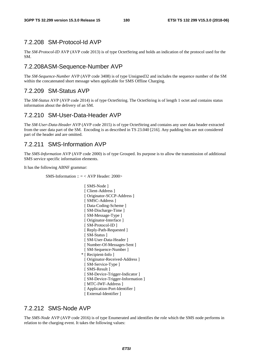## 7.2.208 SM-Protocol-Id AVP

The *SM-Protocol-ID* AVP (AVP code 2013) is of type OctetString and holds an indication of the protocol used for the SM.

## 7.2.208A SM-Sequence-Number AVP

The *SM-Sequence-Number* AVP (AVP code 3408) is of type Unsigned32 and includes the sequence number of the SM within the concatenated short message when applicable for SMS Offline Charging.

## 7.2.209 SM-Status AVP

The *SM-Status* AVP (AVP code 2014) is of type OctetString. The OctetString is of length 1 octet and contains status information about the delivery of an SM.

## 7.2.210 SM-User-Data-Header AVP

The *SM-User-Data-Header* AVP (AVP code 2015) is of type OctetString and contains any user data header extracted from the user data part of the SM. Encoding is as described in TS 23.040 [216]. Any padding bits are not considered part of the header and are omitted.

## 7.2.211 SMS-Information AVP

The *SMS-Information* AVP (AVP code 2000) is of type Grouped. Its purpose is to allow the transmission of additional SMS service specific information elements.

It has the following ABNF grammar:

SMS-Information ::  $=$  < AVP Header: 2000>

[ SMS-Node ] [ Client-Address ] [ Originator-SCCP-Address ] [ SMSC-Address ] [ Data-Coding-Scheme ] [ SM-Discharge-Time ] [ SM-Message-Type ] [ Originator-Interface ] [ SM-Protocol-ID ] [ Reply-Path-Requested ] [ SM-Status ] [ SM-User-Data-Header ] [ Number-Of-Messages-Sent ] [ SM-Sequence-Number ] \* [ Recipient-Info ] [ Originator-Received-Address ] [ SM-Service-Type ] [ SMS-Result ] [ SM-Device-Trigger-Indicator ] [ SM-Device-Trigger-Information ] [ MTC-IWF-Address ] [ Application-Port-Identifier ] [ External-Identifier ]

## 7.2.212 SMS-Node AVP

The *SMS-Node* AVP (AVP code 2016) is of type Enumerated and identifies the role which the SMS node performs in relation to the charging event. It takes the following values: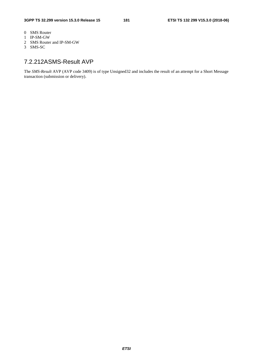- 0 SMS Router
- 1 IP-SM-GW
- 2 SMS Router and IP-SM-GW
- 3 SMS-SC

## 7.2.212A SMS-Result AVP

The *SMS-Result* AVP (AVP code 3409) is of type Unsigned32 and includes the result of an attempt for a Short Message transaction (submission or delivery).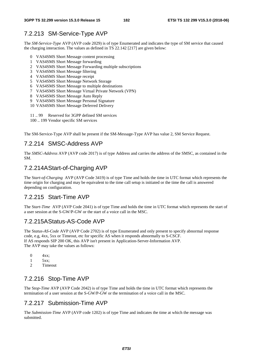## 7.2.213 SM-Service-Type AVP

The *SM-Service-Type* AVP (AVP code 2029) is of type Enumerated and indicates the type of SM service that caused the charging interaction. The values as defined in TS 22.142 [217] are given below:

- 0 VAS4SMS Short Message content processing
- 1 VAS4SMS Short Message forwarding
- 2 VAS4SMS Short Message Forwarding multiple subscriptions
- 3 VAS4SMS Short Message filtering
- 4 VAS4SMS Short Message receipt
- 5 VAS4SMS Short Message Network Storage
- 6 VAS4SMS Short Message to multiple destinations
- 7 VAS4SMS Short Message Virtual Private Network (VPN)
- 8 VAS4SMS Short Message Auto Reply
- 9 VAS4SMS Short Message Personal Signature
- 10 VAS4SMS Short Message Deferred Delivery
- 11 .. 99 Reserved for 3GPP defined SM services
- 100 .. 199 Vendor specific SM services

The SM-Service-Type AVP shall be present if the SM-Message-Type AVP has value 2, SM Service Request.

## 7.2.214 SMSC-Address AVP

The *SMSC-Address* AVP (AVP code 2017) is of type Address and carries the address of the SMSC, as contained in the SM.

### 7.2.214A Start-of-Charging AVP

The S*tart-of-Charging* AVP (AVP Code 3419) is of type Time and holds the time in UTC format which represents the time origin for charging and may be equivalent to the time call setup is initiated or the time the call is answered depending on configuration.

## 7.2.215 Start-Time AVP

The S*tart-Time* AVP (AVP Code 2041) is of type Time and holds the time in UTC format which represents the start of a user session at the S-GW/P-GW or the start of a voice call in the MSC.

### 7.2.215A Status-AS-Code AVP

The S*tatus-AS-Code* AVP (AVP Code 2702) is of type Enumerated and only present to specify abnormal response code, e.g, 4xx, 5xx or Timeout, etc for specific AS when it responds abnormally to S-CSCF. If AS responds SIP 200 OK, this AVP isn't present in Application-Server-Information AVP. The AVP may take the values as follows:

- $0 \qquad 4xx$
- 1 5xx;
- 2 Timeout

## 7.2.216 Stop-Time AVP

The S*top-Time* AVP (AVP Code 2042) is of type Time and holds the time in UTC format which represents the termination of a user session at the S-GW/P-GW or the termination of a voice call in the MSC.

### 7.2.217 Submission-Time AVP

The *Submission-Time* AVP (AVP code 1202) is of type Time and indicates the time at which the message was submitted.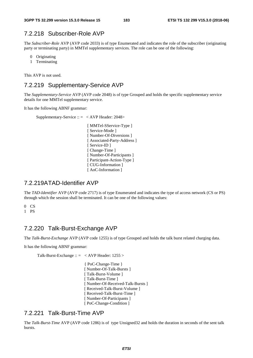## 7.2.218 Subscriber-Role AVP

The *Subscriber-Role* AVP (AVP code 2033) is of type Enumerated and indicates the role of the subscriber (originating party or terminating party) in MMTel supplementary services. The role can be one of the following:

- 0 Originating
- 1 Terminating

This AVP is not used.

## 7.2.219 Supplementary-Service AVP

The *Supplementary-Service* AVP (AVP code 2048) is of type Grouped and holds the specific supplementary service details for one MMTel supplementary service.

It has the following ABNF grammar:

```
Supplementary-Service :: = < AVP Header: 2048> 
                            [ MMTel-SService-Type ]
                            [ Service-Mode ]
                             [ Number-Of-Diversions ] 
                            [ Associated-Party-Address ] 
                            [ Service-ID ]
                            [ Change-Time ]
                            [ Number-Of-Participants ]
```
### 7.2.219A TAD-Identifier AVP

The *TAD-Identifier* AVP (AVP code 2717) is of type Enumerated and indicates the type of access network (CS or PS) through which the session shall be terminated. It can be one of the following values:

[ Participant-Action-Type ] [ CUG-Information ] [ AoC-Information ]

0 CS

1 PS

## 7.2.220 Talk-Burst-Exchange AVP

The *Talk-Burst-Exchange* AVP (AVP code 1255) is of type Grouped and holds the talk burst related charging data.

It has the following ABNF grammar:

Talk-Burst-Exchange  $\therefore$  = < AVP Header: 1255 >

{ PoC-Change-Time } [ Number-Of-Talk-Bursts ] [ Talk-Burst-Volume ] [ Talk-Burst-Time ] [ Number-Of-Received-Talk-Bursts ] [ Received-Talk-Burst-Volume ] [ Received-Talk-Burst-Time ] [ Number-Of-Participants ] [ PoC-Change-Condition ]

### 7.2.221 Talk-Burst-Time AVP

The *Talk-Burst-Time* AVP (AVP code 1286) is of type Unsigned32 and holds the duration in seconds of the sent talk bursts.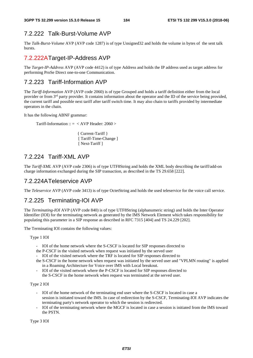## 7.2.222 Talk-Burst-Volume AVP

The *Talk-Burst-Volume* AVP (AVP code 1287) is of type Unsigned32 and holds the volume in bytes of the sent talk bursts.

## 7.2.222A Target-IP-Address AVP

The *Target-IP-Address* AVP (AVP code 4412) is of type Address and holds the IP address used as target address for performing ProSe Direct one-to-one Communication.

## 7.2.223 Tariff-Information AVP

The *Tariff-Information* AVP (AVP code 2060) is of type Grouped and holds a tariff definition either from the local provider or from 3rd party provider. It contains information about the operator and the ID of the service being provided, the current tariff and possible next tariff after tariff switch time. It may also chain to tariffs provided by intermediate operators in the chain.

It has the following ABNF grammar:

Tariff-Information ::  $=$  < AVP Header: 2060 >

 { Current-Tariff } [ Tariff-Time-Change ] [ Next-Tariff ]

## 7.2.224 Tariff-XML AVP

The *Tariff-XML* AVP (AVP code 2306) is of type UTF8String and holds the XML body describing the tariff/add-on charge information exchanged during the SIP transaction, as described in the TS 29.658 [222].

## 7.2.224A Teleservice AVP

The *Teleservice* AVP (AVP code 3413) is of type OctetString and holds the used teleservice for the voice call service.

## 7.2.225 Terminating-IOI AVP

The *Terminating-IOI* AVP (AVP code 840) is of type UTF8String (alphanumeric string) and holds the Inter Operator Identifier (IOI) for the terminating network as generated by the IMS Network Element which takes responsibility for populating this parameter in a SIP response as described in RFC 7315 [404] and TS 24.229 [202].

The Terminating IOI contains the following values:

Type 1 IOI

- IOI of the home network where the S-CSCF is located for SIP responses directed to
- the P-CSCF in the visited network when request was initiated by the served user
- IOI of the visited network where the TRF is located for SIP responses directed to
- the S-CSCF in the home network when request was initiated by the served user and "VPLMN routing" is applied in a Roaming Architecture for Voice over IMS with Local breakout.
- IOI of the visited network where the P-CSCF is located for SIP responses directed to the S-CSCF in the home network when request was terminated at the served user.

Type 2 IOI

- IOI of the home network of the terminating end user where the S-CSCF is located in case a session is initiated toward the IMS. In case of redirection by the S-CSCF, Terminating-IOI AVP indicates the terminating party's network operator to which the session is redirected.
- IOI of the terminating network where the MGCF is located in case a session is initiated from the IMS toward the PSTN.

Type 3 IOI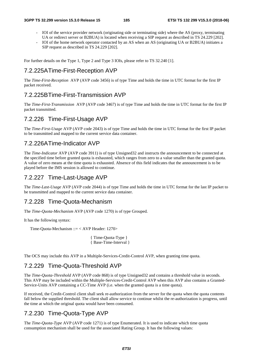- IOI of the service provider network (originating side or terminating side) where the AS (proxy, terminating UA or redirect server or B2BUA) is located when receiving a SIP request as described in TS 24.229 [202].
- IOI of the home network operator contacted by an AS when an AS (originating UA or B2BUA) initiates a SIP request as described in TS 24.229 [202].

For further details on the Type 1, Type 2 and Type 3 IOIs, please refer to TS 32.240 [1].

## 7.2.225A Time-First-Reception AVP

The *Time-First-Reception* AVP (AVP code 3456) is of type Time and holds the time in UTC format for the first IP packet received.

## 7.2.225B Time-First-Transmission AVP

The *Time-First-Transmission* AVP (AVP code 3467) is of type Time and holds the time in UTC format for the first IP packet transmitted.

## 7.2.226 Time-First-Usage AVP

The *Time-First-Usage* AVP (AVP code 2043) is of type Time and holds the time in UTC format for the first IP packet to be transmitted and mapped to the current service data container.

## 7.2.226A Time-Indicator AVP

The *Time-Indicator* AVP (AVP code 3911) is of type Unsigned32 and instructs the announcement to be connected at the specified time before granted quota is exhausted, which ranges from zero to a value smaller than the granted quota. A value of zero means at the time quota is exhausted. Absence of this field indicates that the announcement is to be played before the IMS session is allowed to continue.

### 7.2.227 Time-Last-Usage AVP

The *Time-Last-Usage* AVP (AVP code 2044) is of type Time and holds the time in UTC format for the last IP packet to be transmitted and mapped to the current service data container.

### 7.2.228 Time-Quota-Mechanism

The *Time-Quota-Mechanism* AVP (AVP code 1270) is of type Grouped.

It has the following syntax:

Time-Quota-Mechanism ::= < AVP Header: 1270>

```
{ Time-Quota-Type } 
{ Base-Time-Interval }
```
The OCS may include this AVP in a Multiple-Services-Credit-Control AVP, when granting time quota.

## 7.2.229 Time-Quota-Threshold AVP

The *Time-Quota-Threshold* AVP (AVP code 868) is of type Unsigned32 and contains a threshold value in seconds. This AVP may be included within the Multiple-Services-Credit-Control AVP when this AVP also contains a Granted-Service-Units AVP containing a CC-Time AVP (i.e. when the granted quota is a time quota).

If received, the Credit-Control client shall seek re-authorization from the server for the quota when the quota contents fall below the supplied threshold. The client shall allow service to continue whilst the re-authorization is progress, until the time at which the original quota would have been consumed.

## 7.2.230 Time-Quota-Type AVP

The *Time-Quota-Type* AVP (AVP code 1271) is of type Enumerated. It is used to indicate which time quota consumption mechanism shall be used for the associated Rating Group. It has the following values: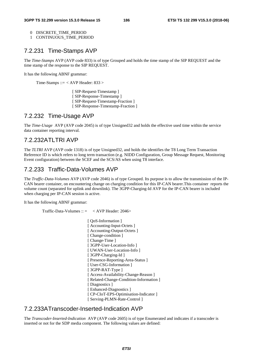- 0 DISCRETE\_TIME\_PERIOD
- 1 CONTINUOUS\_TIME\_PERIOD

### 7.2.231 Time-Stamps AVP

The *Time-Stamps* AVP (AVP code 833) is of type Grouped and holds the time stamp of the SIP REQUEST and the time stamp of the response to the SIP REQUEST.

It has the following ABNF grammar:

Time-Stamps ::=  $<$  AVP Header: 833  $>$ 

[ SIP-Request-Timestamp ] [ SIP-Response-Timestamp ] [ SIP-Request-Timestamp-Fraction ] [ SIP-Response-Timestamp-Fraction ]

## 7.2.232 Time-Usage AVP

The *Time-Usage* AVP (AVP code 2045) is of type Unsigned32 and holds the effective used time within the service data container reporting interval.

### 7.2.232A TLTRI AVP

The *TLTRI* AVP (AVP code 1318) is of type Unsigned32, and holds the identifies the T8 Long Term Transaction Reference ID is which refers to long term transaction (e.g. NIDD Configuration, Group Message Request, Monitoring Event configuration) between the SCEF and the SCS/AS when using T8 interface.

### 7.2.233 Traffic-Data-Volumes AVP

The *Traffic-Data-Volumes* AVP (AVP code 2046) is of type Grouped. Its purpose is to allow the transmission of the IP-CAN bearer container, on encountering change on charging condition for this IP-CAN bearer.This container reports the volume count (separated for uplink and downlink). The 3GPP-Charging-Id AVP for the IP-CAN bearer is included when charging per IP-CAN session is active.

It has the following ABNF grammar:

Traffic-Data-Volumes  $\therefore$   $\leq$   $\angle$  AVP Header: 2046>

[  $OoS$ -Information ] [ Accounting-Input-Octets ] [ Accounting-Output-Octets ] [ Change-condition ] [ Change-Time ] [ 3GPP-User-Location-Info ] [ UWAN-User-Location-Info ] [ 3GPP-Charging-Id ] [ Presence-Reporting-Area-Status ] [ User-CSG-Information ] [ 3GPP-RAT-Type ] [ Access-Availability-Change-Reason ] [ Related-Change-Condition-Information ] [ Diagnostics ] [ Enhanced-Diagnostics ] [ CP-CIoT-EPS-Optimisation-Indicator ] [ Serving-PLMN-Rate-Control ]

## 7.2.233A Transcoder-Inserted-Indication AVP

The *Transcoder-Inserted*-*Indication* AVP (AVP code 2605) is of type Enumerated and indicates if a transcoder is inserted or not for the SDP media component. The following values are defined: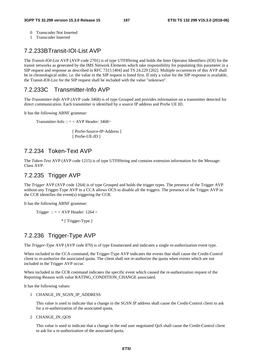- 0 Transcoder Not Inserted
- 1 Transcoder Inserted

## 7.2.233B Transit-IOI-List AVP

The *Transit-IOI-List* AVP (AVP code 2701) is of type UTF8String and holds the Inter Operator Identifiers (IOI) for the transit networks as generated by the IMS Network Elements which take responsibility for populating this parameter in a SIP request and response as described in RFC 7315 [404] and TS 24.229 [202]. Multiple occurrences of this AVP shall be in chronological order, i.e. the value in the SIP request is listed first. If only a value for the SIP response is available, the Transit-IOI-List for the SIP request shall be included with the value "unknown".

## 7.2.233C Transmitter-Info AVP

The *Transmitter-Info* AVP (AVP code 3468) is of type Grouped and provides information on a transmitter detected for direct communication. Each transmitter is identified by a source IP address and ProSe UE ID.

It has the following ABNF grammar:

Transmitter-Info ::  $=$  < AVP Header: 3468>

[ ProSe-Source-IP-Address ] [ ProSe-UE-ID ]

## 7.2.234 Token-Text AVP

The *Token-Text* AVP (AVP code 1215) is of type UTF8String and contains extension information for the Message-Class AVP.

## 7.2.235 Trigger AVP

The *Trigger* AVP (AVP code 1264) is of type Grouped and holds the trigger types. The presence of the Trigger AVP without any Trigger-Type AVP in a CCA allows OCS to disable all the triggers. The presence of the Trigger AVP in the CCR identifies the event(s) triggering the CCR.

It has the following ABNF grammar:

Trigger :: = < AVP Header:  $1264 >$ 

\* [ Trigger-Type ]

## 7.2.236 Trigger-Type AVP

The *Trigger-Type* AVP (AVP code 870) is of type Enumerated and indicates a single re-authorization event type.

When included in the CCA command, the Trigger-Type AVP indicates the events that shall cause the Credit-Control client to re-authorize the associated quota. The client shall not re-authorize the quota when events which are not included in the Trigger AVP occur.

When included in the CCR command indicates the specific event which caused the re-authorization request of the Reporting-Reason with value RATING\_CONDITION\_CHANGE associated.

It has the following values:

#### 1 CHANGE\_IN\_SGSN\_IP\_ADDRESS

This value is used to indicate that a change in the SGSN IP address shall cause the Credit-Control client to ask for a re-authorization of the associated quota.

2 CHANGE\_IN\_QOS

This value is used to indicate that a change in the end user negotiated QoS shall cause the Credit-Control client to ask for a re-authorization of the associated quota.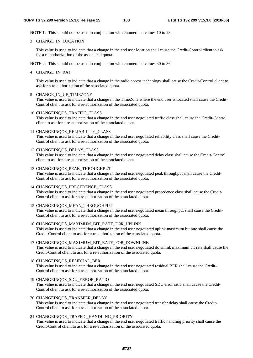NOTE 1: This should not be used in conjunction with enumerated values 10 to 23.

#### 3 CHANGE\_IN\_LOCATION

This value is used to indicate that a change in the end user location shall cause the Credit-Control client to ask for a re-authorization of the associated quota.

NOTE 2: This should not be used in conjunction with enumerated values 30 to 36.

4 CHANGE\_IN\_RAT

This value is used to indicate that a change in the radio access technology shall cause the Credit-Control client to ask for a re-authorization of the associated quota.

5 CHANGE\_IN\_UE\_TIMEZONE

This value is used to indicate that a change in the TimeZone where the end user is located shall cause the Credit-Control client to ask for a re-authorization of the associated quota.

10 CHANGEINQOS\_TRAFFIC\_CLASS

This value is used to indicate that a change in the end user negotiated traffic class shall cause the Credit-Control client to ask for a re-authorization of the associated quota.

11 CHANGEINQOS\_RELIABILITY\_CLASS

This value is used to indicate that a change in the end user negotiated reliability class shall cause the Credit-Control client to ask for a re-authorization of the associated quota.

12 CHANGEINQOS\_DELAY\_CLASS

This value is used to indicate that a change in the end user negotiated delay class shall cause the Credit-Control client to ask for a re-authorization of the associated quota.

- 13 CHANGEINQOS\_PEAK\_THROUGHPUT This value is used to indicate that a change in the end user negotiated peak throughput shall cause the Credit-Control client to ask for a re-authorization of the associated quota.
- 14 CHANGEINQOS\_PRECEDENCE\_CLASS

This value is used to indicate that a change in the end user negotiated precedence class shall cause the Credit-Control client to ask for a re-authorization of the associated quota.

15 CHANGEINQOS\_MEAN\_THROUGHPUT

This value is used to indicate that a change in the end user negotiated mean throughput shall cause the Credit-Control client to ask for a re-authorization of the associated quota.

16 CHANGEINQOS\_MAXIMUM\_BIT\_RATE\_FOR\_UPLINK

This value is used to indicate that a change in the end user negotiated uplink maximum bit rate shall cause the Credit-Control client to ask for a re-authorization of the associated quota.

#### 17 CHANGEINQOS\_MAXIMUM\_BIT\_RATE\_FOR\_DOWNLINK

This value is used to indicate that a change in the end user negotiated downlink maximum bit rate shall cause the Credit-Control client to ask for a re-authorization of the associated quota.

18 CHANGEINQOS\_RESIDUAL\_BER

This value is used to indicate that a change in the end user negotiated residual BER shall cause the Credit-Control client to ask for a re-authorization of the associated quota.

19 CHANGEINQOS\_SDU\_ERROR\_RATIO

This value is used to indicate that a change in the end user negotiated SDU error ratio shall cause the Credit-Control client to ask for a re-authorization of the associated quota.

20 CHANGEINQOS\_TRANSFER\_DELAY

This value is used to indicate that a change in the end user negotiated transfer delay shall cause the Credit-Control client to ask for a re-authorization of the associated quota.

#### 21 CHANGEINQOS\_TRAFFIC\_HANDLING\_PRIORITY

This value is used to indicate that a change in the end user negotiated traffic handling priority shall cause the Credit-Control client to ask for a re-authorization of the associated quota.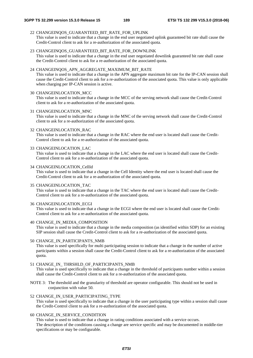22 CHANGEINQOS\_GUARANTEED\_BIT\_RATE\_FOR\_UPLINK

This value is used to indicate that a change in the end user negotiated uplink guaranteed bit rate shall cause the Credit-Control client to ask for a re-authorization of the associated quota.

#### 23 CHANGEINQOS\_GUARANTEED\_BIT\_RATE\_FOR\_DOWNLINK

This value is used to indicate that a change in the end user negotiated downlink guaranteed bit rate shall cause the Credit-Control client to ask for a re-authorization of the associated quota.

#### 24 CHANGEINQOS\_APN\_AGGREGATE\_MAXIMUM\_BIT\_RATE

This value is used to indicate that a change in the APN aggregate maximum bit rate for the IP-CAN session shall cause the Credit-Control client to ask for a re-authorization of the associated quota. This value is only applicable when charging per IP-CAN session is active.

30 CHANGEINLOCATION\_MCC

This value is used to indicate that a change in the MCC of the serving network shall cause the Credit-Control client to ask for a re-authorization of the associated quota.

31 CHANGEINLOCATION\_MNC

This value is used to indicate that a change in the MNC of the serving network shall cause the Credit-Control client to ask for a re-authorization of the associated quota.

#### 32 CHANGEINLOCATION\_RAC

This value is used to indicate that a change in the RAC where the end user is located shall cause the Credit-Control client to ask for a re-authorization of the associated quota.

33 CHANGEINLOCATION\_LAC

This value is used to indicate that a change in the LAC where the end user is located shall cause the Credit-Control client to ask for a re-authorization of the associated quota.

34 CHANGEINLOCATION\_CellId

This value is used to indicate that a change in the Cell Identity where the end user is located shall cause the Credit-Control client to ask for a re-authorization of the associated quota.

35 CHANGEINLOCATION\_TAC

This value is used to indicate that a change in the TAC where the end user is located shall cause the Credit-Control client to ask for a re-authorization of the associated quota.

36 CHANGEINLOCATION\_ECGI

This value is used to indicate that a change in the ECGI where the end user is located shall cause the Credit-Control client to ask for a re-authorization of the associated quota.

40 CHANGE\_IN\_MEDIA\_COMPOSITION This value is used to indicate that a change in the media composition (as identified within SDP) for an existing SIP session shall cause the Credit-Control client to ask for a re-authorization of the associated quota.

50 CHANGE\_IN\_PARTICIPANTS\_NMB This value is used specifically for multi participating session to indicate that a change in the number of active participants within a session shall cause the Credit-Control client to ask for a re-authorization of the associated quota.

51 CHANGE IN THRSHLD OF PARTICIPANTS NMB

This value is used specifically to indicate that a change in the threshold of participants number within a session shall cause the Credit-Control client to ask for a re-authorization of the associated quota.

- NOTE 3: The threshold and the granularity of threshold are operator configurable. This should not be used in conjunction with value 50.
- 52 CHANGE\_IN\_USER\_PARTICIPATING\_TYPE This value is used specifically to indicate that a change in the user participating type within a session shall cause the Credit-Control client to ask for a re-authorization of the associated quota.
- 60 CHANGE\_IN\_SERVICE\_CONDITION

This value is used to indicate that a change in rating conditions associated with a service occurs. The description of the conditions causing a change are service specific and may be documented in middle-tier specifications or may be configurable.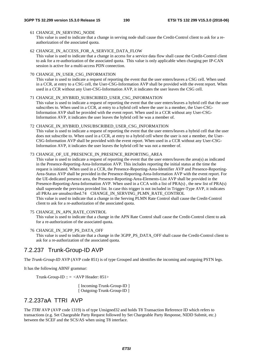#### 61 CHANGE\_IN\_SERVING\_NODE

This value is used to indicate that a change in serving node shall cause the Credit-Control client to ask for a reauthorization of the associated quota.

#### 62 CHANGE\_IN\_ACCESS\_FOR\_A\_SERVICE\_DATA\_FLOW

This value is used to indicate that a change in access for a service data flow shall cause the Credit-Control client to ask for a re-authorization of the associated quota. This value is only applicable when charging per IP-CAN session is active for a multi-access PDN connection.

#### 70 CHANGE\_IN\_USER\_CSG\_INFORMATION

This value is used to indicate a request of reporting the event that the user enters/leaves a CSG cell. When used in a CCR, at entry to a CSG cell, the User-CSG-Information AVP shall be provided with the event report. When used in a CCR without any User-CSG-Information AVP, it indicates the user leaves the CSG cell.

#### 71 CHANGE\_IN\_HYBRID\_SUBSCRIBED\_USER\_CSG\_INFORMATION

This value is used to indicate a request of reporting the event that the user enters/leaves a hybrid cell that the user subscribes to. When used in a CCR, at entry to a hybrid cell where the user is a member, the User-CSG-Information AVP shall be provided with the event report. When used in a CCR without any User-CSG-Information AVP, it indicates the user leaves the hybrid cell he was a member of.

#### 72 CHANGE\_IN\_HYBRID\_UNSUBSCRIBED\_USER\_CSG\_INFORMATION

This value is used to indicate a request of reporting the event that the user enters/leaves a hybrid cell that the user does not subscribe to. When used in a CCR, at entry to a hybrid cell where the user is not a member, the User-CSG-Information AVP shall be provided with the event report. When used in a CCR without any User-CSG-Information AVP, it indicates the user leaves the hybrid cell he was not a member of.

#### 73 CHANGE\_OF\_UE\_PRESENCE\_IN\_PRESENCE\_REPORTING\_AREA

This value is used to indicate a request of reporting the event that the user enters/leaves the area(s) as indicated in the Presence-Reporting-Area-Information AVP. This includes reporting the initial status at the time the request is initiated. When used in a CCR, the Presence-Reporting-Area-Identifier AVP and Presence-Reporting-Area-Status AVP shall be provided in the Presence-Reporting-Area-Information AVP with the event report. For the UE-dedicated presence area, the Presence-Reporting-Area-Elements-List AVP shall be provided in the Presence-Reporting-Area-Information AVP. When used in a CCA with a list of PRA(s) , the new list of PRA(s) shall supersede the previous provided list. In case this trigger is not included in Trigger-Type AVP, it indicates all PRAs are unsubscribed.74 CHANGE\_IN\_SERVING\_PLMN\_RATE\_CONTROL This value is used to indicate that a change in the Serving PLMN Rate Control shall cause the Credit-Control client to ask for a re-authorization of the associated quota.

#### 75 CHANGE\_IN\_APN\_RATE\_CONTROL

This value is used to indicate that a change in the APN Rate Control shall cause the Credit-Control client to ask for a re-authorization of the associated quota.

#### 76 CHANGE\_IN\_3GPP\_PS\_DATA\_OFF

 This value is used to indicate that a change in the 3GPP\_PS\_DATA\_OFF shall cause the Credit-Control client to ask for a re-authorization of the associated quota.

### 7.2.237 Trunk-Group-ID AVP

The *Trunk-Group-ID* AVP (AVP code 851) is of type Grouped and identifies the incoming and outgoing PSTN legs.

It has the following ABNF grammar:

Trunk-Group-ID ::  $=$  <AVP Header: 851>

[ Incoming-Trunk-Group-ID ] [ Outgoing-Trunk-Group-ID ]

## 7.2.237aA TTRI AVP

The *TTRI* AVP (AVP code 1319) is of type Unsigned32 and holds T8 Transaction Reference ID which refers to transactions (e.g. Set Chargeable Party Request followed by Set Chargeable Party Response, NIDD Submit, etc.) between the SCEF and the SCS/AS when using T8 interface.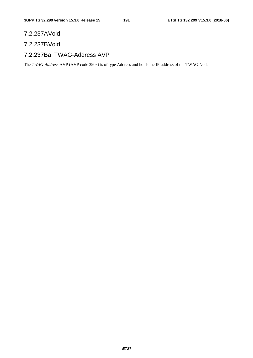## 7.2.237A Void

## 7.2.237B Void

## 7.2.237Ba TWAG-Address AVP

The *TWAG-Address* AVP (AVP code 3903) is of type Address and holds the IP-address of the TWAG Node.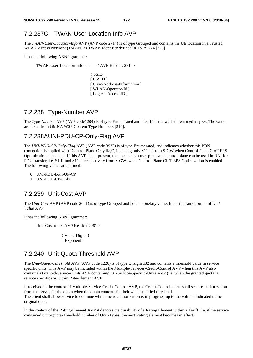## 7.2.237C TWAN-User-Location-Info AVP

The *TWAN-User-Location-Info* AVP (AVP code 2714) is of type Grouped and contains the UE location in a Trusted WLAN Access Network (TWAN) as TWAN Identifier defined in TS 29.274 [226] .

It has the following ABNF grammar:

TWAN-User-Location-Info ::  $=$  < AVP Header: 2714>

{ SSID } [ BSSID ] [ Civic-Address-Information ] [ WLAN-Operator-Id ] [ Logical-Access-ID ]

## 7.2.238 Type-Number AVP

The *Type-Number* AVP (AVP code1204) is of type Enumerated and identifies the well-known media types. The values are taken from OMNA WSP Content Type Numbers [210].

## 7.2.238A UNI-PDU-CP-Only-Flag AVP

The *UNI-PDU-CP-Only-Flag* AVP (AVP code 3932) is of type Enumerated, and indicates whether this PDN connection is applied with "Control Plane Only flag", i.e. using only S11-U from S-GW when Control Plane CIoT EPS Optimization is enabled. If this AVP is not present, this means both user plane and control plane can be used in UNI for PDU transfer, i.e. S1-U and S11-U respectively from S-GW, when Control Plane CIoT EPS Optimization is enabled. The following values are defined:

- 0 UNI-PDU-both-UP-CP
- 1 UNI-PDU-CP-Only

## 7.2.239 Unit-Cost AVP

The *Unit-Cost* AVP (AVP code 2061) is of type Grouped and holds monetary value. It has the same format of *Unit-Value* AVP.

It has the following ABNF grammar:

Unit-Cost ::  $=$  < AVP Header: 2061 >

 { Value-Digits } [ Exponent ]

## 7.2.240 Unit-Quota-Threshold AVP

The *Unit-Quota-Threshold* AVP (AVP code 1226) is of type Unsigned32 and contains a threshold value in service specific units. This AVP may be included within the Multiple-Services-Credit-Control AVP when this AVP also contains a Granted-Service-Units AVP containing CC-Service-Specific-Units AVP (i.e. when the granted quota is service specific) or within Rate-Element AVP..

If received in the context of Multiple-Service-Credit-Control AVP, the Credit-Control client shall seek re-authorization from the server for the quota when the quota contents fall below the supplied threshold. The client shall allow service to continue whilst the re-authorization is in progress, up to the volume indicated in the original quota.

In the context of the Rating-Element AVP it denotes the durability of a Rating Element within a Tariff. I.e. if the service consumed Unit-Quota-Threshold number of Unit-Types, the next Rating element becomes in effect.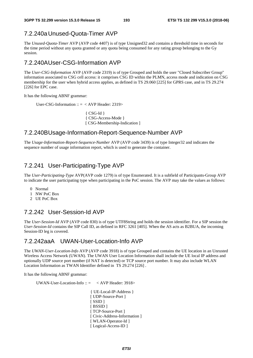## 7.2.240a Unused-Quota-Timer AVP

The *Unused-Quota-Timer* AVP (AVP code 4407) is of type Unsigned32 and contains a threshold time in seconds for the time period without any quota granted or any quota being consumed for any rating group belonging to the Gy session.

## 7.2.240A User-CSG-Information AVP

The *User-CSG-Information* AVP (AVP code 2319) is of type Grouped and holds the user "Closed Subscriber Group" information associated to CSG cell access: it comprises CSG ID within the PLMN, access mode and indication on CSG membership for the user when hybrid access applies, as defined in TS 29.060 [225] for GPRS case, and in TS 29.274 [226] for EPC case.

It has the following ABNF grammar:

User-CSG-Information :: = < AVP Header: 2319>

 $\{CSG-Hd\}$  { CSG-Access-Mode } [ CSG-Membership-Indication ]

### 7.2.240B Usage-Information-Report-Sequence-Number AVP

The *Usage-Information-Report-Sequence-Number* AVP (AVP code 3439) is of type Integer32 and indicates the sequence number of usage information report, which is used to generate the container.

## 7.2.241 User-Participating-Type AVP

The *User-Participating-Type* AVP(AVP code 1279) is of type Enumerated. It is a subfield of Participants-Group AVP to indicate the user participating type when participating in the PoC session. The AVP may take the values as follows:

- 0 Normal
- 1 NW PoC Box
- 2 UE PoC Box

## 7.2.242 User-Session-Id AVP

The *User-Session-Id* AVP (AVP code 830) is of type UTF8String and holds the session identifier. For a SIP session the *User-Session-Id* contains the SIP Call ID, as defined in RFC 3261 [405]. When the AS acts as B2BUA, the incoming Session-ID leg is covered.

## 7.2.242aaA UWAN-User-Location-Info AVP

The *UWAN-User-Location-Info* AVP (AVP code 3918) is of type Grouped and contains the UE location in an Unrusted Wireless Access Network (UWAN). The UWAN User Location Information shall include the UE local IP address and optionally UDP source port number (if NAT is detected) or TCP source port number. It may also include WLAN Location Information as TWAN Identifier defined in TS 29.274 [226] .

It has the following ABNF grammar:

UWAN-User-Location-Info  $\therefore$   $\leq$   $\lt$  AVP Header: 3918>

{ UE-Local-IP-Address } [ UDP-Source-Port ] [ SSID ] [ BSSID ] [ TCP-Source-Port ] [ Civic-Address-Information ] [ WLAN-Operator-Id ] [ Logical-Access-ID ]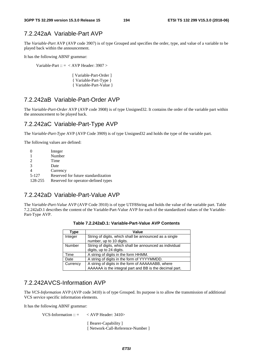## 7.2.242aA Variable-Part AVP

The *Variable-Part* AVP (AVP code 3907) is of type Grouped and specifies the order, type, and value of a variable to be played back within the announcement.

It has the following ABNF grammar:

Variable-Part ::  $=$  < AVP Header: 3907 >

[ Variable-Part-Order ] { Variable-Part-Type } { Variable-Part-Value }

## 7.2.242aB Variable-Part-Order AVP

The *Variable-Part-Order* AVP (AVP code 3908) is of type Unsigned32. It contains the order of the variable part within the announcement to be played back.

## 7.2.242aC Variable-Part-Type AVP

The *Variable-Part-Type* AVP (AVP Code 3909) is of type Unsigned32 and holds the type of the variable part.

The following values are defined:

|               | Integer                             |
|---------------|-------------------------------------|
|               | Number                              |
| 2             | Time                                |
| $\mathcal{R}$ | Date                                |
|               | Currency                            |
| 5-127         | Reserved for future standardization |
| 128-255       | Reserved for operator-defined types |

## 7.2.242aD Variable-Part-Value AVP

The *Variable-Part-Value* AVP (AVP Code 3910) is of type UTF8String and holds the value of the variable part. Table 7.2.242aD.1 describes the content of the Variable-Part-Value AVP for each of the standardized values of the Variable-Part-Type AVP.

| Type     | Value                                                    |
|----------|----------------------------------------------------------|
| Integer  | String of digits, which shall be announced as a single   |
|          | number, up to 10 digits.                                 |
| Number   | String of digits, which shall be announced as individual |
|          | digits, up to 24 digits.                                 |
| Time     | A string of digits in the form HHMM.                     |
| Date     | A string of digits in the form of YYYYMMDD.              |
| Currency | A string of digits in the form of AAAAAABB, where        |
|          | AAAAAA is the integral part and BB is the decimal part.  |

**Table 7.2.242aD.1: Variable-Part-Value AVP Contents** 

## 7.2.242A VCS-Information AVP

The *VCS-Information* AVP (AVP code 3410) is of type Grouped. Its purpose is to allow the transmission of additional VCS service specific information elements.

It has the following ABNF grammar:

VCS-Information ::  $=$  < AVP Header: 3410>

[ Bearer-Capability ] [ Network-Call-Reference-Number ]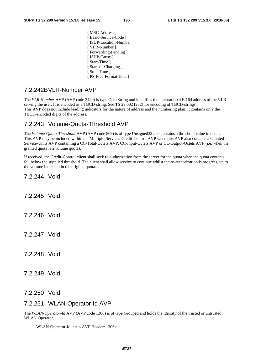[ MSC-Address ] [ Basic-Service-Code ] [ ISUP-Location-Number ] [ VLR-Number ] [ Forwarding-Pending ] [ ISUP-Cause ] [ Start-Time ] [ Start-of-Charging ] [ Stop-Time ] [ PS-Free-Format-Data ]

## 7.2.242B VLR-Number AVP

The *VLR-Number* AVP (AVP code 3420) is type OctetString and identifies the international E.164 address of the VLR serving the user. It is encoded as a TBCD-string. See TS 29.002 [232] for encoding of TBCD-strings. This AVP does not include leading indicators for the nature of address and the numbering plan; it contains only the TBCD-encoded digits of the address.

## 7.2.243 Volume-Quota-Threshold AVP

The *Volume-Quota-Threshold* AVP (AVP code 869) is of type Unsigned32 and contains a threshold value in octets. This AVP may be included within the Multiple-Services-Credit-Control AVP when this AVP also contains a Granted-Service-Units AVP containing a CC-Total-Octets AVP, CC-Input-Octets AVP or CC-Output-Octets AVP (i.e. when the granted quota is a volume quota).

If received, the Credit-Control client shall seek re-authorization from the server for the quota when the quota contents fall below the supplied threshold. The client shall allow service to continue whilst the re-authorization is progress, up to the volume indicated in the original quota.

7.2.244 Void

- 7.2.245 Void
- 7.2.246 Void
- 7.2.247 Void
- 7.2.248 Void

7.2.249 Void

### 7.2.250 Void

### 7.2.251 WLAN-Operator-Id AVP

The *WLAN-Operator-Id* AVP (AVP code 1306) is of type Grouped and holds the identity of the trusted or untrusted WLAN Operator.

WLAN-Operator-Id  $:: = <$  AVP Header: 1306>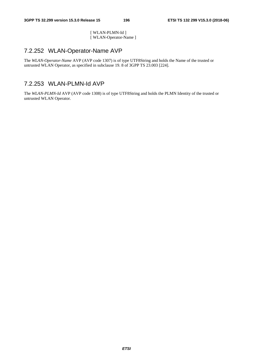[ WLAN-PLMN-Id ] [ WLAN-Operator-Name ]

## 7.2.252 WLAN-Operator-Name AVP

The *WLAN-Operator-Name* AVP (AVP code 1307) is of type UTF8String and holds the Name of the trusted or untrusted WLAN Operator, as specified in subclause 19. 8 of 3GPP TS 23.003 [224].

## 7.2.253 WLAN-PLMN-Id AVP

The *WLAN-PLMN-Id* AVP (AVP code 1308) is of type UTF8String and holds the PLMN Identity of the trusted or untrusted WLAN Operator.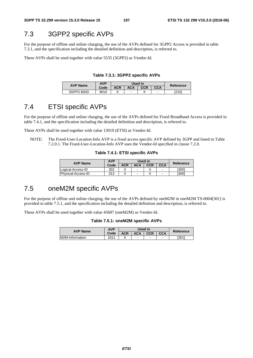## 7.3 3GPP2 specific AVPs

For the purpose of offline and online charging, the use of the AVPs defined for 3GPP2 Access is provided in table 7.3.1, and the specification including the detailed definition and description, is referred to.

These AVPs shall be used together with value 5535 (3GPP2) as Vendor-Id.

**Table 7.3.1: 3GPP2 specific AVPs** 

| <b>AVP Name</b> | AVP  |     | Used in | Reference                |   |       |  |
|-----------------|------|-----|---------|--------------------------|---|-------|--|
|                 | Code | ACR | ACA     | <b>CCA</b><br><b>CCR</b> |   |       |  |
| 3GPP2-BSID      | 9010 |     | -       |                          | - | 「つ151 |  |

## 7.4 ETSI specific AVPs

For the purpose of offline and online charging, the use of the AVPs defined for Fixed Broadband Access is provided in table 7.4.1, and the specification including the detailed definition and description, is referred to.

These AVPs shall be used together with value 13019 (ETSI) as Vendor-Id.

NOTE: The Fixed-User-Location-Info AVP is a fixed access specific AVP defined by 3GPP and listed in Table 7.2.0.1. The Fixed-User-Location-Info AVP uses the Vendor-Id specified in clause 7.2.0.

#### **Table 7.4.1: ETSI specific AVPs**

| <b>AVP Name</b>    | <b>AVP</b> |     | Used in                  | Reference  |                          |       |
|--------------------|------------|-----|--------------------------|------------|--------------------------|-------|
|                    | Code       | ACR | ACA                      | <b>CCR</b> | <b>CCA</b>               |       |
| Logical-Access-ID  | 302        |     | $\overline{\phantom{a}}$ |            | $\overline{\phantom{0}}$ | [300] |
| Physical-Access-ID | 313        |     | $\overline{\phantom{0}}$ |            | -                        | ו3001 |

## 7.5 oneM2M specific AVPs

For the purpose of offline and online charging, the use of the AVPs defined by oneM2M in oneM2M TS-0004[301] is provided in table 7.5.1, and the specification including the detailed definition and description, is referred to.

These AVPs shall be used together with value 45687 (oneM2M) as Vendor-Id.

#### **Table 7.5.1: oneM2M specific AVPs**

| <b>AVP Name</b> | <b>AVP</b> |     | Used in | Reference  |            |       |
|-----------------|------------|-----|---------|------------|------------|-------|
|                 | Code       | ACR | ACA     | <b>CCR</b> | <b>CCA</b> |       |
| M2M-Information | 1011       |     | -       | ۰          | -          | [301] |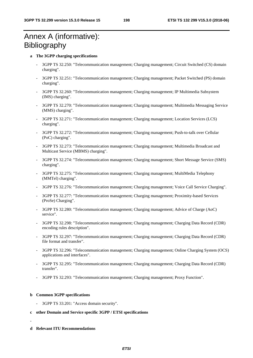## Annex A (informative): Bibliography

#### **a The 3GPP charging specifications**

- 3GPP TS 32.250: "Telecommunication management; Charging management; Circuit Switched (CS) domain charging".
- 3GPP TS 32.251: "Telecommunication management; Charging management; Packet Switched (PS) domain charging".
- 3GPP TS 32.260: "Telecommunication management; Charging management; IP Multimedia Subsystem (IMS) charging".
- 3GPP TS 32.270: "Telecommunication management; Charging management; Multimedia Messaging Service (MMS) charging".
- 3GPP TS 32.271: "Telecommunication management; Charging management; Location Services (LCS) charging".
- 3GPP TS 32.272: "Telecommunication management; Charging management; Push-to-talk over Cellular (PoC) charging".
- 3GPP TS 32.273: "Telecommunication management; Charging management; Multimedia Broadcast and Multicast Service (MBMS) charging".
- 3GPP TS 32.274: "Telecommunication management; Charging management; Short Message Service (SMS) charging".
- 3GPP TS 32.275: "Telecommunication management; Charging management; MultiMedia Telephony (MMTel) charging".
- 3GPP TS 32.276: "Telecommunication management; Charging management; Voice Call Service Charging".
- 3GPP TS 32.277: "Telecommunication management; Charging management; Proximity-based Services (ProSe) Charging".
- 3GPP TS 32.280: "Telecommunication management; Charging management; Advice of Charge (AoC) service".
- 3GPP TS 32.298: "Telecommunication management; Charging management; Charging Data Record (CDR) encoding rules description".
- 3GPP TS 32.297: "Telecommunication management; Charging management; Charging Data Record (CDR) file format and transfer".
- 3GPP TS 32.296: "Telecommunication management; Charging management; Online Charging System (OCS) applications and interfaces".
- 3GPP TS 32.295: "Telecommunication management; Charging management; Charging Data Record (CDR) transfer".
- 3GPP TS 32.293: "Telecommunication management; Charging management; Proxy Function".

#### **b Common 3GPP specifications**

- 3GPP TS 33.201: "Access domain security".
- **c other Domain and Service specific 3GPP / ETSI specifications**
- **d Relevant ITU Recommendations**

-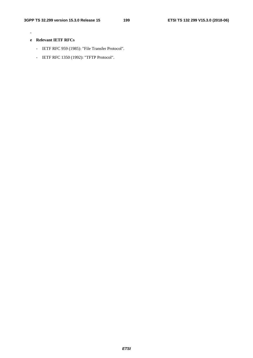-

### **e Relevant IETF RFCs**

- IETF RFC 959 (1985): "File Transfer Protocol".
- IETF RFC 1350 (1992): "TFTP Protocol".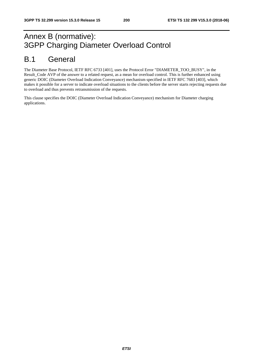## Annex B (normative): 3GPP Charging Diameter Overload Control

## B.1 General

The Diameter Base Protocol, IETF RFC 6733 [401], uses the Protocol Error "DIAMETER\_TOO\_BUSY", in the Result\_Code AVP of the answer to a related request, as a mean for overload control. This is further enhanced using generic DOIC (Diameter Overload Indication Conveyance) mechanism specified in IETF RFC 7683 [403], which makes it possible for a server to indicate overload situations to the clients before the server starts rejecting requests due to overload and thus prevents retransmission of the requests.

This clause specifies the DOIC (Diameter Overload Indication Conveyance) mechanism for Diameter charging applications.

*ETSI*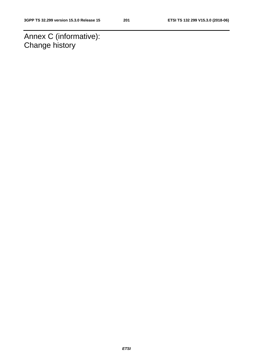Annex C (informative): Change history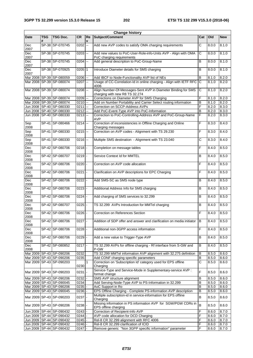|             | <b>Change history</b> |                                                          |              |                          |                                                                                                 |                |                |                |  |  |  |  |
|-------------|-----------------------|----------------------------------------------------------|--------------|--------------------------|-------------------------------------------------------------------------------------------------|----------------|----------------|----------------|--|--|--|--|
| <b>Date</b> | <b>TSG</b>            | <b>TSG Doc.</b>                                          | <b>CR</b>    | Re                       | Subject/Comment                                                                                 |                | Cat   Old      | <b>New</b>     |  |  |  |  |
| Dec<br>2007 |                       | SP-38 SP-070745                                          | 0202         | Щ,                       | Add new AVP codes to satisfy OMA charging requirements                                          | $\overline{C}$ | 8.0.0          | 8.1.0          |  |  |  |  |
| Dec<br>2007 |                       | SP-38 SP-070745                                          | $0203$ $-$   |                          | Add new values to PoC-User-Role-info-Units AVP - Align with OMA<br>PoC charging requirements    | C              | 8.0.0          | 8.1.0          |  |  |  |  |
| Dec<br>2007 |                       | SP-38 SP-070745                                          | 0204         | $\mathbb{Z}^2$           | Add general description to PoC-Group-Name                                                       | B              | 8.0.0          | 8.1.0          |  |  |  |  |
| Dec<br>2007 |                       | SP-38 SP-070925                                          | $0205$   1   |                          | Introduce Diameter details for SMS charging                                                     | B              | 8.0.0          | 8.1.0          |  |  |  |  |
|             |                       | Mar 2008 SP-39 SP-080059                                 | $0206$ --    |                          | Add IBCF to Node-Functionality AVP list of NEs                                                  | B              | 8.1.0          | 8.2.0          |  |  |  |  |
|             |                       | Mar 2008 SP-39 SP-080074                                 | 0207         | $\overline{\phantom{a}}$ | Usage of CC-Correlation-Id in online charging - Align with IETF RFC<br>4006                     | $\overline{C}$ | 8.1.0          | 8.2.0          |  |  |  |  |
|             |                       | Mar 2008 SP-39 SP-080074                                 | $0208$ $-$   |                          | Align Number-Of-Messages-Sent AVP in Diameter Binding for SMS<br>charging with new R8 TS 32.274 | IС             | 8.1.0          | 8.2.0          |  |  |  |  |
|             |                       | Mar 2008 SP-39 SP-080074                                 | 0209         | $\overline{\phantom{a}}$ | Corrections on Diameter AVP for SMS Charging                                                    | F              | 8.1.0          | 8.2.0          |  |  |  |  |
|             |                       | Mar 2008 SP-39 SP-080074                                 | $0210$ --    |                          | Add on Number Portability and Carrier Select routing information                                | B              | 8.1.0          | 8.2.0          |  |  |  |  |
|             |                       | Jun 2008 SP-40 SP-080330                                 | 0211         | цú.                      | Correction on SCCP-Address AVPs                                                                 | F              | 8.2.0          | 8.3.0          |  |  |  |  |
|             |                       | Jun 2008   SP-40   SP-080330                             | 0212         | $\overline{\phantom{a}}$ | Add PoC-Event-Type AVP into PoC-Information                                                     | B              | 8.2.0          | 8.3.0          |  |  |  |  |
|             |                       | Jun 2008 SP-40 SP-080330                                 | $0213$ --    |                          | Correction to PoC-Controlling-Address AVP and PoC-Group-Name<br><b>AVP</b>                      | F              | 8.2.0          | 8.3.0          |  |  |  |  |
| Sep<br>2008 |                       | SP-41 SP-080466                                          | $0214$ --    |                          | Correction of inconsistencies in Offline Charging and Online<br>Charging messages               | F              | 8.3.0          | 8.4.0          |  |  |  |  |
| Sep<br>2008 |                       | SP-41 SP-080330                                          | $0215 -$     |                          | Correction on AVP codes - Alignment with TS 29.230                                              | F              | 8.3.0          | 8.4.0          |  |  |  |  |
| Sep<br>2008 |                       | SP-41 SP-080330                                          | $0216$ --    |                          | Multiple SMS destination - Alignment with TS 23.040                                             | C              | 8.3.0          | 8.4.0          |  |  |  |  |
| Dec<br>2008 |                       | SP-42 SP-080706                                          | $0218 -$     |                          | Completion on message tables                                                                    | F              | 8.4.0          | 8.5.0          |  |  |  |  |
| Dec<br>2008 |                       | SP-42 SP-080707                                          | 0219         |                          | Service Context Id for MMTEL                                                                    | B              | 8.4.0          | 8.5.0          |  |  |  |  |
| Dec<br>2008 |                       | SP-42 SP-080706                                          | $0220$ -     |                          | Correction on AVP code allocation                                                               | F              | 8.4.0          | 8.5.0          |  |  |  |  |
| Dec<br>2008 |                       | SP-42 SP-080706                                          | $0221$ -     |                          | Clarification on AVP descriptions for EPC Charging                                              | F              | 8.4.0          | 8.5.0          |  |  |  |  |
| Dec<br>2008 |                       | SP-42 SP-080706                                          | 0222         | $\blacksquare$           | Add SMS-SC as SMS node type                                                                     | B              | 8.4.0          | 8.5.0          |  |  |  |  |
| Dec<br>2008 |                       | SP-42 SP-080706                                          | $0223$ -     |                          | Additional Address Info for SMS charging                                                        | B              | 8.4.0          | 8.5.0          |  |  |  |  |
| Dec<br>2008 |                       | SP-42 SP-080706                                          | 0224         |                          | Add charging of SMS services to 32.299                                                          | B              | 8.4.0          | 8.5.0          |  |  |  |  |
| Dec<br>2008 |                       | SP-42 SP-080707                                          | 0225         | $\blacksquare$           | TS 32.299 AVPs Introduction for MMTel charging                                                  | B              | 8.4.0          | 8.5.0          |  |  |  |  |
| Dec<br>2008 |                       | SP-42 SP-080706                                          | $0226$ -     |                          | Correction on References Section                                                                | F              | 8.4.0          | 8.5.0          |  |  |  |  |
| Dec<br>2008 |                       | SP-42 SP-080706                                          | $0227$ -     |                          | Addition of SDP offer and answer and clarification on media initiator B                         |                | 8.4.0          | 8.5.0          |  |  |  |  |
| Dec<br>2008 |                       | SP-42 SP-080706                                          | $0228 -$     |                          | Additional non-3GPP access information                                                          | F              | 8.4.0          | 8.5.0          |  |  |  |  |
| Dec<br>2008 |                       | SP-42 SP-080706                                          | 0229         |                          | Add a new value to Trigger-Type AVP                                                             | В              | 8.4.0          | 8.5.0          |  |  |  |  |
| Dec<br>2008 |                       | SP-42 SP-080852                                          | $0217$ -     |                          | TS 32.299 AVPs for offline charging - Rf interface from S-GW and<br>P-GW                        | В              | 8.4.0          | 8.5.0          |  |  |  |  |
|             |                       | Mar 2009 SP-43 SP-090206                                 | 0232         |                          | TS 32.299 MMTel information AVP alignment with 32.275 definition                                | B              | 8.5.0          | 8.6.0          |  |  |  |  |
|             |                       | Mar 2009 SP-43 SP-090206                                 | 0235         |                          | Add CONF charging specific parameters                                                           | $\overline{B}$ | 8.5.0          | 8.6.0          |  |  |  |  |
|             |                       | Mar 2009 SP-43 SP-090203                                 | 0230         | $\mathbf{1}$             | Correction on 'Subscription Id' category used for EPS offline<br>Charging                       | $\overline{c}$ | 8.5.0          | 8.6.0          |  |  |  |  |
|             |                       | Mar 2009 SP-43 SP-090203                                 | 0231         |                          | Service-Type and Service-Mode in Supplementary-service AVP :<br>format change                   | F              | 8.5.0          | 8.6.0          |  |  |  |  |
|             |                       | Mar 2009 SP-43 SP-090206                                 | 0232         |                          | SMS AVP structure alignment                                                                     | В              | 8.5.0          | 8.6.0          |  |  |  |  |
|             |                       | Mar 2009 SP-43 SP-090045                                 | 0234         |                          | Add Serving-Node-Type AVP to PS-Information in 32.299                                           | B              | 8.5.0          | 8.6.0          |  |  |  |  |
|             |                       | Mar 2009 SP-43 SP-090206                                 | 0235         |                          | AoC Support in Ro                                                                               | B              | 8.5.0          | 8.6.0          |  |  |  |  |
|             |                       | Mar 2009 SP-43 SP-090045                                 | 0236         |                          | EPS Offline Charging - Complete PS-information AVP description                                  | B              | 8.5.0          | 8.6.0          |  |  |  |  |
|             |                       | Mar 2009 SP-43 SP-090203                                 | $0237$ -     |                          | Multiple subscription-id in service-information for EPS offline<br>Charging                     | B              | 8.5.0          | 8.6.0          |  |  |  |  |
|             |                       | Mar 2009 SP-43 SP-090206                                 | $0238$ -     |                          | Missing information in PS information AVP for SGW/PGW CDRs in<br>EPS offline charging           | B              | 8.5.0          | 8.6.0          |  |  |  |  |
|             |                       | Jun 2009   SP-44   SP-090432                             | 0243         |                          | Correction of Recipient-Info AVP                                                                | F              | 8.6.0          | 8.7.0          |  |  |  |  |
|             |                       | Jun 2009   SP-44   SP-090432                             | 0244         |                          | AVP code allocation for DCD Charging                                                            | F              | 8.6.0          | 8.7.0          |  |  |  |  |
|             |                       | Jun 2009   SP-44   SP-090432<br>Jun 2009 SP-44 SP-090432 | 0245         |                          | Rel-8 CR 32.299 alignment with RFC 4006<br>Rel-8 CR 32.299 clarification of ICID                | F<br>F         | 8.6.0<br>8.6.0 | 8.7.0          |  |  |  |  |
|             |                       | Jun 2009 SP-44 SP-090432                                 | 0246<br>0247 | $\mathbf{r}$             | Remove generic "Non 3GPP specific information" parameter                                        | F              | 8.6.0          | 8.7.0<br>8.7.0 |  |  |  |  |
|             |                       |                                                          |              |                          |                                                                                                 |                |                |                |  |  |  |  |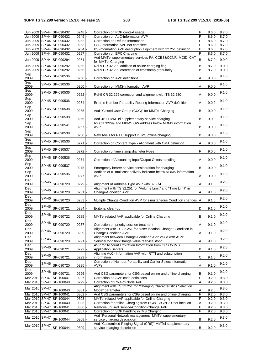|                |              | Jun 2009 SP-44 SP-090432     | 0248     |                | Correction on PDP context usage                                                                         | F              | 8.6.0 | 8.7.0 |
|----------------|--------------|------------------------------|----------|----------------|---------------------------------------------------------------------------------------------------------|----------------|-------|-------|
|                |              | Jun 2009 SP-44 SP-090432     | 0249     |                | Correction on AoC-Information AVP                                                                       | F              | 8.6.0 | 8.7.0 |
|                |              | Jun 2009 SP-44 SP-090432     | 0252     |                | Correction on Refund Information                                                                        | F              | 8.6.0 | 8.7.0 |
|                |              | Jun 2009   SP-44   SP-090432 | 0253     |                | LCS-information AVP not complete                                                                        | F              | 8.6.0 | 8.7.0 |
|                |              |                              |          |                |                                                                                                         |                |       |       |
|                |              | Jun 2009 SP-44 SP-090432     | 0254     |                | PS-information AVP description alignment with 32.251 definition                                         | F              | 8.6.0 | 8.7.0 |
|                |              | Jun 2009   SP-44   SP-090432 | 0257     |                | Correction on EPC Charging                                                                              | F              | 8.6.0 | 8.7.0 |
|                |              | Jun 2009 SP-44 SP-090294     | 0251     |                | Add MMTel supplementary services FA, CCBS&CCNR, MCID, CAT<br>for MMTel Charging                         | $\overline{B}$ | 8.7.0 | 9.0.0 |
|                |              | Jun 2009   SP-44   SP-090292 | 0255     |                | Rel-9 CR 32.299 addition of online charging flag                                                        | B              | 8.7.0 | 9.0.0 |
| Jun 2009       |              | SP-44 SP-090292              | 0256     |                | Rel-9 CR 32.299 correction of timestamp granularity                                                     | $\overline{B}$ | 8.7.0 | 9.0.0 |
| Sep<br>2009    |              | SP-45 SP-090536              | 0258     |                | Correction on AVP definitions                                                                           | Α              | 9.0.0 | 9.1.0 |
| Sep<br>2009    |              | SP-45 SP-090536              | 0260     |                | Correction on MMS-Information AVP                                                                       | Α              | 9.0.0 | 9.1.0 |
| Sep<br>2009    |              | SP-45 SP-090536              | 0262     |                | Rel-9 CR 32.299 correction and alignment with TS 32.280                                                 | Α              | 9.0.0 | 9.1.0 |
| Sep<br>2009    |              | SP-45 SP-090536              | 0264     |                | Error in Number-Portability-Routing-Information AVP definition                                          | Α              | 9.0.0 | 9.1.0 |
| Sep            |              | SP-45 SP-090538              |          |                |                                                                                                         | B              |       | 9.1.0 |
| 2009<br>Sep    |              | SP-45 SP-090538              | 0265     |                | Add "Closed User Group (CUG)" for MMTel Charging                                                        |                | 9.0.0 | 9.1.0 |
| 2009<br>Sep    |              |                              | 0266     |                | Add 3PTY MMTel supplementary service charging<br>R9 CR 32299 add MBMS GW address below MBMS information | B              | 9.0.0 |       |
| 2009<br>Sep    |              | SP-45 SP-090541              | 0267     | $\blacksquare$ | AVP                                                                                                     | B              | 9.0.0 | 9.1.0 |
| 2009           |              | SP-45 SP-090538              | 0268     |                | New AVPs for RTTI support in IMS offline charging                                                       | B              | 9.0.0 | 9.1.0 |
| Sep<br>2009    |              | SP-45 SP-090536              | 0271     |                | Correction on Content Type - Alignment with OMA definition                                              | Α              | 9.0.0 | 9.1.0 |
| Sep<br>2009    |              | SP-45 SP-090537              | 0272     |                | Correction of time stamp diameter types                                                                 | F              | 9.0.0 | 9.1.0 |
| Sep<br>2009    |              | SP-45 SP-090536              | 0274     |                | Correction of Accounting Input/Output Octets handling                                                   | Α              | 9.0.0 | 9.1.0 |
| Sep<br>2009    |              | SP-45 SP-090537              | 0275     |                | Emergency bearer service consideration for charging                                                     | B              | 9.0.0 | 9.1.0 |
| Sep<br>2009    |              | SP-45 SP-090536              | 0277     |                | Addition of IP multicast delivery indicator below MBMS information<br><b>AVP</b>                        | Α              | 9.0.0 | 9.1.0 |
| Dec<br>2009    | SP-46        | SP-090720                    | 0279     |                | Alignment of Address-Type AVP with 32.274                                                               | Α              | 9.1.0 | 9.2.0 |
| Dec<br>2009    | SP-46        | SP-090720                    | 0281     |                | Alignment with TS 32.251 for "Volume Limit" and "Time Limit" in<br>Change-Condition AVP                 | A              | 9.1.0 | 9.2.0 |
| Dec<br>2009    | SP-46        | SP-090720                    | 0283     |                | Multiple Change-Condition AVP for simultaneous Condition changes   A                                    |                | 9.1.0 | 9.2.0 |
| Dec<br>2009    | SP-46        | SP-090721                    | 0284     |                | Editorial clean-up                                                                                      | D              | 9.1.0 | 9.2.0 |
| Dec<br>2009    | <b>SP-46</b> | SP-090722                    | 0285     |                | MMTel related AVP applicable for Online Charging                                                        | B              | 9.1.0 | 9.2.0 |
| Dec<br>2009    | SP-46        | SP-090720                    | 0287     |                | Correction on priority session treatment                                                                | A              | 9.1.0 | 9.2.0 |
| Dec            |              |                              |          |                | Alignment with TS 32.251 for "User location Change" Condition in                                        |                |       |       |
| 2009           | SP-46        | SP-090720                    | 0289     |                | Change-Condition AVP                                                                                    | Α              | 9.1.0 | 9.2.0 |
| Dec<br>2009    | SP-46        | SP-090720                    | 0291     |                | Alignment between Change-Condition AVP value with ASN1<br>ServiceConditionChange value "serviceStop"    | Α              | 9.1.0 | 9.2.0 |
| Dec<br>2009    | SP-46        | SP-090721                    | 0292     | $\blacksquare$ | AVP for Account Expiration Information from OCS to IMS<br><b>Application Servers</b>                    | B              | 9.1.0 | 9.2.0 |
| Dec<br>2009    | <b>SP-46</b> | SP-090721                    | 0293     |                | Aligning AoC- Information AVP with RTTI and subscription<br>information                                 | C              | 9.1.0 | 9.2.0 |
| Dec<br>2009    | SP-46        | SP-090720                    | 0295     |                | Correction of Number Portability and Carrier Select information<br><b>AVPs</b>                          | Α              | 9.1.0 | 9.2.0 |
| Dec<br>2009    | SP-46        | SP-090721                    | 0296     |                | Add CSG parameters for CSG based online and offline charging                                            | В              | 9.1.0 | 9.2.0 |
| Mar 2010 SP-47 |              | SP-100041                    | 0297     |                | Correction on AVP code definitions                                                                      | F              | 9.2.0 | 9.3.0 |
|                |              | Mar 2010   SP-47   SP-100040 | $0299$ - |                | Correction of Role-of-Node AVP                                                                          | A              | 9.2.0 | 9.3.0 |
| Mar 2010 SP-47 |              |                              |          |                | Alignment with TS 32.251 for "Charging Characteristics Selection                                        |                |       | 9.3.0 |
|                |              | SP-100040                    | 0301     |                | Mode" parameter                                                                                         | Α              | 9.2.0 |       |
|                |              | Mar 2010 SP-47 SP-100041     | 0302     |                | Add CSG parameters for CSG based online and offline charging                                            | F              | 9.2.0 | 9.3.0 |
|                |              | Mar 2010 SP-47 SP-100044     | 0303     |                | MMTel related AVP applicable for Online Charging                                                        | F              | 9.2.0 | 9.3.0 |
|                |              | Mar 2010   SP-47   SP-100040 | 0305     |                | Correction for offline Charging from PGW - 3GPP2 User location                                          | Α              | 9.2.0 | 9.3.0 |
|                |              | Mar 2010 SP-47 SP-100041     | 0306     |                | Remove unused Service-Condition-Change AVP                                                              | F              | 9.2.0 | 9.3.0 |
|                |              | Mar 2010 SP-47 SP-100041     | 0307     |                | Correction on SDP handling in IMS Charging                                                              | F              | 9.2.0 | 9.3.0 |
| Mar 2010 SP-47 |              | SP-100044                    | 0308     |                | Add "Personal Network management" MMTel supplementary<br>service charging description                   | B              | 9.2.0 | 9.3.0 |
| Mar 2010 SP-47 |              | SP-100044                    | $0309 -$ |                | Add "Customized Ringing Signal (CRS)" MMTel supplementary<br>service charging description               | B              | 9.2.0 | 9.3.0 |
|                |              |                              |          |                |                                                                                                         |                |       |       |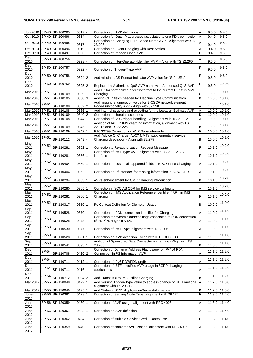|                |         | Jun 2010 SP-48 SP-100265     | $0312 -$ |                     | Correction on AVP definitions                                                                                                  | Α                       | 9.3.0  | 9.4.0         |
|----------------|---------|------------------------------|----------|---------------------|--------------------------------------------------------------------------------------------------------------------------------|-------------------------|--------|---------------|
|                |         | Oct 2010 SP-49 SP-100496     | 0314     |                     | Correction for Dual IP addresses associated to one PDN connection                                                              | $\overline{A}$          | 9.4.0  | 9.5.0         |
|                |         |                              |          |                     | Correction on Charging-Rule-Based-Name AVP - Alignment with TS                                                                 | $\overline{A}$          |        |               |
|                |         | Oct 2010   SP-49   SP-100495 | 0317     |                     | 23.203                                                                                                                         |                         | 9.4.0  | 9.5.0         |
|                |         | Oct 2010   SP-49   SP-100496 | 0319     |                     | Correction on Event Charging with Reservation                                                                                  | Α                       | 9.4.0  | 9.5.0         |
|                |         | Oct 2010 SP-49 SP-100497     | 0320     | $\bar{\phantom{a}}$ | Correction of Reason-Code AVP                                                                                                  | F                       | 9.4.0  | 9.5.0         |
| Dec            |         | SP-50 SP-100756              |          |                     |                                                                                                                                | Α                       |        | 9.6.0         |
| 2010           |         |                              | 0328     |                     | Correction of Inter-Operator-Identifier AVP - Align with TS 32.260                                                             |                         | 9.5.0  |               |
| Dec            |         | SP-50 SP-100757              |          |                     |                                                                                                                                | F                       |        | 9.6.0         |
| 2010           |         |                              | 0322     |                     | Correction of Trigger-Type AVP                                                                                                 |                         | 9.5.0  |               |
| Dec            |         | SP-50 SP-100758              |          |                     |                                                                                                                                | F                       |        | 9.6.0         |
| 2010           |         |                              | 0324 2   |                     | Add missing LCS-Format-Indicator AVP value for "SIP_URL"                                                                       |                         | 9.5.0  |               |
| Dec<br>2010    |         | SP-50 SP-100759              | 0325 2   |                     |                                                                                                                                | F                       | 9.6.0  | 10.0.0        |
|                |         |                              |          |                     | Replace the Authorized-QoS AVP name with Authorised-QoS AVP<br>Add E.164 harmonized address format to the current E.212 in MMS |                         |        |               |
| Mar 2010 SP-51 |         | SP-110109                    | 0329 1   |                     | Charging                                                                                                                       | С                       | 10.0.0 | 10.1.0        |
| Mar 2010 SP-51 |         | SP-110105                    | 0330 3   |                     | Adding CDR fields needed for Machine Type Communication                                                                        | $\overline{\mathsf{B}}$ | 10.0.0 | 10.1.0        |
|                |         |                              |          |                     | Add missing enumeration value for E-CSCF network element in                                                                    |                         |        |               |
| Mar 2010 SP-51 |         | SP-110108                    | 0332 2   |                     | Node-Functionality AVP - Align with 32.298                                                                                     | Α                       | 10.0.0 | 10.1.0        |
|                |         | Mar 2010 SP-51 SP-110108     | 0336 1   |                     | Add internal structure and encoding for the Location-Estimate AVP                                                              | A                       |        | 10.0.0 10.1.0 |
|                |         | Mar 2010 SP-51 SP-110109     | 0340 2   |                     | Correction to charging scenarios                                                                                               | D                       |        | 10.0.0 10.1.0 |
|                |         | Mar 2010 SP-51 SP-110108     | 0344     | $\mathbf{1}$        | Correction of CSG trigger handling - Alignment with TS 29.212                                                                  | Α                       | 10.0.0 | 10.1.0        |
|                |         |                              |          |                     | Addition of IARI in IMS charging information, alignment with TS                                                                |                         |        |               |
| Mar 2010 SP-51 |         | SP-110109                    | 0345 1   |                     | 22.115 and TS 23.228                                                                                                           | В                       | 10.0.0 | 10.1.0        |
| Mar 2010 SP-51 |         | SP-110109                    | $0347$ 1 |                     | R10 32299 Correction on AVP Subscriber-role                                                                                    | F                       | 10.0.0 | 10.1.0        |
|                |         |                              |          |                     | Add 'Advice Of Charge (AoC)' MMTel supplementary service                                                                       |                         |        |               |
| Mar 2010 SP-51 |         | SP-110112                    | 0349     |                     | Charging description - Align with 32.275                                                                                       | В                       | 10.0.0 | 10.1.0        |
| May            | SP-52   |                              |          |                     |                                                                                                                                |                         |        | 10.2.0        |
| 2011           |         | SP-110281                    | 0352     | 1                   | Correction to Re-authorization Request Message                                                                                 | F                       | 10.1.0 |               |
| May            | SP-52   |                              |          |                     | Correction of RAT-Type AVP, alignment with TS 29.212, Gx                                                                       |                         |        | 10.2.0        |
| 2011           |         | SP-110281                    | 0356 1   |                     | interface                                                                                                                      | F                       | 10.1.0 |               |
| May            | SP-52   |                              |          |                     |                                                                                                                                |                         |        | 10.2.0        |
| 2011           |         | SP-110404                    | 0359 1   |                     | Correction on essential supported fields in EPC Online Charging                                                                | Α                       | 10.1.0 |               |
| May            | SP-52   |                              |          |                     |                                                                                                                                |                         |        | 10.2.0        |
| 2011           |         | SP-110404                    | 0362     | 1                   | Correction on Rf interface for missing information in SGW CDR                                                                  | Α                       | 10.1.0 |               |
| May            | SP-52   |                              |          |                     |                                                                                                                                | В                       |        | 10.2.0        |
| 2011<br>May    |         | SP-110294                    | 0363 1   |                     | AVPs enhancement for OMR Charging introduction                                                                                 |                         | 10.1.0 |               |
| 2011           | SP-52   | SP-110280                    | 0365     | 1                   | Correction in SCC AS CDR for IMS service continuity                                                                            | Α                       | 10.1.0 | 10.2.0        |
| May            |         |                              |          |                     | Correction on IMS Application Reference Identifier (IARI) in IMS                                                               |                         |        |               |
| 2011           | SP-52   | SP-110281                    | 0366     | $\mathbf 1$         | Charging                                                                                                                       | F                       | 10.1.0 | 10.2.0        |
| May            |         |                              |          |                     |                                                                                                                                |                         |        |               |
| 2011           | SP-52   | SP-110317                    | 0350 1   |                     | Rc Context Definition for Diameter Usage                                                                                       | В                       | 10.2.0 | 11.0.0        |
| Sep            |         |                              |          |                     |                                                                                                                                |                         |        |               |
| 2011           | SP-53   | SP-110528                    | 0370     |                     | Correction on PDN connection identifier for Charging                                                                           | A                       | 11.0.0 | 11.1.0        |
| Sep            | $SP-53$ |                              |          |                     | Correction for dynamic address flags associated to PDN connection                                                              |                         |        | 11.1.0        |
| 2011           |         | SP-110528                    | $0375 -$ |                     | of PDP/PDN type IPv4v6                                                                                                         | Α                       | 11.0.0 |               |
| Sep            | SP-53   |                              |          |                     |                                                                                                                                |                         |        | 11.1.0        |
| 2011           |         | SP-110530                    | 0377     |                     | Correction of RAT Type, alignment with TS 29.061                                                                               | A                       | 11.0.0 |               |
| Sep            | SP-53   |                              |          |                     |                                                                                                                                |                         |        | 11.1.0        |
| 2011           |         | SP-110528                    | 0381     | 1                   | Correction on AVP definition - Align with IETF RFC 3588                                                                        | Α                       | 11.0.0 |               |
| Sep            | SP-53   |                              |          |                     | Addition of Sponsored Data Connectivity charging - Align with TS                                                               |                         |        | 11.1.0        |
| 2011           |         | SP-110541                    | 0393 1   |                     | 23.203<br>Correction of Dynamic Address Flag usage for IPv4v6 PDN                                                              | B                       | 11.0.0 |               |
| Dec<br>2011    | SP-54   | SP-110708                    | 0420 2   |                     | Connection in PS Information AVP                                                                                               | Α                       | 11.1.0 | 11.2.0        |
| Dec            |         |                              |          |                     |                                                                                                                                |                         |        |               |
| 2011           | SP-54   | SP-110711                    | 0412 1   |                     | Correction of IPv6 PDP/PDN prefix                                                                                              | Α                       | 11.1.0 | 11.2.0        |
| Dec            |         |                              |          |                     | Correction of IETF specified AVP usage in 3GPP charging                                                                        |                         |        |               |
| 2011           | SP-54   | SP-110711                    | 0416     |                     | applications                                                                                                                   | Α                       | 11.1.0 | 11.2.0        |
| Dec            |         |                              |          |                     |                                                                                                                                |                         |        |               |
| 2011           | SP-54   | SP-110712                    | 0394 2   |                     | Add Transit IOI to IMS Offline Charging                                                                                        | В                       |        | 11.1.0 11.2.0 |
|                |         | Mar 2012 SP-55 SP-120048     | 0422 1   |                     | Add missing Trigger-Type value to address change of UE Timezone                                                                | A                       | 11.2.0 | 11.3.0        |
|                |         |                              |          |                     | alignment with TS 29.212                                                                                                       |                         |        |               |
|                |         | Mar 2012 SP-55 SP-120049     | $0425$ 1 |                     | Add Status in AVP "Application-Server-Information                                                                              | В                       |        | 11.2.0 11.3.0 |
| June-          |         | SP-56 SP-120362              | 0428 1   |                     | Correction of Serving Node Type, alignment with 29.274                                                                         | F                       |        | 11.3.0 11.4.0 |
| 2012           |         |                              |          |                     |                                                                                                                                |                         |        |               |
| June-          |         | SP-56 SP-120359              | 0430 1   |                     | Correction of AVP usage, alignment with RFC 4006                                                                               | Α                       | 11.3.0 | 11.4.0        |
| 2012           |         |                              |          |                     |                                                                                                                                |                         |        |               |
| June-          |         | SP-56 SP-120361              | 0433 1   |                     | Correction on AVP definition                                                                                                   | Α                       |        | 11.3.0 11.4.0 |
| 2012           |         |                              |          |                     |                                                                                                                                |                         |        |               |
| June-          |         | SP-56 SP-120362              | 0434 1   |                     | Correction of Multiple Service Credit-Control use                                                                              | F                       | 11.3.0 | 11.4.0        |
| 2012<br>June-  |         | SP-56 SP-120359              | 0440 1   |                     | Correction of diameter AVP usages, alignment with RFC 4006                                                                     | Α                       | 11.3.0 | 11.4.0        |
| 2012           |         |                              |          |                     |                                                                                                                                |                         |        |               |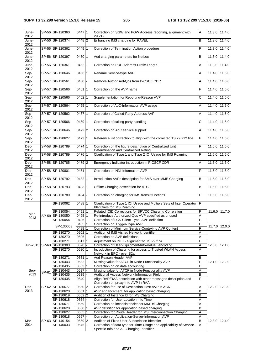| June-<br>2012 |       | SP-56 SP-120360          | 0447 1   |           | Correction on SGW and PGW Address reporting, alignment with<br>29.212 | A                     | 11.3.0 11.4.0 |               |
|---------------|-------|--------------------------|----------|-----------|-----------------------------------------------------------------------|-----------------------|---------------|---------------|
| June-         |       | SP-56 SP-120374          | 0448 2   |           | Enhancing IMS charging for RAVEL                                      | B                     | 11.3.0        | 11.4.0        |
| 2012          |       |                          |          |           |                                                                       |                       |               |               |
| June-         |       | SP-56 SP-120362          | 0449 1   |           | Correction of Termination Action procedure                            | F                     | 11.3.0        | 11.4.0        |
| 2012          |       |                          |          |           |                                                                       |                       |               |               |
| June-         |       | SP-56 SP-120397          | 0450 1   |           | Add charging parameters for NetLoc                                    | B                     | 11.3.0        | 11.4.0        |
| 2012          |       |                          |          |           |                                                                       |                       |               |               |
| June-         |       | SP-56 SP-120361          | $0452$ - |           | Correction on PDP-Address-Prefix-Length                               | A                     | 11.3.0        | 11.4.0        |
| 2012          |       |                          |          |           |                                                                       |                       |               |               |
| Sep-          |       | SP-57 SP-120646          | 0456 1   |           | Rename Service-type AVP                                               | A                     | 11.4.0 11.5.0 |               |
| 2012          |       |                          |          |           |                                                                       |                       |               |               |
| Sep-          |       | SP-57 SP-120561          | 0460     |           | Remove Authorised-Qos from P-CSCF CDR                                 | A                     | 11.4.0        | 11.5.0        |
| 2012          |       |                          |          |           |                                                                       |                       |               |               |
| Sep-          |       | SP-57 SP-120566          | 0461 1   |           | Correction on the AVP name                                            | F                     | 11.4.0        | 11.5.0        |
| 2012          |       |                          |          |           |                                                                       |                       |               |               |
| Sep-          |       | SP-57 SP-120566          | 0462 1   |           | Supplementation for Reporting-Reason AVP                              | $\overline{c}$        | 11.4.0        | 11.5.0        |
| 2012          |       |                          |          |           |                                                                       |                       |               |               |
| Sep-          |       | SP-57 SP-120564          | $0465$ 1 |           | Correction of AoC-Information AVP usage                               | A                     | 11.4.0        | 11.5.0        |
| 2012          |       |                          |          |           |                                                                       |                       |               |               |
| Sep-          |       | SP-57 SP-120562          | 0467 1   |           | Correction of Called-Party-Address AVP                                | A                     | 11.4.0 11.5.0 |               |
| 2012          |       |                          |          |           |                                                                       |                       |               |               |
| Sep-          |       | SP-57 SP-120566          | 0469 1   |           | Correction of calling party handling                                  | $\overline{\text{c}}$ | 11.4.0        | 11.5.0        |
| 2012          |       |                          |          |           |                                                                       |                       |               |               |
| Sep-          |       | SP-57 SP-120646          | 0472 2   |           | Correction on AoC service support                                     | A                     | 11.4.0        | 11.5.0        |
| 2012          |       |                          |          |           |                                                                       |                       |               |               |
| Sep-          |       | SP-57 SP-120627          | 0473 1   |           | Reference list correction to align with the corrected TS 29.212 title | F                     | 11.4.0        | 11.5.0        |
| 2012          |       | SP-58 SP-120789          | 0474 1   |           | Correction on the figure description of Centralized Unit              | F                     | 11.5.0        | 11.6.0        |
| Dec-<br>2012  |       |                          |          |           | Determination and Centralized Rating                                  |                       |               |               |
| Dec-          |       | SP-58 SP-120789          | 0476 1   |           | Clarification of Type 1 and Type 2 IOI Usage for IMS Roaming          | F                     | 11.5.0        | 11.6.0        |
| 2012          |       |                          |          |           |                                                                       |                       |               |               |
| Dec-          |       | SP-58 SP-120785          | 0479 2   |           | Emergency Indicator introduction in P-CSCF CDR                        | Α                     | 11.5.0        | 11.6.0        |
| 2012          |       |                          |          |           |                                                                       |                       |               |               |
| Dec-          |       | SP-58 SP-120801          | 0481     |           | Correction on NNI-Information AVP                                     | F                     | 11.5.0        | 11.6.0        |
| 2012          |       |                          |          |           |                                                                       |                       |               |               |
| Dec-          |       | SP-58 SP-120792          | 0482 1   |           | Introduction AVPs description for SMS over MME Charging               | B                     | 11.5.0        | 11.6.0        |
| 2012          |       |                          |          |           |                                                                       |                       |               |               |
| Dec-          |       | SP-58 SP-120793          | 0483 1   |           | Offline Charging description for ATCF                                 | B                     | 11.5.0        | 11.6.0        |
| 2012          |       |                          |          |           |                                                                       |                       |               |               |
| Dec-          |       | SP-58 SP-120789          | $0484 -$ |           | Correction on charging for IMS transit functions                      | F                     | 11.5.0 11.6.0 |               |
| 2012          |       |                          |          |           |                                                                       |                       |               |               |
|               |       | SP-130062                | 0488 1   |           | Clarification of Type 1 IOI Usage and Multiple Sets of Inter Operator | ΤF                    |               |               |
|               |       |                          |          |           | Identifiers for IMS Roaming                                           |                       |               |               |
| Mar-          |       | SP-130054                | 0491     | $\vert$ 1 | Related ICID Corrections for SRVCC Charging Correlation               | F                     |               | 11.6.0 11.7.0 |
| 2013          |       | SP-59 SP-130050          | 0495 1   |           | Re-introduce Authorized-Qos AVP specified as unused                   | A                     |               |               |
|               |       | SP-130054                | 0496     |           | Correction of LCS-Client-Type AVP definition                          | F                     |               |               |
|               |       | SP-130053                | 0485 1   |           | Correction on Trigger-Type AVP                                        | F                     |               | 11.7.0 12.0.0 |
|               |       |                          | 0489 1   |           | Correction of Minimum Service-Context-Id AVP Content                  | F                     |               |               |
|               |       | SP-130270                | 0502 1   |           | Addition of IMS Visited Network Identifier                            | Α                     |               |               |
|               |       | SP-130270                | 0506     |           | Correction on AVP definitions                                         | Α                     |               |               |
|               |       | SP-130271                | 0517 1   |           | Adjustment on IMEI - alignment to TS 29.274                           | F                     |               |               |
|               |       | Jun-2013 SP-60 SP-130303 | $0528 -$ |           | Correction of User-Equipment-Info-Value : encoding                    | Α                     | 12.0.0 12.1.0 |               |
|               |       | SP-130270                | 053011   |           | Introduction of Charging for access to Trusted WLAN Access            | Α                     |               |               |
|               |       |                          |          |           | Network in EPC - over S2a                                             |                       |               |               |
|               |       | SP-130271                | 0531 1   |           | Add Reason Header AVP                                                 | B                     |               |               |
|               |       | SP-130443                | $0532$ - |           | Missing value for ATCF in Node-Functionality AVP                      | F                     |               | 12.1.0 12.2.0 |
|               |       | SP-130435                | 0533 1   |           | Correction on on data accounting                                      | F                     |               |               |
| Sep-          | SP-61 | SP-130443                | 0537     |           | Missing value for ATCF in Node-Functionality AVP                      | A                     |               |               |
| 2013          |       | SP-130435                | $0539$ - |           | Additional Access Network Information Field                           | B                     |               |               |
|               |       | SP-130435                | 0540     |           | Align RAR/RAA description with other messages description and         | $\overline{F}$        |               |               |
|               |       |                          |          |           | Correction on proxy-info AVP in RAA                                   |                       |               |               |
| Dec           |       | SP-62 SP-130677          | 0550 2   |           | Correction for use of Destination-Host AVP in ACR                     | Α                     | 12.2.0 12.3.0 |               |
| 2013          |       | SP-130620                | 0551 1   |           | AVP enhancement for application based charging                        | B                     |               |               |
|               |       | SP-130619                | 0552 2   |           | Addition of Instance Id for IMS Charging                              | B                     |               |               |
|               |       | SP-130618                | 0554     |           | Correction for User Location Info Time                                | Α                     |               |               |
|               |       | SP-130671                | 0559     |           | Correction on inconsistencies for MMTel Charging                      | A                     |               |               |
|               |       | SP-130620                | 0560 1   |           | AVP definition for application based charging                         | B                     |               |               |
|               |       | SP-130627                | 0565 1   |           | Correction for Route Header for IMS Interconnection Charging          | A                     |               |               |
|               |       | SP-130618                | 0567     |           | Correction on Application-Server-Information AVP                      | Α                     |               |               |
| Mar-          |       | SP-63 SP-140154          | 0569 2   |           | Addition of Fixed User Subscription Identifier                        | $\overline{B}$        | 12.3.0 12.4.0 |               |
| 2014          |       | SP-140033                | 0575 1   |           | Correction of data type for Time-Usage and applicability of Service-  | $\overline{A}$        |               |               |
|               |       |                          |          |           | Specific-Info and AF-Charging-Identifier                              |                       |               |               |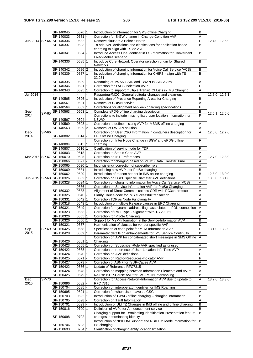|          |       | SP-140045                    | 0576 1   |              | Introduction of information for SMS offline Charging                 | B              |               |               |
|----------|-------|------------------------------|----------|--------------|----------------------------------------------------------------------|----------------|---------------|---------------|
|          |       | SP-140033                    | 0581     |              | Correction for S-GW change in Change-Condition AVP                   | Α              |               |               |
|          |       | Jun-2014   SP-64   SP-140336 | 0582 1   |              | Remove clause 6.3 Editor's Notes                                     | F              | 12.4.0        | 12.5.0        |
|          |       | SP-140337                    | 0583 1   |              | To add AVP definitions and clarifications for application based      | в              |               |               |
|          |       |                              |          |              | charging to align with TS 32.251                                     |                |               |               |
|          |       | SP-140341                    | $0584 -$ |              | Introduce Access Line Identifier in PS-Information for Convergent    | B              |               |               |
|          |       |                              |          |              | Fixed-Mobile scenario                                                |                |               |               |
|          |       | SP-140336                    | 0585 1   |              | Introduce Core Network Operator selection origin for Shared          | B              |               |               |
|          |       |                              |          |              |                                                                      |                |               |               |
|          |       |                              |          |              | <b>Networks</b>                                                      |                |               |               |
|          |       | SP-140342                    | 0586 2   |              | Introduction of charging information for Voice Call Service (VCS)    | B              |               |               |
|          |       | SP-140339                    | $0587$ 1 |              | Introduction of charging information for CHIPS - align with TS       | B              |               |               |
|          |       |                              |          |              | 32.251                                                               |                |               |               |
|          |       | SP-140335                    | 0589     |              | Renaming of TWAN-SSID and TWAN-BSSID AVPs                            | A              |               |               |
|          |       | SP-140346                    | 0591 1   |              | Correction for TADS indication AVP                                   | F              |               |               |
|          |       | SP-140343                    | 0595 1   |              | Correction to support multiple Transit IOI Lists in IMS Charging     | Α              |               |               |
| Jul-2014 |       |                              |          |              | Rapporteur/MCC: General editorial changes and clean-up.              |                |               | 12.5.0 12.5.1 |
|          |       | SP-140565                    | 0596 1   |              | Introduction of Presence Reporting Areas for Charging                | в              |               |               |
|          |       |                              |          |              |                                                                      |                |               |               |
|          |       | SP-140561                    | 0601     | $\mathbf{1}$ | Removal of CDIVN service                                             | Α              |               |               |
|          |       | SP-140564                    | 0602 1   |              | Corrections for alignment between charging specifications            | F              |               |               |
| Sep-     | SP-65 | SP-140563                    | 0603 1   |              | Complete ePDG offline charging description                           | В              | 12.5.1 12.6.0 |               |
| 2014     |       |                              |          |              | Corrections to include missing fixed user location information for   |                |               |               |
|          |       | SP-140567                    | $0604 -$ |              | <b>NSWO</b>                                                          |                |               |               |
|          |       | SP-140569                    | 0608 1   |              | Correction to define missing AVP for MBMS offline charging           | Α              |               |               |
|          |       | SP-140563                    | 0609 2   |              | Removal of I-WLAN solution                                           | A              |               |               |
| Dec-     | SP-66 |                              |          |              | Correction on User CSG Information in containers description for     | A              | 12.6.0        | 12.7.0        |
| 2014     |       | SP-140802                    | 0614     |              | EPC offline Charging                                                 |                |               |               |
|          |       |                              |          |              |                                                                      | F              |               |               |
|          |       |                              |          |              | Correction on Inter Node Change in SGW and ePDG offline              |                |               |               |
|          |       | SP-140804                    | 0615 1   |              | charging                                                             |                |               |               |
|          |       | SP-140807                    | 0616 1   |              | Clarification of serving node for TDF                                | F              |               |               |
|          |       | SP-140803                    | $0618$ - |              | Correction to Status-Code AVP                                        | Α              |               |               |
|          |       | Mar 2015 SP-67 SP-150070     | 0625 1   |              | Correction on IETF references                                        | A              | 12.7.0        | 12.8.0        |
|          |       | SP-150066                    | 0627     |              | Correction for charging based on MBMS Data Transfer Time             | A              |               |               |
|          |       | SP-150065                    | 0630 1   |              | Inconsistency correction of subscriber role                          | Α              |               |               |
|          |       | SP-150069                    | 0631 1   |              | Introducing new AVPs for ProSe charging                              | B              |               |               |
|          |       | SP-150062                    | 0620     |              | Introduction of reason header in IMS online charging                 | в              | 12.8.0 13.0.0 |               |
|          |       |                              |          |              |                                                                      |                |               |               |
|          |       | Jun 2015   SP-68   SP-150326 | 0632 1   |              | Correction on 3GPP specific Diameter AVP definitions                 | D              | 13.0.0 13.1.0 |               |
|          |       | SP-150328                    | 0634 1   |              | Correction on charging information for Voice Call Service (VCS)      | Α              |               |               |
|          |       |                              | 0636     |              | Correction on Service-Information AVP for ProSe Charging             | A              |               |               |
|          |       | SP-150332                    | 0638 1   |              | Alignment of Direct Communications CDR with PC3ch protocol           | $\overline{A}$ |               |               |
|          |       | SP-150325                    | 0640     |              | Clarify Cause-code for IMS successful transaction                    | Α              |               |               |
|          |       | SP-150331                    | $0642$ 1 |              | Correction TDF as Node Functionality                                 | Α              |               |               |
|          |       | SP-150318                    | 0643 1   |              | Introduction of multiple Release causes in EPC Charging              | B              |               |               |
|          |       | SP-150321                    | 0649     |              | Correction for dynamic address flags associated to PDN connection    | $\overline{A}$ |               |               |
|          |       |                              |          |              |                                                                      |                |               |               |
|          |       | SP-150323                    | 0653     |              | Correction of RAT Type - alignment with TS 29.061                    | Α              |               |               |
|          |       | SP-150326                    | 0655 1   |              | Correction for ProSe Charging                                        | D              |               |               |
|          |       | SP-150326                    | 0656 1   |              | Support for M2M-Information in the Service-Information AVP           | $\overline{B}$ |               |               |
|          |       | SP-150321                    | 0657     |              | Harmonisation of clauses for vendor specific AVP                     | D              |               |               |
| Sep      |       | SP-69 SP-150425              | $0658$ - |              | Specification of code point for M2M-Information AVP                  | F              |               | 13.1.0 13.2.0 |
| 2015     |       | SP-150428                    | 0659 1   |              | Parameter details on enhancements for IMS Service Continuity         | B              |               |               |
|          |       |                              |          |              | Correction on AVP for concatenated short messages in SMS Offline     | I A            |               |               |
|          |       | SP-150426                    | 06611    |              | Charging                                                             |                |               |               |
|          |       | SP-150423                    | 0665 1   |              | Correction on Subscriber-Role AVP specified as unused                | Α              |               |               |
|          |       | SP-150422                    | 0668     |              | Correction on reference of User-Location-Info-Time AVP               | Α              |               |               |
|          |       |                              |          |              |                                                                      |                |               |               |
|          |       | SP-150424                    | 0670 1   |              | Correction on AVP definitions                                        |                |               |               |
|          |       | SP-150425                    | 0671     |              | Correction on Radio-Resources-Indicator AVP                          | F              |               |               |
|          |       | SP-150427                    | 0673     |              | Correction of ABNF for ISUP-Cause AVP                                | Α              |               |               |
|          |       | SP-150422                    | 0676 1   |              | Update of Reference RFC7315                                          | Α              |               |               |
|          |       | SP-150424                    | 0678 1   |              | Correction on mapping between Information Elements and AVPs          | Α              |               |               |
|          |       | SP-150425                    | 0679 1   |              | Re-use ISUP-Cause AVP for IMS-PSTN Interworking                      | В              |               |               |
| Dec      | SP-70 |                              |          |              | Correction for Access-Network-Information AVP due to update to       | A              | 13.2.0        | 13.3.0        |
| 2015     |       | SP-150696                    | 0682     |              | RFC 7315                                                             |                |               |               |
|          |       | SP-150704                    | $0685 -$ |              | Correction on interoperator identifier for IMS Roaming               | $\overline{A}$ |               |               |
|          |       | SP-150695                    | 0691 1   |              | Correction for when User leaves a CSG                                | Α              |               |               |
|          |       |                              |          |              |                                                                      |                |               |               |
|          |       | SP-150703                    | 0692 1   |              | Introduction of TWAG offline charging - charging information         | B              |               |               |
|          |       | SP-150705                    | 0698     |              | Correction on Tariff Information                                     | A              |               |               |
|          |       | SP-150701                    | 0699     |              | Introduction of ULI TZ Changes in IMS offline and online charging    | B              |               |               |
|          |       | SP-150816                    | 0700 1   |              | Definition of AVPs for Announcement service                          | B              |               |               |
|          |       |                              |          |              | Charging support for Terminating Identification Presentation feature | B              |               |               |
|          |       | SP-150698                    | 0702 1   |              | changes in terminating identity                                      |                |               |               |
|          |       |                              |          |              | Introduction of NBIFOM Support and NBIFOM Mode information for       | B              |               |               |
|          |       | SP-150706                    | 0703 1   |              | PS charging                                                          |                |               |               |
|          |       |                              |          |              |                                                                      |                |               |               |
|          |       | SP-150693                    | 0704 1   |              | Clarification of charging entity location limitation                 | B              |               |               |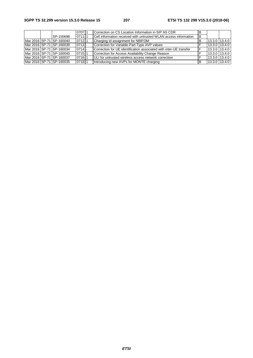|  |                           | 070711   | Correction on CS Location Information in SIP AS CDR                | в   |               |               |
|--|---------------------------|----------|--------------------------------------------------------------------|-----|---------------|---------------|
|  | SP-150698                 | 071111   | Cell information received with untrusted WLAN access information   | IB. |               |               |
|  | Mar 2016 SP-71 SP-160040  | $0712$ 1 | Charging Id assignment for NBIFOM                                  | в   |               | 13.3.0 13.4.0 |
|  | Mar 2016 SP-71 SP-160039  | $0713 -$ | Correction for Variable-Part-Type AVP values                       |     |               | 13.3.0 13.4.0 |
|  | Mar 2016 ISP-71 SP-160034 | $0714$ - | Correction for UE identification associated with inter-UE transfer |     | 13.3.0 13.4.0 |               |
|  | Mar 2016 SP-71 SP-160040  | 071511   | Correction for Access Availability Change Reason                   |     | 13.3.0 13.4.0 |               |
|  | Mar 2016 SP-71 SP-160037  | 07161    | ULI for untrusted wireless access network correction               |     | 13.3.0 13.4.0 |               |
|  | Mar 2016 SP-71 SP-160035  | 07181    | Introducing new AVPs for MONTE charging                            | в   |               | 13.3.0 13.4.0 |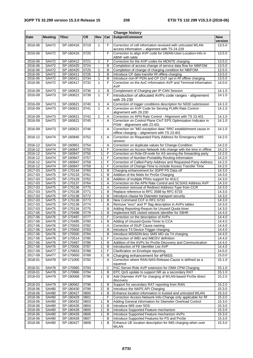| <b>Change history</b> |                |                        |              |                   |                |                                                                                                              |                  |  |  |  |  |
|-----------------------|----------------|------------------------|--------------|-------------------|----------------|--------------------------------------------------------------------------------------------------------------|------------------|--|--|--|--|
| <b>Date</b>           | <b>Meeting</b> | <b>TDoc</b>            | <b>CR</b>    | Rev               | Cat            | Subject/Comment                                                                                              | <b>New</b>       |  |  |  |  |
|                       |                |                        |              |                   |                |                                                                                                              | version          |  |  |  |  |
| 2016-06               | SA#72          | SP-160416              | 0719         | $\mathbf{1}$      | F              | Correction of cell information received with untrusted WLAN<br>access information - alignment with TS 24.229 | 13.5.0           |  |  |  |  |
| 2016-06               | SA#72          | SP-160416              | 0720         | $\blacksquare$    | F              | Correction to align AVP code for UWAN-User-Location-Info in                                                  | 13.5.0           |  |  |  |  |
|                       |                |                        |              |                   |                | ABNF with table                                                                                              |                  |  |  |  |  |
| 2016-06               | SA#72          | SP-160412              | 0721         | 1                 | F              | Correction for the AVP codes for MONTE charging                                                              | 13.5.0           |  |  |  |  |
| 2016-06               | SA#72          | SP-160420              | 0724         |                   | В              | Completion of access change of service data flow for NBIFOM                                                  | 13.5.0           |  |  |  |  |
| 2016-06               | SA#72          | SP-160420              | 0725         | 1                 | B              | Completion of change of charging condition for NBIFOM                                                        | 13.5.0           |  |  |  |  |
| 2016-06               | SA#72          | SP-160411              | 0726         | 3                 | B              | Introduce CP data transfer Rf offline charging                                                               | 13.5.0           |  |  |  |  |
| 2016-06               | SA#72          | SP-160411              | 0734         | $\mathbf{1}$      | $\sf B$        | Introduce non-IP PDN and CP CloT opt in Rf offline charging                                                  | 13.5.0           |  |  |  |  |
| 2016-06               | SA#72          | SP-160417              | 0732         | $\mathbf{1}$      | F              | Correction on the AoC-Information AVP and Terminal-Information                                               | 14.0.0           |  |  |  |  |
| 2016-09               | SA#73          | SP-160623              | 0736         | 1                 | B              | AVP<br>Complement of Charging per IP-CAN Session                                                             | 14.1.0           |  |  |  |  |
| 2016-09               | SA#73          | SP-160621              | 0739         | $\mathbf{1}$      | F              | Introduction of allocated AVPs code ranges - alignement                                                      | 14.1.0           |  |  |  |  |
|                       |                |                        |              |                   |                | with 29.230                                                                                                  |                  |  |  |  |  |
| 2016-09               | SA#73          | SP-160621              | 0740         | 1                 | Α              | Correction of trigger conditions description for NIDD submission                                             | 14.1.0           |  |  |  |  |
| $2016 - 09$           | SA#73          | SP-160621              | 0741         | $\mathbf{1}$      | A              | Correction on AVP Code for Serving PLMN Rate Control -                                                       | 14.1.0           |  |  |  |  |
|                       |                |                        |              |                   |                | alignement with 29.230                                                                                       |                  |  |  |  |  |
| 2016-09               | SA#73          | SP-160621              | 0742         | 1                 | Α              | Correction on APN Rate Control - Alignment with TS 23.401                                                    | 14.1.0           |  |  |  |  |
| 2016-09               | SA#73          | SP-160621              | 0745         |                   | A              | Correction on Control Plane CloT EPS Optimisation Indicator in                                               | 14.1.0           |  |  |  |  |
|                       |                |                        |              |                   |                | PGW - alignement with 23.401                                                                                 |                  |  |  |  |  |
| 2016-09               | SA#73          | SP-160621              | 0746         |                   | A              | Correction on "MO exception data" RRC establishment cause in                                                 | 14.1.0           |  |  |  |  |
|                       |                |                        |              |                   |                | offline charging - alignement with TS 23.401                                                                 |                  |  |  |  |  |
| 2016-12               | SA#74          | SP-160845              | 0752         | $\mathbf{1}$      | A              | Correction on Requested Party Address for Emergency IMS<br>session                                           | 14.2.0           |  |  |  |  |
| 2016-12               | SA#74          | SP-160851              | 0754         |                   | Α              | Correction on duplicate values for Change-Condition                                                          | 14.2.0           |  |  |  |  |
| 2016-12               | SA#74          | SP-160847              | 0755         | $\mathbf{1}$      | F              | Correction on Access Network Info change with the time in offline                                            | 14.2.0           |  |  |  |  |
| 2016-12               | SA#74          | SP-160847              | 0756         | $\mathbf{1}$      | F              | Correction on Role-Of-node for AS serving the forwarding party                                               | 14.2.0           |  |  |  |  |
| 2016-12               | SA#74          | SP-160847              | 0757         | 1                 | F              | Correction of Number-Portability-Routing-Information                                                         | 14.2.0           |  |  |  |  |
| 2016-12               | SA#74          | SP-160847              | 0758         | 1                 | F              | Correction of Called-Party-Address and Requested-Party-Address                                               | 14.2.0           |  |  |  |  |
| 2016-12               | SA#74          | SP-160847              | 0759         | $\mathbf{1}$      | F              | Correction of Change-Time to include Access Transfer Time                                                    | 14.2.0           |  |  |  |  |
| 2017-03               | SA#75          | SP-170144              | 0760         | 1                 | B              | Charging enhancement for 3GPP PS Data off                                                                    | 14.3.0           |  |  |  |  |
| 2017-03               | SA#75          | SP-170133              | 0761         | 1                 | B              | Addition of the fields for ProSe Charging                                                                    | 14.3.0           |  |  |  |  |
| 2017-03               | SA#75          | SP-170129              | 0762         | $\mathbf{1}$      | B              | Addition of multiple PRAs support for AULC                                                                   | 14.3.0           |  |  |  |  |
| $2017 - 03$           | SA#75          | SP-170137              | 0764         | 1                 | Α              | Correction on the APN Rate Control and SCS/AS Address AVP                                                    | 14.3.0           |  |  |  |  |
| 2017-03               | SA#75          | SP-170136              | 0770         | $\mathbf{1}$      | Α              | Correction removal of Redirect-Address-Type from CCR                                                         | 14.3.0           |  |  |  |  |
| 2017-03               | SA#75          | SP-170138              | 0771         | 1                 | В              | Replace reference to RFC 3588 by RFC 6733                                                                    | 14.3.0           |  |  |  |  |
| 2017-03<br>2017-03    | SA#75<br>SA#75 | SP-170138<br>SP-170138 | 0772<br>0773 | 1<br>$\mathbf{1}$ | B<br>B         | Introduce clause for Diameter transport security<br>New Command CCF in RFC 6733                              | 14.3.0<br>14.3.0 |  |  |  |  |
| 2017-03               | SA#75          | SP-170138              | 0774         |                   | B              | Remove "encr" and 'P' flag description in AVPs tables                                                        | 14.3.0           |  |  |  |  |
| 2017-03               | SA#75          | SP-170134              | 0775         |                   | B              | Adding Reporting-Reason for Unused Quota timer                                                               | 14.3.0           |  |  |  |  |
| 2017-06               | SA#76          | SP-170498              | 0776         | 1                 | B              | Implement IMS visited network identifier for S8HR                                                            | 14.4.0           |  |  |  |  |
| 2017-06               | SA#76          | SP-170497              | 0777         | 1                 | F              | Correction on the description of AVPs                                                                        | 14.4.0           |  |  |  |  |
| 2017-06               | SA#76          | SP-170495              | 0780         |                   | $\overline{B}$ | Adding of Unused-Quota-Timer to CCA                                                                          | 14.4.0           |  |  |  |  |
| 2017-06               | SA#76          | SP-170503              | 0782         |                   | Α              | Correction of ISUP Cause naming                                                                              | 14.4.0           |  |  |  |  |
| 2017-06               | SA#76          | SP-170500              | 0783         |                   | В              | Introduce T4 Device Trigger charging                                                                         | 14.4.0           |  |  |  |  |
| 2017-06               | SA#76          | SP-170500              | 0784         |                   | B              | Introduce MSISDN-less SMS MO via T4 charging                                                                 | 14.4.0           |  |  |  |  |
| 2017-06               | SA#76          | SP-170514              | 0785         | $\mathbf{1}$      | F              | Correction of IMEI and IMEISV definition                                                                     | 14.4.0           |  |  |  |  |
| 2017-06               | SA#76          | SP-170497              | 0786         | 1                 | В              | Addition of the AVPs for ProSe Discovery and Communication                                                   | 14.4.0           |  |  |  |  |
| 2017-06               | SA#76          | SP-170506              | 0787         |                   | B              | Introduction of FE Identifier List AVP                                                                       | 14.4.0           |  |  |  |  |
| 2017-09               | <b>SA#77</b>   | SP-170653<br>SP-170650 | 0788<br>0789 | 1                 | F              | Clarification on Envelope reporting                                                                          | 14.5.0<br>15.0.0 |  |  |  |  |
| 2017-09               | SA#77          | SP-171005              | 0792         | 1                 | В<br>A         | Charging enhancement for eFMSS<br>Correction where RAN-NAS-Release-Cause is defined as a                     |                  |  |  |  |  |
| 2018-01               | SA#78          |                        |              |                   |                | squence                                                                                                      | 15.1.0           |  |  |  |  |
| 2018-01               | SA#78          | SP-170965              | 0793         |                   | С              | PoC-Server-Role AVP extension for OMA CPM Charging                                                           | 15.1.0           |  |  |  |  |
| 2018-01               | SA#78          | SP-170966              | 0794         | 1                 | B              | EPC QoS update to support NR as a secondary RAT                                                              | 15.1.0           |  |  |  |  |
| 2018-03               | SA#79          | SP-180068              | 0796         | $\mathbf{1}$      | B              | Add Diameter AVP for charging of WLAN-based ProSe direct                                                     | 15.2.0           |  |  |  |  |
|                       |                |                        |              |                   |                | discovery                                                                                                    |                  |  |  |  |  |
| 2018-03               | SA#79          | SP-180062              | 0798         | 1                 | B              | Support for secondary RAT reporting from RAN                                                                 | 15.2.0           |  |  |  |  |
| 2018-06               | SA#80          | SP-180430              | 0799         | $\mathbf 2$       | B              | Introduce the NAPS API Charging                                                                              | 15.3.0           |  |  |  |  |
| 2018-06               | SA#80          | SP-180427              | 0800         | 1                 | B              | Enhance location information in trusted and untrusted WLAN                                                   | 15.3.0           |  |  |  |  |
| 2018-06               | SA#80          | SP-180429              | 0801         |                   | F              | Correction Access-Network-Info-Change only applicable for Rf                                                 | 15.3.0           |  |  |  |  |
| 2018-06               | SA#80          | SP-180432              | 0803         | 1                 | B              | Adding General information for Diameter Overload Control                                                     | 15.3.0           |  |  |  |  |
| 2018-06<br>2018-06    | SA#80<br>SA#80 | SP-180426<br>SP-180428 | 0804<br>0805 | 1                 | B<br>В         | Introduce IMS over 5GS<br>Introduce Supported Feature mechanism                                              | 15.3.0<br>15.3.0 |  |  |  |  |
| 2018-06               | SA#80          | SP-180428              | 0806         | 1<br>$\mathbf{1}$ | В              | Introduce Supported Feature mechanism AVPs                                                                   | 15.3.0           |  |  |  |  |
| 2018-06               | SA#80          | SP-180428              | 0807         |                   | В              | Introduce Supported Features for PS and ProSe                                                                | 15.3.0           |  |  |  |  |
| 2018-06               | SA#80          | SP-180427              | 0808         |                   | B              | Enhance UE location description for IMS charging when over                                                   | 15.3.0           |  |  |  |  |
|                       |                |                        |              |                   |                | WLAN                                                                                                         |                  |  |  |  |  |